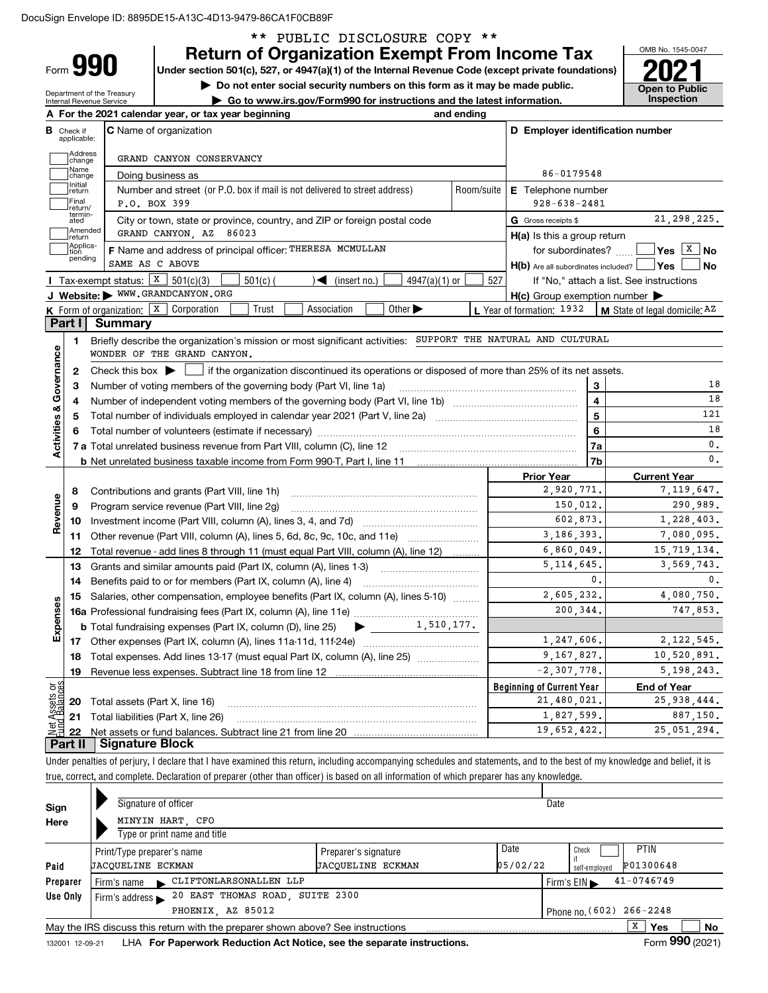Department of the Treasury

Form **990**

## \*\* PUBLIC DISCLOSURE COPY \*\*

**Return of Organization Exempt From Income Tax**

Under section 501(c), 527, or 4947(a)(1) of the Internal Revenue Code (except private foundations) **2021** 

**| Do not enter social security numbers on this form as it may be made public. | Go to www.irs.gov/Form990 for instructions and the latest information. Inspection**

OMB No. 1545-0047 **Open to Public** 

| <b>C</b> Name of organization<br><b>B</b> Check if<br>applicable:<br>Address<br>]change<br>GRAND CANYON CONSERVANCY<br>Name<br>Doing business as<br>change<br>Initial<br>Number and street (or P.O. box if mail is not delivered to street address)<br>Room/suite<br>return<br> Final<br>P.O. BOX 399<br>return/<br>termin-<br>City or town, state or province, country, and ZIP or foreign postal code<br>ated<br>Amended<br> return<br>GRAND CANYON, AZ 86023<br>Applica-<br>tion<br>F Name and address of principal officer: THERESA MCMULLAN<br>pending<br>SAME AS C ABOVE<br>Tax-exempt status: $X \mid 501(c)(3)$<br>$\blacktriangleright$ (insert no.)<br>$501(c)$ (<br>$4947(a)(1)$ or<br>J Website: WWW.GRANDCANYON.ORG<br>Association<br>Other $\blacktriangleright$<br><b>K</b> Form of organization: $\boxed{\textbf{X}}$ Corporation<br>Trust<br><b>Summary</b><br>Part I<br>Briefly describe the organization's mission or most significant activities: SUPPORT THE NATURAL AND CULTURAL<br>1.<br>WONDER OF THE GRAND CANYON.<br>Check this box $\blacktriangleright$ $\blacksquare$ if the organization discontinued its operations or disposed of more than 25% of its net assets.<br>2<br>Number of voting members of the governing body (Part VI, line 1a)<br>З<br>4<br>5<br>Program service revenue (Part VIII, line 2g)<br>10<br>Other revenue (Part VIII, column (A), lines 5, 6d, 8c, 9c, 10c, and 11e)<br>11 | D Employer identification number<br>86-0179548<br>E Telephone number<br>$928 - 638 - 2481$<br>G Gross receipts \$<br>$H(a)$ is this a group return<br>for subordinates?<br>$H(b)$ Are all subordinates included? $\Box$ Yes<br>527<br>If "No," attach a list. See instructions<br>$H(c)$ Group exemption number $\blacktriangleright$<br>L Year of formation: 1932<br>3<br>$\overline{4}$<br>5<br>6<br>7a<br>7b<br><b>Prior Year</b><br>2,920,771. | 21, 298, 225.<br>$\sqrt{\mathsf{Yes}\ \boxed{\mathrm{X}}\ \mathsf{No}}$<br><b>No</b><br>M State of legal domicile: AZ<br>18<br>18<br>121<br>18<br>0.<br>$\mathbf{0}$ .<br><b>Current Year</b> |
|-------------------------------------------------------------------------------------------------------------------------------------------------------------------------------------------------------------------------------------------------------------------------------------------------------------------------------------------------------------------------------------------------------------------------------------------------------------------------------------------------------------------------------------------------------------------------------------------------------------------------------------------------------------------------------------------------------------------------------------------------------------------------------------------------------------------------------------------------------------------------------------------------------------------------------------------------------------------------------------------------------------------------------------------------------------------------------------------------------------------------------------------------------------------------------------------------------------------------------------------------------------------------------------------------------------------------------------------------------------------------------------------------------------------------------------|----------------------------------------------------------------------------------------------------------------------------------------------------------------------------------------------------------------------------------------------------------------------------------------------------------------------------------------------------------------------------------------------------------------------------------------------------|-----------------------------------------------------------------------------------------------------------------------------------------------------------------------------------------------|
|                                                                                                                                                                                                                                                                                                                                                                                                                                                                                                                                                                                                                                                                                                                                                                                                                                                                                                                                                                                                                                                                                                                                                                                                                                                                                                                                                                                                                                     |                                                                                                                                                                                                                                                                                                                                                                                                                                                    |                                                                                                                                                                                               |
|                                                                                                                                                                                                                                                                                                                                                                                                                                                                                                                                                                                                                                                                                                                                                                                                                                                                                                                                                                                                                                                                                                                                                                                                                                                                                                                                                                                                                                     |                                                                                                                                                                                                                                                                                                                                                                                                                                                    |                                                                                                                                                                                               |
|                                                                                                                                                                                                                                                                                                                                                                                                                                                                                                                                                                                                                                                                                                                                                                                                                                                                                                                                                                                                                                                                                                                                                                                                                                                                                                                                                                                                                                     |                                                                                                                                                                                                                                                                                                                                                                                                                                                    |                                                                                                                                                                                               |
|                                                                                                                                                                                                                                                                                                                                                                                                                                                                                                                                                                                                                                                                                                                                                                                                                                                                                                                                                                                                                                                                                                                                                                                                                                                                                                                                                                                                                                     |                                                                                                                                                                                                                                                                                                                                                                                                                                                    |                                                                                                                                                                                               |
|                                                                                                                                                                                                                                                                                                                                                                                                                                                                                                                                                                                                                                                                                                                                                                                                                                                                                                                                                                                                                                                                                                                                                                                                                                                                                                                                                                                                                                     |                                                                                                                                                                                                                                                                                                                                                                                                                                                    |                                                                                                                                                                                               |
|                                                                                                                                                                                                                                                                                                                                                                                                                                                                                                                                                                                                                                                                                                                                                                                                                                                                                                                                                                                                                                                                                                                                                                                                                                                                                                                                                                                                                                     |                                                                                                                                                                                                                                                                                                                                                                                                                                                    |                                                                                                                                                                                               |
|                                                                                                                                                                                                                                                                                                                                                                                                                                                                                                                                                                                                                                                                                                                                                                                                                                                                                                                                                                                                                                                                                                                                                                                                                                                                                                                                                                                                                                     |                                                                                                                                                                                                                                                                                                                                                                                                                                                    |                                                                                                                                                                                               |
|                                                                                                                                                                                                                                                                                                                                                                                                                                                                                                                                                                                                                                                                                                                                                                                                                                                                                                                                                                                                                                                                                                                                                                                                                                                                                                                                                                                                                                     |                                                                                                                                                                                                                                                                                                                                                                                                                                                    |                                                                                                                                                                                               |
|                                                                                                                                                                                                                                                                                                                                                                                                                                                                                                                                                                                                                                                                                                                                                                                                                                                                                                                                                                                                                                                                                                                                                                                                                                                                                                                                                                                                                                     |                                                                                                                                                                                                                                                                                                                                                                                                                                                    |                                                                                                                                                                                               |
|                                                                                                                                                                                                                                                                                                                                                                                                                                                                                                                                                                                                                                                                                                                                                                                                                                                                                                                                                                                                                                                                                                                                                                                                                                                                                                                                                                                                                                     |                                                                                                                                                                                                                                                                                                                                                                                                                                                    |                                                                                                                                                                                               |
|                                                                                                                                                                                                                                                                                                                                                                                                                                                                                                                                                                                                                                                                                                                                                                                                                                                                                                                                                                                                                                                                                                                                                                                                                                                                                                                                                                                                                                     |                                                                                                                                                                                                                                                                                                                                                                                                                                                    |                                                                                                                                                                                               |
|                                                                                                                                                                                                                                                                                                                                                                                                                                                                                                                                                                                                                                                                                                                                                                                                                                                                                                                                                                                                                                                                                                                                                                                                                                                                                                                                                                                                                                     |                                                                                                                                                                                                                                                                                                                                                                                                                                                    |                                                                                                                                                                                               |
|                                                                                                                                                                                                                                                                                                                                                                                                                                                                                                                                                                                                                                                                                                                                                                                                                                                                                                                                                                                                                                                                                                                                                                                                                                                                                                                                                                                                                                     |                                                                                                                                                                                                                                                                                                                                                                                                                                                    |                                                                                                                                                                                               |
|                                                                                                                                                                                                                                                                                                                                                                                                                                                                                                                                                                                                                                                                                                                                                                                                                                                                                                                                                                                                                                                                                                                                                                                                                                                                                                                                                                                                                                     |                                                                                                                                                                                                                                                                                                                                                                                                                                                    |                                                                                                                                                                                               |
|                                                                                                                                                                                                                                                                                                                                                                                                                                                                                                                                                                                                                                                                                                                                                                                                                                                                                                                                                                                                                                                                                                                                                                                                                                                                                                                                                                                                                                     |                                                                                                                                                                                                                                                                                                                                                                                                                                                    |                                                                                                                                                                                               |
|                                                                                                                                                                                                                                                                                                                                                                                                                                                                                                                                                                                                                                                                                                                                                                                                                                                                                                                                                                                                                                                                                                                                                                                                                                                                                                                                                                                                                                     |                                                                                                                                                                                                                                                                                                                                                                                                                                                    |                                                                                                                                                                                               |
|                                                                                                                                                                                                                                                                                                                                                                                                                                                                                                                                                                                                                                                                                                                                                                                                                                                                                                                                                                                                                                                                                                                                                                                                                                                                                                                                                                                                                                     |                                                                                                                                                                                                                                                                                                                                                                                                                                                    |                                                                                                                                                                                               |
|                                                                                                                                                                                                                                                                                                                                                                                                                                                                                                                                                                                                                                                                                                                                                                                                                                                                                                                                                                                                                                                                                                                                                                                                                                                                                                                                                                                                                                     |                                                                                                                                                                                                                                                                                                                                                                                                                                                    |                                                                                                                                                                                               |
|                                                                                                                                                                                                                                                                                                                                                                                                                                                                                                                                                                                                                                                                                                                                                                                                                                                                                                                                                                                                                                                                                                                                                                                                                                                                                                                                                                                                                                     |                                                                                                                                                                                                                                                                                                                                                                                                                                                    |                                                                                                                                                                                               |
|                                                                                                                                                                                                                                                                                                                                                                                                                                                                                                                                                                                                                                                                                                                                                                                                                                                                                                                                                                                                                                                                                                                                                                                                                                                                                                                                                                                                                                     |                                                                                                                                                                                                                                                                                                                                                                                                                                                    |                                                                                                                                                                                               |
|                                                                                                                                                                                                                                                                                                                                                                                                                                                                                                                                                                                                                                                                                                                                                                                                                                                                                                                                                                                                                                                                                                                                                                                                                                                                                                                                                                                                                                     |                                                                                                                                                                                                                                                                                                                                                                                                                                                    |                                                                                                                                                                                               |
|                                                                                                                                                                                                                                                                                                                                                                                                                                                                                                                                                                                                                                                                                                                                                                                                                                                                                                                                                                                                                                                                                                                                                                                                                                                                                                                                                                                                                                     |                                                                                                                                                                                                                                                                                                                                                                                                                                                    |                                                                                                                                                                                               |
|                                                                                                                                                                                                                                                                                                                                                                                                                                                                                                                                                                                                                                                                                                                                                                                                                                                                                                                                                                                                                                                                                                                                                                                                                                                                                                                                                                                                                                     |                                                                                                                                                                                                                                                                                                                                                                                                                                                    | 7,119,647.                                                                                                                                                                                    |
|                                                                                                                                                                                                                                                                                                                                                                                                                                                                                                                                                                                                                                                                                                                                                                                                                                                                                                                                                                                                                                                                                                                                                                                                                                                                                                                                                                                                                                     | 150,012.                                                                                                                                                                                                                                                                                                                                                                                                                                           | 290,989.                                                                                                                                                                                      |
|                                                                                                                                                                                                                                                                                                                                                                                                                                                                                                                                                                                                                                                                                                                                                                                                                                                                                                                                                                                                                                                                                                                                                                                                                                                                                                                                                                                                                                     | 602,873.                                                                                                                                                                                                                                                                                                                                                                                                                                           | 1,228,403.                                                                                                                                                                                    |
|                                                                                                                                                                                                                                                                                                                                                                                                                                                                                                                                                                                                                                                                                                                                                                                                                                                                                                                                                                                                                                                                                                                                                                                                                                                                                                                                                                                                                                     | 3,186,393.                                                                                                                                                                                                                                                                                                                                                                                                                                         | 7,080,095.                                                                                                                                                                                    |
| Total revenue - add lines 8 through 11 (must equal Part VIII, column (A), line 12)<br>12                                                                                                                                                                                                                                                                                                                                                                                                                                                                                                                                                                                                                                                                                                                                                                                                                                                                                                                                                                                                                                                                                                                                                                                                                                                                                                                                            | 6,860,049.                                                                                                                                                                                                                                                                                                                                                                                                                                         | 15,719,134.                                                                                                                                                                                   |
| Grants and similar amounts paid (Part IX, column (A), lines 1-3) <i>manual community care</i><br>13                                                                                                                                                                                                                                                                                                                                                                                                                                                                                                                                                                                                                                                                                                                                                                                                                                                                                                                                                                                                                                                                                                                                                                                                                                                                                                                                 | 5, 114, 645.                                                                                                                                                                                                                                                                                                                                                                                                                                       | 3,569,743.                                                                                                                                                                                    |
| Benefits paid to or for members (Part IX, column (A), line 4)<br>14                                                                                                                                                                                                                                                                                                                                                                                                                                                                                                                                                                                                                                                                                                                                                                                                                                                                                                                                                                                                                                                                                                                                                                                                                                                                                                                                                                 | 0.                                                                                                                                                                                                                                                                                                                                                                                                                                                 | 0.                                                                                                                                                                                            |
| Salaries, other compensation, employee benefits (Part IX, column (A), lines 5-10)<br>15                                                                                                                                                                                                                                                                                                                                                                                                                                                                                                                                                                                                                                                                                                                                                                                                                                                                                                                                                                                                                                                                                                                                                                                                                                                                                                                                             | 2,605,232.                                                                                                                                                                                                                                                                                                                                                                                                                                         | 4,080,750.                                                                                                                                                                                    |
|                                                                                                                                                                                                                                                                                                                                                                                                                                                                                                                                                                                                                                                                                                                                                                                                                                                                                                                                                                                                                                                                                                                                                                                                                                                                                                                                                                                                                                     | 200.344.                                                                                                                                                                                                                                                                                                                                                                                                                                           | 747,853.                                                                                                                                                                                      |
|                                                                                                                                                                                                                                                                                                                                                                                                                                                                                                                                                                                                                                                                                                                                                                                                                                                                                                                                                                                                                                                                                                                                                                                                                                                                                                                                                                                                                                     |                                                                                                                                                                                                                                                                                                                                                                                                                                                    |                                                                                                                                                                                               |
|                                                                                                                                                                                                                                                                                                                                                                                                                                                                                                                                                                                                                                                                                                                                                                                                                                                                                                                                                                                                                                                                                                                                                                                                                                                                                                                                                                                                                                     | 1, 247, 606.                                                                                                                                                                                                                                                                                                                                                                                                                                       | 2, 122, 545.                                                                                                                                                                                  |
| Total expenses. Add lines 13-17 (must equal Part IX, column (A), line 25)<br>18                                                                                                                                                                                                                                                                                                                                                                                                                                                                                                                                                                                                                                                                                                                                                                                                                                                                                                                                                                                                                                                                                                                                                                                                                                                                                                                                                     | 9,167,827.                                                                                                                                                                                                                                                                                                                                                                                                                                         | 10,520,891.                                                                                                                                                                                   |
| 19<br>Revenue less expenses. Subtract line 18 from line 12                                                                                                                                                                                                                                                                                                                                                                                                                                                                                                                                                                                                                                                                                                                                                                                                                                                                                                                                                                                                                                                                                                                                                                                                                                                                                                                                                                          | $-2, 307, 778.$                                                                                                                                                                                                                                                                                                                                                                                                                                    | 5, 198, 243.                                                                                                                                                                                  |
|                                                                                                                                                                                                                                                                                                                                                                                                                                                                                                                                                                                                                                                                                                                                                                                                                                                                                                                                                                                                                                                                                                                                                                                                                                                                                                                                                                                                                                     | <b>Beginning of Current Year</b>                                                                                                                                                                                                                                                                                                                                                                                                                   | <b>End of Year</b>                                                                                                                                                                            |
| Total assets (Part X, line 16)<br>20                                                                                                                                                                                                                                                                                                                                                                                                                                                                                                                                                                                                                                                                                                                                                                                                                                                                                                                                                                                                                                                                                                                                                                                                                                                                                                                                                                                                | 21,480,021.                                                                                                                                                                                                                                                                                                                                                                                                                                        | 25, 938, 444.                                                                                                                                                                                 |
| Total liabilities (Part X, line 26)<br>21                                                                                                                                                                                                                                                                                                                                                                                                                                                                                                                                                                                                                                                                                                                                                                                                                                                                                                                                                                                                                                                                                                                                                                                                                                                                                                                                                                                           | 1,827,599.                                                                                                                                                                                                                                                                                                                                                                                                                                         | 887,150.                                                                                                                                                                                      |
| 22<br><b>Signature Block</b><br>Part II                                                                                                                                                                                                                                                                                                                                                                                                                                                                                                                                                                                                                                                                                                                                                                                                                                                                                                                                                                                                                                                                                                                                                                                                                                                                                                                                                                                             | 19,652,422.                                                                                                                                                                                                                                                                                                                                                                                                                                        | 25,051,294.                                                                                                                                                                                   |

| Sign     |                                                                           | Signature of officer                                   |                                                                                 | Date                     |  |  |  |                          |                |  |
|----------|---------------------------------------------------------------------------|--------------------------------------------------------|---------------------------------------------------------------------------------|--------------------------|--|--|--|--------------------------|----------------|--|
| Here     |                                                                           |                                                        | MINYIN HART, CFO<br>Type or print name and title                                |                          |  |  |  |                          |                |  |
| Paid     |                                                                           | Print/Type preparer's name<br><b>JACOUELINE ECKMAN</b> | Check<br>self-employed                                                          | <b>PTIN</b><br>P01300648 |  |  |  |                          |                |  |
| Preparer | CLIFTONLARSONALLEN LLP<br>Firm's $EIN \blacktriangleright$<br>Firm's name |                                                        |                                                                                 |                          |  |  |  |                          |                |  |
| Use Only |                                                                           | Firm's address $\blacktriangleright$                   | 20 EAST THOMAS ROAD, SUITE 2300                                                 |                          |  |  |  |                          |                |  |
|          |                                                                           |                                                        | PHOENIX AZ 85012                                                                |                          |  |  |  | Phone no. (602) 266-2248 |                |  |
|          |                                                                           |                                                        | May the IRS discuss this return with the preparer shown above? See instructions |                          |  |  |  | x<br>Yes                 | No             |  |
|          |                                                                           |                                                        |                                                                                 |                          |  |  |  |                          | $000 \div 100$ |  |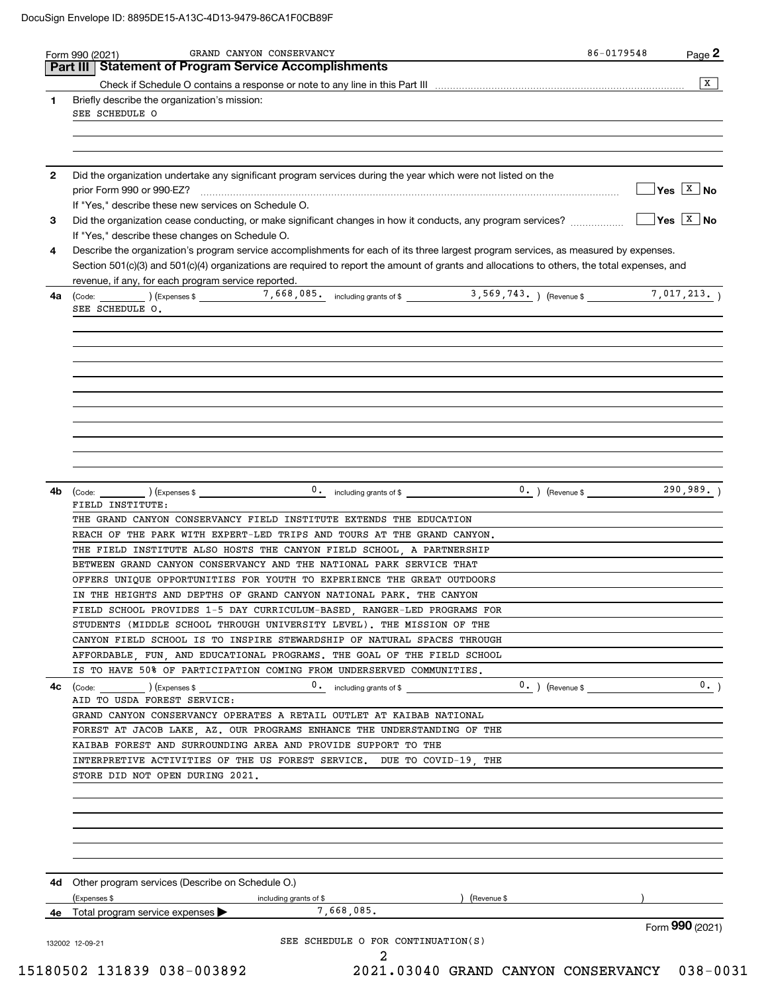|              |                                                                                                                                              | $\overline{X}$              |
|--------------|----------------------------------------------------------------------------------------------------------------------------------------------|-----------------------------|
| 1            | Briefly describe the organization's mission:                                                                                                 |                             |
|              | SEE SCHEDULE O                                                                                                                               |                             |
|              |                                                                                                                                              |                             |
|              |                                                                                                                                              |                             |
|              |                                                                                                                                              |                             |
| $\mathbf{2}$ | Did the organization undertake any significant program services during the year which were not listed on the                                 |                             |
|              |                                                                                                                                              | $\sqrt{}$ Yes $\sqrt{X}$ No |
|              | If "Yes," describe these new services on Schedule O.                                                                                         |                             |
| 3            |                                                                                                                                              |                             |
|              | If "Yes," describe these changes on Schedule O.                                                                                              |                             |
| 4            | Describe the organization's program service accomplishments for each of its three largest program services, as measured by expenses.         |                             |
|              | Section 501(c)(3) and 501(c)(4) organizations are required to report the amount of grants and allocations to others, the total expenses, and |                             |
|              | revenue, if any, for each program service reported.                                                                                          |                             |
| 4a           |                                                                                                                                              |                             |
|              | SEE SCHEDULE O.                                                                                                                              |                             |
|              |                                                                                                                                              |                             |
|              |                                                                                                                                              |                             |
|              |                                                                                                                                              |                             |
|              |                                                                                                                                              |                             |
|              |                                                                                                                                              |                             |
|              |                                                                                                                                              |                             |
|              |                                                                                                                                              |                             |
|              |                                                                                                                                              |                             |
|              |                                                                                                                                              |                             |
|              |                                                                                                                                              |                             |
|              |                                                                                                                                              |                             |
|              |                                                                                                                                              |                             |
|              |                                                                                                                                              |                             |
| 4b           | $0.$ including grants of \$ $\qquad 0.$ (Revenue \$ 290,989.)                                                                                |                             |
|              | FIELD INSTITUTE:                                                                                                                             |                             |
|              | THE GRAND CANYON CONSERVANCY FIELD INSTITUTE EXTENDS THE EDUCATION                                                                           |                             |
|              |                                                                                                                                              |                             |
|              | REACH OF THE PARK WITH EXPERT-LED TRIPS AND TOURS AT THE GRAND CANYON.                                                                       |                             |
|              |                                                                                                                                              |                             |
|              | THE FIELD INSTITUTE ALSO HOSTS THE CANYON FIELD SCHOOL, A PARTNERSHIP                                                                        |                             |
|              | BETWEEN GRAND CANYON CONSERVANCY AND THE NATIONAL PARK SERVICE THAT                                                                          |                             |
|              | OFFERS UNIOUE OPPORTUNITIES FOR YOUTH TO EXPERIENCE THE GREAT OUTDOORS                                                                       |                             |
|              | IN THE HEIGHTS AND DEPTHS OF GRAND CANYON NATIONAL PARK. THE CANYON                                                                          |                             |
|              | FIELD SCHOOL PROVIDES 1-5 DAY CURRICULUM-BASED, RANGER-LED PROGRAMS FOR                                                                      |                             |
|              | STUDENTS (MIDDLE SCHOOL THROUGH UNIVERSITY LEVEL). THE MISSION OF THE                                                                        |                             |
|              | CANYON FIELD SCHOOL IS TO INSPIRE STEWARDSHIP OF NATURAL SPACES THROUGH                                                                      |                             |
|              | AFFORDABLE, FUN, AND EDUCATIONAL PROGRAMS. THE GOAL OF THE FIELD SCHOOL                                                                      |                             |
|              | IS TO HAVE 50% OF PARTICIPATION COMING FROM UNDERSERVED COMMUNITIES.                                                                         |                             |
|              | $\begin{array}{ccc} \text{(Code:} & \text{ } & \text{)} & \text{(Expenses $\$} \end{array}$                                                  | 0.                          |
|              | 0. including grants of \$<br>$0.$ ) (Revenue \$<br>AID TO USDA FOREST SERVICE:                                                               |                             |
|              | GRAND CANYON CONSERVANCY OPERATES A RETAIL OUTLET AT KAIBAB NATIONAL                                                                         |                             |
|              |                                                                                                                                              |                             |
|              | FOREST AT JACOB LAKE, AZ. OUR PROGRAMS ENHANCE THE UNDERSTANDING OF THE                                                                      |                             |
|              | KAIBAB FOREST AND SURROUNDING AREA AND PROVIDE SUPPORT TO THE                                                                                |                             |
|              | INTERPRETIVE ACTIVITIES OF THE US FOREST SERVICE. DUE TO COVID-19, THE                                                                       |                             |
|              | STORE DID NOT OPEN DURING 2021.                                                                                                              |                             |
|              |                                                                                                                                              |                             |
|              |                                                                                                                                              |                             |
|              |                                                                                                                                              |                             |
|              |                                                                                                                                              |                             |
|              |                                                                                                                                              |                             |
| 4c           |                                                                                                                                              |                             |
|              |                                                                                                                                              |                             |
| 4d.          | Other program services (Describe on Schedule O.)                                                                                             |                             |
|              | ) (Revenue \$<br>(Expenses \$<br>including grants of \$                                                                                      |                             |
| 4е           | 7,668,085.<br>Total program service expenses                                                                                                 |                             |
|              | SEE SCHEDULE O FOR CONTINUATION(S)                                                                                                           | Form 990 (2021)             |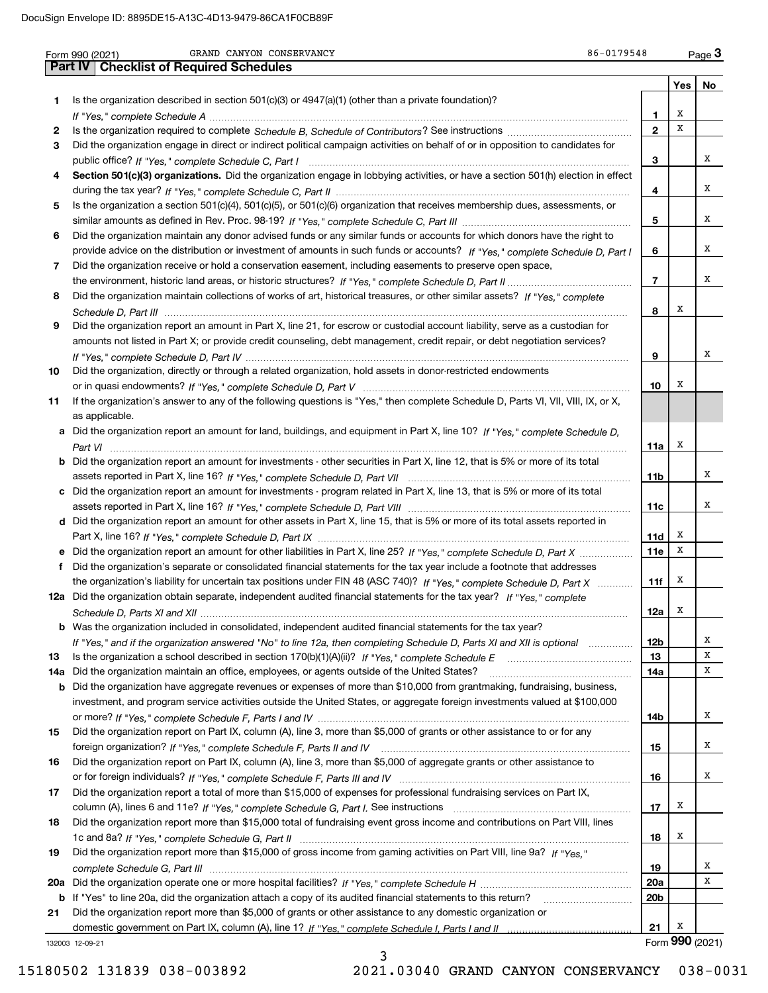|     | 86-0179548<br>GRAND CANYON CONSERVANCY<br>Form 990 (2021)                                                                             |                 |                 | $Page$ <sup>3</sup> |
|-----|---------------------------------------------------------------------------------------------------------------------------------------|-----------------|-----------------|---------------------|
|     | <b>Part IV   Checklist of Required Schedules</b>                                                                                      |                 |                 |                     |
|     |                                                                                                                                       |                 | Yes             | No                  |
| 1   | Is the organization described in section $501(c)(3)$ or $4947(a)(1)$ (other than a private foundation)?                               |                 |                 |                     |
|     |                                                                                                                                       | 1               | х               |                     |
| 2   |                                                                                                                                       | $\mathbf{2}$    | X               |                     |
| 3   | Did the organization engage in direct or indirect political campaign activities on behalf of or in opposition to candidates for       |                 |                 |                     |
|     |                                                                                                                                       | 3               |                 | x                   |
| 4   | Section 501(c)(3) organizations. Did the organization engage in lobbying activities, or have a section 501(h) election in effect      |                 |                 |                     |
|     |                                                                                                                                       | 4               |                 | x                   |
| 5   | Is the organization a section 501(c)(4), 501(c)(5), or 501(c)(6) organization that receives membership dues, assessments, or          |                 |                 |                     |
|     |                                                                                                                                       | 5               |                 | х                   |
| 6   | Did the organization maintain any donor advised funds or any similar funds or accounts for which donors have the right to             |                 |                 |                     |
|     | provide advice on the distribution or investment of amounts in such funds or accounts? If "Yes," complete Schedule D, Part I          | 6               |                 | х                   |
| 7   | Did the organization receive or hold a conservation easement, including easements to preserve open space,                             |                 |                 |                     |
|     |                                                                                                                                       | $\overline{7}$  |                 | x                   |
| 8   | Did the organization maintain collections of works of art, historical treasures, or other similar assets? If "Yes," complete          |                 |                 |                     |
|     |                                                                                                                                       | 8               | х               |                     |
| 9   | Did the organization report an amount in Part X, line 21, for escrow or custodial account liability, serve as a custodian for         |                 |                 |                     |
|     | amounts not listed in Part X; or provide credit counseling, debt management, credit repair, or debt negotiation services?             |                 |                 |                     |
|     |                                                                                                                                       | 9               |                 | х                   |
| 10  | Did the organization, directly or through a related organization, hold assets in donor-restricted endowments                          |                 |                 |                     |
|     |                                                                                                                                       | 10              | х               |                     |
| 11  | If the organization's answer to any of the following questions is "Yes," then complete Schedule D, Parts VI, VII, VIII, IX, or X,     |                 |                 |                     |
|     | as applicable.                                                                                                                        |                 |                 |                     |
|     | a Did the organization report an amount for land, buildings, and equipment in Part X, line 10? If "Yes." complete Schedule D.         |                 |                 |                     |
|     |                                                                                                                                       | 11a             | х               |                     |
|     | <b>b</b> Did the organization report an amount for investments - other securities in Part X, line 12, that is 5% or more of its total |                 |                 |                     |
|     |                                                                                                                                       | 11 <sub>b</sub> |                 | х                   |
|     | c Did the organization report an amount for investments - program related in Part X, line 13, that is 5% or more of its total         |                 |                 |                     |
|     |                                                                                                                                       | 11c             |                 | х                   |
|     | d Did the organization report an amount for other assets in Part X, line 15, that is 5% or more of its total assets reported in       |                 |                 |                     |
|     |                                                                                                                                       | 11d             | х               |                     |
|     |                                                                                                                                       | <b>11e</b>      | X               |                     |
|     | f Did the organization's separate or consolidated financial statements for the tax year include a footnote that addresses             |                 |                 |                     |
|     | the organization's liability for uncertain tax positions under FIN 48 (ASC 740)? If "Yes," complete Schedule D, Part X                | 11f             | х               |                     |
|     | 12a Did the organization obtain separate, independent audited financial statements for the tax year? If "Yes," complete               |                 |                 |                     |
|     |                                                                                                                                       | 12a             | X               |                     |
|     | <b>b</b> Was the organization included in consolidated, independent audited financial statements for the tax year?                    |                 |                 |                     |
|     | If "Yes," and if the organization answered "No" to line 12a, then completing Schedule D, Parts XI and XII is optional                 | <b>12b</b>      |                 | х                   |
| 13  |                                                                                                                                       | 13              |                 | х                   |
| 14a | Did the organization maintain an office, employees, or agents outside of the United States?                                           | 14a             |                 | х                   |
| b   | Did the organization have aggregate revenues or expenses of more than \$10,000 from grantmaking, fundraising, business,               |                 |                 |                     |
|     | investment, and program service activities outside the United States, or aggregate foreign investments valued at \$100,000            |                 |                 |                     |
|     |                                                                                                                                       | 14b             |                 | х                   |
| 15  | Did the organization report on Part IX, column (A), line 3, more than \$5,000 of grants or other assistance to or for any             |                 |                 |                     |
|     |                                                                                                                                       | 15              |                 | х                   |
| 16  | Did the organization report on Part IX, column (A), line 3, more than \$5,000 of aggregate grants or other assistance to              |                 |                 |                     |
|     |                                                                                                                                       | 16              |                 | х                   |
| 17  | Did the organization report a total of more than \$15,000 of expenses for professional fundraising services on Part IX,               |                 |                 |                     |
|     |                                                                                                                                       | 17              | х               |                     |
| 18  | Did the organization report more than \$15,000 total of fundraising event gross income and contributions on Part VIII, lines          |                 |                 |                     |
|     |                                                                                                                                       | 18              | х               |                     |
| 19  | Did the organization report more than \$15,000 of gross income from gaming activities on Part VIII, line 9a? If "Yes."                |                 |                 |                     |
|     |                                                                                                                                       | 19              |                 | х                   |
|     |                                                                                                                                       | 20a             |                 | х                   |
| 20a |                                                                                                                                       |                 |                 |                     |
|     | b If "Yes" to line 20a, did the organization attach a copy of its audited financial statements to this return?                        | 20b             |                 |                     |
| 21  | Did the organization report more than \$5,000 of grants or other assistance to any domestic organization or                           | 21              | х               |                     |
|     |                                                                                                                                       |                 |                 |                     |
|     | 132003 12-09-21                                                                                                                       |                 | Form 990 (2021) |                     |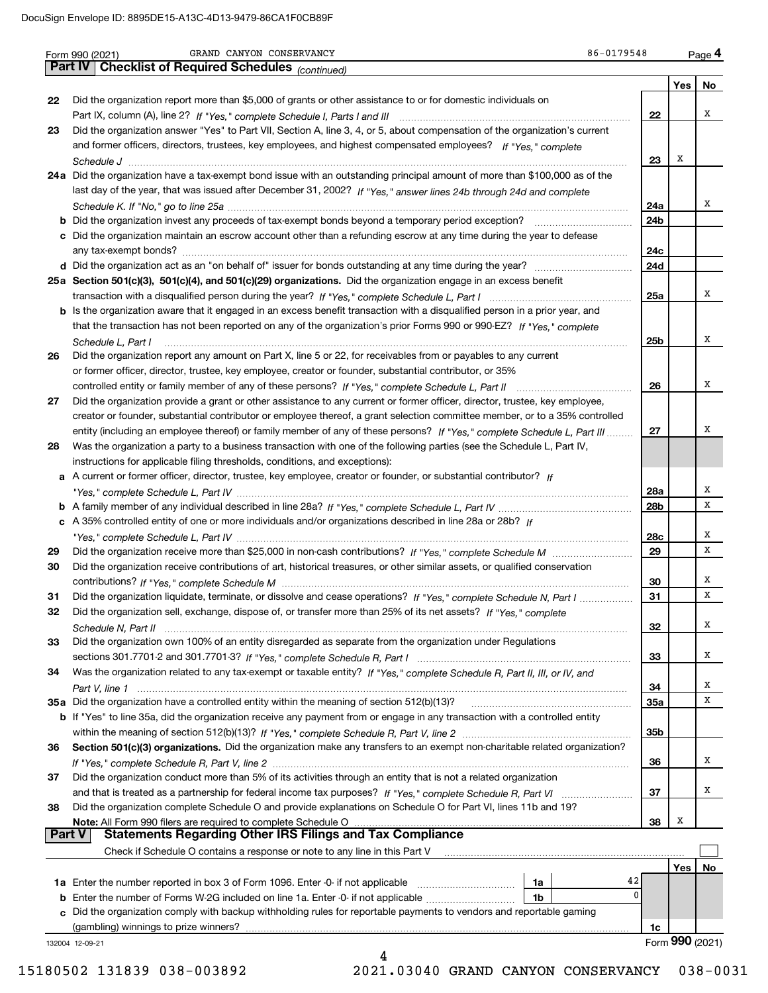|               | GRAND CANYON CONSERVANCY<br>86-0179548<br>Form 990 (2021)                                                                                                                                         |                 |                 | Page 4 |
|---------------|---------------------------------------------------------------------------------------------------------------------------------------------------------------------------------------------------|-----------------|-----------------|--------|
|               | Part IV<br><b>Checklist of Required Schedules</b> (continued)                                                                                                                                     |                 |                 |        |
|               |                                                                                                                                                                                                   |                 | Yes             | No     |
| 22            | Did the organization report more than \$5,000 of grants or other assistance to or for domestic individuals on                                                                                     |                 |                 |        |
|               |                                                                                                                                                                                                   | 22              |                 | x      |
| 23            | Did the organization answer "Yes" to Part VII, Section A, line 3, 4, or 5, about compensation of the organization's current                                                                       |                 |                 |        |
|               | and former officers, directors, trustees, key employees, and highest compensated employees? If "Yes," complete                                                                                    |                 | Х               |        |
|               |                                                                                                                                                                                                   | 23              |                 |        |
|               | 24a Did the organization have a tax-exempt bond issue with an outstanding principal amount of more than \$100,000 as of the                                                                       |                 |                 |        |
|               | last day of the year, that was issued after December 31, 2002? If "Yes," answer lines 24b through 24d and complete                                                                                |                 |                 | x      |
|               |                                                                                                                                                                                                   | 24a             |                 |        |
|               |                                                                                                                                                                                                   | 24b             |                 |        |
|               | c Did the organization maintain an escrow account other than a refunding escrow at any time during the year to defease                                                                            |                 |                 |        |
|               |                                                                                                                                                                                                   | 24c             |                 |        |
|               |                                                                                                                                                                                                   | 24d             |                 |        |
|               | 25a Section 501(c)(3), 501(c)(4), and 501(c)(29) organizations. Did the organization engage in an excess benefit                                                                                  |                 |                 | x      |
|               |                                                                                                                                                                                                   | 25a             |                 |        |
|               | <b>b</b> Is the organization aware that it engaged in an excess benefit transaction with a disqualified person in a prior year, and                                                               |                 |                 |        |
|               | that the transaction has not been reported on any of the organization's prior Forms 990 or 990-EZ? If "Yes," complete                                                                             |                 |                 | х      |
|               | Schedule L, Part I                                                                                                                                                                                | 25 <sub>b</sub> |                 |        |
| 26            | Did the organization report any amount on Part X, line 5 or 22, for receivables from or payables to any current                                                                                   |                 |                 |        |
|               | or former officer, director, trustee, key employee, creator or founder, substantial contributor, or 35%                                                                                           |                 |                 | х      |
|               | Did the organization provide a grant or other assistance to any current or former officer, director, trustee, key employee,                                                                       | 26              |                 |        |
| 27            | creator or founder, substantial contributor or employee thereof, a grant selection committee member, or to a 35% controlled                                                                       |                 |                 |        |
|               | entity (including an employee thereof) or family member of any of these persons? If "Yes," complete Schedule L, Part III                                                                          | 27              |                 | х      |
| 28            | Was the organization a party to a business transaction with one of the following parties (see the Schedule L, Part IV,                                                                            |                 |                 |        |
|               |                                                                                                                                                                                                   |                 |                 |        |
|               | instructions for applicable filing thresholds, conditions, and exceptions):<br>a A current or former officer, director, trustee, key employee, creator or founder, or substantial contributor? If |                 |                 |        |
|               |                                                                                                                                                                                                   | 28a             |                 | х      |
|               |                                                                                                                                                                                                   | 28b             |                 | x      |
|               | c A 35% controlled entity of one or more individuals and/or organizations described in line 28a or 28b? If                                                                                        |                 |                 |        |
|               |                                                                                                                                                                                                   | 28c             |                 | Χ      |
| 29            |                                                                                                                                                                                                   | 29              |                 | х      |
| 30            | Did the organization receive contributions of art, historical treasures, or other similar assets, or qualified conservation                                                                       |                 |                 |        |
|               |                                                                                                                                                                                                   | 30              |                 | х      |
| 31            | Did the organization liquidate, terminate, or dissolve and cease operations? If "Yes," complete Schedule N, Part I                                                                                | 31              |                 | х      |
| 32            | Did the organization sell, exchange, dispose of, or transfer more than 25% of its net assets? If "Yes," complete                                                                                  |                 |                 |        |
|               |                                                                                                                                                                                                   | 32              |                 | Χ      |
| 33            | Did the organization own 100% of an entity disregarded as separate from the organization under Regulations                                                                                        |                 |                 |        |
|               |                                                                                                                                                                                                   | 33              |                 | х      |
| 34            | Was the organization related to any tax-exempt or taxable entity? If "Yes," complete Schedule R, Part II, III, or IV, and                                                                         |                 |                 |        |
|               |                                                                                                                                                                                                   | 34              |                 | x      |
|               | 35a Did the organization have a controlled entity within the meaning of section 512(b)(13)?                                                                                                       | <b>35a</b>      |                 | x      |
|               | b If "Yes" to line 35a, did the organization receive any payment from or engage in any transaction with a controlled entity                                                                       |                 |                 |        |
|               |                                                                                                                                                                                                   | 35b             |                 |        |
| 36            | Section 501(c)(3) organizations. Did the organization make any transfers to an exempt non-charitable related organization?                                                                        |                 |                 |        |
|               |                                                                                                                                                                                                   | 36              |                 | х      |
| 37            | Did the organization conduct more than 5% of its activities through an entity that is not a related organization                                                                                  |                 |                 |        |
|               |                                                                                                                                                                                                   | 37              |                 | x      |
| 38            | Did the organization complete Schedule O and provide explanations on Schedule O for Part VI, lines 11b and 19?                                                                                    |                 |                 |        |
|               | Note: All Form 990 filers are required to complete Schedule O                                                                                                                                     | 38              | х               |        |
| <b>Part V</b> | <b>Statements Regarding Other IRS Filings and Tax Compliance</b>                                                                                                                                  |                 |                 |        |
|               | Check if Schedule O contains a response or note to any line in this Part V                                                                                                                        |                 |                 |        |
|               |                                                                                                                                                                                                   |                 | Yes             | No.    |
|               | 1a Enter the number reported in box 3 of Form 1096. Enter -0- if not applicable<br>1a                                                                                                             | 42              |                 |        |
|               | <b>b</b> Enter the number of Forms W-2G included on line 1a. Enter -0- if not applicable<br>1b                                                                                                    | 0               |                 |        |
|               | c Did the organization comply with backup withholding rules for reportable payments to vendors and reportable gaming                                                                              |                 |                 |        |
|               | (gambling) winnings to prize winners?                                                                                                                                                             | 1c              |                 |        |
|               |                                                                                                                                                                                                   |                 | Form 990 (2021) |        |

 <sup>15180502 131839 038-003892 2021.03040</sup> GRAND CANYON CONSERVANCY 038-0031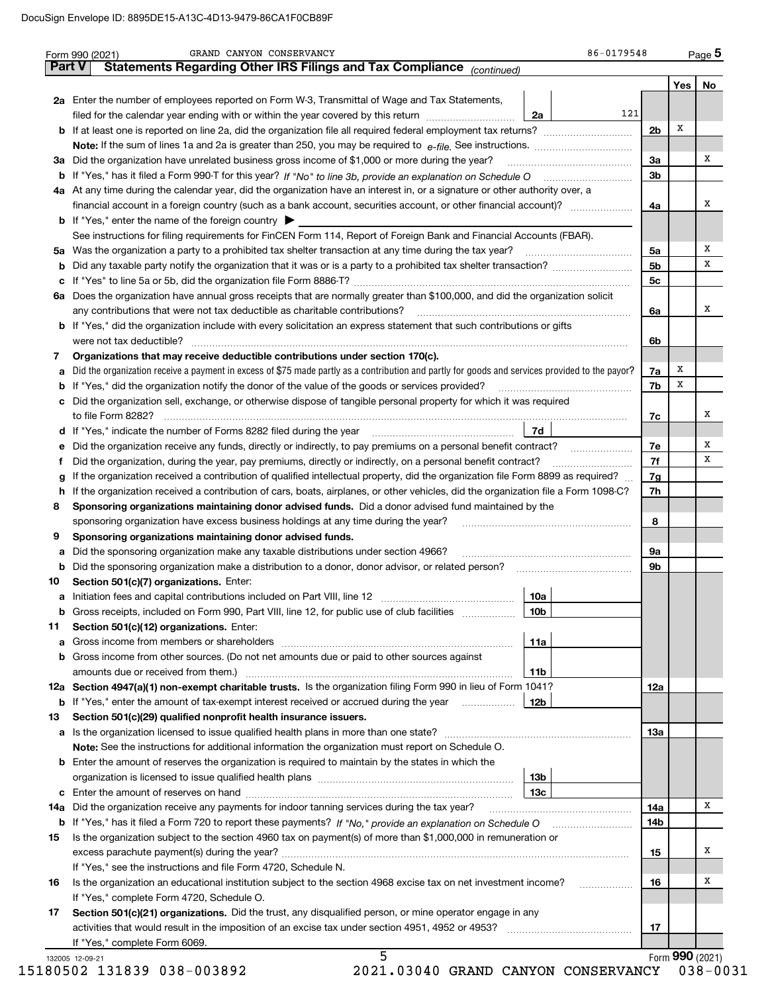|    | Statements Regarding Other IRS Filings and Tax Compliance (continued)                                                                           |                 |     |                      |                 |    |
|----|-------------------------------------------------------------------------------------------------------------------------------------------------|-----------------|-----|----------------------|-----------------|----|
|    | 2a Enter the number of employees reported on Form W-3, Transmittal of Wage and Tax Statements,                                                  |                 |     |                      | Yes             | No |
|    | filed for the calendar year ending with or within the year covered by this return                                                               | 2a              | 121 |                      |                 |    |
|    |                                                                                                                                                 |                 |     | 2b                   | х               |    |
|    |                                                                                                                                                 |                 |     |                      |                 |    |
|    | 3a Did the organization have unrelated business gross income of \$1,000 or more during the year?                                                |                 |     | 3a                   |                 | х  |
|    |                                                                                                                                                 |                 |     | 3b                   |                 |    |
|    | 4a At any time during the calendar year, did the organization have an interest in, or a signature or other authority over, a                    |                 |     |                      |                 |    |
|    |                                                                                                                                                 |                 |     | 4a                   |                 | х  |
|    |                                                                                                                                                 |                 |     |                      |                 |    |
|    | <b>b</b> If "Yes," enter the name of the foreign country $\blacktriangleright$                                                                  |                 |     |                      |                 |    |
|    | See instructions for filing requirements for FinCEN Form 114, Report of Foreign Bank and Financial Accounts (FBAR).                             |                 |     |                      |                 | х  |
|    |                                                                                                                                                 |                 |     | 5a<br>5 <sub>b</sub> |                 | x  |
| b  |                                                                                                                                                 |                 |     |                      |                 |    |
| c  |                                                                                                                                                 |                 |     | 5c                   |                 |    |
|    | 6a Does the organization have annual gross receipts that are normally greater than \$100,000, and did the organization solicit                  |                 |     |                      |                 | x  |
|    | any contributions that were not tax deductible as charitable contributions?                                                                     |                 |     | 6a                   |                 |    |
|    | <b>b</b> If "Yes," did the organization include with every solicitation an express statement that such contributions or gifts                   |                 |     |                      |                 |    |
|    |                                                                                                                                                 |                 |     | 6b                   |                 |    |
| 7  | Organizations that may receive deductible contributions under section 170(c).                                                                   |                 |     |                      |                 |    |
| а  | Did the organization receive a payment in excess of \$75 made partly as a contribution and partly for goods and services provided to the payor? |                 |     | 7a                   | x               |    |
| b  | If "Yes," did the organization notify the donor of the value of the goods or services provided?                                                 |                 |     | 7b                   | х               |    |
| c  | Did the organization sell, exchange, or otherwise dispose of tangible personal property for which it was required                               |                 |     |                      |                 |    |
|    |                                                                                                                                                 |                 |     | 7с                   |                 | х  |
|    | d If "Yes," indicate the number of Forms 8282 filed during the year [11] [11] No. 2010 [12] Henry Manuscover, 1                                 | 7d              |     |                      |                 |    |
| е  | Did the organization receive any funds, directly or indirectly, to pay premiums on a personal benefit contract?                                 |                 |     | 7e                   |                 | х  |
| f  | Did the organization, during the year, pay premiums, directly or indirectly, on a personal benefit contract?                                    |                 |     | 7f                   |                 | x  |
| g  | If the organization received a contribution of qualified intellectual property, did the organization file Form 8899 as required?                |                 |     | 7g                   |                 |    |
| h  | If the organization received a contribution of cars, boats, airplanes, or other vehicles, did the organization file a Form 1098-C?              |                 |     | 7h                   |                 |    |
| 8  | Sponsoring organizations maintaining donor advised funds. Did a donor advised fund maintained by the                                            |                 |     |                      |                 |    |
|    | sponsoring organization have excess business holdings at any time during the year?                                                              |                 |     | 8                    |                 |    |
| 9  | Sponsoring organizations maintaining donor advised funds.                                                                                       |                 |     |                      |                 |    |
| а  | Did the sponsoring organization make any taxable distributions under section 4966?                                                              |                 |     | 9а                   |                 |    |
| b  | Did the sponsoring organization make a distribution to a donor, donor advisor, or related person?                                               |                 |     | 9b                   |                 |    |
| 10 | Section 501(c)(7) organizations. Enter:                                                                                                         |                 |     |                      |                 |    |
| а  |                                                                                                                                                 | 10a             |     |                      |                 |    |
|    | Gross receipts, included on Form 990, Part VIII, line 12, for public use of club facilities                                                     | 10 <sub>b</sub> |     |                      |                 |    |
| 11 | Section 501(c)(12) organizations. Enter:                                                                                                        |                 |     |                      |                 |    |
|    |                                                                                                                                                 | 11a             |     |                      |                 |    |
|    | b Gross income from other sources. (Do not net amounts due or paid to other sources against                                                     |                 |     |                      |                 |    |
|    |                                                                                                                                                 | 11b             |     |                      |                 |    |
|    | 12a Section 4947(a)(1) non-exempt charitable trusts. Is the organization filing Form 990 in lieu of Form 1041?                                  |                 |     | 12a                  |                 |    |
|    | <b>b</b> If "Yes," enter the amount of tax-exempt interest received or accrued during the year                                                  | 12b             |     |                      |                 |    |
| 13 | Section 501(c)(29) qualified nonprofit health insurance issuers.                                                                                |                 |     |                      |                 |    |
|    | a Is the organization licensed to issue qualified health plans in more than one state?                                                          |                 |     | 13а                  |                 |    |
|    | Note: See the instructions for additional information the organization must report on Schedule O.                                               |                 |     |                      |                 |    |
|    | <b>b</b> Enter the amount of reserves the organization is required to maintain by the states in which the                                       |                 |     |                      |                 |    |
|    |                                                                                                                                                 | 13b             |     |                      |                 |    |
|    |                                                                                                                                                 | 13с             |     |                      |                 |    |
|    | 14a Did the organization receive any payments for indoor tanning services during the tax year?                                                  |                 |     | 14a                  |                 | х  |
|    |                                                                                                                                                 |                 |     | 14b                  |                 |    |
| 15 | Is the organization subject to the section 4960 tax on payment(s) of more than \$1,000,000 in remuneration or                                   |                 |     |                      |                 |    |
|    |                                                                                                                                                 |                 |     | 15                   |                 | х  |
|    | If "Yes," see the instructions and file Form 4720, Schedule N.                                                                                  |                 |     |                      |                 |    |
| 16 | Is the organization an educational institution subject to the section 4968 excise tax on net investment income?                                 |                 |     | 16                   |                 | x  |
|    | If "Yes," complete Form 4720, Schedule O.                                                                                                       |                 |     |                      |                 |    |
| 17 | Section 501(c)(21) organizations. Did the trust, any disqualified person, or mine operator engage in any                                        |                 |     |                      |                 |    |
|    |                                                                                                                                                 |                 |     | 17                   |                 |    |
|    | If "Yes," complete Form 6069.                                                                                                                   |                 |     |                      |                 |    |
|    |                                                                                                                                                 |                 |     |                      | Form 990 (2021) |    |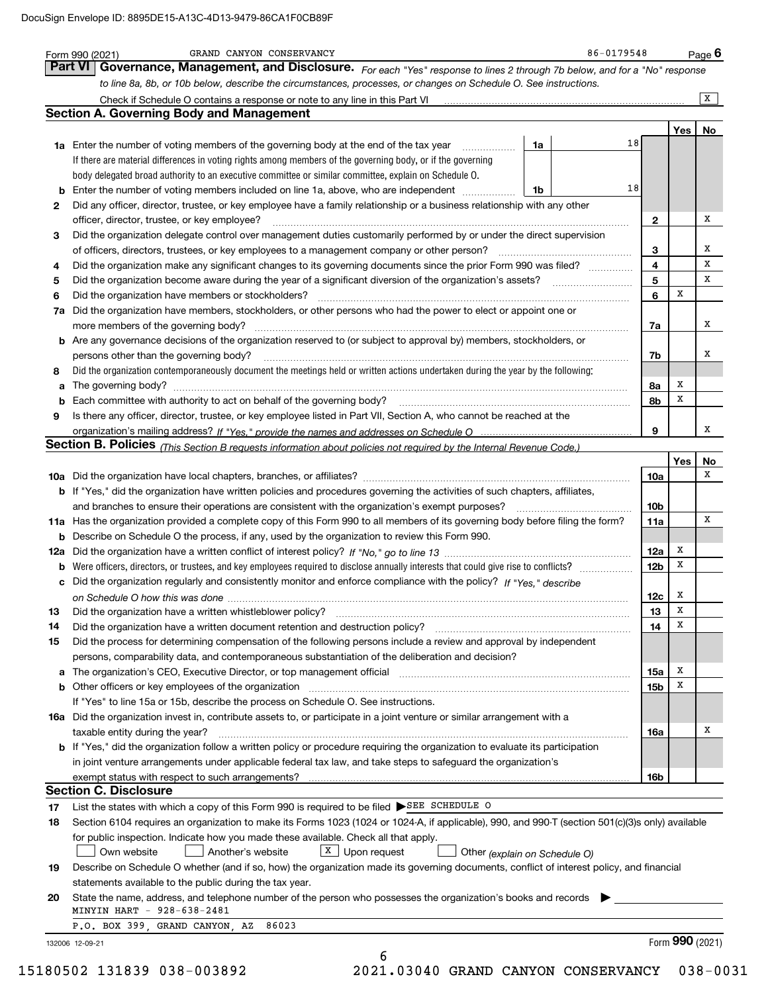| 2<br>3<br>4<br>5<br>6<br>7a<br>8<br>9<br>13<br>14<br>15 | <b>Section A. Governing Body and Management</b><br>18<br>1a<br>1a Enter the number of voting members of the governing body at the end of the tax year<br>If there are material differences in voting rights among members of the governing body, or if the governing<br>body delegated broad authority to an executive committee or similar committee, explain on Schedule O.<br>18<br><b>b</b> Enter the number of voting members included on line 1a, above, who are independent <i></i><br>1b<br>Did any officer, director, trustee, or key employee have a family relationship or a business relationship with any other<br>officer, director, trustee, or key employee?<br>Did the organization delegate control over management duties customarily performed by or under the direct supervision<br>Did the organization have members or stockholders?<br>Did the organization have members, stockholders, or other persons who had the power to elect or appoint one or<br><b>b</b> Are any governance decisions of the organization reserved to (or subject to approval by) members, stockholders, or<br>persons other than the governing body?<br>Did the organization contemporaneously document the meetings held or written actions undertaken during the year by the following:<br>Is there any officer, director, trustee, or key employee listed in Part VII, Section A, who cannot be reached at the<br>Section B. Policies (This Section B requests information about policies not required by the Internal Revenue Code.)<br>b If "Yes," did the organization have written policies and procedures governing the activities of such chapters, affiliates, | $\mathbf{2}$<br>3<br>$\overline{\mathbf{4}}$<br>$5\phantom{a}$<br>6<br>7a<br>7b<br>8а<br>8b<br>9<br><b>10a</b><br>10 <sub>b</sub> | Yes<br>X<br>x<br>x<br>Yes | $\overline{\mathbf{x}}$<br>Х<br>x<br>х<br>x<br>x<br>х<br>х<br>x |
|---------------------------------------------------------|----------------------------------------------------------------------------------------------------------------------------------------------------------------------------------------------------------------------------------------------------------------------------------------------------------------------------------------------------------------------------------------------------------------------------------------------------------------------------------------------------------------------------------------------------------------------------------------------------------------------------------------------------------------------------------------------------------------------------------------------------------------------------------------------------------------------------------------------------------------------------------------------------------------------------------------------------------------------------------------------------------------------------------------------------------------------------------------------------------------------------------------------------------------------------------------------------------------------------------------------------------------------------------------------------------------------------------------------------------------------------------------------------------------------------------------------------------------------------------------------------------------------------------------------------------------------------------------------------------------------------------------------------------------------------|-----------------------------------------------------------------------------------------------------------------------------------|---------------------------|-----------------------------------------------------------------|
|                                                         |                                                                                                                                                                                                                                                                                                                                                                                                                                                                                                                                                                                                                                                                                                                                                                                                                                                                                                                                                                                                                                                                                                                                                                                                                                                                                                                                                                                                                                                                                                                                                                                                                                                                            |                                                                                                                                   |                           | No                                                              |
|                                                         |                                                                                                                                                                                                                                                                                                                                                                                                                                                                                                                                                                                                                                                                                                                                                                                                                                                                                                                                                                                                                                                                                                                                                                                                                                                                                                                                                                                                                                                                                                                                                                                                                                                                            |                                                                                                                                   |                           |                                                                 |
|                                                         |                                                                                                                                                                                                                                                                                                                                                                                                                                                                                                                                                                                                                                                                                                                                                                                                                                                                                                                                                                                                                                                                                                                                                                                                                                                                                                                                                                                                                                                                                                                                                                                                                                                                            |                                                                                                                                   |                           |                                                                 |
|                                                         |                                                                                                                                                                                                                                                                                                                                                                                                                                                                                                                                                                                                                                                                                                                                                                                                                                                                                                                                                                                                                                                                                                                                                                                                                                                                                                                                                                                                                                                                                                                                                                                                                                                                            |                                                                                                                                   |                           |                                                                 |
|                                                         |                                                                                                                                                                                                                                                                                                                                                                                                                                                                                                                                                                                                                                                                                                                                                                                                                                                                                                                                                                                                                                                                                                                                                                                                                                                                                                                                                                                                                                                                                                                                                                                                                                                                            |                                                                                                                                   |                           |                                                                 |
|                                                         |                                                                                                                                                                                                                                                                                                                                                                                                                                                                                                                                                                                                                                                                                                                                                                                                                                                                                                                                                                                                                                                                                                                                                                                                                                                                                                                                                                                                                                                                                                                                                                                                                                                                            |                                                                                                                                   |                           |                                                                 |
|                                                         |                                                                                                                                                                                                                                                                                                                                                                                                                                                                                                                                                                                                                                                                                                                                                                                                                                                                                                                                                                                                                                                                                                                                                                                                                                                                                                                                                                                                                                                                                                                                                                                                                                                                            |                                                                                                                                   |                           |                                                                 |
|                                                         |                                                                                                                                                                                                                                                                                                                                                                                                                                                                                                                                                                                                                                                                                                                                                                                                                                                                                                                                                                                                                                                                                                                                                                                                                                                                                                                                                                                                                                                                                                                                                                                                                                                                            |                                                                                                                                   |                           |                                                                 |
|                                                         |                                                                                                                                                                                                                                                                                                                                                                                                                                                                                                                                                                                                                                                                                                                                                                                                                                                                                                                                                                                                                                                                                                                                                                                                                                                                                                                                                                                                                                                                                                                                                                                                                                                                            |                                                                                                                                   |                           |                                                                 |
|                                                         |                                                                                                                                                                                                                                                                                                                                                                                                                                                                                                                                                                                                                                                                                                                                                                                                                                                                                                                                                                                                                                                                                                                                                                                                                                                                                                                                                                                                                                                                                                                                                                                                                                                                            |                                                                                                                                   |                           |                                                                 |
|                                                         |                                                                                                                                                                                                                                                                                                                                                                                                                                                                                                                                                                                                                                                                                                                                                                                                                                                                                                                                                                                                                                                                                                                                                                                                                                                                                                                                                                                                                                                                                                                                                                                                                                                                            |                                                                                                                                   |                           |                                                                 |
|                                                         |                                                                                                                                                                                                                                                                                                                                                                                                                                                                                                                                                                                                                                                                                                                                                                                                                                                                                                                                                                                                                                                                                                                                                                                                                                                                                                                                                                                                                                                                                                                                                                                                                                                                            |                                                                                                                                   |                           |                                                                 |
|                                                         |                                                                                                                                                                                                                                                                                                                                                                                                                                                                                                                                                                                                                                                                                                                                                                                                                                                                                                                                                                                                                                                                                                                                                                                                                                                                                                                                                                                                                                                                                                                                                                                                                                                                            |                                                                                                                                   |                           |                                                                 |
|                                                         |                                                                                                                                                                                                                                                                                                                                                                                                                                                                                                                                                                                                                                                                                                                                                                                                                                                                                                                                                                                                                                                                                                                                                                                                                                                                                                                                                                                                                                                                                                                                                                                                                                                                            |                                                                                                                                   |                           |                                                                 |
|                                                         |                                                                                                                                                                                                                                                                                                                                                                                                                                                                                                                                                                                                                                                                                                                                                                                                                                                                                                                                                                                                                                                                                                                                                                                                                                                                                                                                                                                                                                                                                                                                                                                                                                                                            |                                                                                                                                   |                           |                                                                 |
|                                                         |                                                                                                                                                                                                                                                                                                                                                                                                                                                                                                                                                                                                                                                                                                                                                                                                                                                                                                                                                                                                                                                                                                                                                                                                                                                                                                                                                                                                                                                                                                                                                                                                                                                                            |                                                                                                                                   |                           | No                                                              |
|                                                         |                                                                                                                                                                                                                                                                                                                                                                                                                                                                                                                                                                                                                                                                                                                                                                                                                                                                                                                                                                                                                                                                                                                                                                                                                                                                                                                                                                                                                                                                                                                                                                                                                                                                            |                                                                                                                                   |                           |                                                                 |
|                                                         |                                                                                                                                                                                                                                                                                                                                                                                                                                                                                                                                                                                                                                                                                                                                                                                                                                                                                                                                                                                                                                                                                                                                                                                                                                                                                                                                                                                                                                                                                                                                                                                                                                                                            |                                                                                                                                   |                           |                                                                 |
|                                                         |                                                                                                                                                                                                                                                                                                                                                                                                                                                                                                                                                                                                                                                                                                                                                                                                                                                                                                                                                                                                                                                                                                                                                                                                                                                                                                                                                                                                                                                                                                                                                                                                                                                                            |                                                                                                                                   |                           |                                                                 |
|                                                         |                                                                                                                                                                                                                                                                                                                                                                                                                                                                                                                                                                                                                                                                                                                                                                                                                                                                                                                                                                                                                                                                                                                                                                                                                                                                                                                                                                                                                                                                                                                                                                                                                                                                            |                                                                                                                                   |                           |                                                                 |
|                                                         |                                                                                                                                                                                                                                                                                                                                                                                                                                                                                                                                                                                                                                                                                                                                                                                                                                                                                                                                                                                                                                                                                                                                                                                                                                                                                                                                                                                                                                                                                                                                                                                                                                                                            |                                                                                                                                   |                           |                                                                 |
|                                                         |                                                                                                                                                                                                                                                                                                                                                                                                                                                                                                                                                                                                                                                                                                                                                                                                                                                                                                                                                                                                                                                                                                                                                                                                                                                                                                                                                                                                                                                                                                                                                                                                                                                                            |                                                                                                                                   |                           |                                                                 |
|                                                         |                                                                                                                                                                                                                                                                                                                                                                                                                                                                                                                                                                                                                                                                                                                                                                                                                                                                                                                                                                                                                                                                                                                                                                                                                                                                                                                                                                                                                                                                                                                                                                                                                                                                            |                                                                                                                                   |                           |                                                                 |
|                                                         |                                                                                                                                                                                                                                                                                                                                                                                                                                                                                                                                                                                                                                                                                                                                                                                                                                                                                                                                                                                                                                                                                                                                                                                                                                                                                                                                                                                                                                                                                                                                                                                                                                                                            |                                                                                                                                   |                           |                                                                 |
|                                                         |                                                                                                                                                                                                                                                                                                                                                                                                                                                                                                                                                                                                                                                                                                                                                                                                                                                                                                                                                                                                                                                                                                                                                                                                                                                                                                                                                                                                                                                                                                                                                                                                                                                                            |                                                                                                                                   |                           |                                                                 |
|                                                         |                                                                                                                                                                                                                                                                                                                                                                                                                                                                                                                                                                                                                                                                                                                                                                                                                                                                                                                                                                                                                                                                                                                                                                                                                                                                                                                                                                                                                                                                                                                                                                                                                                                                            |                                                                                                                                   |                           |                                                                 |
|                                                         |                                                                                                                                                                                                                                                                                                                                                                                                                                                                                                                                                                                                                                                                                                                                                                                                                                                                                                                                                                                                                                                                                                                                                                                                                                                                                                                                                                                                                                                                                                                                                                                                                                                                            |                                                                                                                                   |                           |                                                                 |
|                                                         |                                                                                                                                                                                                                                                                                                                                                                                                                                                                                                                                                                                                                                                                                                                                                                                                                                                                                                                                                                                                                                                                                                                                                                                                                                                                                                                                                                                                                                                                                                                                                                                                                                                                            |                                                                                                                                   |                           |                                                                 |
|                                                         | 11a Has the organization provided a complete copy of this Form 990 to all members of its governing body before filing the form?                                                                                                                                                                                                                                                                                                                                                                                                                                                                                                                                                                                                                                                                                                                                                                                                                                                                                                                                                                                                                                                                                                                                                                                                                                                                                                                                                                                                                                                                                                                                            | 11a                                                                                                                               |                           | X                                                               |
|                                                         | <b>b</b> Describe on Schedule O the process, if any, used by the organization to review this Form 990.                                                                                                                                                                                                                                                                                                                                                                                                                                                                                                                                                                                                                                                                                                                                                                                                                                                                                                                                                                                                                                                                                                                                                                                                                                                                                                                                                                                                                                                                                                                                                                     |                                                                                                                                   |                           |                                                                 |
|                                                         |                                                                                                                                                                                                                                                                                                                                                                                                                                                                                                                                                                                                                                                                                                                                                                                                                                                                                                                                                                                                                                                                                                                                                                                                                                                                                                                                                                                                                                                                                                                                                                                                                                                                            | 12a                                                                                                                               | х                         |                                                                 |
|                                                         | <b>b</b> Were officers, directors, or trustees, and key employees required to disclose annually interests that could give rise to conflicts?                                                                                                                                                                                                                                                                                                                                                                                                                                                                                                                                                                                                                                                                                                                                                                                                                                                                                                                                                                                                                                                                                                                                                                                                                                                                                                                                                                                                                                                                                                                               | 12 <sub>b</sub>                                                                                                                   | x                         |                                                                 |
|                                                         | c Did the organization regularly and consistently monitor and enforce compliance with the policy? If "Yes," describe                                                                                                                                                                                                                                                                                                                                                                                                                                                                                                                                                                                                                                                                                                                                                                                                                                                                                                                                                                                                                                                                                                                                                                                                                                                                                                                                                                                                                                                                                                                                                       |                                                                                                                                   |                           |                                                                 |
|                                                         |                                                                                                                                                                                                                                                                                                                                                                                                                                                                                                                                                                                                                                                                                                                                                                                                                                                                                                                                                                                                                                                                                                                                                                                                                                                                                                                                                                                                                                                                                                                                                                                                                                                                            | 12c                                                                                                                               | x                         |                                                                 |
|                                                         | Did the organization have a written whistleblower policy?                                                                                                                                                                                                                                                                                                                                                                                                                                                                                                                                                                                                                                                                                                                                                                                                                                                                                                                                                                                                                                                                                                                                                                                                                                                                                                                                                                                                                                                                                                                                                                                                                  | 13                                                                                                                                | x                         |                                                                 |
|                                                         | Did the organization have a written document retention and destruction policy?                                                                                                                                                                                                                                                                                                                                                                                                                                                                                                                                                                                                                                                                                                                                                                                                                                                                                                                                                                                                                                                                                                                                                                                                                                                                                                                                                                                                                                                                                                                                                                                             | 14                                                                                                                                | х                         |                                                                 |
|                                                         | Did the process for determining compensation of the following persons include a review and approval by independent                                                                                                                                                                                                                                                                                                                                                                                                                                                                                                                                                                                                                                                                                                                                                                                                                                                                                                                                                                                                                                                                                                                                                                                                                                                                                                                                                                                                                                                                                                                                                         |                                                                                                                                   |                           |                                                                 |
|                                                         | persons, comparability data, and contemporaneous substantiation of the deliberation and decision?                                                                                                                                                                                                                                                                                                                                                                                                                                                                                                                                                                                                                                                                                                                                                                                                                                                                                                                                                                                                                                                                                                                                                                                                                                                                                                                                                                                                                                                                                                                                                                          |                                                                                                                                   |                           |                                                                 |
|                                                         | a The organization's CEO, Executive Director, or top management official manufactured contains and contained an                                                                                                                                                                                                                                                                                                                                                                                                                                                                                                                                                                                                                                                                                                                                                                                                                                                                                                                                                                                                                                                                                                                                                                                                                                                                                                                                                                                                                                                                                                                                                            | 15a                                                                                                                               | Х                         |                                                                 |
|                                                         | <b>b</b> Other officers or key employees of the organization                                                                                                                                                                                                                                                                                                                                                                                                                                                                                                                                                                                                                                                                                                                                                                                                                                                                                                                                                                                                                                                                                                                                                                                                                                                                                                                                                                                                                                                                                                                                                                                                               | 15b                                                                                                                               | х                         |                                                                 |
|                                                         | If "Yes" to line 15a or 15b, describe the process on Schedule O. See instructions.                                                                                                                                                                                                                                                                                                                                                                                                                                                                                                                                                                                                                                                                                                                                                                                                                                                                                                                                                                                                                                                                                                                                                                                                                                                                                                                                                                                                                                                                                                                                                                                         |                                                                                                                                   |                           |                                                                 |
|                                                         | 16a Did the organization invest in, contribute assets to, or participate in a joint venture or similar arrangement with a                                                                                                                                                                                                                                                                                                                                                                                                                                                                                                                                                                                                                                                                                                                                                                                                                                                                                                                                                                                                                                                                                                                                                                                                                                                                                                                                                                                                                                                                                                                                                  |                                                                                                                                   |                           |                                                                 |
|                                                         | taxable entity during the year?                                                                                                                                                                                                                                                                                                                                                                                                                                                                                                                                                                                                                                                                                                                                                                                                                                                                                                                                                                                                                                                                                                                                                                                                                                                                                                                                                                                                                                                                                                                                                                                                                                            | 16a                                                                                                                               |                           | х                                                               |
|                                                         | <b>b</b> If "Yes," did the organization follow a written policy or procedure requiring the organization to evaluate its participation                                                                                                                                                                                                                                                                                                                                                                                                                                                                                                                                                                                                                                                                                                                                                                                                                                                                                                                                                                                                                                                                                                                                                                                                                                                                                                                                                                                                                                                                                                                                      |                                                                                                                                   |                           |                                                                 |
|                                                         | in joint venture arrangements under applicable federal tax law, and take steps to safeguard the organization's                                                                                                                                                                                                                                                                                                                                                                                                                                                                                                                                                                                                                                                                                                                                                                                                                                                                                                                                                                                                                                                                                                                                                                                                                                                                                                                                                                                                                                                                                                                                                             |                                                                                                                                   |                           |                                                                 |
|                                                         | exempt status with respect to such arrangements?                                                                                                                                                                                                                                                                                                                                                                                                                                                                                                                                                                                                                                                                                                                                                                                                                                                                                                                                                                                                                                                                                                                                                                                                                                                                                                                                                                                                                                                                                                                                                                                                                           | 16b                                                                                                                               |                           |                                                                 |
|                                                         | <b>Section C. Disclosure</b>                                                                                                                                                                                                                                                                                                                                                                                                                                                                                                                                                                                                                                                                                                                                                                                                                                                                                                                                                                                                                                                                                                                                                                                                                                                                                                                                                                                                                                                                                                                                                                                                                                               |                                                                                                                                   |                           |                                                                 |
| 17                                                      | List the states with which a copy of this Form 990 is required to be filed SEE SCHEDULE O                                                                                                                                                                                                                                                                                                                                                                                                                                                                                                                                                                                                                                                                                                                                                                                                                                                                                                                                                                                                                                                                                                                                                                                                                                                                                                                                                                                                                                                                                                                                                                                  |                                                                                                                                   |                           |                                                                 |
| 18                                                      |                                                                                                                                                                                                                                                                                                                                                                                                                                                                                                                                                                                                                                                                                                                                                                                                                                                                                                                                                                                                                                                                                                                                                                                                                                                                                                                                                                                                                                                                                                                                                                                                                                                                            |                                                                                                                                   |                           |                                                                 |
|                                                         | Section 6104 requires an organization to make its Forms 1023 (1024 or 1024-A, if applicable), 990, and 990-T (section 501(c)(3)s only) available                                                                                                                                                                                                                                                                                                                                                                                                                                                                                                                                                                                                                                                                                                                                                                                                                                                                                                                                                                                                                                                                                                                                                                                                                                                                                                                                                                                                                                                                                                                           |                                                                                                                                   |                           |                                                                 |
|                                                         | for public inspection. Indicate how you made these available. Check all that apply.                                                                                                                                                                                                                                                                                                                                                                                                                                                                                                                                                                                                                                                                                                                                                                                                                                                                                                                                                                                                                                                                                                                                                                                                                                                                                                                                                                                                                                                                                                                                                                                        |                                                                                                                                   |                           |                                                                 |
| 19                                                      | $X$ Upon request<br>Own website<br>Another's website<br>Other (explain on Schedule O)                                                                                                                                                                                                                                                                                                                                                                                                                                                                                                                                                                                                                                                                                                                                                                                                                                                                                                                                                                                                                                                                                                                                                                                                                                                                                                                                                                                                                                                                                                                                                                                      |                                                                                                                                   |                           |                                                                 |
|                                                         | Describe on Schedule O whether (and if so, how) the organization made its governing documents, conflict of interest policy, and financial                                                                                                                                                                                                                                                                                                                                                                                                                                                                                                                                                                                                                                                                                                                                                                                                                                                                                                                                                                                                                                                                                                                                                                                                                                                                                                                                                                                                                                                                                                                                  |                                                                                                                                   |                           |                                                                 |
| 20                                                      | statements available to the public during the tax year.                                                                                                                                                                                                                                                                                                                                                                                                                                                                                                                                                                                                                                                                                                                                                                                                                                                                                                                                                                                                                                                                                                                                                                                                                                                                                                                                                                                                                                                                                                                                                                                                                    |                                                                                                                                   |                           |                                                                 |
|                                                         | State the name, address, and telephone number of the person who possesses the organization's books and records                                                                                                                                                                                                                                                                                                                                                                                                                                                                                                                                                                                                                                                                                                                                                                                                                                                                                                                                                                                                                                                                                                                                                                                                                                                                                                                                                                                                                                                                                                                                                             |                                                                                                                                   |                           |                                                                 |
|                                                         | MINYIN HART - 928-638-2481<br>P.O. BOX 399, GRAND CANYON, AZ 86023                                                                                                                                                                                                                                                                                                                                                                                                                                                                                                                                                                                                                                                                                                                                                                                                                                                                                                                                                                                                                                                                                                                                                                                                                                                                                                                                                                                                                                                                                                                                                                                                         |                                                                                                                                   |                           |                                                                 |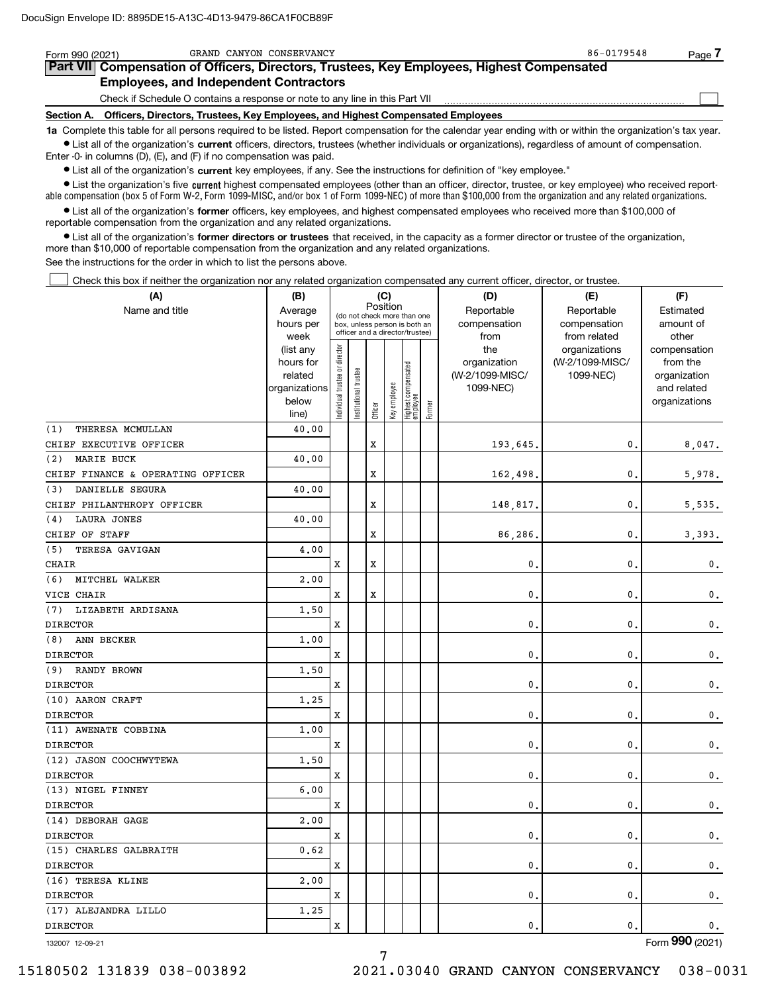| Form 990 (2021) | GRAND CANYON CONSERVANCY                                                                                                                                   | 86-0179548 | Page |  |  |  |  |  |  |
|-----------------|------------------------------------------------------------------------------------------------------------------------------------------------------------|------------|------|--|--|--|--|--|--|
|                 | Part VII Compensation of Officers, Directors, Trustees, Key Employees, Highest Compensated                                                                 |            |      |  |  |  |  |  |  |
|                 | <b>Employees, and Independent Contractors</b>                                                                                                              |            |      |  |  |  |  |  |  |
|                 | Check if Schedule O contains a response or note to any line in this Part VII                                                                               |            |      |  |  |  |  |  |  |
|                 | Section A. Officers, Directors, Trustees, Key Employees, and Highest Compensated Employees                                                                 |            |      |  |  |  |  |  |  |
|                 | 1a Complete this table for all persons required to be listed. Report compensation for the calendar year ending with or within the organization's tax year. |            |      |  |  |  |  |  |  |

**•** List all of the organization's current officers, directors, trustees (whether individuals or organizations), regardless of amount of compensation. Enter -0- in columns (D), (E), and (F) if no compensation was paid.

 $\bullet$  List all of the organization's  $\sf current$  key employees, if any. See the instructions for definition of "key employee."

**•** List the organization's five current highest compensated employees (other than an officer, director, trustee, or key employee) who received reportable compensation (box 5 of Form W-2, Form 1099-MISC, and/or box 1 of Form 1099-NEC) of more than \$100,000 from the organization and any related organizations.

**•** List all of the organization's former officers, key employees, and highest compensated employees who received more than \$100,000 of reportable compensation from the organization and any related organizations.

**former directors or trustees**  ¥ List all of the organization's that received, in the capacity as a former director or trustee of the organization, more than \$10,000 of reportable compensation from the organization and any related organizations.

See the instructions for the order in which to list the persons above.

Check this box if neither the organization nor any related organization compensated any current officer, director, or trustee.  $\mathcal{L}^{\text{max}}$ 

| (A)                               | (B)               |                                         |                                                                  |         | (C)          |                                   |        | (D)             | (E)                           | (F)                   |
|-----------------------------------|-------------------|-----------------------------------------|------------------------------------------------------------------|---------|--------------|-----------------------------------|--------|-----------------|-------------------------------|-----------------------|
| Name and title                    | Average           | Position<br>(do not check more than one |                                                                  |         |              |                                   |        | Reportable      | Reportable                    | Estimated             |
|                                   | hours per         |                                         | box, unless person is both an<br>officer and a director/trustee) |         |              |                                   |        | compensation    | compensation                  | amount of             |
|                                   | week<br>(list any |                                         |                                                                  |         |              |                                   |        | from<br>the     | from related<br>organizations | other<br>compensation |
|                                   | hours for         |                                         |                                                                  |         |              |                                   |        | organization    | (W-2/1099-MISC/               | from the              |
|                                   | related           |                                         | trustee                                                          |         |              |                                   |        | (W-2/1099-MISC/ | 1099-NEC)                     | organization          |
|                                   | organizations     |                                         |                                                                  |         |              |                                   |        | 1099-NEC)       |                               | and related           |
|                                   | below             | ndividual trustee or director           | Institutional t                                                  |         | Key employee | Highest compensated<br>  employee |        |                 |                               | organizations         |
|                                   | line)             |                                         |                                                                  | Officer |              |                                   | Former |                 |                               |                       |
| THERESA MCMULLAN<br>(1)           | 40.00             |                                         |                                                                  |         |              |                                   |        |                 |                               |                       |
| CHIEF EXECUTIVE OFFICER           |                   |                                         |                                                                  | X       |              |                                   |        | 193,645.        | 0.                            | 8,047.                |
| <b>MARIE BUCK</b><br>(2)          | 40.00             |                                         |                                                                  |         |              |                                   |        |                 |                               |                       |
| CHIEF FINANCE & OPERATING OFFICER |                   |                                         |                                                                  | X       |              |                                   |        | 162,498.        | 0.                            | 5,978.                |
| <b>DANIELLE SEGURA</b><br>(3)     | 40.00             |                                         |                                                                  |         |              |                                   |        |                 |                               |                       |
| CHIEF PHILANTHROPY OFFICER        |                   |                                         |                                                                  | X       |              |                                   |        | 148,817.        | $\mathfrak{o}$ .              | 5,535.                |
| <b>LAURA JONES</b><br>(4)         | 40.00             |                                         |                                                                  |         |              |                                   |        |                 |                               |                       |
| CHIEF OF STAFF                    |                   |                                         |                                                                  | X       |              |                                   |        | 86,286.         | $\mathbf{0}$ .                | 3,393.                |
| (5)<br>TERESA GAVIGAN             | 4,00              |                                         |                                                                  |         |              |                                   |        |                 |                               |                       |
| <b>CHAIR</b>                      |                   | $\mathbf x$                             |                                                                  | X       |              |                                   |        | 0.              | 0.                            | $\mathbf{0}$ .        |
| (6)<br>MITCHEL WALKER             | 2,00              |                                         |                                                                  |         |              |                                   |        |                 |                               |                       |
| VICE CHAIR                        |                   | x                                       |                                                                  | X       |              |                                   |        | $\mathbf{0}$ .  | 0.                            | $\mathbf 0$ .         |
| LIZABETH ARDISANA<br>(7)          | 1.50              |                                         |                                                                  |         |              |                                   |        |                 |                               |                       |
| <b>DIRECTOR</b>                   |                   | x                                       |                                                                  |         |              |                                   |        | $\mathbf{0}$ .  | 0.                            | 0.                    |
| ANN BECKER<br>(8)                 | 1.00              |                                         |                                                                  |         |              |                                   |        |                 |                               |                       |
| <b>DIRECTOR</b>                   |                   | x                                       |                                                                  |         |              |                                   |        | $\mathbf{0}$ .  | 0.                            | 0.                    |
| RANDY BROWN<br>(9)                | 1.50              |                                         |                                                                  |         |              |                                   |        |                 |                               |                       |
| <b>DIRECTOR</b>                   |                   | X                                       |                                                                  |         |              |                                   |        | 0.              | 0.                            | 0.                    |
| (10) AARON CRAFT                  | 1.25              |                                         |                                                                  |         |              |                                   |        |                 |                               |                       |
| <b>DIRECTOR</b>                   |                   | x                                       |                                                                  |         |              |                                   |        | $\mathbf{0}$ .  | 0.                            | $\mathbf 0$ .         |
| (11) AWENATE COBBINA              | 1.00              |                                         |                                                                  |         |              |                                   |        |                 |                               |                       |
| <b>DIRECTOR</b>                   |                   | X                                       |                                                                  |         |              |                                   |        | $\mathbf{0}$ .  | 0.                            | $\mathbf 0$ .         |
| (12) JASON COOCHWYTEWA            | 1.50              |                                         |                                                                  |         |              |                                   |        |                 |                               |                       |
| <b>DIRECTOR</b>                   |                   | x                                       |                                                                  |         |              |                                   |        | $\mathbf{0}$ .  | 0.                            | $\mathbf{0}$ .        |
| (13) NIGEL FINNEY                 | 6.00              |                                         |                                                                  |         |              |                                   |        |                 |                               |                       |
| <b>DIRECTOR</b>                   |                   | X                                       |                                                                  |         |              |                                   |        | 0.              | 0.                            | $\mathbf{0}$ .        |
| (14) DEBORAH GAGE                 | 2,00              |                                         |                                                                  |         |              |                                   |        |                 |                               |                       |
| <b>DIRECTOR</b>                   |                   | x                                       |                                                                  |         |              |                                   |        | $\mathbf{0}$ .  | 0.                            | 0.                    |
| (15) CHARLES GALBRAITH            | 0.62              |                                         |                                                                  |         |              |                                   |        |                 |                               |                       |
| <b>DIRECTOR</b>                   |                   | X                                       |                                                                  |         |              |                                   |        | $\mathbf{0}$ .  | 0.                            | 0.                    |
| (16) TERESA KLINE                 | 2.00              |                                         |                                                                  |         |              |                                   |        |                 |                               |                       |
| <b>DIRECTOR</b>                   |                   | x                                       |                                                                  |         |              |                                   |        | $\mathbf{0}$ .  | 0.                            | 0.                    |
| (17) ALEJANDRA LILLO              | 1.25              |                                         |                                                                  |         |              |                                   |        |                 |                               |                       |
| <b>DIRECTOR</b>                   |                   | $\mathbf X$                             |                                                                  |         |              |                                   |        | $\mathbf{0}$ .  | $\mathbf{0}$ .                | $\mathbf 0$ .         |
|                                   |                   |                                         |                                                                  |         |              |                                   |        |                 |                               |                       |

7

132007 12-09-21

Form (2021) **990**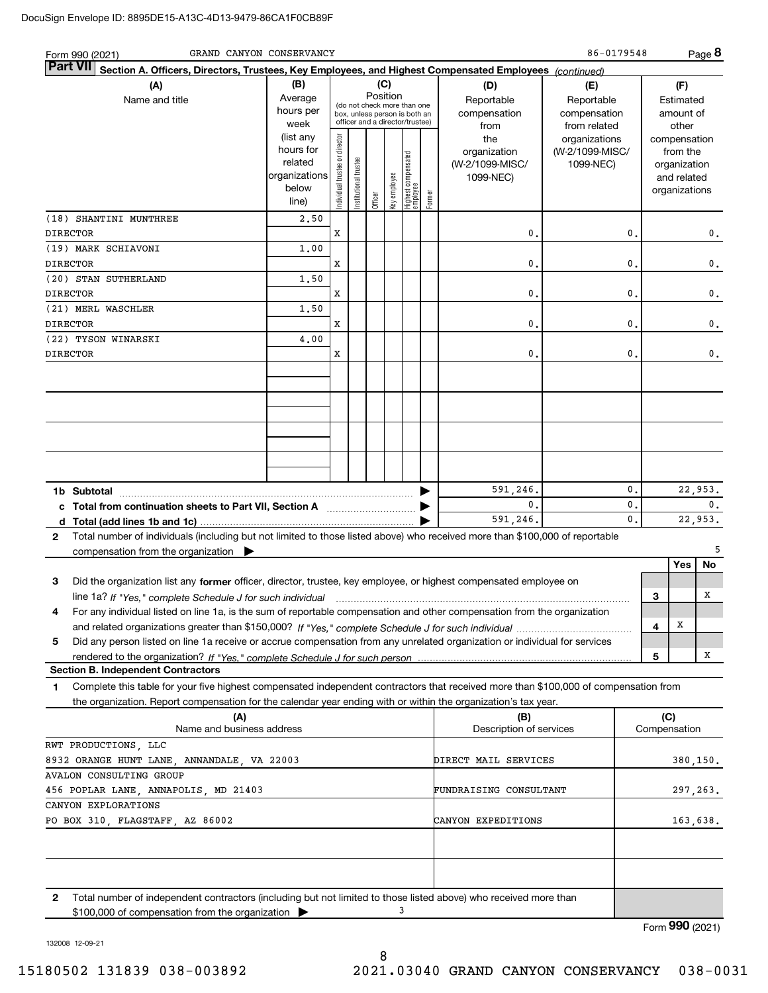| GRAND CANYON CONSERVANCY<br>Form 990 (2021)                                                                                                                                                                                                                                      |                                                                      |                                |                       |                                                                                                                    |              |                                 |        |                                                     | 86-0179548                                        |                           |                                                                          | Page 8   |
|----------------------------------------------------------------------------------------------------------------------------------------------------------------------------------------------------------------------------------------------------------------------------------|----------------------------------------------------------------------|--------------------------------|-----------------------|--------------------------------------------------------------------------------------------------------------------|--------------|---------------------------------|--------|-----------------------------------------------------|---------------------------------------------------|---------------------------|--------------------------------------------------------------------------|----------|
| <b>Part VII</b><br>Section A. Officers, Directors, Trustees, Key Employees, and Highest Compensated Employees (continued)                                                                                                                                                        |                                                                      |                                |                       |                                                                                                                    |              |                                 |        |                                                     |                                                   |                           |                                                                          |          |
| (A)<br>Name and title                                                                                                                                                                                                                                                            | (B)<br>Average<br>hours per<br>week                                  |                                |                       | (C)<br>Position<br>(do not check more than one<br>box, unless person is both an<br>officer and a director/trustee) |              |                                 |        | (D)<br>Reportable<br>compensation<br>from           | (E)<br>Reportable<br>compensation<br>from related |                           | (F)<br>Estimated<br>amount of<br>other                                   |          |
|                                                                                                                                                                                                                                                                                  | (list any<br>hours for<br>related<br>organizations<br>below<br>line) | Individual trustee or director | Institutional trustee | Officer                                                                                                            | Key employee | Highest compensated<br>employee | Former | the<br>organization<br>(W-2/1099-MISC/<br>1099-NEC) | organizations<br>(W-2/1099-MISC/<br>1099-NEC)     |                           | compensation<br>from the<br>organization<br>and related<br>organizations |          |
| (18) SHANTINI MUNTHREE<br><b>DIRECTOR</b>                                                                                                                                                                                                                                        | 2,50                                                                 | х                              |                       |                                                                                                                    |              |                                 |        | $\mathbf 0$                                         |                                                   | 0.                        |                                                                          | 0.       |
| (19) MARK SCHIAVONI<br><b>DIRECTOR</b>                                                                                                                                                                                                                                           | 1.00                                                                 | х                              |                       |                                                                                                                    |              |                                 |        | 0.                                                  |                                                   | 0.                        |                                                                          | 0.       |
| (20) STAN SUTHERLAND<br><b>DIRECTOR</b>                                                                                                                                                                                                                                          | 1,50                                                                 | х                              |                       |                                                                                                                    |              |                                 |        | 0.                                                  |                                                   | 0.                        |                                                                          | 0.       |
| (21) MERL WASCHLER<br><b>DIRECTOR</b>                                                                                                                                                                                                                                            | 1,50                                                                 | х                              |                       |                                                                                                                    |              |                                 |        | 0.                                                  |                                                   | 0.                        |                                                                          | 0.       |
| (22) TYSON WINARSKI                                                                                                                                                                                                                                                              | 4.00                                                                 |                                |                       |                                                                                                                    |              |                                 |        |                                                     |                                                   |                           |                                                                          |          |
| <b>DIRECTOR</b>                                                                                                                                                                                                                                                                  |                                                                      | х                              |                       |                                                                                                                    |              |                                 |        | 0.                                                  |                                                   | 0.                        |                                                                          | 0.       |
|                                                                                                                                                                                                                                                                                  |                                                                      |                                |                       |                                                                                                                    |              |                                 |        |                                                     |                                                   |                           |                                                                          |          |
| 0.<br>591,246.<br>1b Subtotal<br>0.                                                                                                                                                                                                                                              |                                                                      |                                |                       |                                                                                                                    |              |                                 |        |                                                     |                                                   | 22,953.<br>$\mathbf{0}$ . |                                                                          |          |
| c Total from continuation sheets to Part VII, Section A manufactured and response to Total from extension                                                                                                                                                                        |                                                                      |                                |                       |                                                                                                                    |              |                                 |        | 591,246.                                            |                                                   | 0.<br>0.                  |                                                                          | 22,953.  |
| Total number of individuals (including but not limited to those listed above) who received more than \$100,000 of reportable<br>2<br>compensation from the organization $\blacktriangleright$                                                                                    |                                                                      |                                |                       |                                                                                                                    |              |                                 |        |                                                     |                                                   |                           |                                                                          |          |
| Did the organization list any former officer, director, trustee, key employee, or highest compensated employee on<br>З                                                                                                                                                           |                                                                      |                                |                       |                                                                                                                    |              |                                 |        |                                                     |                                                   |                           | Yes                                                                      | No       |
| line 1a? If "Yes," complete Schedule J for such individual manufactured contained and the 1a? If "Yes," complete Schedule J for such individual<br>For any individual listed on line 1a, is the sum of reportable compensation and other compensation from the organization<br>4 |                                                                      |                                |                       |                                                                                                                    |              |                                 |        |                                                     |                                                   |                           | 3                                                                        | х        |
| Did any person listed on line 1a receive or accrue compensation from any unrelated organization or individual for services<br>5                                                                                                                                                  |                                                                      |                                |                       |                                                                                                                    |              |                                 |        |                                                     |                                                   |                           | x<br>4                                                                   |          |
|                                                                                                                                                                                                                                                                                  |                                                                      |                                |                       |                                                                                                                    |              |                                 |        |                                                     |                                                   |                           | 5                                                                        | X        |
| <b>Section B. Independent Contractors</b><br>Complete this table for your five highest compensated independent contractors that received more than \$100,000 of compensation from<br>1                                                                                           |                                                                      |                                |                       |                                                                                                                    |              |                                 |        |                                                     |                                                   |                           |                                                                          |          |
| the organization. Report compensation for the calendar year ending with or within the organization's tax year.<br>(A)                                                                                                                                                            |                                                                      |                                |                       |                                                                                                                    |              |                                 |        | (B)                                                 |                                                   |                           | (C)                                                                      |          |
| Name and business address<br>RWT PRODUCTIONS, LLC                                                                                                                                                                                                                                |                                                                      |                                |                       |                                                                                                                    |              |                                 |        | Description of services                             |                                                   |                           | Compensation                                                             |          |
| 8932 ORANGE HUNT LANE, ANNANDALE, VA 22003<br>AVALON CONSULTING GROUP                                                                                                                                                                                                            |                                                                      |                                |                       |                                                                                                                    |              |                                 |        | DIRECT MAIL SERVICES                                |                                                   |                           |                                                                          | 380,150. |
| 456 POPLAR LANE, ANNAPOLIS, MD 21403                                                                                                                                                                                                                                             |                                                                      |                                |                       |                                                                                                                    |              |                                 |        | FUNDRAISING CONSULTANT                              |                                                   |                           |                                                                          | 297,263. |
| CANYON EXPLORATIONS<br>PO BOX 310, FLAGSTAFF, AZ 86002                                                                                                                                                                                                                           |                                                                      |                                |                       |                                                                                                                    |              |                                 |        | CANYON EXPEDITIONS                                  |                                                   |                           |                                                                          | 163,638. |
|                                                                                                                                                                                                                                                                                  |                                                                      |                                |                       |                                                                                                                    |              |                                 |        |                                                     |                                                   |                           |                                                                          |          |
| 2<br>Total number of independent contractors (including but not limited to those listed above) who received more than<br>\$100,000 of compensation from the organization                                                                                                         |                                                                      |                                |                       |                                                                                                                    |              | 3                               |        |                                                     |                                                   |                           |                                                                          |          |

Form (2021) **990**

132008 12-09-21

8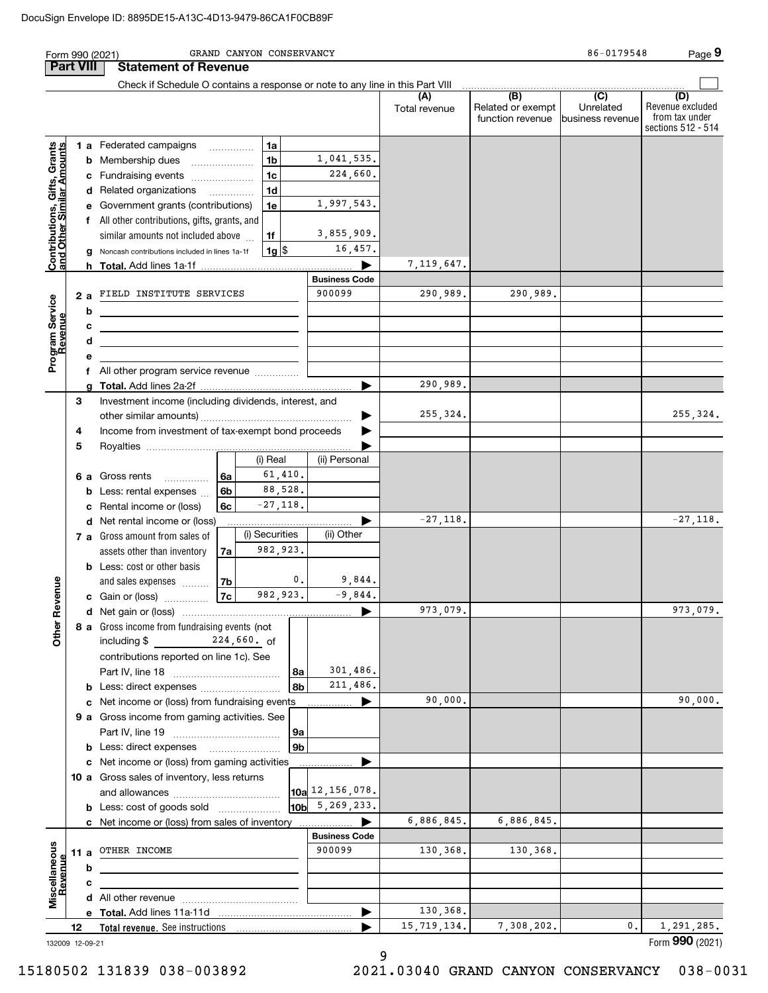| <b>Part VIII</b><br>Check if Schedule O contains a response or note to any line in this Part VIII<br>$\overline{(\mathsf{B})}$ $\overline{(\mathsf{C})}$<br>(D)<br>(A)<br>Revenue excluded<br>Related or exempt<br>Unrelated<br>Total revenue<br>from tax under<br>function revenue<br>business revenue<br>sections 512 - 514<br>1a<br>Contributions, Gifts, Grants<br>and Other Similar Amounts<br>1 a Federated campaigns<br>1,041,535.<br>1 <sub>b</sub><br><b>b</b> Membership dues<br>224,660.<br>1 <sub>c</sub><br>c Fundraising events<br>1 <sub>d</sub><br>d Related organizations<br>1,997,543.<br>e Government grants (contributions)<br>1e<br>f All other contributions, gifts, grants, and<br>3,855,909.<br>1f<br>similar amounts not included above<br>16,457.<br>g Noncash contributions included in lines 1a-1f<br> 1g <br>7, 119, 647.<br><b>Business Code</b><br>900099<br>290,989.<br>290,989.<br>2 a FIELD INSTITUTE SERVICES<br>Program Service<br>Revenue<br>b<br>с<br>the control of the control of the control of the control of the control of the control of<br>d<br><u> 1989 - Johann Stein, mars an deus an deus Amerikaanse komme</u><br>е<br>f All other program service revenue<br>290,989.<br>a<br>З<br>Investment income (including dividends, interest, and<br>255,324.<br>255,324.<br>▶<br>4<br>Income from investment of tax-exempt bond proceeds<br>5<br>(i) Real<br>(ii) Personal<br>61,410.<br>6 a Gross rents<br>6a<br>88,528.<br>6 <sub>b</sub><br><b>b</b> Less: rental expenses<br>$-27,118.$<br>c Rental income or (loss)<br>6с<br>$-27,118.$<br>d Net rental income or (loss)<br>(i) Securities<br>(ii) Other<br>7 a Gross amount from sales of<br>982,923.<br>assets other than inventory<br>7a<br><b>b</b> Less: cost or other basis<br>0.<br>9,844.<br>evenue<br>7b<br>and sales expenses<br>982,923.<br>$-9,844.$<br>7c<br>c Gain or (loss)<br>973,079.<br>973,079.<br>$\mathbf{r}$<br>Other<br>8 a Gross income from fundraising events (not<br>$224,660.$ of<br>including \$<br>contributions reported on line 1c). See<br>301,486.<br>8а<br>211,486.<br>8b<br><b>b</b> Less: direct expenses<br>90,000.<br>90,000.<br>c Net income or (loss) from fundraising events<br>9 a Gross income from gaming activities. See<br>9а<br>9 <sub>b</sub><br><b>b</b> Less: direct expenses <b>manually</b><br>c Net income or (loss) from gaming activities<br>10 a Gross sales of inventory, less returns<br>$\vert$ 10a $\vert$ 12, 156, 078.<br>$10b$ 5, 269, 233.<br><b>b</b> Less: cost of goods sold<br>6,886,845.<br>6,886,845.<br>c Net income or (loss) from sales of inventory<br><b>Business Code</b><br>Miscellaneous<br>Revenue<br>900099<br>11 a OTHER INCOME<br>130,368.<br>130,368.<br>b<br>c<br>130,368.<br>15,719,134.<br>7,308,202.<br>1,291,285.<br>0.<br>12<br><b>Total revenue.</b> See instructions<br>132009 12-09-21 |  | GRAND CANYON CONSERVANCY<br>Form 990 (2021) |  | 86-0179548 | Page 9          |
|--------------------------------------------------------------------------------------------------------------------------------------------------------------------------------------------------------------------------------------------------------------------------------------------------------------------------------------------------------------------------------------------------------------------------------------------------------------------------------------------------------------------------------------------------------------------------------------------------------------------------------------------------------------------------------------------------------------------------------------------------------------------------------------------------------------------------------------------------------------------------------------------------------------------------------------------------------------------------------------------------------------------------------------------------------------------------------------------------------------------------------------------------------------------------------------------------------------------------------------------------------------------------------------------------------------------------------------------------------------------------------------------------------------------------------------------------------------------------------------------------------------------------------------------------------------------------------------------------------------------------------------------------------------------------------------------------------------------------------------------------------------------------------------------------------------------------------------------------------------------------------------------------------------------------------------------------------------------------------------------------------------------------------------------------------------------------------------------------------------------------------------------------------------------------------------------------------------------------------------------------------------------------------------------------------------------------------------------------------------------------------------------------------------------------------------------------------------------------------------------------------------------------------------------------------------------------------------------------------------------------------------------------------------------------------------------------------------------------------------------------------------------------------------------------------------------------------------------------------------------------------------|--|---------------------------------------------|--|------------|-----------------|
|                                                                                                                                                                                                                                                                                                                                                                                                                                                                                                                                                                                                                                                                                                                                                                                                                                                                                                                                                                                                                                                                                                                                                                                                                                                                                                                                                                                                                                                                                                                                                                                                                                                                                                                                                                                                                                                                                                                                                                                                                                                                                                                                                                                                                                                                                                                                                                                                                                                                                                                                                                                                                                                                                                                                                                                                                                                                                      |  | <b>Statement of Revenue</b>                 |  |            |                 |
|                                                                                                                                                                                                                                                                                                                                                                                                                                                                                                                                                                                                                                                                                                                                                                                                                                                                                                                                                                                                                                                                                                                                                                                                                                                                                                                                                                                                                                                                                                                                                                                                                                                                                                                                                                                                                                                                                                                                                                                                                                                                                                                                                                                                                                                                                                                                                                                                                                                                                                                                                                                                                                                                                                                                                                                                                                                                                      |  |                                             |  |            |                 |
|                                                                                                                                                                                                                                                                                                                                                                                                                                                                                                                                                                                                                                                                                                                                                                                                                                                                                                                                                                                                                                                                                                                                                                                                                                                                                                                                                                                                                                                                                                                                                                                                                                                                                                                                                                                                                                                                                                                                                                                                                                                                                                                                                                                                                                                                                                                                                                                                                                                                                                                                                                                                                                                                                                                                                                                                                                                                                      |  |                                             |  |            |                 |
|                                                                                                                                                                                                                                                                                                                                                                                                                                                                                                                                                                                                                                                                                                                                                                                                                                                                                                                                                                                                                                                                                                                                                                                                                                                                                                                                                                                                                                                                                                                                                                                                                                                                                                                                                                                                                                                                                                                                                                                                                                                                                                                                                                                                                                                                                                                                                                                                                                                                                                                                                                                                                                                                                                                                                                                                                                                                                      |  |                                             |  |            |                 |
|                                                                                                                                                                                                                                                                                                                                                                                                                                                                                                                                                                                                                                                                                                                                                                                                                                                                                                                                                                                                                                                                                                                                                                                                                                                                                                                                                                                                                                                                                                                                                                                                                                                                                                                                                                                                                                                                                                                                                                                                                                                                                                                                                                                                                                                                                                                                                                                                                                                                                                                                                                                                                                                                                                                                                                                                                                                                                      |  |                                             |  |            |                 |
|                                                                                                                                                                                                                                                                                                                                                                                                                                                                                                                                                                                                                                                                                                                                                                                                                                                                                                                                                                                                                                                                                                                                                                                                                                                                                                                                                                                                                                                                                                                                                                                                                                                                                                                                                                                                                                                                                                                                                                                                                                                                                                                                                                                                                                                                                                                                                                                                                                                                                                                                                                                                                                                                                                                                                                                                                                                                                      |  |                                             |  |            |                 |
|                                                                                                                                                                                                                                                                                                                                                                                                                                                                                                                                                                                                                                                                                                                                                                                                                                                                                                                                                                                                                                                                                                                                                                                                                                                                                                                                                                                                                                                                                                                                                                                                                                                                                                                                                                                                                                                                                                                                                                                                                                                                                                                                                                                                                                                                                                                                                                                                                                                                                                                                                                                                                                                                                                                                                                                                                                                                                      |  |                                             |  |            |                 |
|                                                                                                                                                                                                                                                                                                                                                                                                                                                                                                                                                                                                                                                                                                                                                                                                                                                                                                                                                                                                                                                                                                                                                                                                                                                                                                                                                                                                                                                                                                                                                                                                                                                                                                                                                                                                                                                                                                                                                                                                                                                                                                                                                                                                                                                                                                                                                                                                                                                                                                                                                                                                                                                                                                                                                                                                                                                                                      |  |                                             |  |            |                 |
|                                                                                                                                                                                                                                                                                                                                                                                                                                                                                                                                                                                                                                                                                                                                                                                                                                                                                                                                                                                                                                                                                                                                                                                                                                                                                                                                                                                                                                                                                                                                                                                                                                                                                                                                                                                                                                                                                                                                                                                                                                                                                                                                                                                                                                                                                                                                                                                                                                                                                                                                                                                                                                                                                                                                                                                                                                                                                      |  |                                             |  |            |                 |
|                                                                                                                                                                                                                                                                                                                                                                                                                                                                                                                                                                                                                                                                                                                                                                                                                                                                                                                                                                                                                                                                                                                                                                                                                                                                                                                                                                                                                                                                                                                                                                                                                                                                                                                                                                                                                                                                                                                                                                                                                                                                                                                                                                                                                                                                                                                                                                                                                                                                                                                                                                                                                                                                                                                                                                                                                                                                                      |  |                                             |  |            |                 |
|                                                                                                                                                                                                                                                                                                                                                                                                                                                                                                                                                                                                                                                                                                                                                                                                                                                                                                                                                                                                                                                                                                                                                                                                                                                                                                                                                                                                                                                                                                                                                                                                                                                                                                                                                                                                                                                                                                                                                                                                                                                                                                                                                                                                                                                                                                                                                                                                                                                                                                                                                                                                                                                                                                                                                                                                                                                                                      |  |                                             |  |            |                 |
|                                                                                                                                                                                                                                                                                                                                                                                                                                                                                                                                                                                                                                                                                                                                                                                                                                                                                                                                                                                                                                                                                                                                                                                                                                                                                                                                                                                                                                                                                                                                                                                                                                                                                                                                                                                                                                                                                                                                                                                                                                                                                                                                                                                                                                                                                                                                                                                                                                                                                                                                                                                                                                                                                                                                                                                                                                                                                      |  |                                             |  |            |                 |
|                                                                                                                                                                                                                                                                                                                                                                                                                                                                                                                                                                                                                                                                                                                                                                                                                                                                                                                                                                                                                                                                                                                                                                                                                                                                                                                                                                                                                                                                                                                                                                                                                                                                                                                                                                                                                                                                                                                                                                                                                                                                                                                                                                                                                                                                                                                                                                                                                                                                                                                                                                                                                                                                                                                                                                                                                                                                                      |  |                                             |  |            |                 |
|                                                                                                                                                                                                                                                                                                                                                                                                                                                                                                                                                                                                                                                                                                                                                                                                                                                                                                                                                                                                                                                                                                                                                                                                                                                                                                                                                                                                                                                                                                                                                                                                                                                                                                                                                                                                                                                                                                                                                                                                                                                                                                                                                                                                                                                                                                                                                                                                                                                                                                                                                                                                                                                                                                                                                                                                                                                                                      |  |                                             |  |            |                 |
|                                                                                                                                                                                                                                                                                                                                                                                                                                                                                                                                                                                                                                                                                                                                                                                                                                                                                                                                                                                                                                                                                                                                                                                                                                                                                                                                                                                                                                                                                                                                                                                                                                                                                                                                                                                                                                                                                                                                                                                                                                                                                                                                                                                                                                                                                                                                                                                                                                                                                                                                                                                                                                                                                                                                                                                                                                                                                      |  |                                             |  |            |                 |
|                                                                                                                                                                                                                                                                                                                                                                                                                                                                                                                                                                                                                                                                                                                                                                                                                                                                                                                                                                                                                                                                                                                                                                                                                                                                                                                                                                                                                                                                                                                                                                                                                                                                                                                                                                                                                                                                                                                                                                                                                                                                                                                                                                                                                                                                                                                                                                                                                                                                                                                                                                                                                                                                                                                                                                                                                                                                                      |  |                                             |  |            |                 |
|                                                                                                                                                                                                                                                                                                                                                                                                                                                                                                                                                                                                                                                                                                                                                                                                                                                                                                                                                                                                                                                                                                                                                                                                                                                                                                                                                                                                                                                                                                                                                                                                                                                                                                                                                                                                                                                                                                                                                                                                                                                                                                                                                                                                                                                                                                                                                                                                                                                                                                                                                                                                                                                                                                                                                                                                                                                                                      |  |                                             |  |            |                 |
|                                                                                                                                                                                                                                                                                                                                                                                                                                                                                                                                                                                                                                                                                                                                                                                                                                                                                                                                                                                                                                                                                                                                                                                                                                                                                                                                                                                                                                                                                                                                                                                                                                                                                                                                                                                                                                                                                                                                                                                                                                                                                                                                                                                                                                                                                                                                                                                                                                                                                                                                                                                                                                                                                                                                                                                                                                                                                      |  |                                             |  |            |                 |
|                                                                                                                                                                                                                                                                                                                                                                                                                                                                                                                                                                                                                                                                                                                                                                                                                                                                                                                                                                                                                                                                                                                                                                                                                                                                                                                                                                                                                                                                                                                                                                                                                                                                                                                                                                                                                                                                                                                                                                                                                                                                                                                                                                                                                                                                                                                                                                                                                                                                                                                                                                                                                                                                                                                                                                                                                                                                                      |  |                                             |  |            |                 |
|                                                                                                                                                                                                                                                                                                                                                                                                                                                                                                                                                                                                                                                                                                                                                                                                                                                                                                                                                                                                                                                                                                                                                                                                                                                                                                                                                                                                                                                                                                                                                                                                                                                                                                                                                                                                                                                                                                                                                                                                                                                                                                                                                                                                                                                                                                                                                                                                                                                                                                                                                                                                                                                                                                                                                                                                                                                                                      |  |                                             |  |            |                 |
|                                                                                                                                                                                                                                                                                                                                                                                                                                                                                                                                                                                                                                                                                                                                                                                                                                                                                                                                                                                                                                                                                                                                                                                                                                                                                                                                                                                                                                                                                                                                                                                                                                                                                                                                                                                                                                                                                                                                                                                                                                                                                                                                                                                                                                                                                                                                                                                                                                                                                                                                                                                                                                                                                                                                                                                                                                                                                      |  |                                             |  |            |                 |
|                                                                                                                                                                                                                                                                                                                                                                                                                                                                                                                                                                                                                                                                                                                                                                                                                                                                                                                                                                                                                                                                                                                                                                                                                                                                                                                                                                                                                                                                                                                                                                                                                                                                                                                                                                                                                                                                                                                                                                                                                                                                                                                                                                                                                                                                                                                                                                                                                                                                                                                                                                                                                                                                                                                                                                                                                                                                                      |  |                                             |  |            |                 |
|                                                                                                                                                                                                                                                                                                                                                                                                                                                                                                                                                                                                                                                                                                                                                                                                                                                                                                                                                                                                                                                                                                                                                                                                                                                                                                                                                                                                                                                                                                                                                                                                                                                                                                                                                                                                                                                                                                                                                                                                                                                                                                                                                                                                                                                                                                                                                                                                                                                                                                                                                                                                                                                                                                                                                                                                                                                                                      |  |                                             |  |            |                 |
|                                                                                                                                                                                                                                                                                                                                                                                                                                                                                                                                                                                                                                                                                                                                                                                                                                                                                                                                                                                                                                                                                                                                                                                                                                                                                                                                                                                                                                                                                                                                                                                                                                                                                                                                                                                                                                                                                                                                                                                                                                                                                                                                                                                                                                                                                                                                                                                                                                                                                                                                                                                                                                                                                                                                                                                                                                                                                      |  |                                             |  |            |                 |
|                                                                                                                                                                                                                                                                                                                                                                                                                                                                                                                                                                                                                                                                                                                                                                                                                                                                                                                                                                                                                                                                                                                                                                                                                                                                                                                                                                                                                                                                                                                                                                                                                                                                                                                                                                                                                                                                                                                                                                                                                                                                                                                                                                                                                                                                                                                                                                                                                                                                                                                                                                                                                                                                                                                                                                                                                                                                                      |  |                                             |  |            |                 |
|                                                                                                                                                                                                                                                                                                                                                                                                                                                                                                                                                                                                                                                                                                                                                                                                                                                                                                                                                                                                                                                                                                                                                                                                                                                                                                                                                                                                                                                                                                                                                                                                                                                                                                                                                                                                                                                                                                                                                                                                                                                                                                                                                                                                                                                                                                                                                                                                                                                                                                                                                                                                                                                                                                                                                                                                                                                                                      |  |                                             |  |            |                 |
|                                                                                                                                                                                                                                                                                                                                                                                                                                                                                                                                                                                                                                                                                                                                                                                                                                                                                                                                                                                                                                                                                                                                                                                                                                                                                                                                                                                                                                                                                                                                                                                                                                                                                                                                                                                                                                                                                                                                                                                                                                                                                                                                                                                                                                                                                                                                                                                                                                                                                                                                                                                                                                                                                                                                                                                                                                                                                      |  |                                             |  |            |                 |
|                                                                                                                                                                                                                                                                                                                                                                                                                                                                                                                                                                                                                                                                                                                                                                                                                                                                                                                                                                                                                                                                                                                                                                                                                                                                                                                                                                                                                                                                                                                                                                                                                                                                                                                                                                                                                                                                                                                                                                                                                                                                                                                                                                                                                                                                                                                                                                                                                                                                                                                                                                                                                                                                                                                                                                                                                                                                                      |  |                                             |  |            |                 |
|                                                                                                                                                                                                                                                                                                                                                                                                                                                                                                                                                                                                                                                                                                                                                                                                                                                                                                                                                                                                                                                                                                                                                                                                                                                                                                                                                                                                                                                                                                                                                                                                                                                                                                                                                                                                                                                                                                                                                                                                                                                                                                                                                                                                                                                                                                                                                                                                                                                                                                                                                                                                                                                                                                                                                                                                                                                                                      |  |                                             |  |            | $-27,118.$      |
|                                                                                                                                                                                                                                                                                                                                                                                                                                                                                                                                                                                                                                                                                                                                                                                                                                                                                                                                                                                                                                                                                                                                                                                                                                                                                                                                                                                                                                                                                                                                                                                                                                                                                                                                                                                                                                                                                                                                                                                                                                                                                                                                                                                                                                                                                                                                                                                                                                                                                                                                                                                                                                                                                                                                                                                                                                                                                      |  |                                             |  |            |                 |
|                                                                                                                                                                                                                                                                                                                                                                                                                                                                                                                                                                                                                                                                                                                                                                                                                                                                                                                                                                                                                                                                                                                                                                                                                                                                                                                                                                                                                                                                                                                                                                                                                                                                                                                                                                                                                                                                                                                                                                                                                                                                                                                                                                                                                                                                                                                                                                                                                                                                                                                                                                                                                                                                                                                                                                                                                                                                                      |  |                                             |  |            |                 |
|                                                                                                                                                                                                                                                                                                                                                                                                                                                                                                                                                                                                                                                                                                                                                                                                                                                                                                                                                                                                                                                                                                                                                                                                                                                                                                                                                                                                                                                                                                                                                                                                                                                                                                                                                                                                                                                                                                                                                                                                                                                                                                                                                                                                                                                                                                                                                                                                                                                                                                                                                                                                                                                                                                                                                                                                                                                                                      |  |                                             |  |            |                 |
|                                                                                                                                                                                                                                                                                                                                                                                                                                                                                                                                                                                                                                                                                                                                                                                                                                                                                                                                                                                                                                                                                                                                                                                                                                                                                                                                                                                                                                                                                                                                                                                                                                                                                                                                                                                                                                                                                                                                                                                                                                                                                                                                                                                                                                                                                                                                                                                                                                                                                                                                                                                                                                                                                                                                                                                                                                                                                      |  |                                             |  |            |                 |
|                                                                                                                                                                                                                                                                                                                                                                                                                                                                                                                                                                                                                                                                                                                                                                                                                                                                                                                                                                                                                                                                                                                                                                                                                                                                                                                                                                                                                                                                                                                                                                                                                                                                                                                                                                                                                                                                                                                                                                                                                                                                                                                                                                                                                                                                                                                                                                                                                                                                                                                                                                                                                                                                                                                                                                                                                                                                                      |  |                                             |  |            |                 |
|                                                                                                                                                                                                                                                                                                                                                                                                                                                                                                                                                                                                                                                                                                                                                                                                                                                                                                                                                                                                                                                                                                                                                                                                                                                                                                                                                                                                                                                                                                                                                                                                                                                                                                                                                                                                                                                                                                                                                                                                                                                                                                                                                                                                                                                                                                                                                                                                                                                                                                                                                                                                                                                                                                                                                                                                                                                                                      |  |                                             |  |            |                 |
|                                                                                                                                                                                                                                                                                                                                                                                                                                                                                                                                                                                                                                                                                                                                                                                                                                                                                                                                                                                                                                                                                                                                                                                                                                                                                                                                                                                                                                                                                                                                                                                                                                                                                                                                                                                                                                                                                                                                                                                                                                                                                                                                                                                                                                                                                                                                                                                                                                                                                                                                                                                                                                                                                                                                                                                                                                                                                      |  |                                             |  |            |                 |
|                                                                                                                                                                                                                                                                                                                                                                                                                                                                                                                                                                                                                                                                                                                                                                                                                                                                                                                                                                                                                                                                                                                                                                                                                                                                                                                                                                                                                                                                                                                                                                                                                                                                                                                                                                                                                                                                                                                                                                                                                                                                                                                                                                                                                                                                                                                                                                                                                                                                                                                                                                                                                                                                                                                                                                                                                                                                                      |  |                                             |  |            |                 |
|                                                                                                                                                                                                                                                                                                                                                                                                                                                                                                                                                                                                                                                                                                                                                                                                                                                                                                                                                                                                                                                                                                                                                                                                                                                                                                                                                                                                                                                                                                                                                                                                                                                                                                                                                                                                                                                                                                                                                                                                                                                                                                                                                                                                                                                                                                                                                                                                                                                                                                                                                                                                                                                                                                                                                                                                                                                                                      |  |                                             |  |            |                 |
|                                                                                                                                                                                                                                                                                                                                                                                                                                                                                                                                                                                                                                                                                                                                                                                                                                                                                                                                                                                                                                                                                                                                                                                                                                                                                                                                                                                                                                                                                                                                                                                                                                                                                                                                                                                                                                                                                                                                                                                                                                                                                                                                                                                                                                                                                                                                                                                                                                                                                                                                                                                                                                                                                                                                                                                                                                                                                      |  |                                             |  |            |                 |
|                                                                                                                                                                                                                                                                                                                                                                                                                                                                                                                                                                                                                                                                                                                                                                                                                                                                                                                                                                                                                                                                                                                                                                                                                                                                                                                                                                                                                                                                                                                                                                                                                                                                                                                                                                                                                                                                                                                                                                                                                                                                                                                                                                                                                                                                                                                                                                                                                                                                                                                                                                                                                                                                                                                                                                                                                                                                                      |  |                                             |  |            |                 |
|                                                                                                                                                                                                                                                                                                                                                                                                                                                                                                                                                                                                                                                                                                                                                                                                                                                                                                                                                                                                                                                                                                                                                                                                                                                                                                                                                                                                                                                                                                                                                                                                                                                                                                                                                                                                                                                                                                                                                                                                                                                                                                                                                                                                                                                                                                                                                                                                                                                                                                                                                                                                                                                                                                                                                                                                                                                                                      |  |                                             |  |            |                 |
|                                                                                                                                                                                                                                                                                                                                                                                                                                                                                                                                                                                                                                                                                                                                                                                                                                                                                                                                                                                                                                                                                                                                                                                                                                                                                                                                                                                                                                                                                                                                                                                                                                                                                                                                                                                                                                                                                                                                                                                                                                                                                                                                                                                                                                                                                                                                                                                                                                                                                                                                                                                                                                                                                                                                                                                                                                                                                      |  |                                             |  |            |                 |
|                                                                                                                                                                                                                                                                                                                                                                                                                                                                                                                                                                                                                                                                                                                                                                                                                                                                                                                                                                                                                                                                                                                                                                                                                                                                                                                                                                                                                                                                                                                                                                                                                                                                                                                                                                                                                                                                                                                                                                                                                                                                                                                                                                                                                                                                                                                                                                                                                                                                                                                                                                                                                                                                                                                                                                                                                                                                                      |  |                                             |  |            |                 |
|                                                                                                                                                                                                                                                                                                                                                                                                                                                                                                                                                                                                                                                                                                                                                                                                                                                                                                                                                                                                                                                                                                                                                                                                                                                                                                                                                                                                                                                                                                                                                                                                                                                                                                                                                                                                                                                                                                                                                                                                                                                                                                                                                                                                                                                                                                                                                                                                                                                                                                                                                                                                                                                                                                                                                                                                                                                                                      |  |                                             |  |            |                 |
|                                                                                                                                                                                                                                                                                                                                                                                                                                                                                                                                                                                                                                                                                                                                                                                                                                                                                                                                                                                                                                                                                                                                                                                                                                                                                                                                                                                                                                                                                                                                                                                                                                                                                                                                                                                                                                                                                                                                                                                                                                                                                                                                                                                                                                                                                                                                                                                                                                                                                                                                                                                                                                                                                                                                                                                                                                                                                      |  |                                             |  |            |                 |
|                                                                                                                                                                                                                                                                                                                                                                                                                                                                                                                                                                                                                                                                                                                                                                                                                                                                                                                                                                                                                                                                                                                                                                                                                                                                                                                                                                                                                                                                                                                                                                                                                                                                                                                                                                                                                                                                                                                                                                                                                                                                                                                                                                                                                                                                                                                                                                                                                                                                                                                                                                                                                                                                                                                                                                                                                                                                                      |  |                                             |  |            |                 |
|                                                                                                                                                                                                                                                                                                                                                                                                                                                                                                                                                                                                                                                                                                                                                                                                                                                                                                                                                                                                                                                                                                                                                                                                                                                                                                                                                                                                                                                                                                                                                                                                                                                                                                                                                                                                                                                                                                                                                                                                                                                                                                                                                                                                                                                                                                                                                                                                                                                                                                                                                                                                                                                                                                                                                                                                                                                                                      |  |                                             |  |            |                 |
|                                                                                                                                                                                                                                                                                                                                                                                                                                                                                                                                                                                                                                                                                                                                                                                                                                                                                                                                                                                                                                                                                                                                                                                                                                                                                                                                                                                                                                                                                                                                                                                                                                                                                                                                                                                                                                                                                                                                                                                                                                                                                                                                                                                                                                                                                                                                                                                                                                                                                                                                                                                                                                                                                                                                                                                                                                                                                      |  |                                             |  |            |                 |
|                                                                                                                                                                                                                                                                                                                                                                                                                                                                                                                                                                                                                                                                                                                                                                                                                                                                                                                                                                                                                                                                                                                                                                                                                                                                                                                                                                                                                                                                                                                                                                                                                                                                                                                                                                                                                                                                                                                                                                                                                                                                                                                                                                                                                                                                                                                                                                                                                                                                                                                                                                                                                                                                                                                                                                                                                                                                                      |  |                                             |  |            |                 |
|                                                                                                                                                                                                                                                                                                                                                                                                                                                                                                                                                                                                                                                                                                                                                                                                                                                                                                                                                                                                                                                                                                                                                                                                                                                                                                                                                                                                                                                                                                                                                                                                                                                                                                                                                                                                                                                                                                                                                                                                                                                                                                                                                                                                                                                                                                                                                                                                                                                                                                                                                                                                                                                                                                                                                                                                                                                                                      |  |                                             |  |            |                 |
|                                                                                                                                                                                                                                                                                                                                                                                                                                                                                                                                                                                                                                                                                                                                                                                                                                                                                                                                                                                                                                                                                                                                                                                                                                                                                                                                                                                                                                                                                                                                                                                                                                                                                                                                                                                                                                                                                                                                                                                                                                                                                                                                                                                                                                                                                                                                                                                                                                                                                                                                                                                                                                                                                                                                                                                                                                                                                      |  |                                             |  |            |                 |
|                                                                                                                                                                                                                                                                                                                                                                                                                                                                                                                                                                                                                                                                                                                                                                                                                                                                                                                                                                                                                                                                                                                                                                                                                                                                                                                                                                                                                                                                                                                                                                                                                                                                                                                                                                                                                                                                                                                                                                                                                                                                                                                                                                                                                                                                                                                                                                                                                                                                                                                                                                                                                                                                                                                                                                                                                                                                                      |  |                                             |  |            |                 |
|                                                                                                                                                                                                                                                                                                                                                                                                                                                                                                                                                                                                                                                                                                                                                                                                                                                                                                                                                                                                                                                                                                                                                                                                                                                                                                                                                                                                                                                                                                                                                                                                                                                                                                                                                                                                                                                                                                                                                                                                                                                                                                                                                                                                                                                                                                                                                                                                                                                                                                                                                                                                                                                                                                                                                                                                                                                                                      |  |                                             |  |            |                 |
|                                                                                                                                                                                                                                                                                                                                                                                                                                                                                                                                                                                                                                                                                                                                                                                                                                                                                                                                                                                                                                                                                                                                                                                                                                                                                                                                                                                                                                                                                                                                                                                                                                                                                                                                                                                                                                                                                                                                                                                                                                                                                                                                                                                                                                                                                                                                                                                                                                                                                                                                                                                                                                                                                                                                                                                                                                                                                      |  |                                             |  |            |                 |
|                                                                                                                                                                                                                                                                                                                                                                                                                                                                                                                                                                                                                                                                                                                                                                                                                                                                                                                                                                                                                                                                                                                                                                                                                                                                                                                                                                                                                                                                                                                                                                                                                                                                                                                                                                                                                                                                                                                                                                                                                                                                                                                                                                                                                                                                                                                                                                                                                                                                                                                                                                                                                                                                                                                                                                                                                                                                                      |  |                                             |  |            | Form 990 (2021) |

9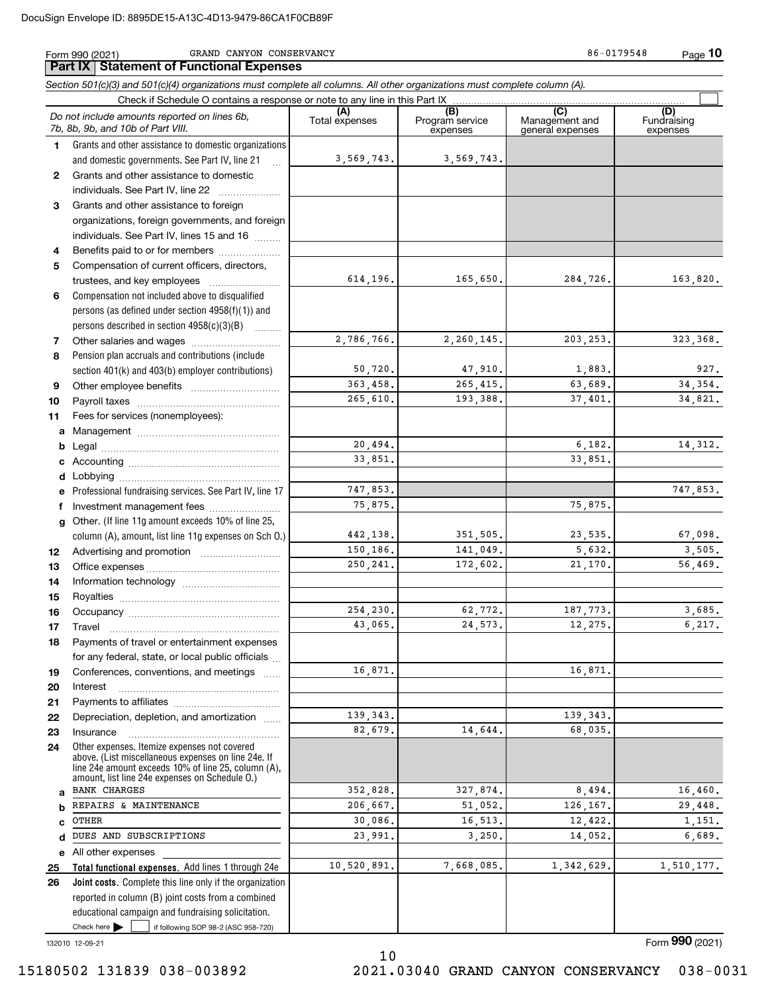## Form 990 (2021) GRAND CANYON CONSERVANCY 86-0179548 Page

**Part IX Statement of Functional Expenses**

*Section 501(c)(3) and 501(c)(4) organizations must complete all columns. All other organizations must complete column (A).*

|              | Check if Schedule O contains a response or note to any line in this Part IX                         |                       |                                    |                                           |                                |
|--------------|-----------------------------------------------------------------------------------------------------|-----------------------|------------------------------------|-------------------------------------------|--------------------------------|
|              | Do not include amounts reported on lines 6b,<br>7b, 8b, 9b, and 10b of Part VIII.                   | (A)<br>Total expenses | (B)<br>Program service<br>expenses | (C)<br>Management and<br>general expenses | (D)<br>Fundraising<br>expenses |
| 1.           | Grants and other assistance to domestic organizations                                               |                       |                                    |                                           |                                |
|              | and domestic governments. See Part IV, line 21                                                      | 3,569,743.            | 3,569,743.                         |                                           |                                |
| $\mathbf{2}$ | Grants and other assistance to domestic                                                             |                       |                                    |                                           |                                |
|              | individuals. See Part IV, line 22                                                                   |                       |                                    |                                           |                                |
| 3            | Grants and other assistance to foreign                                                              |                       |                                    |                                           |                                |
|              | organizations, foreign governments, and foreign                                                     |                       |                                    |                                           |                                |
|              | individuals. See Part IV, lines 15 and 16                                                           |                       |                                    |                                           |                                |
| 4            | Benefits paid to or for members                                                                     |                       |                                    |                                           |                                |
| 5            | Compensation of current officers, directors,                                                        |                       |                                    |                                           |                                |
|              | trustees, and key employees                                                                         | 614,196.              | 165,650.                           | 284,726.                                  | 163,820.                       |
| 6            | Compensation not included above to disqualified                                                     |                       |                                    |                                           |                                |
|              | persons (as defined under section $4958(f)(1)$ ) and                                                |                       |                                    |                                           |                                |
|              | persons described in section $4958(c)(3)(B)$                                                        |                       |                                    |                                           |                                |
| 7            |                                                                                                     | 2,786,766.            | 2,260,145.                         | 203, 253.                                 | 323, 368.                      |
| 8            | Pension plan accruals and contributions (include                                                    |                       |                                    |                                           |                                |
|              | section 401(k) and 403(b) employer contributions)                                                   | 50,720.               | 47,910.                            | 1,883.                                    | 927.                           |
| 9            |                                                                                                     | 363,458.              | 265,415.                           | 63,689.                                   | 34, 354.                       |
| 10           |                                                                                                     | 265,610.              | 193,388.                           | 37,401.                                   | 34,821.                        |
| 11           | Fees for services (nonemployees):                                                                   |                       |                                    |                                           |                                |
| a            |                                                                                                     |                       |                                    |                                           |                                |
| b            |                                                                                                     | 20,494.<br>33,851.    |                                    | 6,182.<br>33,851.                         | 14, 312.                       |
| c            |                                                                                                     |                       |                                    |                                           |                                |
| d            |                                                                                                     |                       |                                    |                                           | 747,853.                       |
| e            | Professional fundraising services. See Part IV, line 17                                             | 747,853.<br>75,875.   |                                    | 75,875.                                   |                                |
| f            | Investment management fees                                                                          |                       |                                    |                                           |                                |
| q            | Other. (If line 11g amount exceeds 10% of line 25,                                                  | 442,138.              | 351,505.                           | 23,535.                                   | 67,098.                        |
|              | column (A), amount, list line 11g expenses on Sch 0.)                                               | 150,186.              | 141,049.                           | 5,632.                                    | 3,505.                         |
| 12<br>13     |                                                                                                     | 250, 241.             | 172,602.                           | 21,170.                                   | 56,469.                        |
| 14           |                                                                                                     |                       |                                    |                                           |                                |
| 15           |                                                                                                     |                       |                                    |                                           |                                |
| 16           |                                                                                                     | 254,230.              | 62,772.                            | 187,773.                                  | 3,685.                         |
| 17           | Travel                                                                                              | 43,065.               | 24.573.                            | 12,275.                                   | 6, 217.                        |
| 18           | Payments of travel or entertainment expenses                                                        |                       |                                    |                                           |                                |
|              | for any federal, state, or local public officials                                                   |                       |                                    |                                           |                                |
| 19           | Conferences, conventions, and meetings                                                              | 16,871.               |                                    | 16,871.                                   |                                |
| 20           | Interest                                                                                            |                       |                                    |                                           |                                |
| 21           |                                                                                                     |                       |                                    |                                           |                                |
| 22           | Depreciation, depletion, and amortization                                                           | 139, 343.             |                                    | 139, 343.                                 |                                |
| 23           | Insurance                                                                                           | 82,679.               | 14,644.                            | 68,035.                                   |                                |
| 24           | Other expenses. Itemize expenses not covered<br>above. (List miscellaneous expenses on line 24e. If |                       |                                    |                                           |                                |
|              | line 24e amount exceeds 10% of line 25, column (A).                                                 |                       |                                    |                                           |                                |
|              | amount, list line 24e expenses on Schedule O.)<br><b>BANK CHARGES</b>                               | 352,828.              | 327,874.                           | 8,494.                                    | 16,460.                        |
| a<br>b       | REPAIRS & MAINTENANCE                                                                               | 206,667.              | 51,052.                            | 126,167.                                  | 29,448.                        |
| C            | OTHER                                                                                               | 30,086.               | 16,513.                            | 12,422.                                   | 1,151.                         |
| d            | DUES AND SUBSCRIPTIONS                                                                              | 23,991.               | 3,250.                             | 14,052.                                   | 6,689.                         |
| е            | All other expenses                                                                                  |                       |                                    |                                           |                                |
| 25           | Total functional expenses. Add lines 1 through 24e                                                  | 10,520,891.           | 7,668,085.                         | 1,342,629.                                | 1,510,177.                     |
| 26           | <b>Joint costs.</b> Complete this line only if the organization                                     |                       |                                    |                                           |                                |
|              | reported in column (B) joint costs from a combined                                                  |                       |                                    |                                           |                                |
|              | educational campaign and fundraising solicitation.                                                  |                       |                                    |                                           |                                |
|              | Check here<br>if following SOP 98-2 (ASC 958-720)                                                   |                       |                                    |                                           |                                |
|              | 132010 12-09-21                                                                                     |                       |                                    |                                           | Form 990 (2021)                |

10

ym **990** (2021)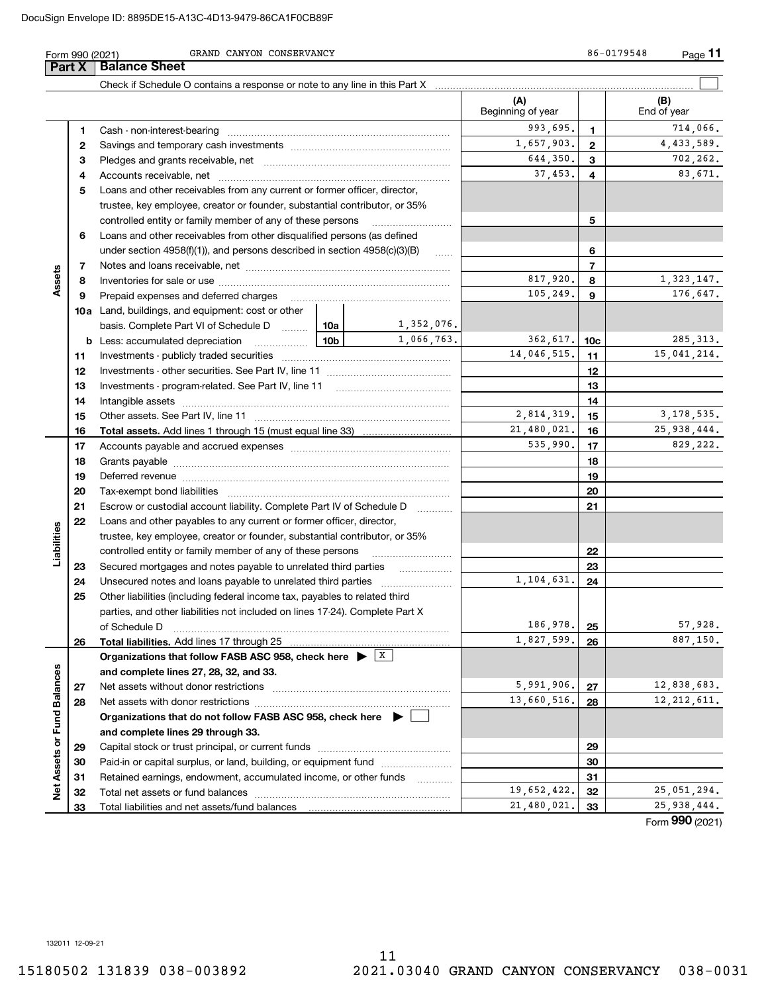|                      | Form 990 (2021) | GRAND CANYON CONSERVANCY                                                                    |            |              |                          |                | 86-0179548<br>Page 11 |
|----------------------|-----------------|---------------------------------------------------------------------------------------------|------------|--------------|--------------------------|----------------|-----------------------|
|                      | Part X          | <b>Balance Sheet</b>                                                                        |            |              |                          |                |                       |
|                      |                 |                                                                                             |            |              |                          |                |                       |
|                      |                 |                                                                                             |            |              | (A)<br>Beginning of year |                | (B)<br>End of year    |
|                      | 1               |                                                                                             |            |              | 993,695.                 | $\mathbf 1$    | 714,066.              |
|                      | $\mathbf{2}$    |                                                                                             | 1,657,903. | $\mathbf{2}$ | 4,433,589.               |                |                       |
|                      | З               |                                                                                             |            |              | 644,350.                 | 3              | 702,262.              |
|                      | 4               |                                                                                             |            |              | 37,453.                  | 4              | 83,671.               |
|                      | 5               | Loans and other receivables from any current or former officer, director,                   |            |              |                          |                |                       |
|                      |                 | trustee, key employee, creator or founder, substantial contributor, or 35%                  |            |              |                          |                |                       |
|                      |                 | controlled entity or family member of any of these persons                                  |            |              |                          | 5              |                       |
|                      | 6               | Loans and other receivables from other disqualified persons (as defined                     |            |              |                          |                |                       |
|                      |                 | under section $4958(f)(1)$ , and persons described in section $4958(c)(3)(B)$               |            | $\ldots$     |                          | 6              |                       |
|                      | 7               |                                                                                             |            |              |                          | $\overline{7}$ |                       |
| Assets               | 8               |                                                                                             |            |              | 817,920.                 | 8              | 1,323,147.            |
|                      | 9               | Prepaid expenses and deferred charges                                                       |            |              | 105, 249.                | 9              | 176,647.              |
|                      |                 | <b>10a</b> Land, buildings, and equipment: cost or other                                    |            |              |                          |                |                       |
|                      |                 | basis. Complete Part VI of Schedule D  10a                                                  |            | 1,352,076.   |                          |                |                       |
|                      |                 |                                                                                             |            | 1,066,763.   | 362, 617.                | 10c            | 285, 313.             |
|                      | 11              |                                                                                             |            |              | 14,046,515.              | 11             | 15,041,214.           |
|                      | 12              |                                                                                             |            |              |                          | 12             |                       |
|                      | 13              |                                                                                             |            |              |                          | 13             |                       |
|                      | 14              |                                                                                             |            |              | 14                       |                |                       |
|                      | 15              |                                                                                             |            |              | 2,814,319.               | 15             | 3, 178, 535.          |
|                      | 16              |                                                                                             |            |              | 21,480,021.              | 16             | 25, 938, 444.         |
|                      | 17              |                                                                                             |            |              | 535,990.                 | 17             | 829,222.              |
|                      | 18              |                                                                                             |            |              |                          | 18             |                       |
|                      | 19              |                                                                                             |            |              |                          | 19             |                       |
|                      | 20              |                                                                                             |            |              |                          | 20             |                       |
|                      | 21              | Escrow or custodial account liability. Complete Part IV of Schedule D                       |            |              |                          | 21             |                       |
|                      | 22              | Loans and other payables to any current or former officer, director,                        |            |              |                          |                |                       |
| Liabilities          |                 | trustee, key employee, creator or founder, substantial contributor, or 35%                  |            |              |                          |                |                       |
|                      |                 | controlled entity or family member of any of these persons                                  |            |              |                          | 22             |                       |
|                      | 23              | Secured mortgages and notes payable to unrelated third parties                              |            | .            |                          | 23             |                       |
|                      | 24              |                                                                                             |            |              | 1,104,631.               | 24             |                       |
|                      | 25              | Other liabilities (including federal income tax, payables to related third                  |            |              |                          |                |                       |
|                      |                 | parties, and other liabilities not included on lines 17-24). Complete Part X                |            |              | 186,978.                 |                |                       |
|                      |                 | of Schedule D                                                                               |            |              |                          | 25             | 57,928.<br>887,150.   |
|                      | 26              | Total liabilities. Add lines 17 through 25                                                  |            |              | 1,827,599.               | 26             |                       |
|                      |                 | Organizations that follow FASB ASC 958, check here $\blacktriangleright$ $\boxed{\text{X}}$ |            |              |                          |                |                       |
|                      |                 | and complete lines 27, 28, 32, and 33.<br>Net assets without donor restrictions             |            |              | 5,991,906.               | 27             | 12,838,683.           |
| <b>Fund Balances</b> | 27              |                                                                                             |            |              | 13,660,516.              | 28             | 12, 212, 611.         |
|                      | 28              | Organizations that do not follow FASB ASC 958, check here $\blacktriangleright$             |            |              |                          |                |                       |
|                      |                 | and complete lines 29 through 33.                                                           |            |              |                          |                |                       |
|                      | 29              |                                                                                             |            |              |                          | 29             |                       |
|                      | 30              | Paid-in or capital surplus, or land, building, or equipment fund                            |            |              |                          | 30             |                       |
|                      | 31              | Retained earnings, endowment, accumulated income, or other funds                            |            |              |                          | 31             |                       |
| Net Assets or        | 32              |                                                                                             |            |              | 19,652,422.              | 32             | 25,051,294.           |
|                      | 33              |                                                                                             |            |              | 21,480,021.              | 33             | 25,938,444.           |

Form (2021) **990**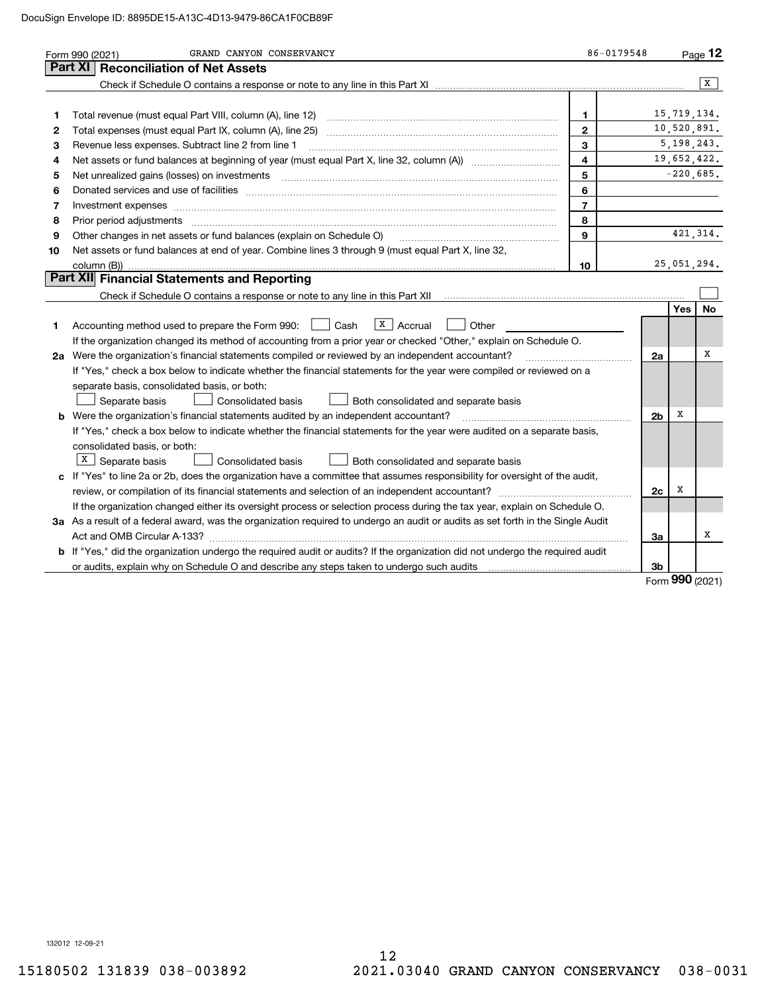|    | GRAND CANYON CONSERVANCY<br>Form 990 (2021)                                                                                                                                                                                   | 86-0179548              |                |              | Page $12$ |
|----|-------------------------------------------------------------------------------------------------------------------------------------------------------------------------------------------------------------------------------|-------------------------|----------------|--------------|-----------|
|    | <b>Reconciliation of Net Assets</b><br>Part XI                                                                                                                                                                                |                         |                |              |           |
|    |                                                                                                                                                                                                                               |                         |                |              | X         |
|    |                                                                                                                                                                                                                               |                         |                |              |           |
| 1  |                                                                                                                                                                                                                               | $\mathbf 1$             |                | 15,719,134.  |           |
| 2  | Total expenses (must equal Part IX, column (A), line 25)                                                                                                                                                                      | $\mathbf{2}$            |                | 10,520,891.  |           |
| з  | Revenue less expenses. Subtract line 2 from line 1                                                                                                                                                                            | 3                       |                | 5, 198, 243. |           |
| 4  | Net assets or fund balances at beginning of year (must equal Part X, line 32, column (A))                                                                                                                                     | $\overline{\mathbf{4}}$ |                | 19,652,422.  |           |
| 5  |                                                                                                                                                                                                                               | 5                       |                | $-220,685.$  |           |
| 6  |                                                                                                                                                                                                                               | 6                       |                |              |           |
| 7  | Investment expenses www.communication.com/www.communication.com/www.communication.com/www.com                                                                                                                                 | $\overline{7}$          |                |              |           |
| 8  |                                                                                                                                                                                                                               | 8                       |                |              |           |
| 9  | Other changes in net assets or fund balances (explain on Schedule O)                                                                                                                                                          | 9                       |                |              | 421, 314. |
| 10 | Net assets or fund balances at end of year. Combine lines 3 through 9 (must equal Part X, line 32,                                                                                                                            |                         |                |              |           |
|    |                                                                                                                                                                                                                               | 10                      |                | 25,051,294.  |           |
|    | Part XII Financial Statements and Reporting                                                                                                                                                                                   |                         |                |              |           |
|    |                                                                                                                                                                                                                               |                         |                |              |           |
|    |                                                                                                                                                                                                                               |                         |                | Yes          | No.       |
| 1  | $\sqrt{x}$   Accrual<br>$\Box$ Cash<br>Other<br>Accounting method used to prepare the Form 990:                                                                                                                               |                         |                |              |           |
|    | If the organization changed its method of accounting from a prior year or checked "Other," explain on Schedule O.                                                                                                             |                         |                |              |           |
|    | 2a Were the organization's financial statements compiled or reviewed by an independent accountant?                                                                                                                            |                         | 2a             |              | х         |
|    | If "Yes," check a box below to indicate whether the financial statements for the year were compiled or reviewed on a                                                                                                          |                         |                |              |           |
|    | separate basis, consolidated basis, or both:                                                                                                                                                                                  |                         |                |              |           |
|    | Separate basis<br><b>Consolidated basis</b><br>Both consolidated and separate basis                                                                                                                                           |                         |                |              |           |
|    | <b>b</b> Were the organization's financial statements audited by an independent accountant?                                                                                                                                   |                         | 2 <sub>b</sub> | х            |           |
|    | If "Yes," check a box below to indicate whether the financial statements for the year were audited on a separate basis,                                                                                                       |                         |                |              |           |
|    | consolidated basis, or both:                                                                                                                                                                                                  |                         |                |              |           |
|    | $X \mid$ Separate basis<br><b>Consolidated basis</b><br>Both consolidated and separate basis                                                                                                                                  |                         |                |              |           |
|    | c If "Yes" to line 2a or 2b, does the organization have a committee that assumes responsibility for oversight of the audit,                                                                                                   |                         |                |              |           |
|    |                                                                                                                                                                                                                               |                         | 2c             | х            |           |
|    | If the organization changed either its oversight process or selection process during the tax year, explain on Schedule O.                                                                                                     |                         |                |              |           |
|    | 3a As a result of a federal award, was the organization required to undergo an audit or audits as set forth in the Single Audit                                                                                               |                         |                |              |           |
|    |                                                                                                                                                                                                                               |                         | За             |              | х         |
|    | <b>b</b> If "Yes," did the organization undergo the required audit or audits? If the organization did not undergo the required audit                                                                                          |                         |                |              |           |
|    | or audits, explain why on Schedule O and describe any steps taken to undergo such audits [11] contains the school of audits [11] or audits [11] or audits [11] or audits [11] or audits [11] or audits [11] or audits [11] or |                         | 3b             |              |           |

Form (2021) **990**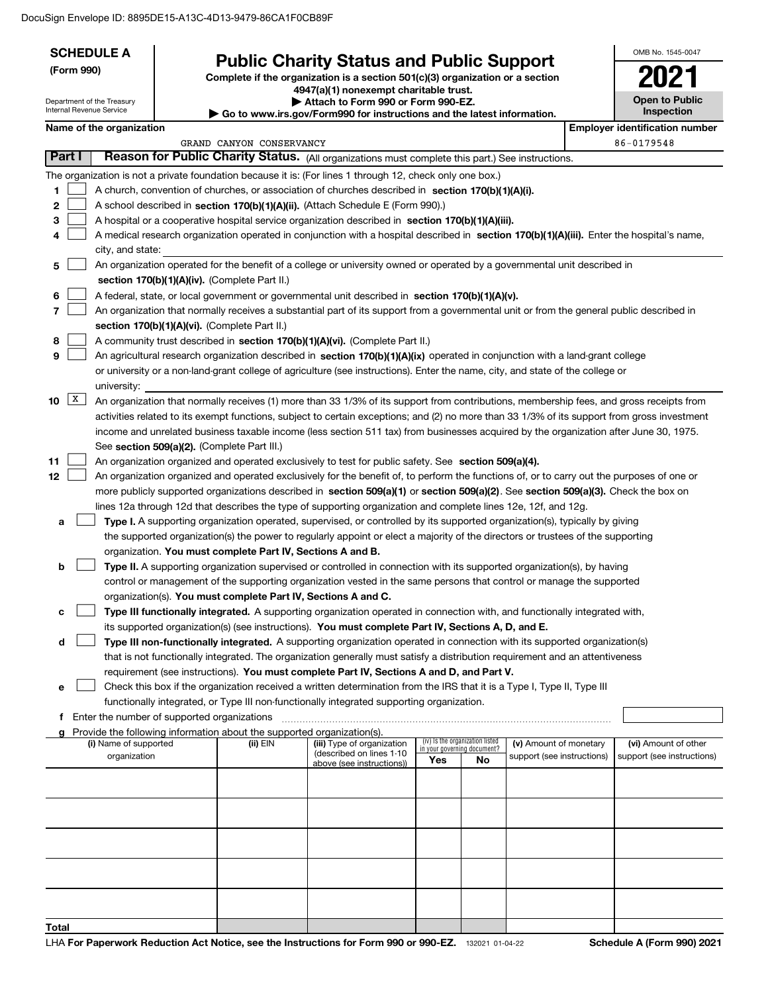| <b>SCHEDULE A</b><br>(Form 990)<br>Department of the Treasury<br>Internal Revenue Service |                                               |  |                                                                          | <b>Public Charity Status and Public Support</b><br>Complete if the organization is a section 501(c)(3) organization or a section<br>4947(a)(1) nonexempt charitable trust.<br>Attach to Form 990 or Form 990-EZ.    |                             |                                 |                            | OMB No. 1545-0047<br><b>Open to Public</b>          |
|-------------------------------------------------------------------------------------------|-----------------------------------------------|--|--------------------------------------------------------------------------|---------------------------------------------------------------------------------------------------------------------------------------------------------------------------------------------------------------------|-----------------------------|---------------------------------|----------------------------|-----------------------------------------------------|
|                                                                                           |                                               |  |                                                                          | Go to www.irs.gov/Form990 for instructions and the latest information.                                                                                                                                              |                             |                                 |                            | Inspection                                          |
|                                                                                           | Name of the organization                      |  | GRAND CANYON CONSERVANCY                                                 |                                                                                                                                                                                                                     |                             |                                 |                            | <b>Employer identification number</b><br>86-0179548 |
| Part I                                                                                    |                                               |  |                                                                          | Reason for Public Charity Status. (All organizations must complete this part.) See instructions.                                                                                                                    |                             |                                 |                            |                                                     |
|                                                                                           |                                               |  |                                                                          | The organization is not a private foundation because it is: (For lines 1 through 12, check only one box.)                                                                                                           |                             |                                 |                            |                                                     |
| 1                                                                                         |                                               |  |                                                                          | A church, convention of churches, or association of churches described in section 170(b)(1)(A)(i).                                                                                                                  |                             |                                 |                            |                                                     |
| 2                                                                                         |                                               |  |                                                                          | A school described in section 170(b)(1)(A)(ii). (Attach Schedule E (Form 990).)                                                                                                                                     |                             |                                 |                            |                                                     |
| 3                                                                                         |                                               |  |                                                                          | A hospital or a cooperative hospital service organization described in section 170(b)(1)(A)(iii).                                                                                                                   |                             |                                 |                            |                                                     |
| 4                                                                                         |                                               |  |                                                                          | A medical research organization operated in conjunction with a hospital described in section 170(b)(1)(A)(iii). Enter the hospital's name,                                                                          |                             |                                 |                            |                                                     |
|                                                                                           | city, and state:                              |  |                                                                          |                                                                                                                                                                                                                     |                             |                                 |                            |                                                     |
| 5                                                                                         |                                               |  |                                                                          | An organization operated for the benefit of a college or university owned or operated by a governmental unit described in                                                                                           |                             |                                 |                            |                                                     |
|                                                                                           |                                               |  | section 170(b)(1)(A)(iv). (Complete Part II.)                            |                                                                                                                                                                                                                     |                             |                                 |                            |                                                     |
| 6                                                                                         |                                               |  |                                                                          | A federal, state, or local government or governmental unit described in section 170(b)(1)(A)(v).                                                                                                                    |                             |                                 |                            |                                                     |
| 7                                                                                         |                                               |  |                                                                          | An organization that normally receives a substantial part of its support from a governmental unit or from the general public described in                                                                           |                             |                                 |                            |                                                     |
|                                                                                           |                                               |  | section 170(b)(1)(A)(vi). (Complete Part II.)                            |                                                                                                                                                                                                                     |                             |                                 |                            |                                                     |
| 8                                                                                         |                                               |  |                                                                          | A community trust described in section 170(b)(1)(A)(vi). (Complete Part II.)                                                                                                                                        |                             |                                 |                            |                                                     |
| 9                                                                                         |                                               |  |                                                                          | An agricultural research organization described in section 170(b)(1)(A)(ix) operated in conjunction with a land-grant college                                                                                       |                             |                                 |                            |                                                     |
|                                                                                           |                                               |  |                                                                          | or university or a non-land-grant college of agriculture (see instructions). Enter the name, city, and state of the college or                                                                                      |                             |                                 |                            |                                                     |
|                                                                                           | university:                                   |  |                                                                          |                                                                                                                                                                                                                     |                             |                                 |                            |                                                     |
| $\mathbf{X}$<br>10                                                                        |                                               |  |                                                                          | An organization that normally receives (1) more than 33 1/3% of its support from contributions, membership fees, and gross receipts from                                                                            |                             |                                 |                            |                                                     |
|                                                                                           |                                               |  |                                                                          | activities related to its exempt functions, subject to certain exceptions; and (2) no more than 33 1/3% of its support from gross investment                                                                        |                             |                                 |                            |                                                     |
|                                                                                           |                                               |  |                                                                          | income and unrelated business taxable income (less section 511 tax) from businesses acquired by the organization after June 30, 1975.                                                                               |                             |                                 |                            |                                                     |
| 11                                                                                        |                                               |  | See section 509(a)(2). (Complete Part III.)                              | An organization organized and operated exclusively to test for public safety. See section 509(a)(4).                                                                                                                |                             |                                 |                            |                                                     |
| 12                                                                                        |                                               |  |                                                                          | An organization organized and operated exclusively for the benefit of, to perform the functions of, or to carry out the purposes of one or                                                                          |                             |                                 |                            |                                                     |
|                                                                                           |                                               |  |                                                                          | more publicly supported organizations described in section 509(a)(1) or section 509(a)(2). See section 509(a)(3). Check the box on                                                                                  |                             |                                 |                            |                                                     |
|                                                                                           |                                               |  |                                                                          | lines 12a through 12d that describes the type of supporting organization and complete lines 12e, 12f, and 12g.                                                                                                      |                             |                                 |                            |                                                     |
| a                                                                                         |                                               |  |                                                                          | Type I. A supporting organization operated, supervised, or controlled by its supported organization(s), typically by giving                                                                                         |                             |                                 |                            |                                                     |
|                                                                                           |                                               |  |                                                                          | the supported organization(s) the power to regularly appoint or elect a majority of the directors or trustees of the supporting                                                                                     |                             |                                 |                            |                                                     |
|                                                                                           |                                               |  | organization. You must complete Part IV, Sections A and B.               |                                                                                                                                                                                                                     |                             |                                 |                            |                                                     |
| b                                                                                         |                                               |  |                                                                          | Type II. A supporting organization supervised or controlled in connection with its supported organization(s), by having                                                                                             |                             |                                 |                            |                                                     |
|                                                                                           |                                               |  |                                                                          | control or management of the supporting organization vested in the same persons that control or manage the supported                                                                                                |                             |                                 |                            |                                                     |
|                                                                                           |                                               |  | organization(s). You must complete Part IV, Sections A and C.            |                                                                                                                                                                                                                     |                             |                                 |                            |                                                     |
| c                                                                                         |                                               |  |                                                                          | Type III functionally integrated. A supporting organization operated in connection with, and functionally integrated with,                                                                                          |                             |                                 |                            |                                                     |
|                                                                                           |                                               |  |                                                                          | its supported organization(s) (see instructions). You must complete Part IV, Sections A, D, and E.                                                                                                                  |                             |                                 |                            |                                                     |
| d                                                                                         |                                               |  |                                                                          | Type III non-functionally integrated. A supporting organization operated in connection with its supported organization(s)                                                                                           |                             |                                 |                            |                                                     |
|                                                                                           |                                               |  |                                                                          | that is not functionally integrated. The organization generally must satisfy a distribution requirement and an attentiveness                                                                                        |                             |                                 |                            |                                                     |
| е                                                                                         |                                               |  |                                                                          | requirement (see instructions). You must complete Part IV, Sections A and D, and Part V.<br>Check this box if the organization received a written determination from the IRS that it is a Type I, Type II, Type III |                             |                                 |                            |                                                     |
|                                                                                           |                                               |  |                                                                          | functionally integrated, or Type III non-functionally integrated supporting organization.                                                                                                                           |                             |                                 |                            |                                                     |
|                                                                                           | f Enter the number of supported organizations |  |                                                                          |                                                                                                                                                                                                                     |                             |                                 |                            |                                                     |
|                                                                                           |                                               |  | g Provide the following information about the supported organization(s). |                                                                                                                                                                                                                     |                             |                                 |                            |                                                     |
|                                                                                           | (i) Name of supported                         |  | (ii) EIN                                                                 | (iii) Type of organization<br>(described on lines 1-10                                                                                                                                                              | in your governing document? | (iv) Is the organization listed | (v) Amount of monetary     | (vi) Amount of other                                |
|                                                                                           | organization                                  |  |                                                                          | above (see instructions))                                                                                                                                                                                           | Yes                         | No                              | support (see instructions) | support (see instructions)                          |
|                                                                                           |                                               |  |                                                                          |                                                                                                                                                                                                                     |                             |                                 |                            |                                                     |
|                                                                                           |                                               |  |                                                                          |                                                                                                                                                                                                                     |                             |                                 |                            |                                                     |
|                                                                                           |                                               |  |                                                                          |                                                                                                                                                                                                                     |                             |                                 |                            |                                                     |
|                                                                                           |                                               |  |                                                                          |                                                                                                                                                                                                                     |                             |                                 |                            |                                                     |
|                                                                                           |                                               |  |                                                                          |                                                                                                                                                                                                                     |                             |                                 |                            |                                                     |
|                                                                                           |                                               |  |                                                                          |                                                                                                                                                                                                                     |                             |                                 |                            |                                                     |
|                                                                                           |                                               |  |                                                                          |                                                                                                                                                                                                                     |                             |                                 |                            |                                                     |
|                                                                                           |                                               |  |                                                                          |                                                                                                                                                                                                                     |                             |                                 |                            |                                                     |
|                                                                                           |                                               |  |                                                                          |                                                                                                                                                                                                                     |                             |                                 |                            |                                                     |
| Total                                                                                     |                                               |  |                                                                          |                                                                                                                                                                                                                     |                             |                                 |                            |                                                     |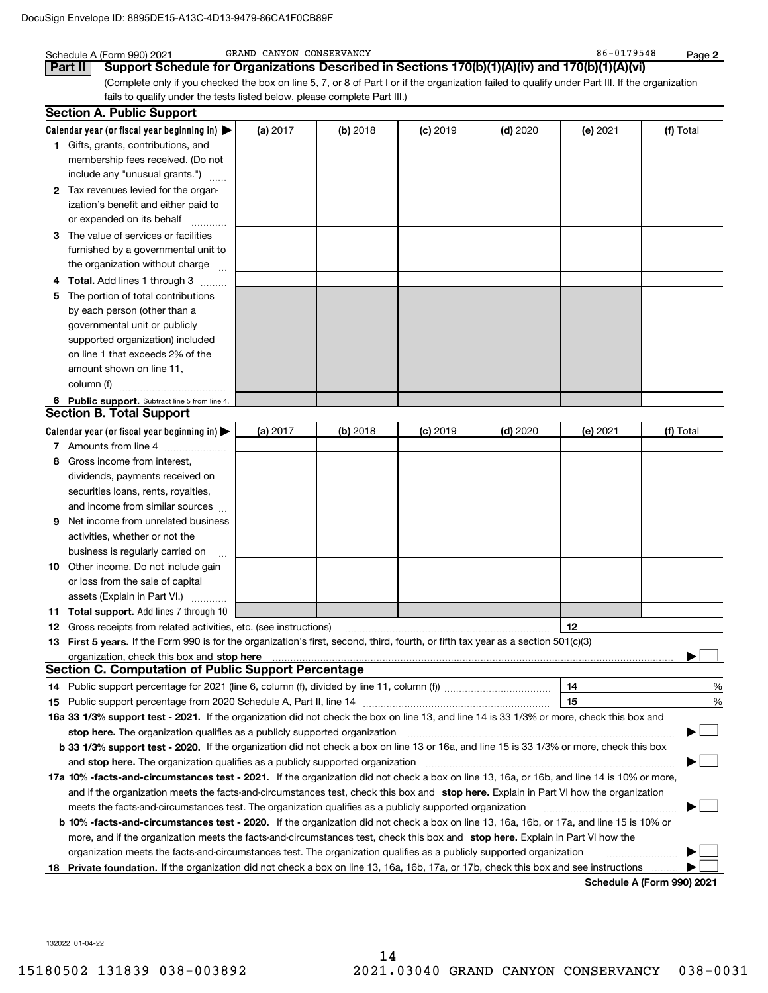|     | Schedule A (Form 990) 2021                                                                                                                                                                                                   | GRAND CANYON CONSERVANCY |          |                 |            | 86-0179548 | Page 2                            |
|-----|------------------------------------------------------------------------------------------------------------------------------------------------------------------------------------------------------------------------------|--------------------------|----------|-----------------|------------|------------|-----------------------------------|
|     | Support Schedule for Organizations Described in Sections 170(b)(1)(A)(iv) and 170(b)(1)(A)(vi)<br>Part II                                                                                                                    |                          |          |                 |            |            |                                   |
|     | (Complete only if you checked the box on line 5, 7, or 8 of Part I or if the organization failed to qualify under Part III. If the organization<br>fails to qualify under the tests listed below, please complete Part III.) |                          |          |                 |            |            |                                   |
|     | <b>Section A. Public Support</b>                                                                                                                                                                                             |                          |          |                 |            |            |                                   |
|     | Calendar year (or fiscal year beginning in) $\blacktriangleright$                                                                                                                                                            | (a) 2017                 | (b) 2018 | <b>(c)</b> 2019 | $(d)$ 2020 | (e) 2021   | (f) Total                         |
|     | 1 Gifts, grants, contributions, and                                                                                                                                                                                          |                          |          |                 |            |            |                                   |
|     | membership fees received. (Do not                                                                                                                                                                                            |                          |          |                 |            |            |                                   |
|     | include any "unusual grants.")                                                                                                                                                                                               |                          |          |                 |            |            |                                   |
|     | 2 Tax revenues levied for the organ-                                                                                                                                                                                         |                          |          |                 |            |            |                                   |
|     | ization's benefit and either paid to                                                                                                                                                                                         |                          |          |                 |            |            |                                   |
|     | or expended on its behalf                                                                                                                                                                                                    |                          |          |                 |            |            |                                   |
|     | 3 The value of services or facilities                                                                                                                                                                                        |                          |          |                 |            |            |                                   |
|     |                                                                                                                                                                                                                              |                          |          |                 |            |            |                                   |
|     | furnished by a governmental unit to                                                                                                                                                                                          |                          |          |                 |            |            |                                   |
|     | the organization without charge                                                                                                                                                                                              |                          |          |                 |            |            |                                   |
| 4   | Total. Add lines 1 through 3<br>.                                                                                                                                                                                            |                          |          |                 |            |            |                                   |
| 5.  | The portion of total contributions                                                                                                                                                                                           |                          |          |                 |            |            |                                   |
|     | by each person (other than a                                                                                                                                                                                                 |                          |          |                 |            |            |                                   |
|     | governmental unit or publicly                                                                                                                                                                                                |                          |          |                 |            |            |                                   |
|     | supported organization) included                                                                                                                                                                                             |                          |          |                 |            |            |                                   |
|     | on line 1 that exceeds 2% of the                                                                                                                                                                                             |                          |          |                 |            |            |                                   |
|     | amount shown on line 11,<br>column (f)                                                                                                                                                                                       |                          |          |                 |            |            |                                   |
|     |                                                                                                                                                                                                                              |                          |          |                 |            |            |                                   |
|     | 6 Public support. Subtract line 5 from line 4.<br><b>Section B. Total Support</b>                                                                                                                                            |                          |          |                 |            |            |                                   |
|     |                                                                                                                                                                                                                              |                          |          |                 |            |            |                                   |
|     | Calendar year (or fiscal year beginning in)                                                                                                                                                                                  | (a) $2017$               | (b) 2018 | $(c)$ 2019      | $(d)$ 2020 | (e) 2021   | (f) Total                         |
|     | 7 Amounts from line 4                                                                                                                                                                                                        |                          |          |                 |            |            |                                   |
| 8   | Gross income from interest,                                                                                                                                                                                                  |                          |          |                 |            |            |                                   |
|     | dividends, payments received on                                                                                                                                                                                              |                          |          |                 |            |            |                                   |
|     | securities loans, rents, royalties,                                                                                                                                                                                          |                          |          |                 |            |            |                                   |
|     | and income from similar sources                                                                                                                                                                                              |                          |          |                 |            |            |                                   |
| 9   | Net income from unrelated business                                                                                                                                                                                           |                          |          |                 |            |            |                                   |
|     | activities, whether or not the                                                                                                                                                                                               |                          |          |                 |            |            |                                   |
|     | business is regularly carried on                                                                                                                                                                                             |                          |          |                 |            |            |                                   |
|     | 10 Other income. Do not include gain                                                                                                                                                                                         |                          |          |                 |            |            |                                   |
|     | or loss from the sale of capital                                                                                                                                                                                             |                          |          |                 |            |            |                                   |
|     | assets (Explain in Part VI.)                                                                                                                                                                                                 |                          |          |                 |            |            |                                   |
|     | <b>11 Total support.</b> Add lines 7 through 10<br>Gross receipts from related activities, etc. (see instructions)                                                                                                           |                          |          |                 |            | 12         |                                   |
| 12  | 13 First 5 years. If the Form 990 is for the organization's first, second, third, fourth, or fifth tax year as a section 501(c)(3)                                                                                           |                          |          |                 |            |            |                                   |
|     |                                                                                                                                                                                                                              |                          |          |                 |            |            |                                   |
|     | <b>Section C. Computation of Public Support Percentage</b>                                                                                                                                                                   |                          |          |                 |            |            |                                   |
|     |                                                                                                                                                                                                                              |                          |          |                 |            | 14         | %                                 |
| 15  |                                                                                                                                                                                                                              |                          |          |                 |            | 15         | $\%$                              |
|     | 16a 33 1/3% support test - 2021. If the organization did not check the box on line 13, and line 14 is 33 1/3% or more, check this box and                                                                                    |                          |          |                 |            |            |                                   |
|     | stop here. The organization qualifies as a publicly supported organization matchinary material content and the                                                                                                               |                          |          |                 |            |            |                                   |
|     | b 33 1/3% support test - 2020. If the organization did not check a box on line 13 or 16a, and line 15 is 33 1/3% or more, check this box                                                                                     |                          |          |                 |            |            |                                   |
|     |                                                                                                                                                                                                                              |                          |          |                 |            |            |                                   |
|     | 17a 10% -facts-and-circumstances test - 2021. If the organization did not check a box on line 13, 16a, or 16b, and line 14 is 10% or more,                                                                                   |                          |          |                 |            |            |                                   |
|     | and if the organization meets the facts-and-circumstances test, check this box and stop here. Explain in Part VI how the organization                                                                                        |                          |          |                 |            |            |                                   |
|     | meets the facts-and-circumstances test. The organization qualifies as a publicly supported organization                                                                                                                      |                          |          |                 |            |            |                                   |
|     | <b>b 10% -facts-and-circumstances test - 2020.</b> If the organization did not check a box on line 13, 16a, 16b, or 17a, and line 15 is 10% or                                                                               |                          |          |                 |            |            |                                   |
|     | more, and if the organization meets the facts-and-circumstances test, check this box and stop here. Explain in Part VI how the                                                                                               |                          |          |                 |            |            |                                   |
|     | organization meets the facts-and-circumstances test. The organization qualifies as a publicly supported organization                                                                                                         |                          |          |                 |            |            |                                   |
| 18. | Private foundation. If the organization did not check a box on line 13, 16a, 16b, 17a, or 17b, check this box and see instructions                                                                                           |                          |          |                 |            |            |                                   |
|     |                                                                                                                                                                                                                              |                          |          |                 |            |            | <b>Cohodulo A (Form 000) 2021</b> |

**Schedule A (Form 990) 2021**

132022 01-04-22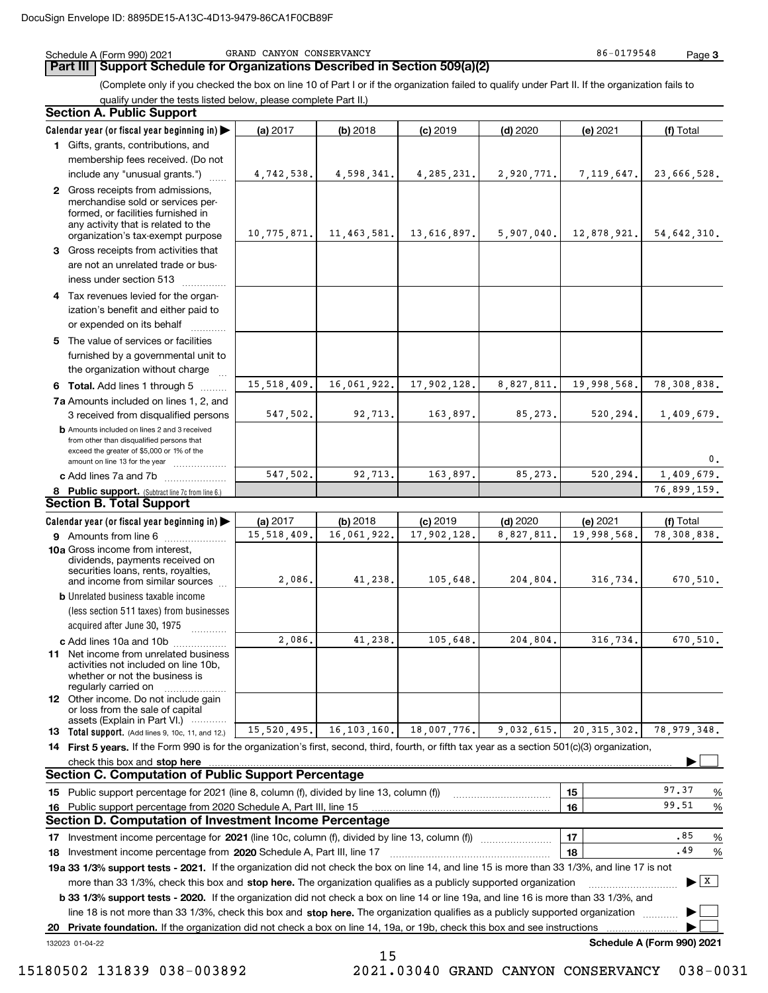Schedule A (Form 990) 2021 GRAND CANYON CONSERVANCY 66-0179548 GRAND CANYON CONSERVANCY

**Part III Support Schedule for Organizations Described in Section 509(a)(2)** 

(Complete only if you checked the box on line 10 of Part I or if the organization failed to qualify under Part II. If the organization fails to qualify under the tests listed below, please complete Part II.)

|     | <b>Section A. Public Support</b>                                                                                                                                                         |             |               |              |            |               |                            |
|-----|------------------------------------------------------------------------------------------------------------------------------------------------------------------------------------------|-------------|---------------|--------------|------------|---------------|----------------------------|
|     | Calendar year (or fiscal year beginning in)                                                                                                                                              | (a) 2017    | (b) 2018      | $(c)$ 2019   | $(d)$ 2020 | (e) 2021      | (f) Total                  |
|     | 1 Gifts, grants, contributions, and                                                                                                                                                      |             |               |              |            |               |                            |
|     | membership fees received. (Do not                                                                                                                                                        |             |               |              |            |               |                            |
|     | include any "unusual grants.")                                                                                                                                                           | 4,742,538.  | 4,598,341.    | 4, 285, 231. | 2,920,771. | 7, 119, 647.  | 23,666,528.                |
|     | 2 Gross receipts from admissions,<br>merchandise sold or services per-<br>formed, or facilities furnished in<br>any activity that is related to the<br>organization's tax-exempt purpose | 10,775,871. | 11, 463, 581. | 13,616,897.  | 5,907,040. |               | $12,878,921.$ 54,642,310.  |
|     | 3 Gross receipts from activities that                                                                                                                                                    |             |               |              |            |               |                            |
|     | are not an unrelated trade or bus-<br>iness under section 513                                                                                                                            |             |               |              |            |               |                            |
|     | 4 Tax revenues levied for the organ-                                                                                                                                                     |             |               |              |            |               |                            |
|     | ization's benefit and either paid to<br>or expended on its behalf                                                                                                                        |             |               |              |            |               |                            |
|     | 5 The value of services or facilities                                                                                                                                                    |             |               |              |            |               |                            |
|     | furnished by a governmental unit to<br>the organization without charge                                                                                                                   |             |               |              |            |               |                            |
|     |                                                                                                                                                                                          | 15,518,409. | 16,061,922.   | 17,902,128.  | 8,827,811. | 19,998,568.   | 78,308,838.                |
|     | 6 Total. Add lines 1 through 5                                                                                                                                                           |             |               |              |            |               |                            |
|     | 7a Amounts included on lines 1, 2, and<br>3 received from disqualified persons                                                                                                           | 547,502.    | 92,713.       | 163,897.     | 85,273.    | 520,294.      | 1,409,679.                 |
|     | <b>b</b> Amounts included on lines 2 and 3 received<br>from other than disqualified persons that<br>exceed the greater of \$5,000 or 1% of the<br>amount on line 13 for the year         |             |               |              |            |               | 0.                         |
|     | c Add lines 7a and 7b                                                                                                                                                                    | 547,502.    | 92,713.       | 163,897.     | 85,273.    | 520,294.      | 1,409,679.                 |
|     | 8 Public support. (Subtract line 7c from line 6.)                                                                                                                                        |             |               |              |            |               | 76,899,159.                |
|     | <b>Section B. Total Support</b>                                                                                                                                                          |             |               |              |            |               |                            |
|     | Calendar year (or fiscal year beginning in)                                                                                                                                              | (a) 2017    | (b) 2018      | $(c)$ 2019   | $(d)$ 2020 | (e) 2021      | (f) Total                  |
|     | 9 Amounts from line 6                                                                                                                                                                    | 15,518,409. | 16,061,922.   | 17,902,128.  | 8,827,811  | 19,998,568.   | 78,308,838.                |
|     | 10a Gross income from interest,<br>dividends, payments received on<br>securities loans, rents, royalties,<br>and income from similar sources                                             | 2,086.      | 41,238.       | 105,648.     | 204,804.   | 316,734.      | 670,510.                   |
|     | <b>b</b> Unrelated business taxable income                                                                                                                                               |             |               |              |            |               |                            |
|     | (less section 511 taxes) from businesses                                                                                                                                                 |             |               |              |            |               |                            |
|     | acquired after June 30, 1975                                                                                                                                                             |             |               |              |            |               |                            |
|     | c Add lines 10a and 10b                                                                                                                                                                  | 2,086.      | 41,238.       | 105,648.     | 204,804.   | 316,734.      | 670,510.                   |
|     | 11 Net income from unrelated business<br>activities not included on line 10b,<br>whether or not the business is<br>regularly carried on                                                  |             |               |              |            |               |                            |
|     | <b>12</b> Other income. Do not include gain<br>or loss from the sale of capital<br>assets (Explain in Part VI.)                                                                          |             |               |              |            |               |                            |
|     | <b>13</b> Total support. (Add lines 9, 10c, 11, and 12.)                                                                                                                                 | 15,520,495. | 16, 103, 160. | 18,007,776.  | 9,032,615. | 20, 315, 302. | 78,979,348.                |
|     | 14 First 5 years. If the Form 990 is for the organization's first, second, third, fourth, or fifth tax year as a section 501(c)(3) organization,                                         |             |               |              |            |               |                            |
|     | check this box and stop here measurements are constructed as the state of the state of the state of the state o                                                                          |             |               |              |            |               |                            |
|     | <b>Section C. Computation of Public Support Percentage</b>                                                                                                                               |             |               |              |            |               |                            |
|     | 15 Public support percentage for 2021 (line 8, column (f), divided by line 13, column (f))                                                                                               |             |               |              |            | 15            | 97.37<br>%                 |
| 16. | Public support percentage from 2020 Schedule A, Part III, line 15                                                                                                                        |             |               |              |            | 16            | 99.51<br>%                 |
|     | <b>Section D. Computation of Investment Income Percentage</b>                                                                                                                            |             |               |              |            |               |                            |
|     | 17 Investment income percentage for 2021 (line 10c, column (f), divided by line 13, column (f))                                                                                          |             |               |              |            | 17            | .85<br>%                   |
|     | 18 Investment income percentage from 2020 Schedule A, Part III, line 17                                                                                                                  |             |               |              |            | 18            | .49<br>%                   |
|     | 19a 33 1/3% support tests - 2021. If the organization did not check the box on line 14, and line 15 is more than 33 1/3%, and line 17 is not                                             |             |               |              |            |               |                            |
|     | more than 33 1/3%, check this box and stop here. The organization qualifies as a publicly supported organization                                                                         |             |               |              |            |               | $\mathbf{X}$<br>▶          |
|     | <b>b 33 1/3% support tests - 2020.</b> If the organization did not check a box on line 14 or line 19a, and line 16 is more than 33 1/3%, and                                             |             |               |              |            |               |                            |
|     | line 18 is not more than 33 1/3%, check this box and stop here. The organization qualifies as a publicly supported organization                                                          |             |               |              |            |               |                            |
| 20  | Private foundation. If the organization did not check a box on line 14, 19a, or 19b, check this box and see instructions                                                                 |             |               |              |            |               |                            |
|     | 132023 01-04-22                                                                                                                                                                          |             |               |              |            |               | Schedule A (Form 990) 2021 |

15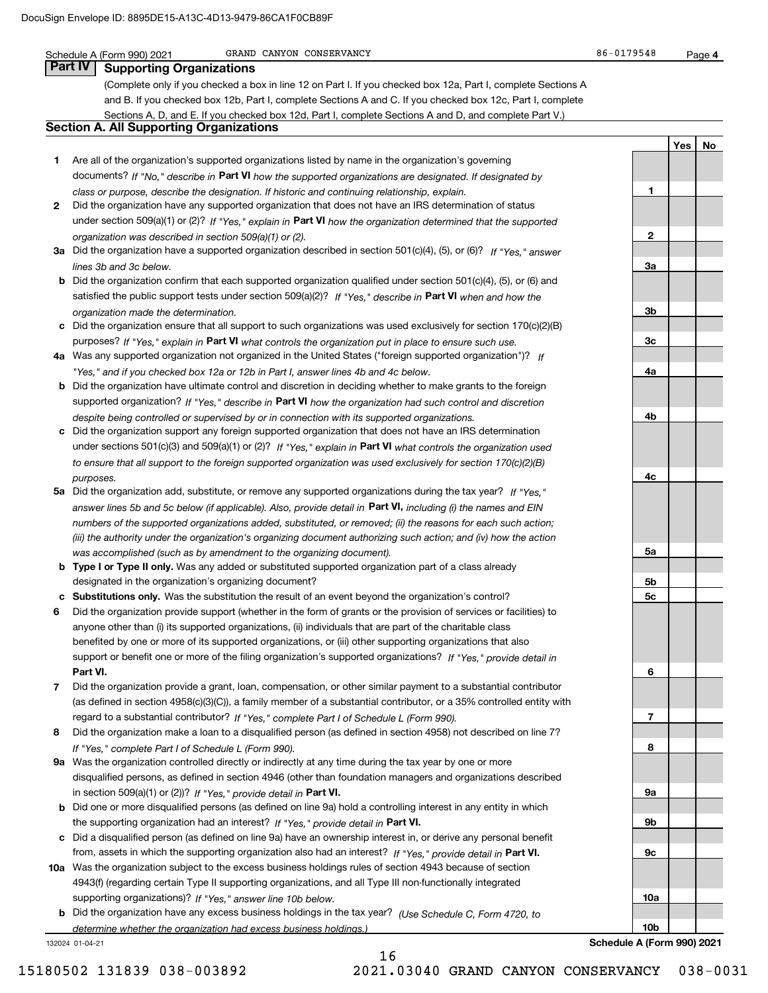Schedule A (Form 990) 2021 GRAND CANYON CONSERVANCY 86-0179548 GRAND CANYON CONSERVANCY

**1**

**2**

**3a**

**3b**

**3c**

**4a**

**4b**

**4c**

**5a**

**5b5c**

**6**

**7**

**8**

**9a**

**9b**

**9c**

**10a**

**YesNo**

## **Part IV Supporting Organizations**

(Complete only if you checked a box in line 12 on Part I. If you checked box 12a, Part I, complete Sections A and B. If you checked box 12b, Part I, complete Sections A and C. If you checked box 12c, Part I, complete Sections A, D, and E. If you checked box 12d, Part I, complete Sections A and D, and complete Part V.)

## **Section A. All Supporting Organizations**

- **1** Are all of the organization's supported organizations listed by name in the organization's governing documents? If "No," describe in **Part VI** how the supported organizations are designated. If designated by *class or purpose, describe the designation. If historic and continuing relationship, explain.*
- **2** Did the organization have any supported organization that does not have an IRS determination of status under section 509(a)(1) or (2)? If "Yes," explain in Part VI how the organization determined that the supported *organization was described in section 509(a)(1) or (2).*
- **3a** Did the organization have a supported organization described in section 501(c)(4), (5), or (6)? If "Yes," answer *lines 3b and 3c below.*
- **b** Did the organization confirm that each supported organization qualified under section 501(c)(4), (5), or (6) and satisfied the public support tests under section 509(a)(2)? If "Yes," describe in **Part VI** when and how the *organization made the determination.*
- **c**Did the organization ensure that all support to such organizations was used exclusively for section 170(c)(2)(B) purposes? If "Yes," explain in **Part VI** what controls the organization put in place to ensure such use.
- **4a***If* Was any supported organization not organized in the United States ("foreign supported organization")? *"Yes," and if you checked box 12a or 12b in Part I, answer lines 4b and 4c below.*
- **b** Did the organization have ultimate control and discretion in deciding whether to make grants to the foreign supported organization? If "Yes," describe in **Part VI** how the organization had such control and discretion *despite being controlled or supervised by or in connection with its supported organizations.*
- **c** Did the organization support any foreign supported organization that does not have an IRS determination under sections 501(c)(3) and 509(a)(1) or (2)? If "Yes," explain in **Part VI** what controls the organization used *to ensure that all support to the foreign supported organization was used exclusively for section 170(c)(2)(B) purposes.*
- **5a***If "Yes,"* Did the organization add, substitute, or remove any supported organizations during the tax year? answer lines 5b and 5c below (if applicable). Also, provide detail in **Part VI,** including (i) the names and EIN *numbers of the supported organizations added, substituted, or removed; (ii) the reasons for each such action; (iii) the authority under the organization's organizing document authorizing such action; and (iv) how the action was accomplished (such as by amendment to the organizing document).*
- **b** Type I or Type II only. Was any added or substituted supported organization part of a class already designated in the organization's organizing document?
- **cSubstitutions only.**  Was the substitution the result of an event beyond the organization's control?
- **6** Did the organization provide support (whether in the form of grants or the provision of services or facilities) to **Part VI.** *If "Yes," provide detail in* support or benefit one or more of the filing organization's supported organizations? anyone other than (i) its supported organizations, (ii) individuals that are part of the charitable class benefited by one or more of its supported organizations, or (iii) other supporting organizations that also
- **7**Did the organization provide a grant, loan, compensation, or other similar payment to a substantial contributor regard to a substantial contributor? If "Yes," complete Part I of Schedule L (Form 990). (as defined in section 4958(c)(3)(C)), a family member of a substantial contributor, or a 35% controlled entity with
- **8** Did the organization make a loan to a disqualified person (as defined in section 4958) not described on line 7? *If "Yes," complete Part I of Schedule L (Form 990).*
- **9a** Was the organization controlled directly or indirectly at any time during the tax year by one or more in section 509(a)(1) or (2))? If "Yes," *provide detail in* <code>Part VI.</code> disqualified persons, as defined in section 4946 (other than foundation managers and organizations described
- **b** Did one or more disqualified persons (as defined on line 9a) hold a controlling interest in any entity in which the supporting organization had an interest? If "Yes," provide detail in P**art VI**.
- **c**Did a disqualified person (as defined on line 9a) have an ownership interest in, or derive any personal benefit from, assets in which the supporting organization also had an interest? If "Yes," provide detail in P**art VI.**
- **10a** Was the organization subject to the excess business holdings rules of section 4943 because of section supporting organizations)? If "Yes," answer line 10b below. 4943(f) (regarding certain Type II supporting organizations, and all Type III non-functionally integrated
- **b** Did the organization have any excess business holdings in the tax year? (Use Schedule C, Form 4720, to *determine whether the organization had excess business holdings.)*

16

132024 01-04-21

**10bSchedule A (Form 990) 2021**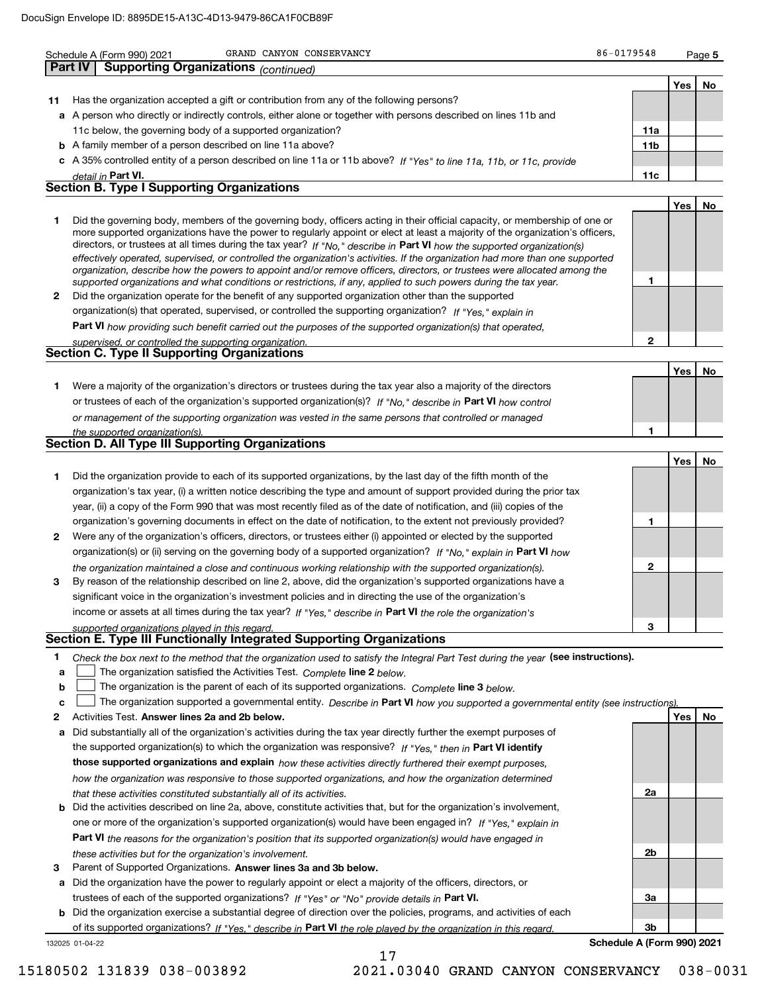|        | GRAND CANYON CONSERVANCY<br>Schedule A (Form 990) 2021                                                                                                                                                                                                      | 86-0179548                 |     | Page 5 |
|--------|-------------------------------------------------------------------------------------------------------------------------------------------------------------------------------------------------------------------------------------------------------------|----------------------------|-----|--------|
|        | <b>Supporting Organizations</b> (continued)<br><b>Part IV</b>                                                                                                                                                                                               |                            |     |        |
|        |                                                                                                                                                                                                                                                             |                            | Yes | No     |
| 11     | Has the organization accepted a gift or contribution from any of the following persons?                                                                                                                                                                     |                            |     |        |
|        | a A person who directly or indirectly controls, either alone or together with persons described on lines 11b and                                                                                                                                            |                            |     |        |
|        | 11c below, the governing body of a supported organization?                                                                                                                                                                                                  | 11a                        |     |        |
|        | <b>b</b> A family member of a person described on line 11a above?                                                                                                                                                                                           | 11 <sub>b</sub>            |     |        |
|        | c A 35% controlled entity of a person described on line 11a or 11b above? If "Yes" to line 11a, 11b, or 11c, provide                                                                                                                                        |                            |     |        |
|        | detail in Part VI.                                                                                                                                                                                                                                          | 11c                        |     |        |
|        | <b>Section B. Type I Supporting Organizations</b>                                                                                                                                                                                                           |                            |     |        |
|        |                                                                                                                                                                                                                                                             |                            | Yes | No     |
| 1      | Did the governing body, members of the governing body, officers acting in their official capacity, or membership of one or<br>more supported organizations have the power to regularly appoint or elect at least a majority of the organization's officers, |                            |     |        |
|        | directors, or trustees at all times during the tax year? If "No," describe in Part VI how the supported organization(s)                                                                                                                                     |                            |     |        |
|        | effectively operated, supervised, or controlled the organization's activities. If the organization had more than one supported                                                                                                                              |                            |     |        |
|        | organization, describe how the powers to appoint and/or remove officers, directors, or trustees were allocated among the                                                                                                                                    | 1                          |     |        |
| 2      | supported organizations and what conditions or restrictions, if any, applied to such powers during the tax year.<br>Did the organization operate for the benefit of any supported organization other than the supported                                     |                            |     |        |
|        | organization(s) that operated, supervised, or controlled the supporting organization? If "Yes," explain in                                                                                                                                                  |                            |     |        |
|        | Part VI how providing such benefit carried out the purposes of the supported organization(s) that operated,                                                                                                                                                 |                            |     |        |
|        | supervised, or controlled the supporting organization.                                                                                                                                                                                                      | $\mathbf 2$                |     |        |
|        | <b>Section C. Type II Supporting Organizations</b>                                                                                                                                                                                                          |                            |     |        |
|        |                                                                                                                                                                                                                                                             |                            | Yes | No     |
| 1      | Were a majority of the organization's directors or trustees during the tax year also a majority of the directors                                                                                                                                            |                            |     |        |
|        | or trustees of each of the organization's supported organization(s)? If "No," describe in Part VI how control                                                                                                                                               |                            |     |        |
|        | or management of the supporting organization was vested in the same persons that controlled or managed                                                                                                                                                      |                            |     |        |
|        | the supported organization(s).                                                                                                                                                                                                                              | 1                          |     |        |
|        | <b>Section D. All Type III Supporting Organizations</b>                                                                                                                                                                                                     |                            |     |        |
|        |                                                                                                                                                                                                                                                             |                            | Yes | No     |
| 1      | Did the organization provide to each of its supported organizations, by the last day of the fifth month of the                                                                                                                                              |                            |     |        |
|        | organization's tax year, (i) a written notice describing the type and amount of support provided during the prior tax                                                                                                                                       |                            |     |        |
|        | year, (ii) a copy of the Form 990 that was most recently filed as of the date of notification, and (iii) copies of the                                                                                                                                      |                            |     |        |
|        | organization's governing documents in effect on the date of notification, to the extent not previously provided?                                                                                                                                            | 1                          |     |        |
| 2      | Were any of the organization's officers, directors, or trustees either (i) appointed or elected by the supported                                                                                                                                            |                            |     |        |
|        | organization(s) or (ii) serving on the governing body of a supported organization? If "No," explain in Part VI how                                                                                                                                          |                            |     |        |
|        | the organization maintained a close and continuous working relationship with the supported organization(s).                                                                                                                                                 | $\mathbf{2}$               |     |        |
| з      | By reason of the relationship described on line 2, above, did the organization's supported organizations have a                                                                                                                                             |                            |     |        |
|        | significant voice in the organization's investment policies and in directing the use of the organization's                                                                                                                                                  |                            |     |        |
|        | income or assets at all times during the tax year? If "Yes," describe in Part VI the role the organization's                                                                                                                                                |                            |     |        |
|        | supported organizations played in this regard.<br>Section E. Type III Functionally Integrated Supporting Organizations                                                                                                                                      | 3                          |     |        |
|        |                                                                                                                                                                                                                                                             |                            |     |        |
| 1      | Check the box next to the method that the organization used to satisfy the Integral Part Test during the year (see instructions).                                                                                                                           |                            |     |        |
| a      | The organization satisfied the Activities Test. Complete line 2 below.                                                                                                                                                                                      |                            |     |        |
| b<br>c | The organization is the parent of each of its supported organizations. Complete line 3 below.<br>The organization supported a governmental entity. Describe in Part VI how you supported a governmental entity (see instructions).                          |                            |     |        |
| 2      | Activities Test. Answer lines 2a and 2b below.                                                                                                                                                                                                              |                            | Yes | No     |
| a      | Did substantially all of the organization's activities during the tax year directly further the exempt purposes of                                                                                                                                          |                            |     |        |
|        | the supported organization(s) to which the organization was responsive? If "Yes," then in Part VI identify                                                                                                                                                  |                            |     |        |
|        | those supported organizations and explain how these activities directly furthered their exempt purposes,                                                                                                                                                    |                            |     |        |
|        | how the organization was responsive to those supported organizations, and how the organization determined                                                                                                                                                   |                            |     |        |
|        | that these activities constituted substantially all of its activities.                                                                                                                                                                                      | 2a                         |     |        |
| b      | Did the activities described on line 2a, above, constitute activities that, but for the organization's involvement,                                                                                                                                         |                            |     |        |
|        | one or more of the organization's supported organization(s) would have been engaged in? If "Yes," explain in                                                                                                                                                |                            |     |        |
|        | Part VI the reasons for the organization's position that its supported organization(s) would have engaged in                                                                                                                                                |                            |     |        |
|        | these activities but for the organization's involvement.                                                                                                                                                                                                    | 2b                         |     |        |
| 3      | Parent of Supported Organizations. Answer lines 3a and 3b below.                                                                                                                                                                                            |                            |     |        |
| а      | Did the organization have the power to regularly appoint or elect a majority of the officers, directors, or                                                                                                                                                 |                            |     |        |
|        | trustees of each of the supported organizations? If "Yes" or "No" provide details in Part VI.                                                                                                                                                               | За                         |     |        |
| b      | Did the organization exercise a substantial degree of direction over the policies, programs, and activities of each                                                                                                                                         |                            |     |        |
|        | of its supported organizations? If "Yes," describe in Part VI the role played by the organization in this regard.                                                                                                                                           | 3b                         |     |        |
|        | 132025 01-04-22                                                                                                                                                                                                                                             | Schedule A (Form 990) 2021 |     |        |

**Schedule A (Form 990) 2021**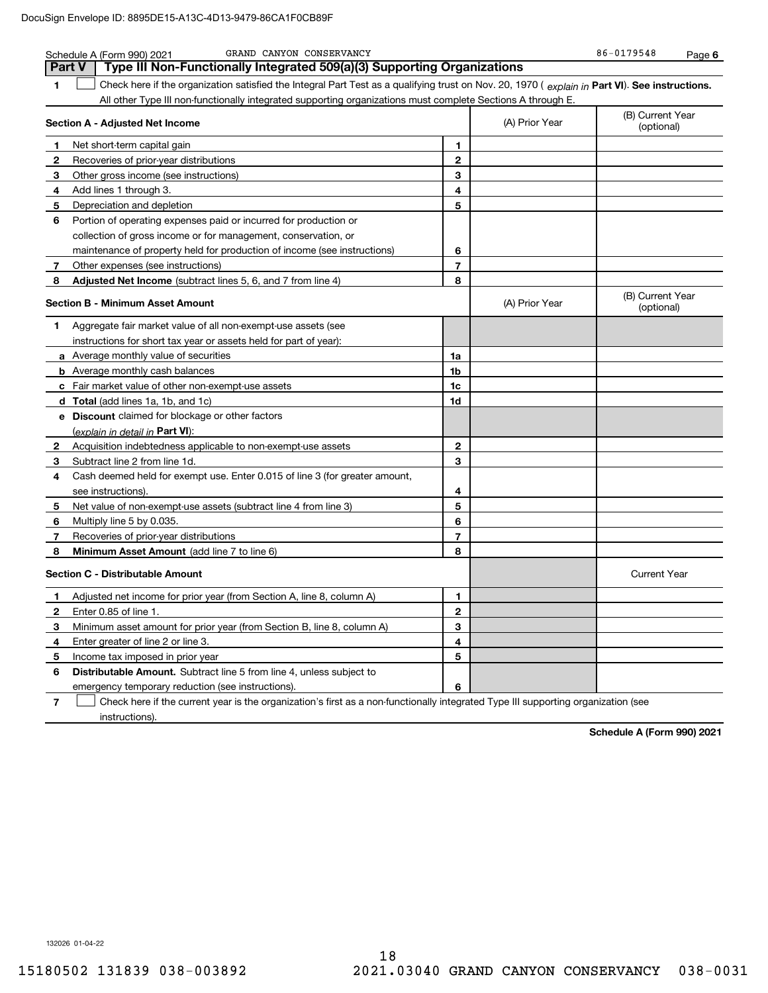|                | GRAND CANYON CONSERVANCY<br>Schedule A (Form 990) 2021                                                                                         |              |                | 86-0179548<br>Page 6           |
|----------------|------------------------------------------------------------------------------------------------------------------------------------------------|--------------|----------------|--------------------------------|
| <b>Part V</b>  | Type III Non-Functionally Integrated 509(a)(3) Supporting Organizations                                                                        |              |                |                                |
| 1              | Check here if the organization satisfied the Integral Part Test as a qualifying trust on Nov. 20, 1970 (explain in Part VI). See instructions. |              |                |                                |
|                | All other Type III non-functionally integrated supporting organizations must complete Sections A through E.                                    |              |                |                                |
|                | Section A - Adjusted Net Income                                                                                                                |              | (A) Prior Year | (B) Current Year<br>(optional) |
| 1              | Net short-term capital gain                                                                                                                    | 1            |                |                                |
| 2              | Recoveries of prior-year distributions                                                                                                         | $\mathbf{2}$ |                |                                |
| 3              | Other gross income (see instructions)                                                                                                          | 3            |                |                                |
| 4              | Add lines 1 through 3.                                                                                                                         | 4            |                |                                |
| 5              | Depreciation and depletion                                                                                                                     | 5            |                |                                |
| 6              | Portion of operating expenses paid or incurred for production or                                                                               |              |                |                                |
|                | collection of gross income or for management, conservation, or                                                                                 |              |                |                                |
|                | maintenance of property held for production of income (see instructions)                                                                       | 6            |                |                                |
| 7              | Other expenses (see instructions)                                                                                                              | 7            |                |                                |
| 8              | Adjusted Net Income (subtract lines 5, 6, and 7 from line 4)                                                                                   | 8            |                |                                |
|                | <b>Section B - Minimum Asset Amount</b>                                                                                                        |              | (A) Prior Year | (B) Current Year<br>(optional) |
| 1.             | Aggregate fair market value of all non-exempt-use assets (see                                                                                  |              |                |                                |
|                | instructions for short tax year or assets held for part of year):                                                                              |              |                |                                |
|                | a Average monthly value of securities                                                                                                          | 1a           |                |                                |
|                | <b>b</b> Average monthly cash balances                                                                                                         | 1b           |                |                                |
|                | c Fair market value of other non-exempt-use assets                                                                                             | 1c           |                |                                |
|                | d Total (add lines 1a, 1b, and 1c)                                                                                                             | 1d           |                |                                |
|                | e Discount claimed for blockage or other factors                                                                                               |              |                |                                |
|                | (explain in detail in Part VI):                                                                                                                |              |                |                                |
| 2              | Acquisition indebtedness applicable to non-exempt-use assets                                                                                   | 2            |                |                                |
| 3              | Subtract line 2 from line 1d.                                                                                                                  | 3            |                |                                |
| 4              | Cash deemed held for exempt use. Enter 0.015 of line 3 (for greater amount,                                                                    |              |                |                                |
|                | see instructions).                                                                                                                             | 4            |                |                                |
| 5              | Net value of non-exempt-use assets (subtract line 4 from line 3)                                                                               | 5            |                |                                |
| 6              | Multiply line 5 by 0.035.                                                                                                                      | 6            |                |                                |
| 7              | Recoveries of prior-year distributions                                                                                                         | 7            |                |                                |
| 8              | Minimum Asset Amount (add line 7 to line 6)                                                                                                    | 8            |                |                                |
|                | <b>Section C - Distributable Amount</b>                                                                                                        |              |                | <b>Current Year</b>            |
| 1.             | Adjusted net income for prior year (from Section A, line 8, column A)                                                                          | 1            |                |                                |
| 2              | Enter 0.85 of line 1.                                                                                                                          | 2            |                |                                |
| 3              | Minimum asset amount for prior year (from Section B, line 8, column A)                                                                         | 3            |                |                                |
| 4              | Enter greater of line 2 or line 3.                                                                                                             | 4            |                |                                |
| 5              | Income tax imposed in prior year                                                                                                               | 5            |                |                                |
| 6              | <b>Distributable Amount.</b> Subtract line 5 from line 4, unless subject to                                                                    |              |                |                                |
|                | emergency temporary reduction (see instructions).                                                                                              | 6            |                |                                |
| $\overline{7}$ | Check here if the current year is the organization's first as a non-functionally integrated Type III supporting organization (see              |              |                |                                |

instructions).

**Schedule A (Form 990) 2021**

132026 01-04-22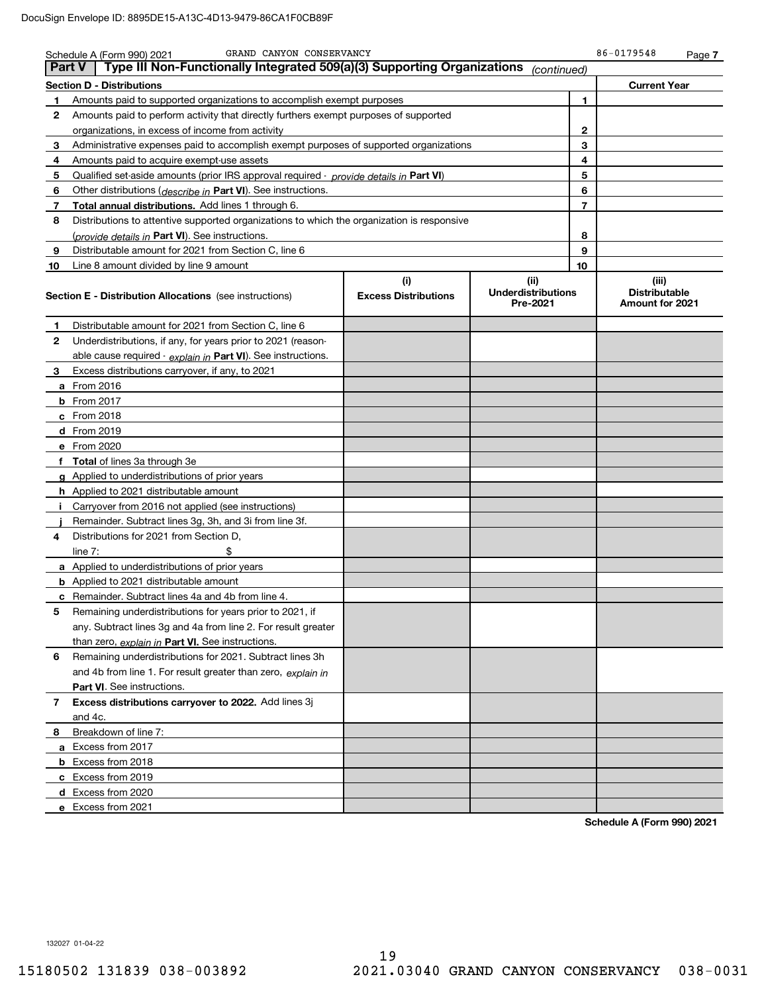| <b>Part V</b> | GRAND CANYON CONSERVANCY<br>Schedule A (Form 990) 2021<br>Type III Non-Functionally Integrated 509(a)(3) Supporting Organizations |                                    | (continued)                                   |                | 86-0179548                                       | Page 7 |
|---------------|-----------------------------------------------------------------------------------------------------------------------------------|------------------------------------|-----------------------------------------------|----------------|--------------------------------------------------|--------|
|               | <b>Section D - Distributions</b>                                                                                                  |                                    |                                               |                | <b>Current Year</b>                              |        |
| 1             | Amounts paid to supported organizations to accomplish exempt purposes                                                             |                                    |                                               | 1              |                                                  |        |
| 2             | Amounts paid to perform activity that directly furthers exempt purposes of supported                                              |                                    |                                               |                |                                                  |        |
|               | organizations, in excess of income from activity                                                                                  |                                    |                                               | 2              |                                                  |        |
| 3             | Administrative expenses paid to accomplish exempt purposes of supported organizations                                             |                                    |                                               | 3              |                                                  |        |
| 4             | Amounts paid to acquire exempt-use assets                                                                                         |                                    |                                               | 4              |                                                  |        |
| 5             | Qualified set aside amounts (prior IRS approval required - provide details in Part VI)                                            |                                    |                                               | 5              |                                                  |        |
| 6             | Other distributions (describe in Part VI). See instructions.                                                                      |                                    |                                               | 6              |                                                  |        |
| 7             | <b>Total annual distributions.</b> Add lines 1 through 6.                                                                         |                                    |                                               | $\overline{7}$ |                                                  |        |
| 8             | Distributions to attentive supported organizations to which the organization is responsive                                        |                                    |                                               |                |                                                  |        |
|               | (provide details in Part VI). See instructions.                                                                                   |                                    |                                               | 8              |                                                  |        |
| 9             | Distributable amount for 2021 from Section C, line 6                                                                              |                                    |                                               | 9              |                                                  |        |
| 10            | Line 8 amount divided by line 9 amount                                                                                            |                                    |                                               | 10             |                                                  |        |
|               | <b>Section E - Distribution Allocations</b> (see instructions)                                                                    | (i)<br><b>Excess Distributions</b> | (ii)<br><b>Underdistributions</b><br>Pre-2021 |                | (iii)<br><b>Distributable</b><br>Amount for 2021 |        |
| 1             | Distributable amount for 2021 from Section C, line 6                                                                              |                                    |                                               |                |                                                  |        |
| 2             | Underdistributions, if any, for years prior to 2021 (reason-                                                                      |                                    |                                               |                |                                                  |        |
|               | able cause required - explain in Part VI). See instructions.                                                                      |                                    |                                               |                |                                                  |        |
| 3             | Excess distributions carryover, if any, to 2021                                                                                   |                                    |                                               |                |                                                  |        |
|               | <b>a</b> From 2016                                                                                                                |                                    |                                               |                |                                                  |        |
|               | <b>b</b> From 2017                                                                                                                |                                    |                                               |                |                                                  |        |
|               | $c$ From 2018                                                                                                                     |                                    |                                               |                |                                                  |        |
|               | <b>d</b> From 2019                                                                                                                |                                    |                                               |                |                                                  |        |
|               | e From 2020                                                                                                                       |                                    |                                               |                |                                                  |        |
|               | f Total of lines 3a through 3e                                                                                                    |                                    |                                               |                |                                                  |        |
|               | g Applied to underdistributions of prior years                                                                                    |                                    |                                               |                |                                                  |        |
|               | <b>h</b> Applied to 2021 distributable amount                                                                                     |                                    |                                               |                |                                                  |        |
| j.            | Carryover from 2016 not applied (see instructions)                                                                                |                                    |                                               |                |                                                  |        |
|               | Remainder. Subtract lines 3g, 3h, and 3i from line 3f.                                                                            |                                    |                                               |                |                                                  |        |
| 4             | Distributions for 2021 from Section D.                                                                                            |                                    |                                               |                |                                                  |        |
|               | \$<br>line $7:$                                                                                                                   |                                    |                                               |                |                                                  |        |
|               | <b>a</b> Applied to underdistributions of prior years                                                                             |                                    |                                               |                |                                                  |        |
|               | <b>b</b> Applied to 2021 distributable amount                                                                                     |                                    |                                               |                |                                                  |        |
|               | <b>c</b> Remainder. Subtract lines 4a and 4b from line 4.                                                                         |                                    |                                               |                |                                                  |        |
| 5             | Remaining underdistributions for years prior to 2021, if                                                                          |                                    |                                               |                |                                                  |        |
|               | any. Subtract lines 3g and 4a from line 2. For result greater                                                                     |                                    |                                               |                |                                                  |        |
|               | than zero, explain in Part VI. See instructions.                                                                                  |                                    |                                               |                |                                                  |        |
| 6             | Remaining underdistributions for 2021. Subtract lines 3h                                                                          |                                    |                                               |                |                                                  |        |
|               | and 4b from line 1. For result greater than zero, explain in                                                                      |                                    |                                               |                |                                                  |        |
|               | Part VI. See instructions.                                                                                                        |                                    |                                               |                |                                                  |        |
| 7             | Excess distributions carryover to 2022. Add lines 3j                                                                              |                                    |                                               |                |                                                  |        |
|               | and 4c.                                                                                                                           |                                    |                                               |                |                                                  |        |
| 8             | Breakdown of line 7:                                                                                                              |                                    |                                               |                |                                                  |        |
|               | a Excess from 2017                                                                                                                |                                    |                                               |                |                                                  |        |
|               | <b>b</b> Excess from 2018                                                                                                         |                                    |                                               |                |                                                  |        |
|               | c Excess from 2019                                                                                                                |                                    |                                               |                |                                                  |        |
|               | d Excess from 2020                                                                                                                |                                    |                                               |                |                                                  |        |
|               | e Excess from 2021                                                                                                                |                                    |                                               |                |                                                  |        |

**Schedule A (Form 990) 2021**

132027 01-04-22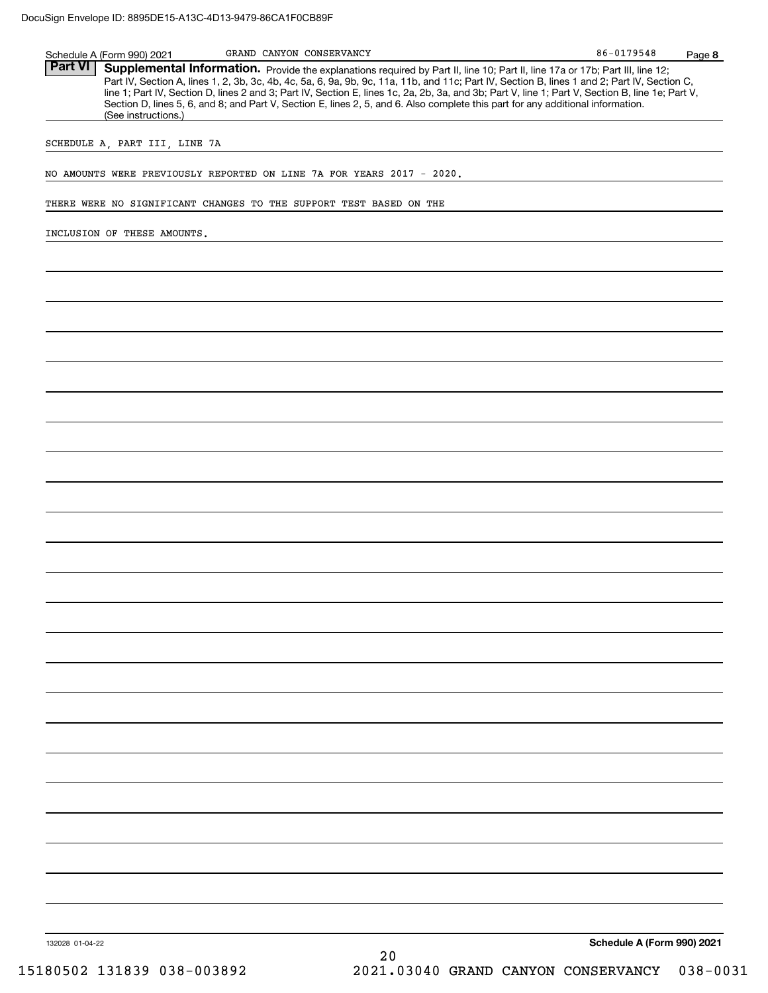| <b>Part VI</b>  |                               |                                                                    |                                                                       | Supplemental Information. Provide the explanations required by Part II, line 10; Part II, line 17a or 17b; Part III, line 12;<br>Part IV, Section A, lines 1, 2, 3b, 3c, 4b, 4c, 5a, 6, 9a, 9b, 9c, 11a, 11b, and 11c; Part IV, Section B, lines 1 and 2; Part IV, Section C,       |  |
|-----------------|-------------------------------|--------------------------------------------------------------------|-----------------------------------------------------------------------|-------------------------------------------------------------------------------------------------------------------------------------------------------------------------------------------------------------------------------------------------------------------------------------|--|
|                 | (See instructions.)           |                                                                    |                                                                       | line 1; Part IV, Section D, lines 2 and 3; Part IV, Section E, lines 1c, 2a, 2b, 3a, and 3b; Part V, line 1; Part V, Section B, line 1e; Part V,<br>Section D, lines 5, 6, and 8; and Part V, Section E, lines 2, 5, and 6. Also complete this part for any additional information. |  |
|                 | SCHEDULE A, PART III, LINE 7A |                                                                    |                                                                       |                                                                                                                                                                                                                                                                                     |  |
|                 |                               |                                                                    | NO AMOUNTS WERE PREVIOUSLY REPORTED ON LINE 7A FOR YEARS 2017 - 2020. |                                                                                                                                                                                                                                                                                     |  |
|                 |                               | THERE WERE NO SIGNIFICANT CHANGES TO THE SUPPORT TEST BASED ON THE |                                                                       |                                                                                                                                                                                                                                                                                     |  |
|                 | INCLUSION OF THESE AMOUNTS.   |                                                                    |                                                                       |                                                                                                                                                                                                                                                                                     |  |
|                 |                               |                                                                    |                                                                       |                                                                                                                                                                                                                                                                                     |  |
|                 |                               |                                                                    |                                                                       |                                                                                                                                                                                                                                                                                     |  |
|                 |                               |                                                                    |                                                                       |                                                                                                                                                                                                                                                                                     |  |
|                 |                               |                                                                    |                                                                       |                                                                                                                                                                                                                                                                                     |  |
|                 |                               |                                                                    |                                                                       |                                                                                                                                                                                                                                                                                     |  |
|                 |                               |                                                                    |                                                                       |                                                                                                                                                                                                                                                                                     |  |
|                 |                               |                                                                    |                                                                       |                                                                                                                                                                                                                                                                                     |  |
|                 |                               |                                                                    |                                                                       |                                                                                                                                                                                                                                                                                     |  |
|                 |                               |                                                                    |                                                                       |                                                                                                                                                                                                                                                                                     |  |
|                 |                               |                                                                    |                                                                       |                                                                                                                                                                                                                                                                                     |  |
|                 |                               |                                                                    |                                                                       |                                                                                                                                                                                                                                                                                     |  |
|                 |                               |                                                                    |                                                                       |                                                                                                                                                                                                                                                                                     |  |
|                 |                               |                                                                    |                                                                       |                                                                                                                                                                                                                                                                                     |  |
|                 |                               |                                                                    |                                                                       |                                                                                                                                                                                                                                                                                     |  |
|                 |                               |                                                                    |                                                                       |                                                                                                                                                                                                                                                                                     |  |
|                 |                               |                                                                    |                                                                       |                                                                                                                                                                                                                                                                                     |  |
|                 |                               |                                                                    |                                                                       |                                                                                                                                                                                                                                                                                     |  |
|                 |                               |                                                                    |                                                                       |                                                                                                                                                                                                                                                                                     |  |
|                 |                               |                                                                    |                                                                       |                                                                                                                                                                                                                                                                                     |  |
|                 |                               |                                                                    |                                                                       |                                                                                                                                                                                                                                                                                     |  |
|                 |                               |                                                                    |                                                                       |                                                                                                                                                                                                                                                                                     |  |
|                 |                               |                                                                    |                                                                       |                                                                                                                                                                                                                                                                                     |  |
|                 |                               |                                                                    |                                                                       |                                                                                                                                                                                                                                                                                     |  |
|                 |                               |                                                                    |                                                                       |                                                                                                                                                                                                                                                                                     |  |
|                 |                               |                                                                    |                                                                       |                                                                                                                                                                                                                                                                                     |  |
|                 |                               |                                                                    |                                                                       |                                                                                                                                                                                                                                                                                     |  |
| 132028 01-04-22 |                               |                                                                    | 20                                                                    | Schedule A (Form 990) 2021                                                                                                                                                                                                                                                          |  |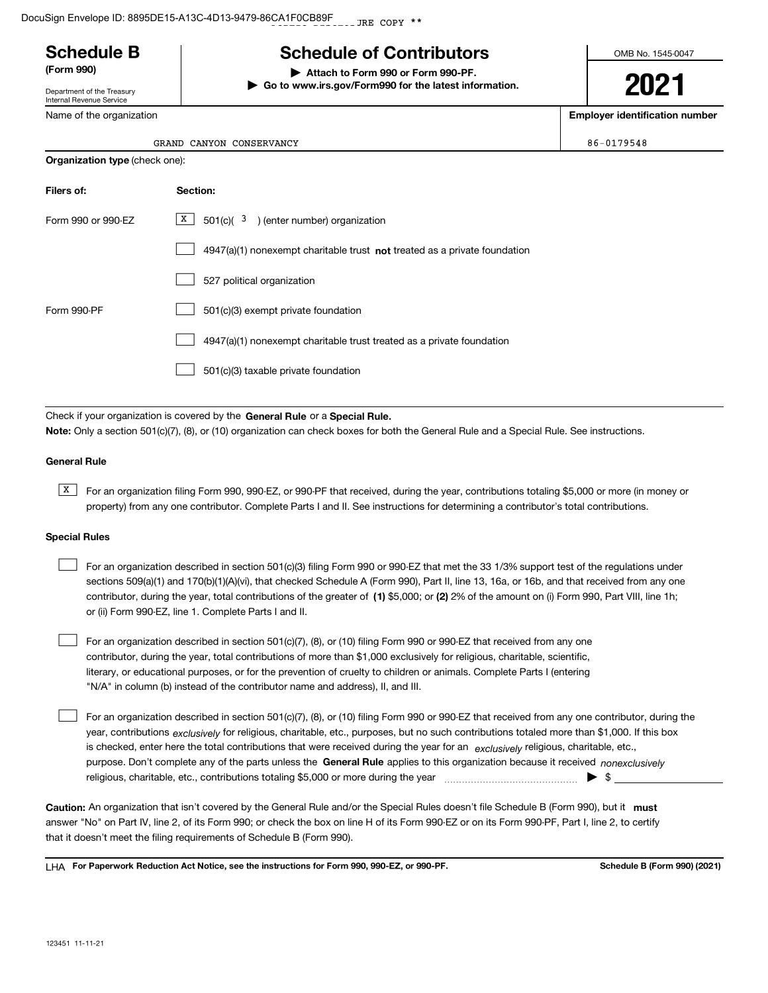# **Schedule B**

Department of the Treasury Internal Revenue Service

Name of the organization

| <b>Schedule of Contributors</b> |
|---------------------------------|
|                                 |

**(Form 990) | Attach to Form 990 or Form 990-PF. | Go to www.irs.gov/Form990 for the latest information.** OMB No. 1545-0047

**2021**

**Employer identification number**

| GRAND CANYON | CONSERVANCY | 86-0179548 |
|--------------|-------------|------------|

**Organization type** (check one):

| Filers of:         | Section:                                                                           |
|--------------------|------------------------------------------------------------------------------------|
| Form 990 or 990-EZ | $\mathbf{x}$<br>$501(c)$ ( $3$ ) (enter number) organization                       |
|                    | $4947(a)(1)$ nonexempt charitable trust <b>not</b> treated as a private foundation |
|                    | 527 political organization                                                         |
| Form 990-PF        | 501(c)(3) exempt private foundation                                                |
|                    | 4947(a)(1) nonexempt charitable trust treated as a private foundation              |
|                    | 501(c)(3) taxable private foundation                                               |

Check if your organization is covered by the **General Rule** or a **Special Rule. Note:**  Only a section 501(c)(7), (8), or (10) organization can check boxes for both the General Rule and a Special Rule. See instructions.

### **General Rule**

 $\overline{X}$  For an organization filing Form 990, 990-EZ, or 990-PF that received, during the year, contributions totaling \$5,000 or more (in money or property) from any one contributor. Complete Parts I and II. See instructions for determining a contributor's total contributions.

### **Special Rules**

 $\mathcal{L}^{\text{max}}$ 

| For an organization described in section 501(c)(3) filing Form 990 or 990-EZ that met the 33 1/3% support test of the regulations under       |
|-----------------------------------------------------------------------------------------------------------------------------------------------|
| sections 509(a)(1) and 170(b)(1)(A)(vi), that checked Schedule A (Form 990), Part II, line 13, 16a, or 16b, and that received from any one    |
| contributor, during the year, total contributions of the greater of (1) \$5,000; or (2) 2% of the amount on (i) Form 990, Part VIII, line 1h; |
| or (ii) Form 990-EZ, line 1. Complete Parts I and II.                                                                                         |

For an organization described in section 501(c)(7), (8), or (10) filing Form 990 or 990-EZ that received from any one contributor, during the year, total contributions of more than \$1,000 exclusively for religious, charitable, scientific, literary, or educational purposes, or for the prevention of cruelty to children or animals. Complete Parts I (entering "N/A" in column (b) instead of the contributor name and address), II, and III.  $\mathcal{L}^{\text{max}}$ 

purpose. Don't complete any of the parts unless the **General Rule** applies to this organization because it received *nonexclusively* year, contributions <sub>exclusively</sub> for religious, charitable, etc., purposes, but no such contributions totaled more than \$1,000. If this box is checked, enter here the total contributions that were received during the year for an  $\;$ exclusively religious, charitable, etc., For an organization described in section 501(c)(7), (8), or (10) filing Form 990 or 990-EZ that received from any one contributor, during the religious, charitable, etc., contributions totaling \$5,000 or more during the year  $\Box$ — $\Box$  =  $\Box$ 

Caution: An organization that isn't covered by the General Rule and/or the Special Rules doesn't file Schedule B (Form 990), but it **must** answer "No" on Part IV, line 2, of its Form 990; or check the box on line H of its Form 990-EZ or on its Form 990-PF, Part I, line 2, to certify that it doesn't meet the filing requirements of Schedule B (Form 990).

LHA For Paperwork Reduction Act Notice, see the instructions for Form 990, 990-EZ, or 990-PF. **In the act and Schedule B** (Form 990) (2021)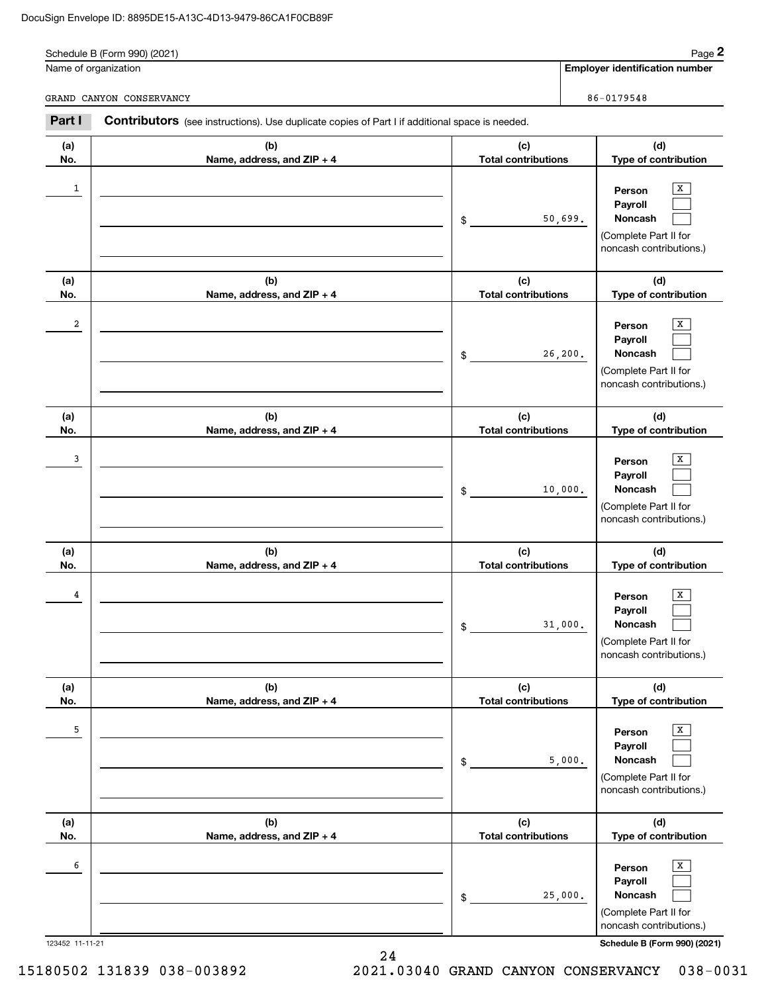|            | Schedule B (Form 990) (2021)                                                                   |                                   |          | Page 2                                                                                |
|------------|------------------------------------------------------------------------------------------------|-----------------------------------|----------|---------------------------------------------------------------------------------------|
|            | Name of organization                                                                           |                                   |          | <b>Employer identification number</b>                                                 |
|            | GRAND CANYON CONSERVANCY                                                                       |                                   |          | 86-0179548                                                                            |
| Part I     | Contributors (see instructions). Use duplicate copies of Part I if additional space is needed. |                                   |          |                                                                                       |
| (a)<br>No. | (b)<br>Name, address, and ZIP + 4                                                              | (c)<br><b>Total contributions</b> |          | (d)<br>Type of contribution                                                           |
| 1          |                                                                                                | $\mathsf{\$}$                     | 50,699.  | x<br>Person<br>Payroll<br>Noncash<br>(Complete Part II for<br>noncash contributions.) |
| (a)<br>No. | (b)<br>Name, address, and ZIP + 4                                                              | (c)<br><b>Total contributions</b> |          | (d)<br>Type of contribution                                                           |
| 2          |                                                                                                | $\mathsf{\$}$                     | 26, 200. | X<br>Person<br>Payroll<br>Noncash<br>(Complete Part II for<br>noncash contributions.) |
| (a)<br>No. | (b)<br>Name, address, and ZIP + 4                                                              | (c)<br><b>Total contributions</b> |          | (d)<br>Type of contribution                                                           |
| 3          |                                                                                                | $\mathsf{\$}$                     | 10,000.  | X<br>Person<br>Payroll<br>Noncash<br>(Complete Part II for<br>noncash contributions.) |
| (a)<br>No. | (b)<br>Name, address, and ZIP + 4                                                              | (c)<br><b>Total contributions</b> |          | (d)<br>Type of contribution                                                           |
| 4          |                                                                                                | $$\tilde{}}$                      | 31,000.  | Х<br>Person<br>Payroll<br>Noncash<br>(Complete Part II for<br>noncash contributions.) |
| (a)<br>No. | (b)<br>Name, address, and ZIP + 4                                                              | (c)<br><b>Total contributions</b> |          | (d)<br>Type of contribution                                                           |
| 5          |                                                                                                | $$\tilde{}}$                      | 5,000.   | Х<br>Person<br>Payroll<br>Noncash<br>(Complete Part II for<br>noncash contributions.) |

| (a)<br>No.      | (b)<br>Name, address, and $ZIP + 4$ | (c)<br><b>Total contributions</b> | (d)<br>Type of contribution                                                                             |
|-----------------|-------------------------------------|-----------------------------------|---------------------------------------------------------------------------------------------------------|
| 6               |                                     | 25,000.<br>\$                     | $\mathbf{x}$<br>Person<br>Payroll<br><b>Noncash</b><br>(Complete Part II for<br>noncash contributions.) |
| 123452 11-11-21 |                                     |                                   | Schedule B (Form 990) (2021)                                                                            |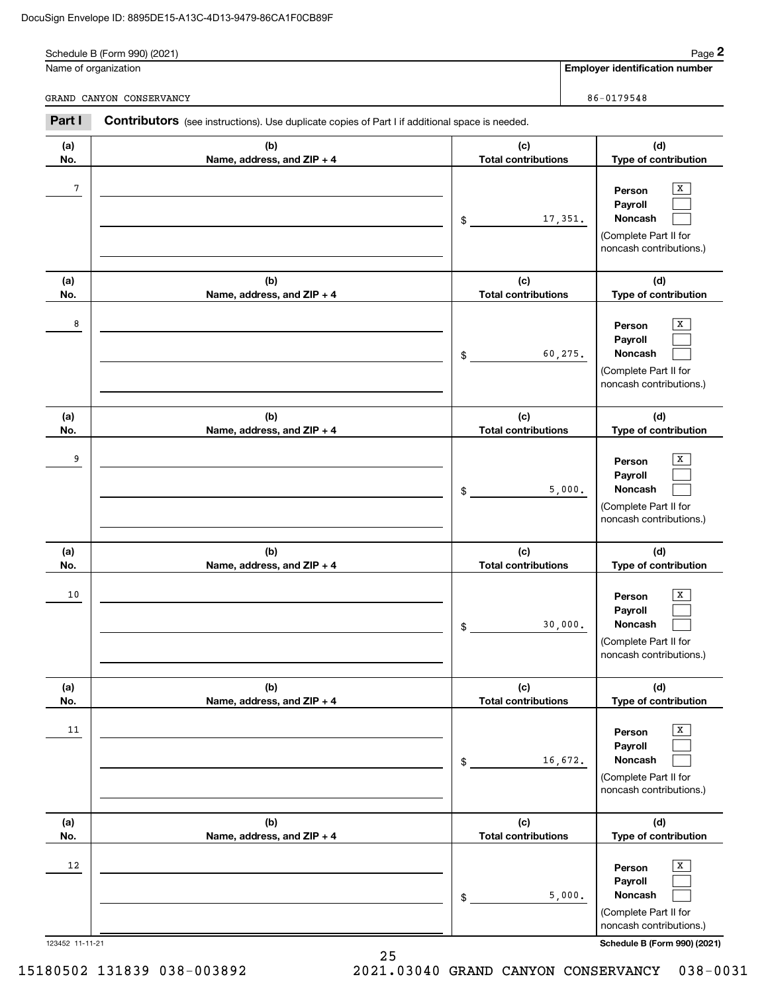|            | Schedule B (Form 990) (2021)<br>Name of organization                                           |                                   |         | Page 2<br><b>Employer identification number</b>                                       |
|------------|------------------------------------------------------------------------------------------------|-----------------------------------|---------|---------------------------------------------------------------------------------------|
|            | GRAND CANYON CONSERVANCY                                                                       |                                   |         | 86-0179548                                                                            |
| Part I     | Contributors (see instructions). Use duplicate copies of Part I if additional space is needed. |                                   |         |                                                                                       |
| (a)<br>No. | (b)<br>Name, address, and ZIP + 4                                                              | (c)<br><b>Total contributions</b> |         | (d)<br>Type of contribution                                                           |
| 7          |                                                                                                | \$                                | 17,351. | x<br>Person<br>Payroll<br>Noncash<br>(Complete Part II for<br>noncash contributions.) |
| (a)<br>No. | (b)<br>Name, address, and ZIP + 4                                                              | (c)<br><b>Total contributions</b> |         | (d)<br>Type of contribution                                                           |
| 8          |                                                                                                | \$                                | 60,275. | X<br>Person<br>Payroll<br>Noncash<br>(Complete Part II for<br>noncash contributions.) |
| (a)<br>No. | (b)<br>Name, address, and ZIP + 4                                                              | (c)<br><b>Total contributions</b> |         | (d)<br>Type of contribution                                                           |
| 9          |                                                                                                | \$                                | 5,000.  | x<br>Person<br>Payroll<br>Noncash<br>(Complete Part II for<br>noncash contributions.) |
| (a)<br>No. | (b)<br>Name, address, and ZIP + 4                                                              | (c)<br><b>Total contributions</b> |         | (d)<br>Type of contribution                                                           |
| 10         |                                                                                                | \$                                | 30,000. | x<br>Person<br>Payroll<br>Noncash<br>(Complete Part II for<br>noncash contributions.) |
| (a)<br>No. | (b)<br>Name, address, and ZIP + 4                                                              | (c)<br><b>Total contributions</b> |         | (d)<br>Type of contribution                                                           |

| 11              |                                     | 16,672.<br>\$                     | x<br>Person<br>Payroll<br><b>Noncash</b><br>(Complete Part II for<br>noncash contributions.)       |
|-----------------|-------------------------------------|-----------------------------------|----------------------------------------------------------------------------------------------------|
| (a)<br>No.      | (b)<br>Name, address, and $ZIP + 4$ | (c)<br><b>Total contributions</b> | (d)<br><b>Type of contribution</b>                                                                 |
| 12              |                                     | 5,000.<br>\$                      | $\overline{X}$<br>Person<br>Payroll<br>Noncash<br>(Complete Part II for<br>noncash contributions.) |
| 123452 11-11-21 |                                     |                                   | Schedule B (Form 990) (2021)                                                                       |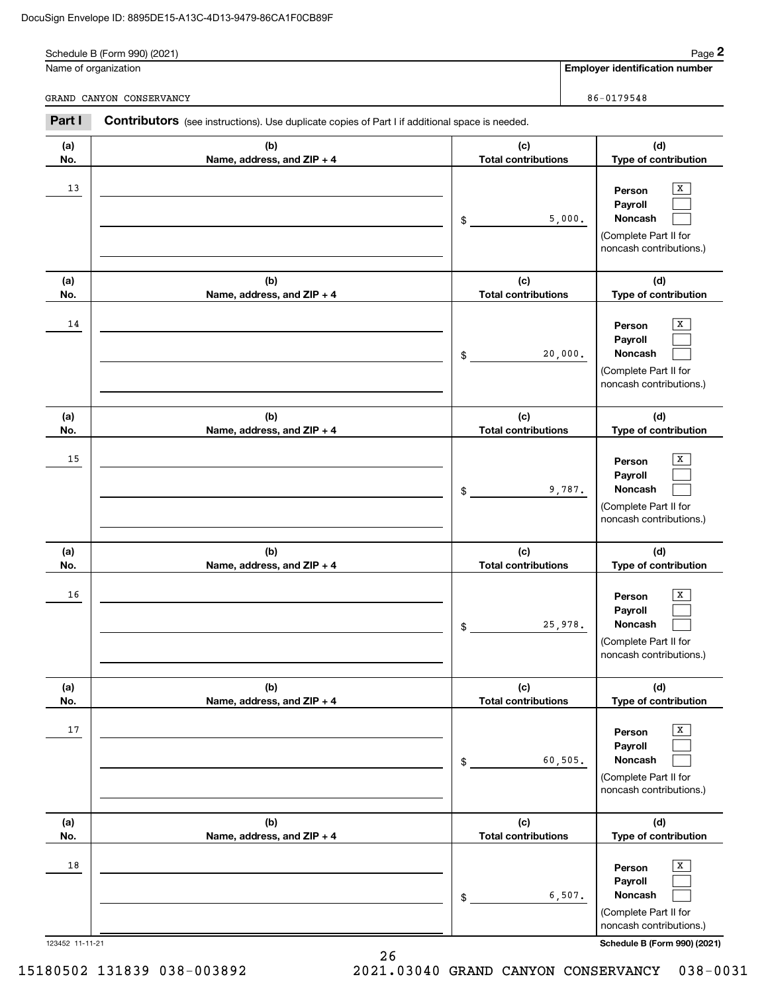|        | Schedule B (Form 990) (2021)<br>Name of organization                                                  |                            | Page 2<br><b>Employer identification number</b> |
|--------|-------------------------------------------------------------------------------------------------------|----------------------------|-------------------------------------------------|
|        |                                                                                                       |                            |                                                 |
|        | GRAND CANYON CONSERVANCY                                                                              |                            | 86-0179548                                      |
| Part I | <b>Contributors</b> (see instructions). Use duplicate copies of Part I if additional space is needed. |                            |                                                 |
| (a)    | (b)                                                                                                   | (c)                        | (d)                                             |
| No.    | Name, address, and $ZIP + 4$                                                                          | <b>Total contributions</b> | Type of contribution                            |

|                 | $r^2$ and $r^2$ and $r^2$ and $r^2$ and $r^2$ and $r^2$ and $r^2$ and $r^2$ and $r^2$ and $r^2$ and $r^2$ and $r^2$ and $r^2$ and $r^2$ and $r^2$ and $r^2$ and $r^2$ and $r^2$ and $r^2$ and $r^2$ and $r^2$ and $r^2$ and |                                   | i jiya di danu muudin                                                                                                            |
|-----------------|-----------------------------------------------------------------------------------------------------------------------------------------------------------------------------------------------------------------------------|-----------------------------------|----------------------------------------------------------------------------------------------------------------------------------|
| 13              |                                                                                                                                                                                                                             | 5,000.<br>$\mathsf{\$}$           | X<br>Person<br>Payroll<br>Noncash<br>(Complete Part II for<br>noncash contributions.)                                            |
| (a)<br>No.      | (b)<br>Name, address, and ZIP + 4                                                                                                                                                                                           | (c)<br><b>Total contributions</b> | (d)<br>Type of contribution                                                                                                      |
| 14              |                                                                                                                                                                                                                             | 20,000.<br>$\frac{1}{2}$          | X<br>Person<br>Payroll<br>Noncash<br>(Complete Part II for<br>noncash contributions.)                                            |
| (a)<br>No.      | (b)<br>Name, address, and ZIP + 4                                                                                                                                                                                           | (c)<br><b>Total contributions</b> | (d)<br>Type of contribution                                                                                                      |
| 15              |                                                                                                                                                                                                                             | 9,787.<br>$\mathsf{\$}$           | Х<br>Person<br>Payroll<br>Noncash<br>(Complete Part II for<br>noncash contributions.)                                            |
| (a)<br>No.      | (b)<br>Name, address, and ZIP + 4                                                                                                                                                                                           | (c)<br><b>Total contributions</b> | (d)<br>Type of contribution                                                                                                      |
| 16              |                                                                                                                                                                                                                             | 25,978.<br>$\frac{1}{2}$          | Х<br>Person<br>Payroll<br>Noncash<br>(Complete Part II for<br>noncash contributions.)                                            |
| (a)<br>No.      | (b)<br>Name, address, and ZIP + 4                                                                                                                                                                                           | (c)<br><b>Total contributions</b> | (d)<br>Type of contribution                                                                                                      |
| 17              |                                                                                                                                                                                                                             | 60, 505.<br>\$                    | $\mathbf{x}$<br>Person<br>Payroll<br>Noncash<br>(Complete Part II for<br>noncash contributions.)                                 |
| (a)<br>No.      | (b)<br>Name, address, and ZIP + 4                                                                                                                                                                                           | (c)<br><b>Total contributions</b> | (d)<br>Type of contribution                                                                                                      |
| 18              |                                                                                                                                                                                                                             | 6,507.<br>\$                      | $\mathbf{x}$<br>Person<br>Payroll<br>Noncash<br>(Complete Part II for<br>noncash contributions.)<br>Schedule B (Form 990) (2021) |
| 123452 11-11-21 | 26                                                                                                                                                                                                                          |                                   |                                                                                                                                  |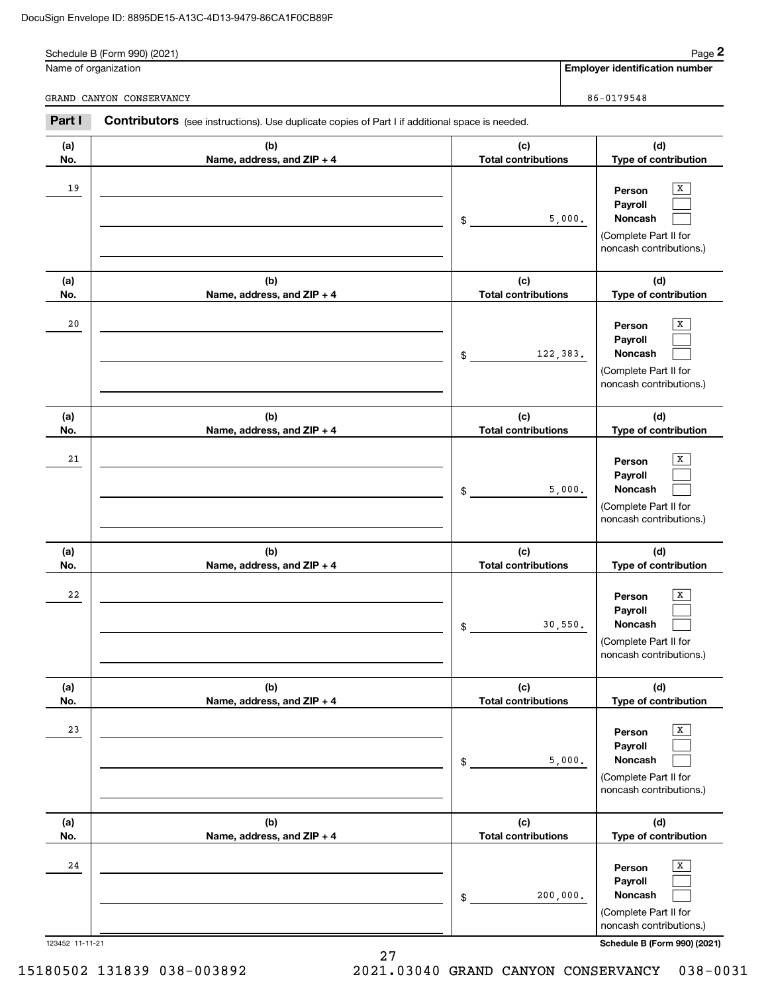|        | Schedule B (Form 990) (2021)<br>Name of organization                                                  |                            | <b>Employer identification number</b> | Page 2 |
|--------|-------------------------------------------------------------------------------------------------------|----------------------------|---------------------------------------|--------|
|        | GRAND CANYON CONSERVANCY                                                                              |                            | 86-0179548                            |        |
| Part I | <b>Contributors</b> (see instructions). Use duplicate copies of Part I if additional space is needed. |                            |                                       |        |
|        |                                                                                                       |                            |                                       |        |
| (a)    | (b)                                                                                                   | (c)                        | (d)                                   |        |
| No.    | Name, address, and $ZIP + 4$                                                                          | <b>Total contributions</b> | <b>Type of contribution</b>           |        |
| 19     |                                                                                                       |                            | Person                                | x      |
|        |                                                                                                       |                            | Payroll<br><b>Noncash</b>             |        |

|            |                                   | D.<br>$\overline{a}$ , $\overline{a}$ | <b>NUILASII</b><br>L<br>$\sim$<br>(Complete Part II for<br>noncash contributions.)    |
|------------|-----------------------------------|---------------------------------------|---------------------------------------------------------------------------------------|
| (a)<br>No. | (b)<br>Name, address, and ZIP + 4 | (c)<br><b>Total contributions</b>     | (d)<br>Type of contribution                                                           |
| 20         |                                   | 122,383.<br>$\frac{1}{2}$             | x<br>Person<br>Payroll<br>Noncash<br>(Complete Part II for<br>noncash contributions.) |
| (a)<br>No. | (b)<br>Name, address, and ZIP + 4 | (c)<br><b>Total contributions</b>     | (d)<br>Type of contribution                                                           |
| 21         |                                   | 5,000.<br>\$                          | X<br>Person<br>Payroll<br>Noncash<br>(Complete Part II for<br>noncash contributions.) |
| (a)<br>No. | (b)<br>Name, address, and ZIP + 4 | (c)<br><b>Total contributions</b>     | (d)<br>Type of contribution                                                           |
| 22         |                                   | 30,550.<br>\$                         | x<br>Person<br>Payroll<br>Noncash<br>(Complete Part II for<br>noncash contributions.) |
| (a)<br>No. | (b)<br>Name, address, and ZIP + 4 | (c)<br><b>Total contributions</b>     | (d)<br>Type of contribution                                                           |
| 23         |                                   | 5,000.<br>\$                          | x<br>Person<br>Payroll<br>Noncash<br>(Complete Part II for<br>noncash contributions.) |
| (a)<br>No. | (b)<br>Name, address, and ZIP + 4 | (c)<br><b>Total contributions</b>     | (d)<br>Type of contribution                                                           |
| ${\bf 24}$ |                                   | 200,000.<br>\$                        | x<br>Person<br>Payroll<br>Noncash<br>(Complete Part II for                            |

123452 11-11-21 **Schedule B (Form 990) (2021)** noncash contributions.)

27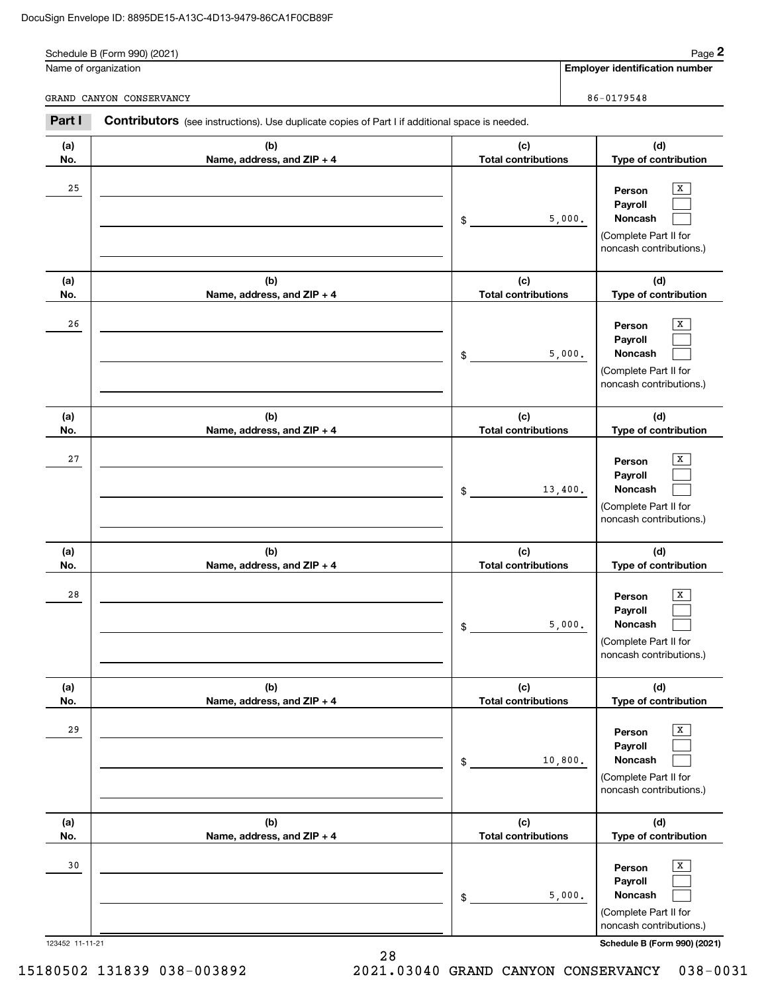|        | Schedule B (Form 990) (2021)                                                                          |                            |        | Page 2                                |
|--------|-------------------------------------------------------------------------------------------------------|----------------------------|--------|---------------------------------------|
|        | Name of organization                                                                                  |                            |        | <b>Employer identification number</b> |
|        | GRAND CANYON CONSERVANCY                                                                              |                            |        | 86-0179548                            |
| Part I | <b>Contributors</b> (see instructions). Use duplicate copies of Part I if additional space is needed. |                            |        |                                       |
| (a)    | (b)                                                                                                   | (c)                        |        | (d)                                   |
| No.    | Name, address, and $ZIP + 4$                                                                          | <b>Total contributions</b> |        | <b>Type of contribution</b>           |
|        |                                                                                                       |                            |        |                                       |
| 25     |                                                                                                       |                            |        | X.                                    |
|        |                                                                                                       |                            |        | Person<br>Payroll                     |
|        |                                                                                                       | \$                         | 5,000. | <b>Noncash</b>                        |

### **(a) No.(b) Name, address, and ZIP + 4 (c) Total contributions (d) Type of contribution Person PayrollNoncash (a) No.(b) Name, address, and ZIP + 4 (c) Total contributions (d) Type of contribution Person Payroll Noncash (a) No.(b) Name, address, and ZIP + 4 (c) Total contributions (d) Type of contribution Person Payroll Noncash (a) No.(b) Name, address, and ZIP + 4 (c) Total contributions (d) Type of contribution Person Payroll Noncash(a) No.(b) Name, address, and ZIP + 4 (c) Total contributions (d) Type of contribution Person Payroll Noncash** noncash contributions.) \$(Complete Part II for noncash contributions.) \$(Complete Part II for noncash contributions.) \$(Complete Part II for noncash contributions.) \$(Complete Part II for noncash contributions.) \$(Complete Part II for noncash contributions.)  $\boxed{\mathbf{x}}$  $\mathcal{L}^{\text{max}}$  $\mathcal{L}^{\text{max}}$  $\boxed{\text{X}}$  $\mathcal{L}^{\text{max}}$  $\mathcal{L}^{\text{max}}$  $\boxed{\text{X}}$  $\mathcal{L}^{\text{max}}$  $\mathcal{L}^{\text{max}}$  $\boxed{\text{X}}$  $\mathcal{L}^{\text{max}}$  $\mathcal{L}^{\text{max}}$  $\boxed{\mathbf{X}}$  $\mathcal{L}^{\text{max}}$  $\mathcal{L}^{\text{max}}$ 26 X 5,000. 27 X 13,400. 28 X 5,000. 29 X 10,800. 3030 | Person X 5,000.

123452 11-11-21 **Schedule B (Form 990) (2021)**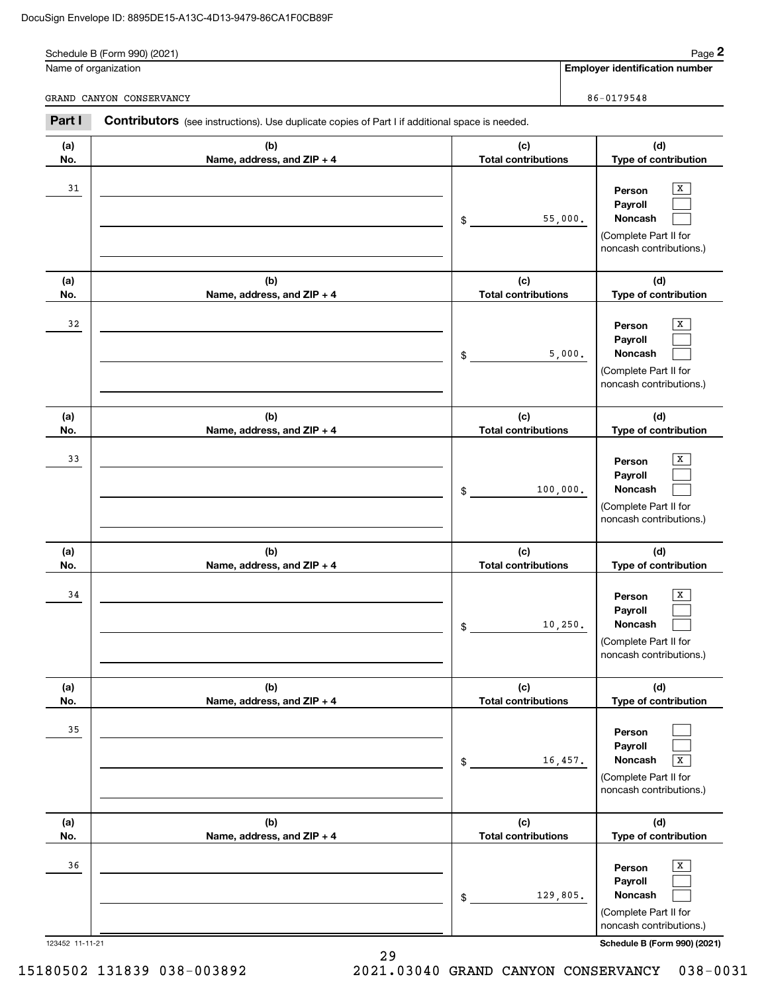**(a) No.**

|        | Schedule B (Form 990) (2021)                                                                   |                            | Page 2                                                                                                  |
|--------|------------------------------------------------------------------------------------------------|----------------------------|---------------------------------------------------------------------------------------------------------|
|        | Name of organization                                                                           |                            | <b>Employer identification number</b>                                                                   |
|        | GRAND CANYON CONSERVANCY                                                                       |                            | 86-0179548                                                                                              |
| Part I | Contributors (see instructions). Use duplicate copies of Part I if additional space is needed. |                            |                                                                                                         |
| (a)    | (b)                                                                                            | (c)                        | (d)                                                                                                     |
| No.    | Name, address, and $ZIP + 4$                                                                   | <b>Total contributions</b> | Type of contribution                                                                                    |
| 31     |                                                                                                | \$                         | X<br>Person<br>Payroll<br>55,000.<br><b>Noncash</b><br>(Complete Part II for<br>noncash contributions.) |
| (a)    | (b)                                                                                            | (c)                        | (d)                                                                                                     |
| No.    | Name, address, and $ZIP + 4$                                                                   | <b>Total contributions</b> | Type of contribution                                                                                    |

**(b) Name, address, and ZIP + 4**

| 33                    |                                   | 100,000.<br>\$                      | X<br>Person<br>Payroll<br>Noncash<br>(Complete Part II for<br>noncash contributions.)                                 |
|-----------------------|-----------------------------------|-------------------------------------|-----------------------------------------------------------------------------------------------------------------------|
| (a)                   | (b)                               | (c)                                 | (d)                                                                                                                   |
| No.                   | Name, address, and ZIP + 4        | <b>Total contributions</b>          | Type of contribution                                                                                                  |
| 34                    |                                   | 10, 250.<br>$$\tilde{\phantom{a}}$$ | X<br>Person<br>Payroll<br>Noncash<br>(Complete Part II for<br>noncash contributions.)                                 |
| (a)<br>No.            | (b)<br>Name, address, and ZIP + 4 | (c)<br><b>Total contributions</b>   | (d)<br>Type of contribution                                                                                           |
| 35                    |                                   | 16,457.<br>\$                       | Person<br>Payroll<br>Noncash<br>$\overline{X}$<br>(Complete Part II for<br>noncash contributions.)                    |
| (a)<br>No.            | (b)<br>Name, address, and ZIP + 4 | (c)<br><b>Total contributions</b>   | (d)<br>Type of contribution                                                                                           |
| 36<br>123452 11-11-21 |                                   | 129,805.<br>\$                      | X<br>Person<br>Payroll<br>Noncash<br>(Complete Part II for<br>noncash contributions.)<br>Schedule B (Form 990) (2021) |

**(d) Type of contribution**

(Complete Part II for noncash contributions.)

|  | 15180502 131839 038-003892 |  | 2021.03040 GRAND CANYON CONSERVANCY 038-0031 |  |
|--|----------------------------|--|----------------------------------------------|--|

**(c) Total contributions**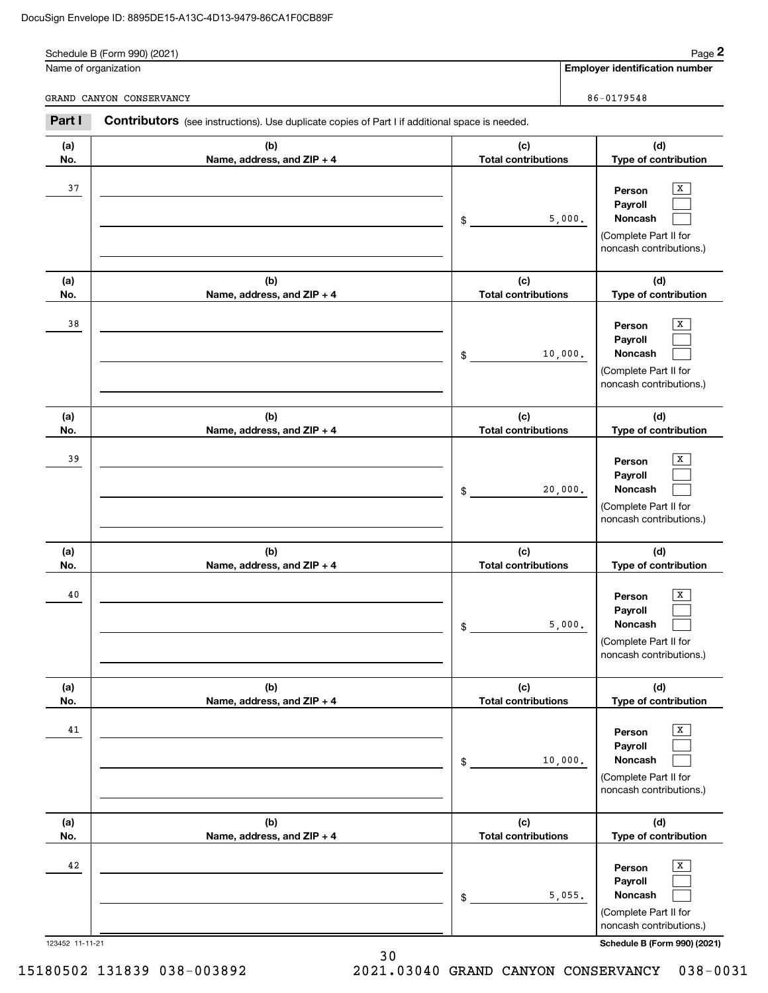|            | Schedule B (Form 990) (2021)<br>Name of organization                                           |                                   | Page 2<br><b>Employer identification number</b> |
|------------|------------------------------------------------------------------------------------------------|-----------------------------------|-------------------------------------------------|
|            | GRAND CANYON CONSERVANCY                                                                       |                                   | 86-0179548                                      |
| Part I     | Contributors (see instructions). Use duplicate copies of Part I if additional space is needed. |                                   |                                                 |
| (a)<br>No. | (b)<br>Name, address, and $ZIP + 4$                                                            | (c)<br><b>Total contributions</b> | (d)<br><b>Type of contribution</b>              |
|            |                                                                                                |                                   |                                                 |

| ı)       | (b)                               | (c)                                         | (d)                                                                                                                  |
|----------|-----------------------------------|---------------------------------------------|----------------------------------------------------------------------------------------------------------------------|
| D.<br>38 | Name, address, and ZIP + 4        | \$<br><b>Total contributions</b><br>10,000. | Type of contribution<br>x<br>Person<br>Payroll<br><b>Noncash</b><br>(Complete Part II for<br>noncash contributions.) |
| ı)<br>D. | (b)<br>Name, address, and ZIP + 4 | (c)<br><b>Total contributions</b>           | (d)<br>Type of contribution                                                                                          |
| 39       |                                   | \$<br>20,000.                               | X<br>Person<br>Payroll<br>Noncash<br>(Complete Part II for<br>noncash contributions.)                                |
| ı)<br>D. | (b)<br>Name, address, and ZIP + 4 | (c)<br><b>Total contributions</b>           | (d)<br>Type of contribution                                                                                          |
| 40       |                                   | \$<br>5,000.                                | X<br>Person<br>Payroll<br><b>Noncash</b><br>(Complete Part II for<br>noncash contributions.)                         |
| ı)<br>D. | (b)<br>Name, address, and ZIP + 4 | (c)<br><b>Total contributions</b>           | (d)<br>Type of contribution                                                                                          |
| 41       |                                   | \$<br>10,000.                               | x<br>Person<br>Payroll<br>Noncash<br>(Complete Part II for<br>noncash contributions.)                                |
| ı)<br>0. | (b)<br>Name, address, and ZIP + 4 | (c)<br><b>Total contributions</b>           | (d)<br>Type of contribution                                                                                          |
| 42       |                                   | \$<br>5,055.                                | х<br>Person<br>Payroll<br>Noncash                                                                                    |

123452 11-11-21 **Schedule B (Form 990) (2021)**

(Complete Part II for noncash contributions.)

**(a) No.**

38

**(a) No.**

39

**(a) No.**

40

**(a) No.**

41

**(a) No.**

42

15180502 131839 038-003892 2021.03040 GRAND CANYON CONSERVANCY 038-0031

30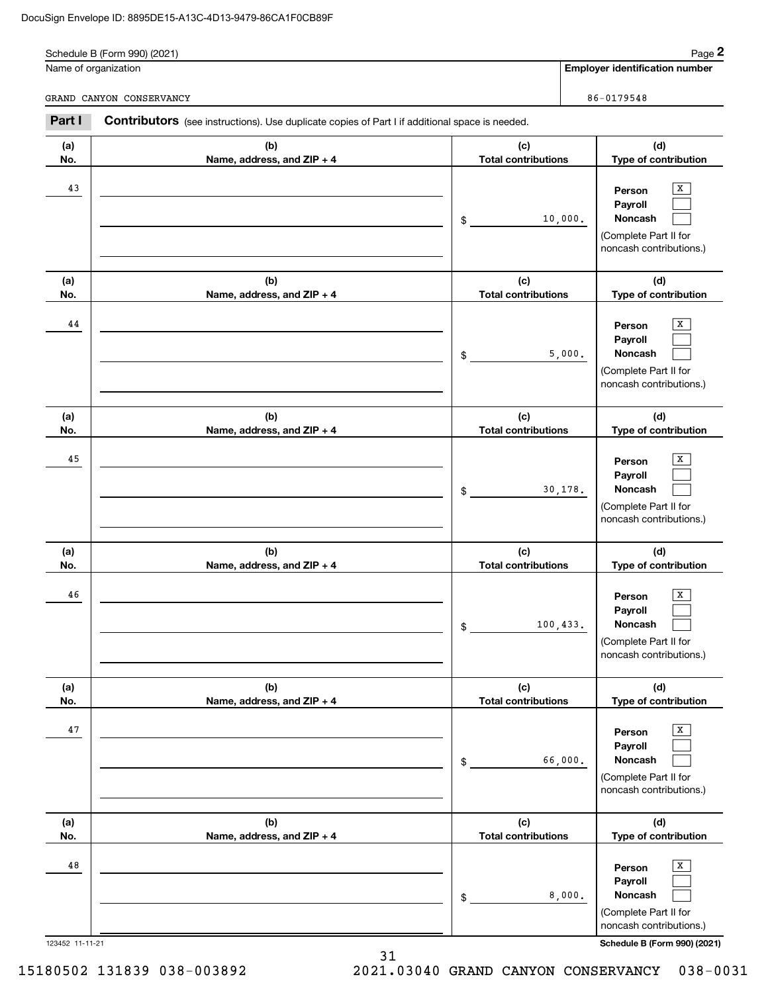|            | Schedule B (Form 990) (2021)                                                                   |                                   | Page 2                                                                                                  |
|------------|------------------------------------------------------------------------------------------------|-----------------------------------|---------------------------------------------------------------------------------------------------------|
|            | Name of organization                                                                           |                                   | <b>Employer identification number</b>                                                                   |
|            | GRAND CANYON CONSERVANCY                                                                       |                                   | 86-0179548                                                                                              |
| Part I     | Contributors (see instructions). Use duplicate copies of Part I if additional space is needed. |                                   |                                                                                                         |
| (a)        | (b)                                                                                            | (c)                               | (d)                                                                                                     |
| No.        | Name, address, and ZIP + 4                                                                     | <b>Total contributions</b>        | Type of contribution                                                                                    |
| 43         |                                                                                                | \$                                | X<br>Person<br>Payroll<br><b>Noncash</b><br>10,000.<br>(Complete Part II for<br>noncash contributions.) |
| (a)<br>No. | (b)<br>Name, address, and ZIP + 4                                                              | (c)<br><b>Total contributions</b> | (d)<br>Type of contribution                                                                             |
| 44         |                                                                                                | \$                                | x<br>Person<br>Payroll<br>5,000.<br><b>Noncash</b><br>(Complete Part II for<br>noncash contributions.)  |
| (a)<br>No. | (b)<br>Name, address, and ZIP + 4                                                              | (c)<br><b>Total contributions</b> | (d)<br>Type of contribution                                                                             |

X

X

X

X

|        |           | noncash<br>contributions.<br>the contract of the contract of the contract of |                    |
|--------|-----------|------------------------------------------------------------------------------|--------------------|
| 123452 | $11 - 27$ | Schedule B (Form 990)                                                        | (909.1)<br>- - - - |

(Complete Part II for

**(d) Type of contribution**

**Person Payroll Noncash**

(Complete Part II for noncash contributions.)

> **Person Payroll Noncash**

(Complete Part II for noncash contributions.)

> **Person Payroll Noncash**

(Complete Part II for noncash contributions.)

> **Person Payroll Noncash**

**(d) Type of contribution**

 $\boxed{\mathbf{x}}$  $\mathcal{L}^{\text{max}}$  $\mathcal{L}^{\text{max}}$ 

 $\boxed{\mathbf{X}}$  $\mathcal{L}^{\text{max}}$  $\mathcal{L}^{\text{max}}$ 

 $\boxed{\mathbf{X}}$  $\mathcal{L}^{\text{max}}$  $\mathcal{L}^{\text{max}}$ 

 $\boxed{\mathbf{X}}$  $\mathcal{L}^{\text{max}}$  $\mathcal{L}^{\text{max}}$ 

**(d) Type of contribution**

**(b) Name, address, and ZIP + 4**

**(b) Name, address, and ZIP + 4**

**(b) Name, address, and ZIP + 4**

**(a) No.**

46

45

**(a) No.**

47

**(a) No.**

48

31 15180502 131839 038-003892 2021.03040 GRAND CANYON CONSERVANCY 038-0031

**(c) Total contributions**

30,178.

100,433.

66,000.

8,000.

\$

\$

\$

\$

**(c) Total contributions**

**(c) Total contributions**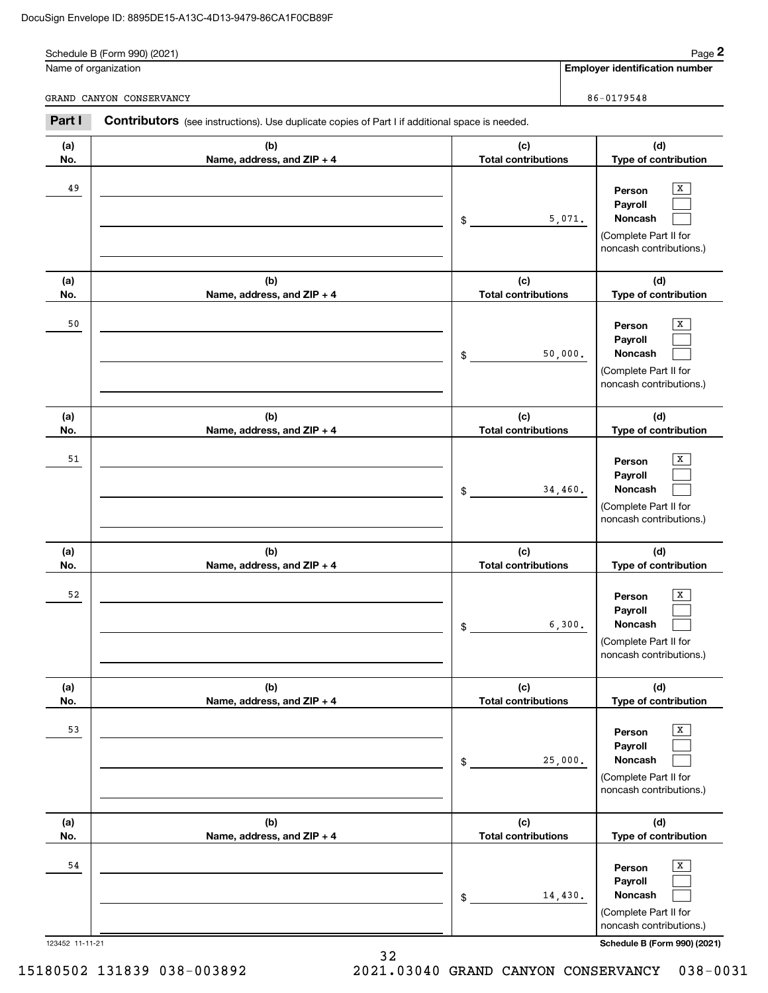|            | Schedule B (Form 990) (2021)<br>Name of organization                                                  |                                   |        | Page 2<br><b>Employer identification number</b> |
|------------|-------------------------------------------------------------------------------------------------------|-----------------------------------|--------|-------------------------------------------------|
|            | GRAND CANYON CONSERVANCY                                                                              |                                   |        | 86-0179548                                      |
| Part I     | <b>Contributors</b> (see instructions). Use duplicate copies of Part I if additional space is needed. |                                   |        |                                                 |
| (a)<br>No. | (b)<br>Name, address, and $ZIP + 4$                                                                   | (c)<br><b>Total contributions</b> |        | (d)<br><b>Type of contribution</b>              |
| 49         |                                                                                                       |                                   | 5,071. | X<br>Person<br>Payroll<br><b>Noncash</b>        |

| (a)        | (b)                               | (c)                               | (d)                                                                                   |
|------------|-----------------------------------|-----------------------------------|---------------------------------------------------------------------------------------|
| No.        | Name, address, and ZIP + 4        | <b>Total contributions</b>        | Type of contribution                                                                  |
| 49         |                                   | 5,071.<br>\$                      | X<br>Person<br>Payroll<br>Noncash<br>(Complete Part II for<br>noncash contributions.) |
| (a)        | (b)                               | (c)                               | (d)                                                                                   |
| No.        | Name, address, and ZIP + 4        | <b>Total contributions</b>        | Type of contribution                                                                  |
| 50         |                                   | 50,000.<br>\$                     | x<br>Person<br>Payroll<br>Noncash<br>(Complete Part II for<br>noncash contributions.) |
| (a)<br>No. | (b)                               | (c)<br><b>Total contributions</b> | (d)<br>Type of contribution                                                           |
|            | Name, address, and ZIP + 4        |                                   |                                                                                       |
| 51         |                                   | 34,460.<br>\$                     | х<br>Person<br>Payroll<br>Noncash<br>(Complete Part II for<br>noncash contributions.) |
| (a)<br>No. | (b)<br>Name, address, and ZIP + 4 | (c)<br><b>Total contributions</b> | (d)<br>Type of contribution                                                           |
| 52         |                                   | 6,300.<br>\$                      | x<br>Person<br>Payroll<br>Noncash<br>(Complete Part II for<br>noncash contributions.) |
| (a)<br>NO. | (b)<br>Name, address, and ZIP + 4 | (c)<br>Total contributions        | (d)<br>Type of contribution                                                           |
| 53         |                                   | 25,000.<br>\$                     | X<br>Person<br>Payroll<br>Noncash<br>(Complete Part II for<br>noncash contributions.) |
| (a)<br>No. | (b)<br>Name, address, and ZIP + 4 | (c)<br><b>Total contributions</b> | (d)<br>Type of contribution                                                           |
| 54         |                                   | 14,430.<br>\$                     | X<br>Person<br>Payroll<br>Noncash<br>(Complete Part II for<br>noncash contributions.) |

123452 11-11-21 **Schedule B (Form 990) (2021)**

15180502 131839 038-003892 2021.03040 GRAND CANYON CONSERVANCY 038-0031

32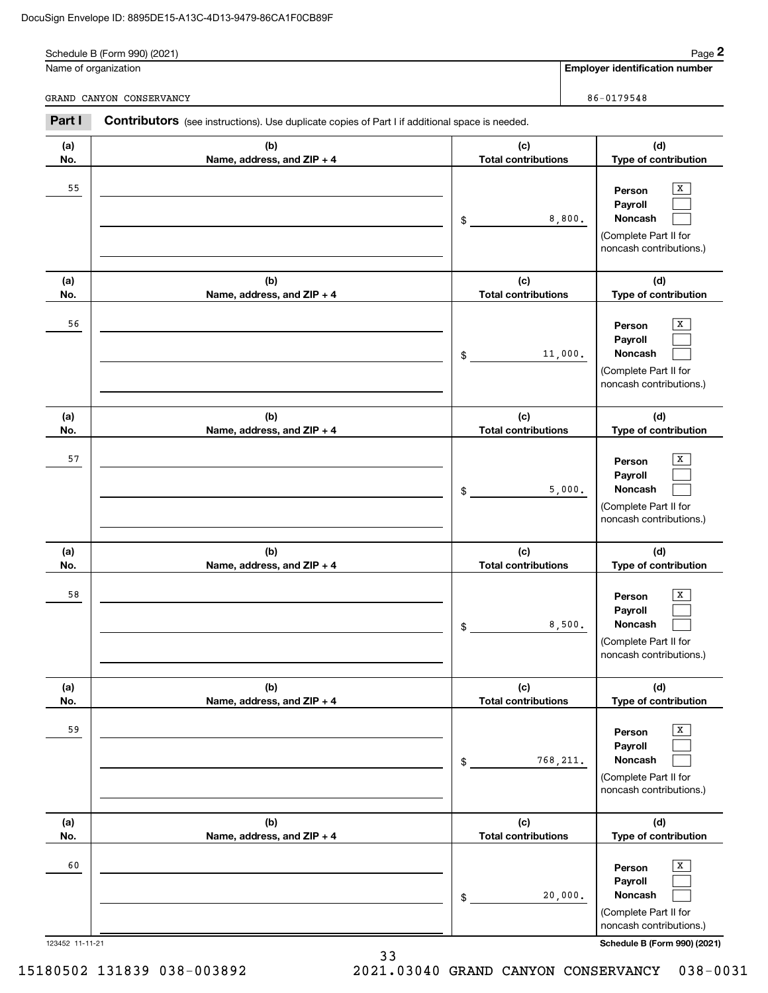|        | Name of organization                                                                                  |                            | <b>Employer identification number</b> |  |
|--------|-------------------------------------------------------------------------------------------------------|----------------------------|---------------------------------------|--|
|        | GRAND CANYON CONSERVANCY                                                                              |                            | 86-0179548                            |  |
| Part I | <b>Contributors</b> (see instructions). Use duplicate copies of Part I if additional space is needed. |                            |                                       |  |
|        |                                                                                                       |                            |                                       |  |
| (a)    | (b)                                                                                                   | (c)                        | (d)                                   |  |
| No.    | Name, address, and $ZIP + 4$                                                                          | <b>Total contributions</b> | <b>Type of contribution</b>           |  |
| 55     |                                                                                                       |                            | X<br>Person                           |  |

| (a)                   | (b)                               | (c)                               | (d)                                                                                                                   |
|-----------------------|-----------------------------------|-----------------------------------|-----------------------------------------------------------------------------------------------------------------------|
| No.                   | Name, address, and ZIP + 4        | <b>Total contributions</b>        | Type of contribution                                                                                                  |
| 55                    |                                   | 8,800.<br>\$                      | X<br>Person<br>Payroll<br>Noncash<br>(Complete Part II for<br>noncash contributions.)                                 |
| (a)<br>No.            | (b)<br>Name, address, and ZIP + 4 | (c)<br><b>Total contributions</b> | (d)<br>Type of contribution                                                                                           |
| 56                    |                                   | 11,000.<br>\$                     | X<br>Person<br>Payroll<br>Noncash<br>(Complete Part II for<br>noncash contributions.)                                 |
| (a)<br>No.            | (b)<br>Name, address, and ZIP + 4 | (c)<br><b>Total contributions</b> | (d)<br>Type of contribution                                                                                           |
| 57                    |                                   | 5,000.<br>\$                      | x<br>Person<br>Payroll<br>Noncash<br>(Complete Part II for<br>noncash contributions.)                                 |
| (a)<br>No.            | (b)<br>Name, address, and ZIP + 4 | (c)<br><b>Total contributions</b> | (d)<br>Type of contribution                                                                                           |
| 58                    |                                   | 8,500.<br>\$                      | x<br>Person<br>Payroll<br>Noncash<br>(Complete Part II for<br>noncash contributions.)                                 |
| (a)<br>No.            | (b)<br>Name, address, and ZIP + 4 | (c)<br><b>Total contributions</b> | (d)<br>Type of contribution                                                                                           |
| 59                    |                                   | 768,211.<br>\$                    | x<br>Person<br>Payroll<br><b>Noncash</b><br>(Complete Part II for<br>noncash contributions.)                          |
| (a)<br>No.            | (b)<br>Name, address, and ZIP + 4 | (c)<br><b>Total contributions</b> | (d)<br>Type of contribution                                                                                           |
| 60<br>123452 11-11-21 |                                   | 20,000.<br>\$                     | x<br>Person<br>Payroll<br>Noncash<br>(Complete Part II for<br>noncash contributions.)<br>Schedule B (Form 990) (2021) |

33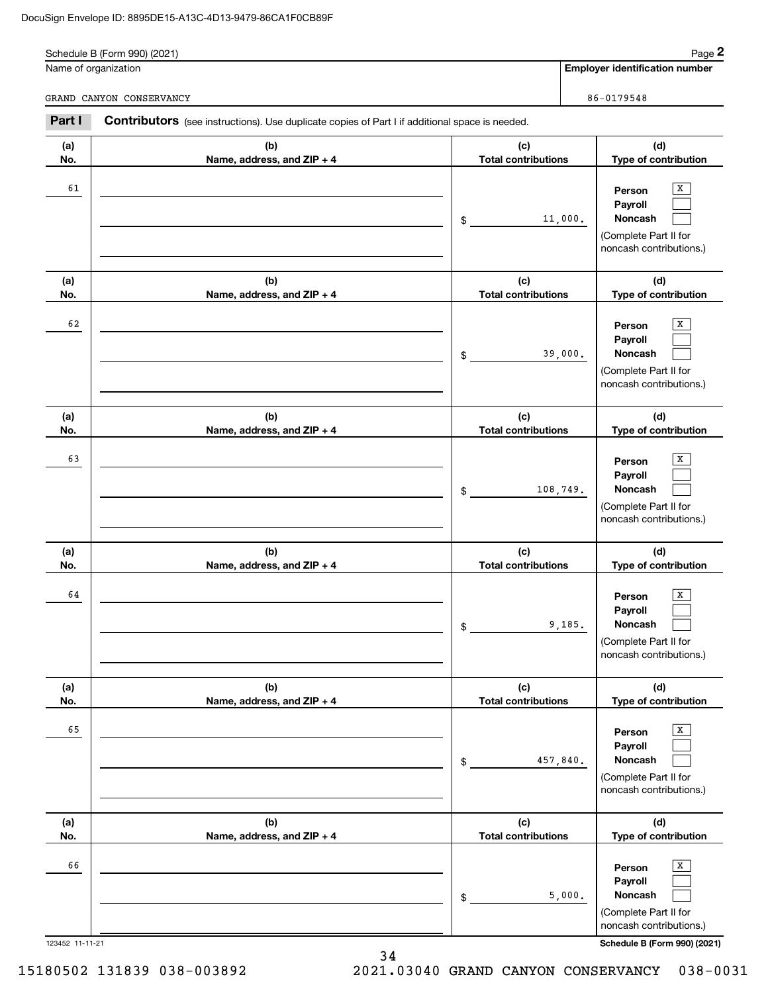|        | Schedule B (Form 990) (2021)                                                                   |                            | Page 2                                                                                                  |
|--------|------------------------------------------------------------------------------------------------|----------------------------|---------------------------------------------------------------------------------------------------------|
|        | Name of organization                                                                           |                            | <b>Employer identification number</b>                                                                   |
|        | GRAND CANYON CONSERVANCY                                                                       |                            | 86-0179548                                                                                              |
| Part I | Contributors (see instructions). Use duplicate copies of Part I if additional space is needed. |                            |                                                                                                         |
| (a)    | (b)                                                                                            | (c)                        | (d)                                                                                                     |
| No.    | Name, address, and $ZIP + 4$                                                                   | <b>Total contributions</b> | Type of contribution                                                                                    |
| 61     |                                                                                                | \$                         | x<br>Person<br>Payroll<br><b>Noncash</b><br>11,000.<br>(Complete Part II for<br>noncash contributions.) |
| (a)    | (b)                                                                                            | (c)                        | (d)                                                                                                     |
| No.    | Name, address, and ZIP + 4                                                                     | <b>Total contributions</b> | Type of contribution                                                                                    |

|           |                            |                                                          | (Complete Part II for<br>noncash contributions.)                                                              |
|-----------|----------------------------|----------------------------------------------------------|---------------------------------------------------------------------------------------------------------------|
| (a)       | (b)                        | (c)                                                      | (d)                                                                                                           |
| No.       | Name, address, and ZIP + 4 | <b>Total contributions</b>                               | Type of contribution                                                                                          |
| 63        |                            | 108,749.<br>\$                                           | X<br>Person<br>Payroll<br>Noncash<br>(Complete Part II for<br>noncash contributions.)                         |
| (a)       | (b)                        | (c)                                                      | (d)                                                                                                           |
| No.       | Name, address, and ZIP + 4 | <b>Total contributions</b>                               | Type of contribution                                                                                          |
| 64        |                            | 9,185.<br>$\mathfrak{S}$                                 | х<br>Person<br>Payroll<br>Noncash<br>(Complete Part II for<br>noncash contributions.)                         |
| (a)       | (b)                        | (c)                                                      | (d)                                                                                                           |
| No.<br>65 | Name, address, and ZIP + 4 | <b>Total contributions</b><br>457,840.<br>$$\mathbb{S}$$ | Type of contribution<br>х<br>Person<br>Payroll<br>Noncash<br>(Complete Part II for<br>noncash contributions.) |
| (a)       | (b)                        | (c)                                                      | (d)                                                                                                           |
| No.<br>66 | Name, address, and ZIP + 4 | <b>Total contributions</b><br>5,000.<br>\$               | Type of contribution<br>x<br>Person<br>Payroll<br>Noncash<br>(Complete Part II for<br>noncash contributions.) |

123452 11-11-21 **Schedule B (Form 990) (2021)**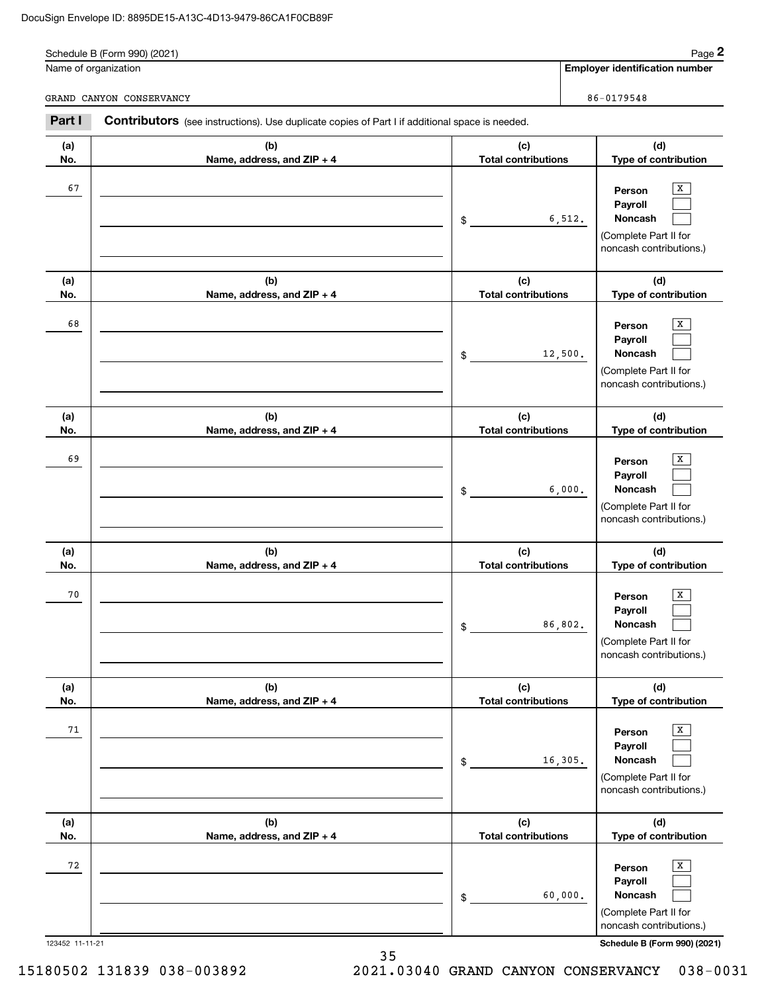| Page 2<br>Schedule B (Form 990) (2021)                                                                          |                              |                            |  |                                       |
|-----------------------------------------------------------------------------------------------------------------|------------------------------|----------------------------|--|---------------------------------------|
|                                                                                                                 | Name of organization         |                            |  | <b>Employer identification number</b> |
| GRAND CANYON CONSERVANCY                                                                                        |                              | 86-0179548                 |  |                                       |
| Part I<br><b>Contributors</b> (see instructions). Use duplicate copies of Part I if additional space is needed. |                              |                            |  |                                       |
| (a)                                                                                                             | (b)                          | (c)                        |  | (d)                                   |
| No.                                                                                                             | Name, address, and $ZIP + 4$ | <b>Total contributions</b> |  | <b>Type of contribution</b>           |

| No.                   | Name, address, and $ZIP + 4$      | <b>Total contributions</b>                  | Type of contribution                                                                                                  |
|-----------------------|-----------------------------------|---------------------------------------------|-----------------------------------------------------------------------------------------------------------------------|
| 67                    |                                   | 6,512.<br>$\frac{1}{2}$                     | х<br>Person<br>Payroll<br>Noncash<br>(Complete Part II for<br>noncash contributions.)                                 |
| (a)                   | (b)                               | (c)                                         | (d)                                                                                                                   |
| No.<br>68             | Name, address, and ZIP + 4        | <b>Total contributions</b><br>12,500.<br>\$ | Type of contribution<br>х<br>Person<br>Payroll<br>Noncash<br>(Complete Part II for<br>noncash contributions.)         |
| (a)<br>No.            | (b)<br>Name, address, and ZIP + 4 | (c)<br><b>Total contributions</b>           | (d)<br>Type of contribution                                                                                           |
| 69                    |                                   | 6,000.<br>\$                                | х<br>Person<br>Payroll<br>Noncash<br>(Complete Part II for<br>noncash contributions.)                                 |
| (a)<br>No.            | (b)<br>Name, address, and ZIP + 4 | (c)<br><b>Total contributions</b>           | (d)<br>Type of contribution                                                                                           |
| 70                    |                                   | 86,802.<br>\$                               | х<br>Person<br>Payroll<br>Noncash<br>(Complete Part II for<br>noncash contributions.)                                 |
| (a)<br>No.            | (b)<br>Name, address, and ZIP + 4 | (c)<br><b>Total contributions</b>           | (d)<br>Type of contribution                                                                                           |
| 71                    |                                   | 16,305.<br>\$                               | x<br>Person<br>Payroll<br>Noncash<br>(Complete Part II for<br>noncash contributions.)                                 |
| (a)<br>No.            | (b)<br>Name, address, and ZIP + 4 | (c)<br><b>Total contributions</b>           | (d)<br>Type of contribution                                                                                           |
| 72<br>123452 11-11-21 |                                   | 60,000.<br>\$                               | х<br>Person<br>Payroll<br>Noncash<br>(Complete Part II for<br>noncash contributions.)<br>Schedule B (Form 990) (2021) |

35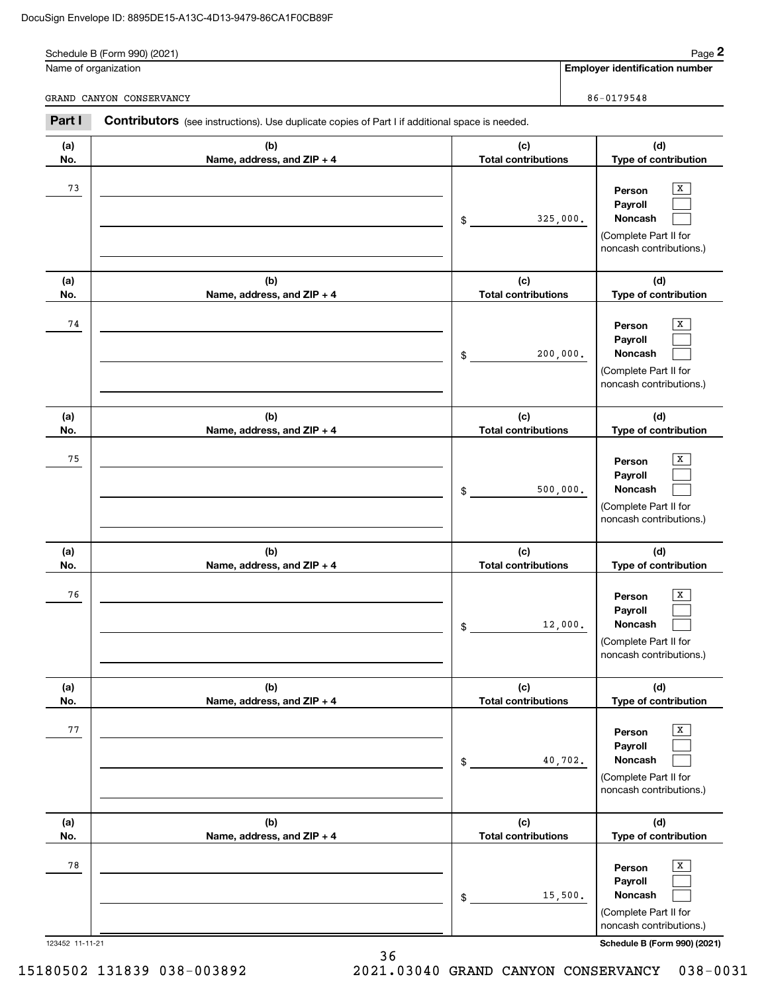|        | Schedule B (Form 990) (2021)                                                                   |                            |          | Page 2                                |
|--------|------------------------------------------------------------------------------------------------|----------------------------|----------|---------------------------------------|
|        | Name of organization                                                                           |                            |          | <b>Employer identification number</b> |
|        | GRAND CANYON CONSERVANCY                                                                       |                            |          | 86-0179548                            |
| Part I | Contributors (see instructions). Use duplicate copies of Part I if additional space is needed. |                            |          |                                       |
| (a)    | (b)                                                                                            | (c)                        |          | (d)                                   |
| No.    | Name, address, and $ZIP + 4$                                                                   | <b>Total contributions</b> |          | Type of contribution                  |
| 73     |                                                                                                |                            |          | X<br>Person                           |
|        |                                                                                                |                            |          | <b>Payroll</b>                        |
|        |                                                                                                | \$                         | 325,000. | <b>Noncash</b>                        |
|        |                                                                                                |                            |          | (Complete Part II for                 |
|        |                                                                                                |                            |          | noncash contributions.)               |
| (a)    | (b)                                                                                            | (c)                        |          | (d)                                   |
| No.    | Name, address, and $ZIP + 4$                                                                   | <b>Total contributions</b> |          | Type of contribution                  |

|                 |                                   | 200,000.<br>$\$$                  | Payroll<br>Noncash<br>(Complete Part II for<br>noncash contributions.)                       |
|-----------------|-----------------------------------|-----------------------------------|----------------------------------------------------------------------------------------------|
| (a)<br>No.      | (b)<br>Name, address, and ZIP + 4 | (c)<br><b>Total contributions</b> | (d)<br>Type of contribution                                                                  |
| 75              |                                   | 500,000.<br>\$                    | X<br>Person<br>Payroll<br><b>Noncash</b><br>(Complete Part II for<br>noncash contributions.) |
| (a)<br>No.      | (b)<br>Name, address, and ZIP + 4 | (c)<br><b>Total contributions</b> | (d)<br>Type of contribution                                                                  |
| 76              |                                   | 12,000.<br>$\frac{1}{2}$          | Person<br>х<br>Payroll<br>Noncash<br>(Complete Part II for<br>noncash contributions.)        |
| (a)<br>No.      | (b)<br>Name, address, and ZIP + 4 | (c)<br><b>Total contributions</b> | (d)<br>Type of contribution                                                                  |
| 77              |                                   | 40,702.<br>\$                     | Person<br>x<br>Payroll<br><b>Noncash</b><br>(Complete Part II for<br>noncash contributions.) |
| (a)<br>No.      | (b)<br>Name, address, and ZIP + 4 | (c)<br><b>Total contributions</b> | (d)<br>Type of contribution                                                                  |
| 78              |                                   | 15,500.<br>\$                     | x<br>Person<br>Payroll<br>Noncash<br>(Complete Part II for<br>noncash contributions.)        |
| 123452 11-11-21 | 36                                |                                   | Schedule B (Form 990) (2021)                                                                 |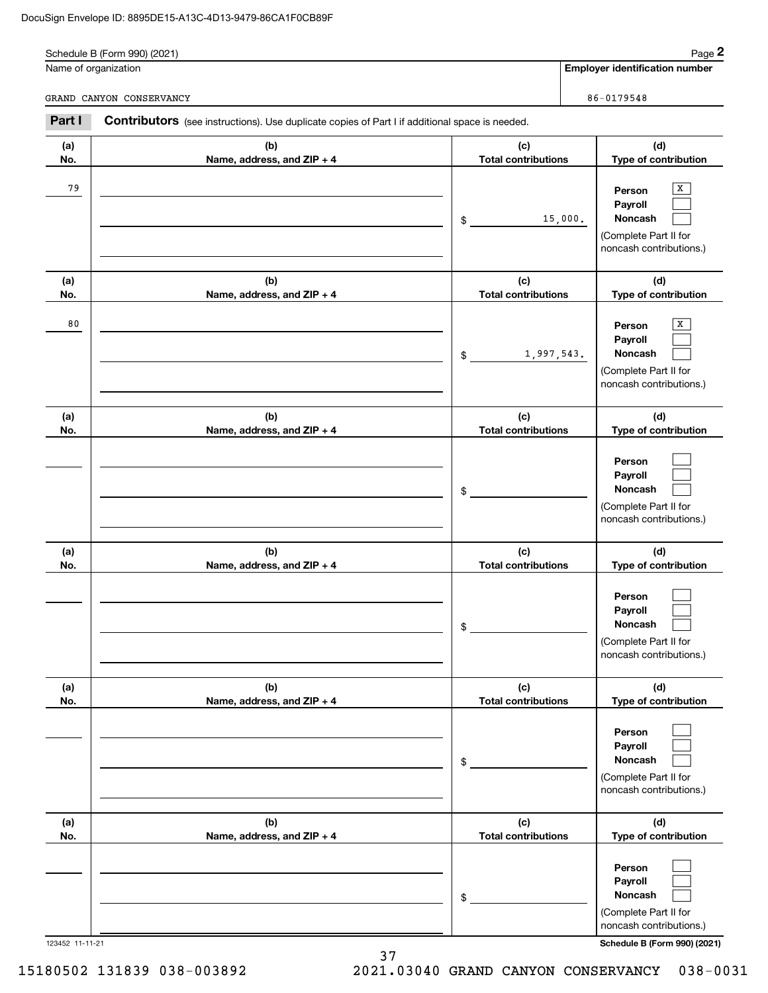|            | Schedule B (Form 990) (2021)                                                                          |                                   | Page 2                                                                                |
|------------|-------------------------------------------------------------------------------------------------------|-----------------------------------|---------------------------------------------------------------------------------------|
|            | Name of organization                                                                                  |                                   | <b>Employer identification number</b>                                                 |
|            | GRAND CANYON CONSERVANCY                                                                              |                                   | 86-0179548                                                                            |
| Part I     | <b>Contributors</b> (see instructions). Use duplicate copies of Part I if additional space is needed. |                                   |                                                                                       |
| (a)<br>No. | (b)<br>Name, address, and ZIP + 4                                                                     | (c)<br><b>Total contributions</b> | (d)<br>Type of contribution                                                           |
| 79         |                                                                                                       | 15,000.<br>$\mathsf{\$}$          | x<br>Person<br>Payroll<br>Noncash<br>(Complete Part II for<br>noncash contributions.) |
| (a)<br>No. | (b)<br>Name, address, and ZIP + 4                                                                     | (c)<br><b>Total contributions</b> | (d)<br>Type of contribution                                                           |
| 80         |                                                                                                       | 1,997,543.<br>$^{\circ}$          | х<br>Person<br>Payroll<br>Noncash<br>(Complete Part II for<br>noncash contributions.) |
| (a)<br>No. | (b)<br>Name, address, and ZIP + 4                                                                     | (c)<br><b>Total contributions</b> | (d)<br>Type of contribution                                                           |
|            |                                                                                                       | \$                                | Person<br>Payroll<br>Noncash<br>(Complete Part II for<br>noncash contributions.)      |
| (a)<br>No. | (b)<br>Name, address, and $ZIP + 4$                                                                   | (c)<br>Total contributions        | (d)<br>Type of contribution                                                           |
|            |                                                                                                       | \$                                | Person<br>Payroll<br>Noncash<br>(Complete Part II for<br>noncash contributions.)      |
| (a)<br>No. | (b)<br>Name, address, and ZIP + 4                                                                     | (c)<br><b>Total contributions</b> | (d)<br>Type of contribution                                                           |
|            |                                                                                                       | \$                                | Person<br>Payroll<br>Noncash<br>(Complete Part II for<br>noncash contributions.)      |
| (a)<br>No. | (b)<br>Name, address, and ZIP + 4                                                                     | (c)<br><b>Total contributions</b> | (d)<br>Type of contribution                                                           |

|                      |  | ' noncash contributions.     |  |
|----------------------|--|------------------------------|--|
| 123452 1<br>11-11-21 |  | Schedule B (Form 990) (2021) |  |

 $\mathcal{L}^{\text{max}}$  $\mathcal{L}^{\text{max}}$  $\mathcal{L}^{\text{max}}$ 

(Complete Part II for

**Person Payroll Noncash**

37 15180502 131839 038-003892 2021.03040 GRAND CANYON CONSERVANCY 038-0031

\$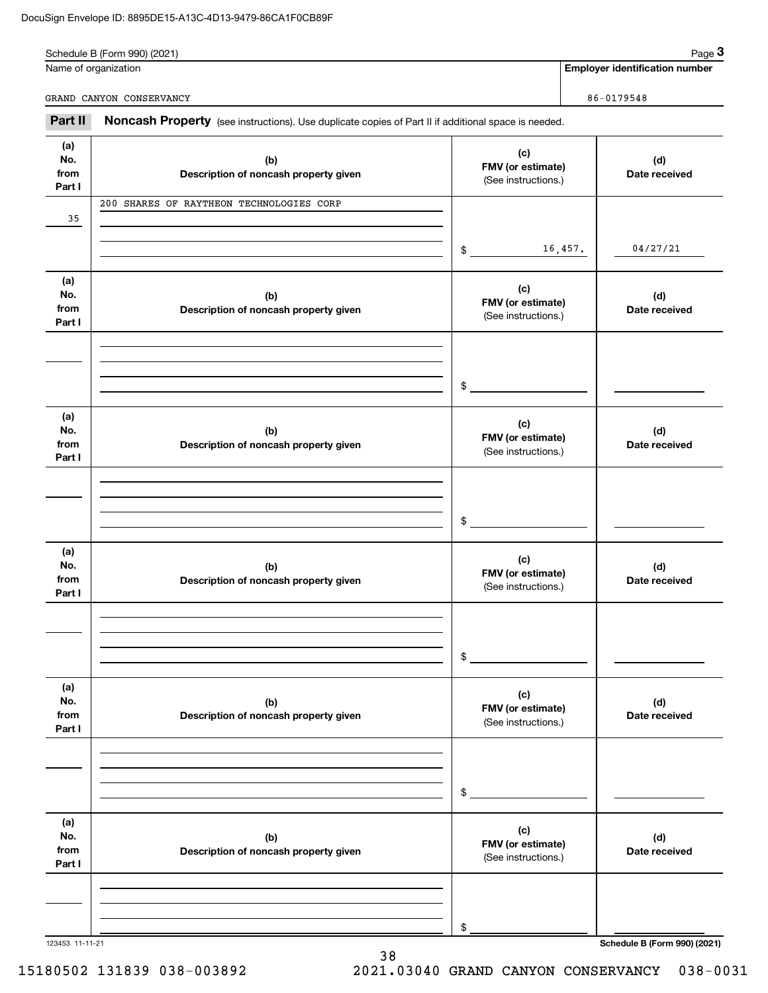|            | Name of organization                                                                                |                                 | <b>Employer identification number</b> |
|------------|-----------------------------------------------------------------------------------------------------|---------------------------------|---------------------------------------|
|            | GRAND CANYON CONSERVANCY                                                                            |                                 | 86-0179548                            |
| Part II    | Noncash Property (see instructions). Use duplicate copies of Part II if additional space is needed. |                                 |                                       |
| (a)<br>No. | (b)<br>Description of noncash property given                                                        | (c)<br><b>FMV</b> (or estimate) | (d)<br>Date received                  |

| 35                           |                                              |                                                 |                              |
|------------------------------|----------------------------------------------|-------------------------------------------------|------------------------------|
|                              |                                              | 16,457.<br>\$                                   | 04/27/21                     |
| (a)<br>No.<br>from<br>Part I | (b)<br>Description of noncash property given | (c)<br>FMV (or estimate)<br>(See instructions.) | (d)<br>Date received         |
|                              |                                              | \$                                              |                              |
| (a)<br>No.<br>from<br>Part I | (b)<br>Description of noncash property given | (c)<br>FMV (or estimate)<br>(See instructions.) | (d)<br>Date received         |
|                              |                                              | \$                                              |                              |
| (a)<br>No.<br>from<br>Part I | (b)<br>Description of noncash property given | (c)<br>FMV (or estimate)<br>(See instructions.) | (d)<br>Date received         |
|                              |                                              | $\mathfrak{S}$                                  |                              |
| (a)<br>No.<br>from<br>Part I | (b)<br>Description of noncash property given | (c)<br>FMV (or estimate)<br>(See instructions.) | (d)<br>Date received         |
|                              |                                              | \$                                              |                              |
| (a)<br>No.<br>from<br>Part I | (b)<br>Description of noncash property given | (c)<br>FMV (or estimate)<br>(See instructions.) | (d)<br>Date received         |
|                              |                                              | \$                                              |                              |
| 123453 11-11-21              |                                              |                                                 | Schedule B (Form 990) (2021) |

38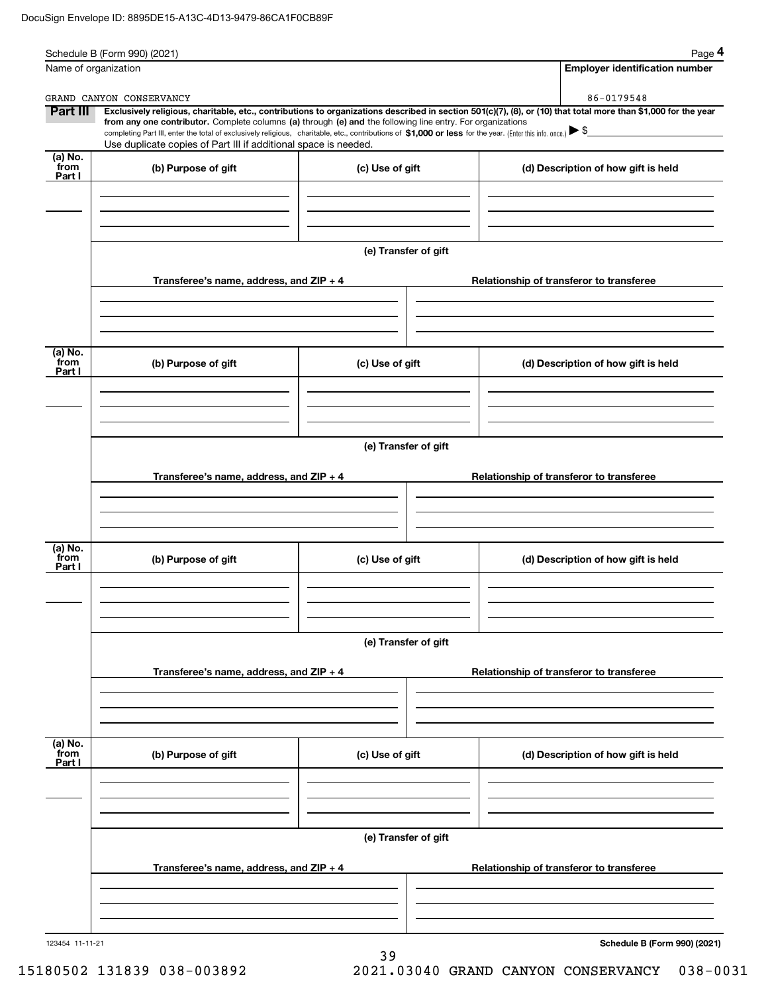|                                               | Schedule B (Form 990) (2021)                                                                                                                                                  |                      | Page 4                                                                                                                                                                                                                                                                                                                          |
|-----------------------------------------------|-------------------------------------------------------------------------------------------------------------------------------------------------------------------------------|----------------------|---------------------------------------------------------------------------------------------------------------------------------------------------------------------------------------------------------------------------------------------------------------------------------------------------------------------------------|
|                                               | Name of organization                                                                                                                                                          |                      | <b>Employer identification number</b>                                                                                                                                                                                                                                                                                           |
|                                               | GRAND CANYON CONSERVANCY                                                                                                                                                      |                      | 86-0179548                                                                                                                                                                                                                                                                                                                      |
| Part III                                      | from any one contributor. Complete columns (a) through (e) and the following line entry. For organizations<br>Use duplicate copies of Part III if additional space is needed. |                      | Exclusively religious, charitable, etc., contributions to organizations described in section 501(c)(7), (8), or (10) that total more than \$1,000 for the year<br>completing Part III, enter the total of exclusively religious, charitable, etc., contributions of \$1,000 or less for the year. (Enter this info. once.) > \$ |
| (a) No.<br>from<br>Part I                     | (b) Purpose of gift                                                                                                                                                           | (c) Use of gift      | (d) Description of how gift is held                                                                                                                                                                                                                                                                                             |
|                                               |                                                                                                                                                                               |                      |                                                                                                                                                                                                                                                                                                                                 |
|                                               |                                                                                                                                                                               |                      |                                                                                                                                                                                                                                                                                                                                 |
|                                               |                                                                                                                                                                               | (e) Transfer of gift |                                                                                                                                                                                                                                                                                                                                 |
|                                               | Transferee's name, address, and $ZIP + 4$                                                                                                                                     |                      | Relationship of transferor to transferee                                                                                                                                                                                                                                                                                        |
|                                               |                                                                                                                                                                               |                      |                                                                                                                                                                                                                                                                                                                                 |
| (a) $\overline{\text{No.}}$<br>from<br>Part I | (b) Purpose of gift                                                                                                                                                           | (c) Use of gift      | (d) Description of how gift is held                                                                                                                                                                                                                                                                                             |
|                                               |                                                                                                                                                                               |                      |                                                                                                                                                                                                                                                                                                                                 |
|                                               |                                                                                                                                                                               | (e) Transfer of gift |                                                                                                                                                                                                                                                                                                                                 |
|                                               | Transferee's name, address, and $ZIP + 4$                                                                                                                                     |                      | Relationship of transferor to transferee                                                                                                                                                                                                                                                                                        |
|                                               |                                                                                                                                                                               |                      |                                                                                                                                                                                                                                                                                                                                 |
| (a) No.<br>from<br>Part I                     | (b) Purpose of gift                                                                                                                                                           | (c) Use of gift      | (d) Description of how gift is held                                                                                                                                                                                                                                                                                             |
|                                               |                                                                                                                                                                               |                      |                                                                                                                                                                                                                                                                                                                                 |
|                                               |                                                                                                                                                                               | (e) Transfer of gift |                                                                                                                                                                                                                                                                                                                                 |
|                                               | Transferee's name, address, and ZIP + 4                                                                                                                                       |                      | Relationship of transferor to transferee                                                                                                                                                                                                                                                                                        |
|                                               |                                                                                                                                                                               |                      |                                                                                                                                                                                                                                                                                                                                 |
| (a) No.<br>from<br>Part I                     | (b) Purpose of gift                                                                                                                                                           | (c) Use of gift      | (d) Description of how gift is held                                                                                                                                                                                                                                                                                             |
|                                               |                                                                                                                                                                               |                      |                                                                                                                                                                                                                                                                                                                                 |
|                                               |                                                                                                                                                                               | (e) Transfer of gift |                                                                                                                                                                                                                                                                                                                                 |
|                                               | Transferee's name, address, and ZIP + 4                                                                                                                                       |                      | Relationship of transferor to transferee                                                                                                                                                                                                                                                                                        |
|                                               |                                                                                                                                                                               |                      |                                                                                                                                                                                                                                                                                                                                 |
|                                               |                                                                                                                                                                               |                      |                                                                                                                                                                                                                                                                                                                                 |

39

**Schedule B (Form 990) (2021)**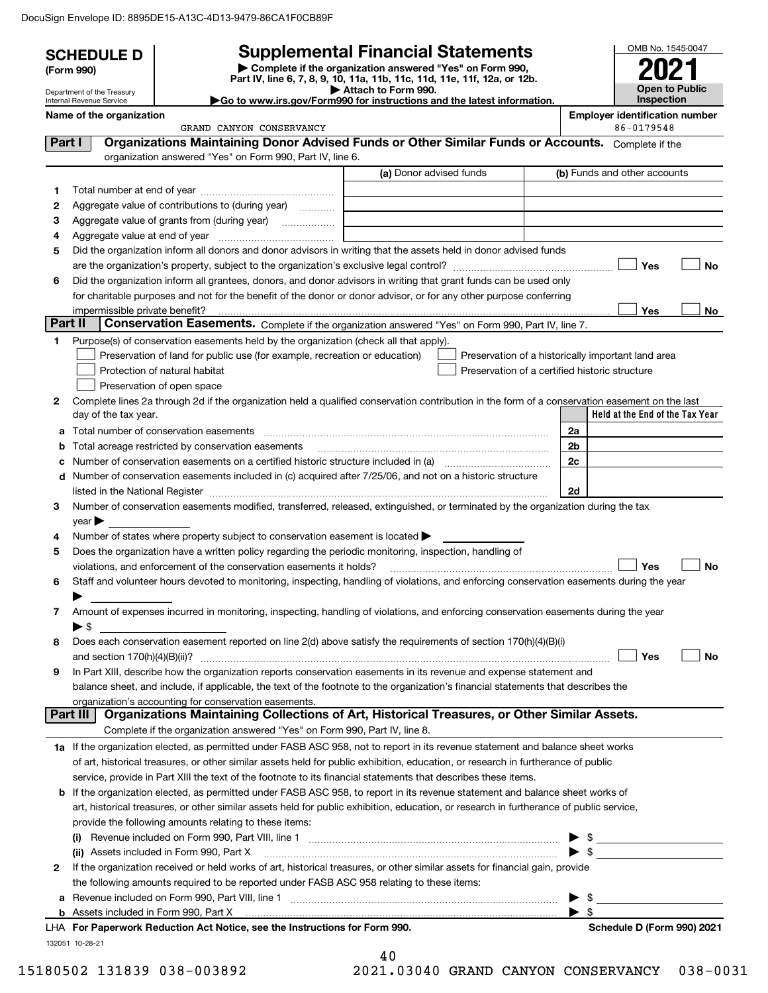|         | <b>SCHEDULE D</b>              |                                                                                                                                                                                                                  | <b>Supplemental Financial Statements</b>                                                        | OMB No. 1545-0047                                   |
|---------|--------------------------------|------------------------------------------------------------------------------------------------------------------------------------------------------------------------------------------------------------------|-------------------------------------------------------------------------------------------------|-----------------------------------------------------|
|         | (Form 990)                     |                                                                                                                                                                                                                  | Complete if the organization answered "Yes" on Form 990,                                        |                                                     |
|         | Department of the Treasury     |                                                                                                                                                                                                                  | Part IV, line 6, 7, 8, 9, 10, 11a, 11b, 11c, 11d, 11e, 11f, 12a, or 12b.<br>Attach to Form 990. | <b>Open to Public</b>                               |
|         | Internal Revenue Service       | Go to www.irs.gov/Form990 for instructions and the latest information.                                                                                                                                           |                                                                                                 | <b>Inspection</b>                                   |
|         | Name of the organization       | GRAND CANYON CONSERVANCY                                                                                                                                                                                         |                                                                                                 | <b>Employer identification number</b><br>86-0179548 |
| Part I  |                                | Organizations Maintaining Donor Advised Funds or Other Similar Funds or Accounts. Complete if the                                                                                                                |                                                                                                 |                                                     |
|         |                                | organization answered "Yes" on Form 990, Part IV, line 6.                                                                                                                                                        |                                                                                                 |                                                     |
|         |                                |                                                                                                                                                                                                                  | (a) Donor advised funds                                                                         | (b) Funds and other accounts                        |
| 1       |                                |                                                                                                                                                                                                                  |                                                                                                 |                                                     |
| 2       |                                | Aggregate value of contributions to (during year)                                                                                                                                                                |                                                                                                 |                                                     |
| З       |                                |                                                                                                                                                                                                                  |                                                                                                 |                                                     |
| 4       |                                |                                                                                                                                                                                                                  |                                                                                                 |                                                     |
| 5       |                                | Did the organization inform all donors and donor advisors in writing that the assets held in donor advised funds                                                                                                 |                                                                                                 |                                                     |
|         |                                |                                                                                                                                                                                                                  |                                                                                                 | Yes<br><b>No</b>                                    |
| 6       |                                | Did the organization inform all grantees, donors, and donor advisors in writing that grant funds can be used only                                                                                                |                                                                                                 |                                                     |
|         |                                | for charitable purposes and not for the benefit of the donor or donor advisor, or for any other purpose conferring                                                                                               |                                                                                                 |                                                     |
| Part II | impermissible private benefit? | Conservation Easements. Complete if the organization answered "Yes" on Form 990, Part IV, line 7.                                                                                                                |                                                                                                 | Yes<br>No.                                          |
| 1       |                                | Purpose(s) of conservation easements held by the organization (check all that apply).                                                                                                                            |                                                                                                 |                                                     |
|         |                                | Preservation of land for public use (for example, recreation or education)                                                                                                                                       |                                                                                                 | Preservation of a historically important land area  |
|         |                                | Protection of natural habitat                                                                                                                                                                                    |                                                                                                 | Preservation of a certified historic structure      |
|         |                                | Preservation of open space                                                                                                                                                                                       |                                                                                                 |                                                     |
| 2       |                                | Complete lines 2a through 2d if the organization held a qualified conservation contribution in the form of a conservation easement on the last                                                                   |                                                                                                 |                                                     |
|         | day of the tax year.           |                                                                                                                                                                                                                  |                                                                                                 | Held at the End of the Tax Year                     |
| a       |                                |                                                                                                                                                                                                                  |                                                                                                 | 2a                                                  |
| b       |                                | Total acreage restricted by conservation easements                                                                                                                                                               |                                                                                                 | 2 <sub>b</sub>                                      |
| с       |                                | Number of conservation easements on a certified historic structure included in (a) manufacture included in (a)                                                                                                   |                                                                                                 | 2c                                                  |
| d       |                                | Number of conservation easements included in (c) acquired after 7/25/06, and not on a historic structure                                                                                                         |                                                                                                 |                                                     |
|         |                                |                                                                                                                                                                                                                  |                                                                                                 | 2d                                                  |
| 3       |                                | Number of conservation easements modified, transferred, released, extinguished, or terminated by the organization during the tax                                                                                 |                                                                                                 |                                                     |
|         | $year \blacktriangleright$     |                                                                                                                                                                                                                  |                                                                                                 |                                                     |
| 4       |                                | Number of states where property subject to conservation easement is located >                                                                                                                                    |                                                                                                 |                                                     |
| 5       |                                | Does the organization have a written policy regarding the periodic monitoring, inspection, handling of                                                                                                           |                                                                                                 | Yes<br><b>No</b>                                    |
| 6       |                                | violations, and enforcement of the conservation easements it holds?<br>Staff and volunteer hours devoted to monitoring, inspecting, handling of violations, and enforcing conservation easements during the year |                                                                                                 |                                                     |
|         |                                |                                                                                                                                                                                                                  |                                                                                                 |                                                     |
| 7       |                                | Amount of expenses incurred in monitoring, inspecting, handling of violations, and enforcing conservation easements during the year                                                                              |                                                                                                 |                                                     |
|         | ▶ \$                           |                                                                                                                                                                                                                  |                                                                                                 |                                                     |
| 8       |                                | Does each conservation easement reported on line 2(d) above satisfy the requirements of section 170(h)(4)(B)(i)                                                                                                  |                                                                                                 |                                                     |
|         |                                |                                                                                                                                                                                                                  |                                                                                                 | Yes<br>No                                           |
| 9       |                                | In Part XIII, describe how the organization reports conservation easements in its revenue and expense statement and                                                                                              |                                                                                                 |                                                     |
|         |                                | balance sheet, and include, if applicable, the text of the footnote to the organization's financial statements that describes the                                                                                |                                                                                                 |                                                     |
|         |                                | organization's accounting for conservation easements.                                                                                                                                                            |                                                                                                 |                                                     |
|         | <b>Part III</b>                | Organizations Maintaining Collections of Art, Historical Treasures, or Other Similar Assets.                                                                                                                     |                                                                                                 |                                                     |
|         |                                | Complete if the organization answered "Yes" on Form 990, Part IV, line 8.                                                                                                                                        |                                                                                                 |                                                     |
|         |                                | 1a If the organization elected, as permitted under FASB ASC 958, not to report in its revenue statement and balance sheet works                                                                                  |                                                                                                 |                                                     |
|         |                                | of art, historical treasures, or other similar assets held for public exhibition, education, or research in furtherance of public                                                                                |                                                                                                 |                                                     |
|         |                                | service, provide in Part XIII the text of the footnote to its financial statements that describes these items.                                                                                                   |                                                                                                 |                                                     |
|         |                                | <b>b</b> If the organization elected, as permitted under FASB ASC 958, to report in its revenue statement and balance sheet works of                                                                             |                                                                                                 |                                                     |
|         |                                | art, historical treasures, or other similar assets held for public exhibition, education, or research in furtherance of public service,                                                                          |                                                                                                 |                                                     |
|         |                                | provide the following amounts relating to these items:                                                                                                                                                           |                                                                                                 |                                                     |
|         |                                |                                                                                                                                                                                                                  |                                                                                                 |                                                     |
| 2       |                                | (ii) Assets included in Form 990, Part X<br>If the organization received or held works of art, historical treasures, or other similar assets for financial gain, provide                                         |                                                                                                 |                                                     |
|         |                                | the following amounts required to be reported under FASB ASC 958 relating to these items:                                                                                                                        |                                                                                                 |                                                     |
| а       |                                |                                                                                                                                                                                                                  |                                                                                                 | $\mathbb{S}$                                        |
|         |                                |                                                                                                                                                                                                                  |                                                                                                 | $\blacktriangleright$ \$                            |
|         |                                | LHA For Paperwork Reduction Act Notice, see the Instructions for Form 990.                                                                                                                                       |                                                                                                 | Schedule D (Form 990) 2021                          |
|         | 132051 10-28-21                |                                                                                                                                                                                                                  |                                                                                                 |                                                     |
|         |                                |                                                                                                                                                                                                                  | 40                                                                                              |                                                     |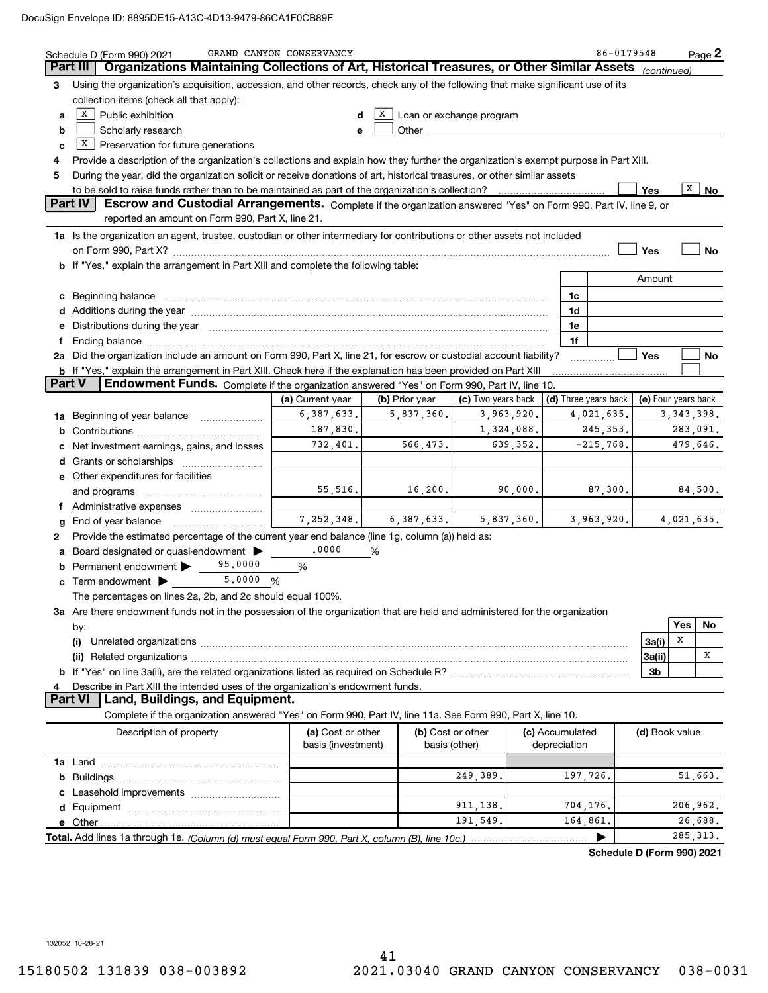|   | Schedule D (Form 990) 2021                                                                                                                                                                                                                                                                                                                                          | GRAND CANYON CONSERVANCY |                             |                                                                                                                                                                                                                                |          |                            | 86-0179548                 |                     |              | $Page$ 2 |
|---|---------------------------------------------------------------------------------------------------------------------------------------------------------------------------------------------------------------------------------------------------------------------------------------------------------------------------------------------------------------------|--------------------------|-----------------------------|--------------------------------------------------------------------------------------------------------------------------------------------------------------------------------------------------------------------------------|----------|----------------------------|----------------------------|---------------------|--------------|----------|
|   | Organizations Maintaining Collections of Art, Historical Treasures, or Other Similar Assets<br>Part III                                                                                                                                                                                                                                                             |                          |                             |                                                                                                                                                                                                                                |          |                            |                            | (continued)         |              |          |
| З | Using the organization's acquisition, accession, and other records, check any of the following that make significant use of its                                                                                                                                                                                                                                     |                          |                             |                                                                                                                                                                                                                                |          |                            |                            |                     |              |          |
|   | collection items (check all that apply):                                                                                                                                                                                                                                                                                                                            |                          |                             |                                                                                                                                                                                                                                |          |                            |                            |                     |              |          |
| а | $X$ Public exhibition                                                                                                                                                                                                                                                                                                                                               | d                        | X                           | Loan or exchange program                                                                                                                                                                                                       |          |                            |                            |                     |              |          |
| b | Scholarly research                                                                                                                                                                                                                                                                                                                                                  | e                        |                             | Other and the control of the control of the control of the control of the control of the control of the control of the control of the control of the control of the control of the control of the control of the control of th |          |                            |                            |                     |              |          |
| c | $X$ Preservation for future generations                                                                                                                                                                                                                                                                                                                             |                          |                             |                                                                                                                                                                                                                                |          |                            |                            |                     |              |          |
| 4 | Provide a description of the organization's collections and explain how they further the organization's exempt purpose in Part XIII.                                                                                                                                                                                                                                |                          |                             |                                                                                                                                                                                                                                |          |                            |                            |                     |              |          |
| 5 | During the year, did the organization solicit or receive donations of art, historical treasures, or other similar assets                                                                                                                                                                                                                                            |                          |                             |                                                                                                                                                                                                                                |          |                            |                            |                     |              |          |
|   | to be sold to raise funds rather than to be maintained as part of the organization's collection?                                                                                                                                                                                                                                                                    |                          |                             |                                                                                                                                                                                                                                |          |                            |                            | Yes                 | X            | No       |
|   | <b>Part IV</b><br>Escrow and Custodial Arrangements. Complete if the organization answered "Yes" on Form 990, Part IV, line 9, or                                                                                                                                                                                                                                   |                          |                             |                                                                                                                                                                                                                                |          |                            |                            |                     |              |          |
|   | reported an amount on Form 990, Part X, line 21.                                                                                                                                                                                                                                                                                                                    |                          |                             |                                                                                                                                                                                                                                |          |                            |                            |                     |              |          |
|   | 1a Is the organization an agent, trustee, custodian or other intermediary for contributions or other assets not included                                                                                                                                                                                                                                            |                          |                             |                                                                                                                                                                                                                                |          |                            |                            |                     |              |          |
|   |                                                                                                                                                                                                                                                                                                                                                                     |                          |                             |                                                                                                                                                                                                                                |          |                            |                            | Yes                 |              | No       |
|   | b If "Yes," explain the arrangement in Part XIII and complete the following table:                                                                                                                                                                                                                                                                                  |                          |                             |                                                                                                                                                                                                                                |          |                            |                            | Amount              |              |          |
|   |                                                                                                                                                                                                                                                                                                                                                                     |                          |                             |                                                                                                                                                                                                                                |          |                            |                            |                     |              |          |
|   | Beginning balance <b>contract to the contract of the contract of the contract of the contract of the contract of t</b><br>1c<br>c<br>Additions during the year manufactured and an annual contract of the year manufactured and all the year manufactured and all the year manufactured and all the year manufactured and all the year manufactured and all the yea |                          |                             |                                                                                                                                                                                                                                |          |                            |                            |                     |              |          |
|   | Distributions during the year manufactured and an according to the control of the control of the set of the set of the set of the set of the set of the set of the set of the set of the set of the set of the set of the set                                                                                                                                       |                          |                             |                                                                                                                                                                                                                                |          | 1d<br>1e                   |                            |                     |              |          |
|   |                                                                                                                                                                                                                                                                                                                                                                     |                          |                             |                                                                                                                                                                                                                                |          | 1f                         |                            |                     |              |          |
|   | 2a Did the organization include an amount on Form 990, Part X, line 21, for escrow or custodial account liability?                                                                                                                                                                                                                                                  |                          |                             |                                                                                                                                                                                                                                |          |                            |                            | Yes                 |              | No       |
|   | <b>b</b> If "Yes," explain the arrangement in Part XIII. Check here if the explanation has been provided on Part XIII                                                                                                                                                                                                                                               |                          |                             |                                                                                                                                                                                                                                |          |                            |                            |                     |              |          |
|   | Part V<br><b>Endowment Funds.</b> Complete if the organization answered "Yes" on Form 990, Part IV, line 10.                                                                                                                                                                                                                                                        |                          |                             |                                                                                                                                                                                                                                |          |                            |                            |                     |              |          |
|   |                                                                                                                                                                                                                                                                                                                                                                     | (a) Current year         | (b) Prior year              | (c) Two years back                                                                                                                                                                                                             |          | $(d)$ Three years back $ $ |                            | (e) Four years back |              |          |
|   | 1a Beginning of year balance                                                                                                                                                                                                                                                                                                                                        | 6,387,633.               | 5,837,360.                  | 3,963,920.                                                                                                                                                                                                                     |          |                            | 4,021,635.                 |                     | 3, 343, 398. |          |
| b |                                                                                                                                                                                                                                                                                                                                                                     | 187,830.                 |                             | 1,324,088.                                                                                                                                                                                                                     |          |                            | 245, 353.                  |                     | 283,091.     |          |
|   | Net investment earnings, gains, and losses                                                                                                                                                                                                                                                                                                                          | 732,401.                 | 566,473.                    |                                                                                                                                                                                                                                | 639,352. |                            | $-215,768$ .               |                     | 479,646.     |          |
| d | Grants or scholarships                                                                                                                                                                                                                                                                                                                                              |                          |                             |                                                                                                                                                                                                                                |          |                            |                            |                     |              |          |
|   | e Other expenditures for facilities                                                                                                                                                                                                                                                                                                                                 |                          |                             |                                                                                                                                                                                                                                |          |                            |                            |                     |              |          |
|   | and programs                                                                                                                                                                                                                                                                                                                                                        | 55,516.                  | 16,200.                     |                                                                                                                                                                                                                                | 90,000.  |                            | 87,300.                    |                     |              | 84,500.  |
|   | Administrative expenses                                                                                                                                                                                                                                                                                                                                             |                          |                             |                                                                                                                                                                                                                                |          |                            |                            |                     |              |          |
|   | End of year balance                                                                                                                                                                                                                                                                                                                                                 |                          | $7, 252, 348.$ 6, 387, 633. | 5,837,360.                                                                                                                                                                                                                     |          |                            | 3,963,920.                 |                     | 4,021,635.   |          |
| 2 | Provide the estimated percentage of the current year end balance (line 1g, column (a)) held as:                                                                                                                                                                                                                                                                     |                          |                             |                                                                                                                                                                                                                                |          |                            |                            |                     |              |          |
|   | Board designated or quasi-endowment >                                                                                                                                                                                                                                                                                                                               | .0000                    | %                           |                                                                                                                                                                                                                                |          |                            |                            |                     |              |          |
|   | 95,0000<br>Permanent endowment $\blacktriangleright$                                                                                                                                                                                                                                                                                                                | %                        |                             |                                                                                                                                                                                                                                |          |                            |                            |                     |              |          |
|   | 5,0000<br>$\mathbf c$ Term endowment $\blacktriangleright$                                                                                                                                                                                                                                                                                                          | %                        |                             |                                                                                                                                                                                                                                |          |                            |                            |                     |              |          |
|   | The percentages on lines 2a, 2b, and 2c should equal 100%.                                                                                                                                                                                                                                                                                                          |                          |                             |                                                                                                                                                                                                                                |          |                            |                            |                     |              |          |
|   | 3a Are there endowment funds not in the possession of the organization that are held and administered for the organization                                                                                                                                                                                                                                          |                          |                             |                                                                                                                                                                                                                                |          |                            |                            |                     | Yes          |          |
|   | by:                                                                                                                                                                                                                                                                                                                                                                 |                          |                             |                                                                                                                                                                                                                                |          |                            |                            |                     | X            | No       |
|   | (i)                                                                                                                                                                                                                                                                                                                                                                 |                          |                             |                                                                                                                                                                                                                                |          |                            |                            | 3a(i)               |              | Χ        |
|   |                                                                                                                                                                                                                                                                                                                                                                     |                          |                             |                                                                                                                                                                                                                                |          |                            |                            | 3a(ii)              |              |          |
| 4 | Describe in Part XIII the intended uses of the organization's endowment funds.                                                                                                                                                                                                                                                                                      |                          |                             |                                                                                                                                                                                                                                |          |                            |                            | 3b                  |              |          |
|   | Part VI<br>Land, Buildings, and Equipment.                                                                                                                                                                                                                                                                                                                          |                          |                             |                                                                                                                                                                                                                                |          |                            |                            |                     |              |          |
|   | Complete if the organization answered "Yes" on Form 990, Part IV, line 11a. See Form 990, Part X, line 10.                                                                                                                                                                                                                                                          |                          |                             |                                                                                                                                                                                                                                |          |                            |                            |                     |              |          |
|   | Description of property                                                                                                                                                                                                                                                                                                                                             | (a) Cost or other        |                             | (b) Cost or other                                                                                                                                                                                                              |          | (c) Accumulated            |                            | (d) Book value      |              |          |
|   |                                                                                                                                                                                                                                                                                                                                                                     | basis (investment)       |                             | basis (other)                                                                                                                                                                                                                  |          | depreciation               |                            |                     |              |          |
|   |                                                                                                                                                                                                                                                                                                                                                                     |                          |                             |                                                                                                                                                                                                                                |          |                            |                            |                     |              |          |
| b |                                                                                                                                                                                                                                                                                                                                                                     |                          |                             | 249,389.                                                                                                                                                                                                                       |          | 197,726.                   |                            |                     |              | 51,663.  |
|   |                                                                                                                                                                                                                                                                                                                                                                     |                          |                             |                                                                                                                                                                                                                                |          |                            |                            |                     |              |          |
|   |                                                                                                                                                                                                                                                                                                                                                                     |                          |                             | 911, 138.                                                                                                                                                                                                                      |          | 704,176.                   |                            |                     | 206,962.     |          |
|   |                                                                                                                                                                                                                                                                                                                                                                     |                          |                             | 191,549.                                                                                                                                                                                                                       |          | 164,861.                   |                            |                     |              | 26,688.  |
|   | Total. Add lines 1a through 1e. (Column (d) must equal Form 990. Part X. column (B). line 10c.)                                                                                                                                                                                                                                                                     |                          |                             |                                                                                                                                                                                                                                |          |                            |                            |                     | 285, 313.    |          |
|   |                                                                                                                                                                                                                                                                                                                                                                     |                          |                             |                                                                                                                                                                                                                                |          |                            | Schedule D (Form 990) 2021 |                     |              |          |

132052 10-28-21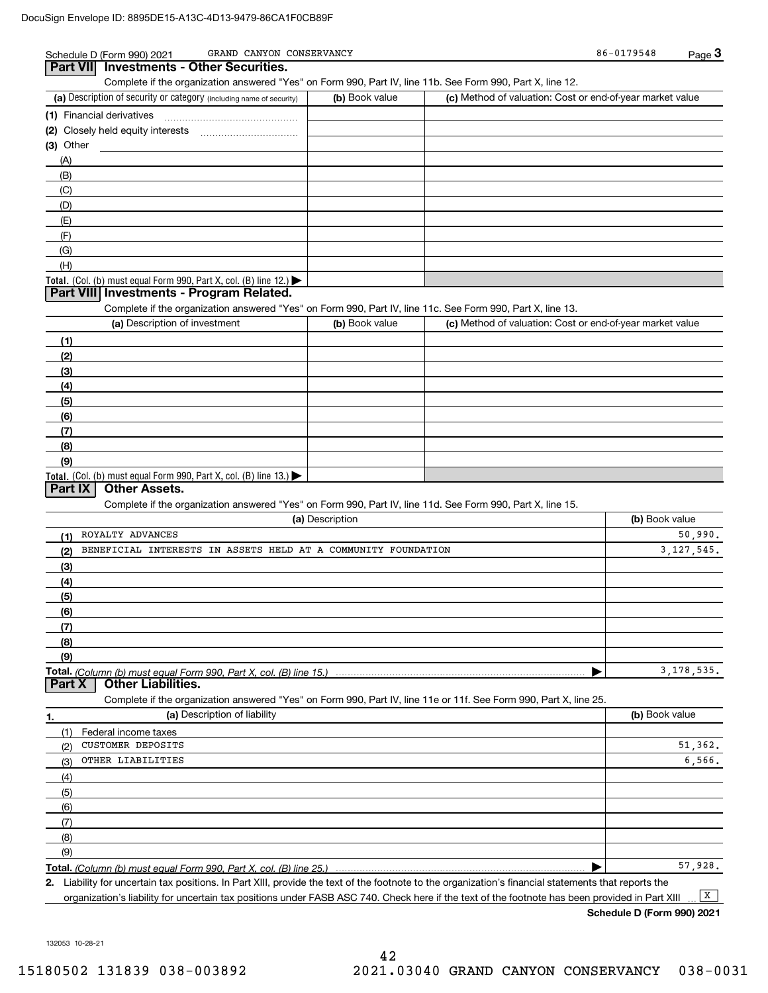| GRAND CANYON CONSERVANCY<br>Schedule D (Form 990) 2021                                                            |                 |                                                           | 86-0179548     | Page $3$     |
|-------------------------------------------------------------------------------------------------------------------|-----------------|-----------------------------------------------------------|----------------|--------------|
| Part VII Investments - Other Securities.                                                                          |                 |                                                           |                |              |
| Complete if the organization answered "Yes" on Form 990, Part IV, line 11b. See Form 990, Part X, line 12.        |                 |                                                           |                |              |
| (a) Description of security or category (including name of security)                                              | (b) Book value  | (c) Method of valuation: Cost or end-of-year market value |                |              |
| (1) Financial derivatives                                                                                         |                 |                                                           |                |              |
|                                                                                                                   |                 |                                                           |                |              |
| $(3)$ Other<br><u> 1980 - Jan Barbara Barbara, maskin politik (</u>                                               |                 |                                                           |                |              |
| (A)                                                                                                               |                 |                                                           |                |              |
| (B)                                                                                                               |                 |                                                           |                |              |
| (C)                                                                                                               |                 |                                                           |                |              |
| (D)                                                                                                               |                 |                                                           |                |              |
| (E)                                                                                                               |                 |                                                           |                |              |
| (F)                                                                                                               |                 |                                                           |                |              |
| (G)                                                                                                               |                 |                                                           |                |              |
| (H)                                                                                                               |                 |                                                           |                |              |
| Total. (Col. (b) must equal Form 990, Part X, col. (B) line 12.)                                                  |                 |                                                           |                |              |
| Part VIII Investments - Program Related.                                                                          |                 |                                                           |                |              |
| Complete if the organization answered "Yes" on Form 990, Part IV, line 11c. See Form 990, Part X, line 13.        |                 |                                                           |                |              |
| (a) Description of investment                                                                                     | (b) Book value  | (c) Method of valuation: Cost or end-of-year market value |                |              |
| (1)                                                                                                               |                 |                                                           |                |              |
| (2)                                                                                                               |                 |                                                           |                |              |
| (3)                                                                                                               |                 |                                                           |                |              |
| (4)                                                                                                               |                 |                                                           |                |              |
| (5)                                                                                                               |                 |                                                           |                |              |
| (6)                                                                                                               |                 |                                                           |                |              |
| (7)                                                                                                               |                 |                                                           |                |              |
| (8)                                                                                                               |                 |                                                           |                |              |
| (9)                                                                                                               |                 |                                                           |                |              |
| Total. (Col. (b) must equal Form 990, Part X, col. (B) line 13.)                                                  |                 |                                                           |                |              |
| <b>Part IX</b><br><b>Other Assets.</b>                                                                            |                 |                                                           |                |              |
| Complete if the organization answered "Yes" on Form 990, Part IV, line 11d. See Form 990, Part X, line 15.        |                 |                                                           |                |              |
|                                                                                                                   | (a) Description |                                                           | (b) Book value |              |
| ROYALTY ADVANCES<br>(1)                                                                                           |                 |                                                           |                | 50,990.      |
| BENEFICIAL INTERESTS IN ASSETS HELD AT A COMMUNITY FOUNDATION<br>(2)                                              |                 |                                                           |                | 3, 127, 545. |
| (3)                                                                                                               |                 |                                                           |                |              |
| (4)                                                                                                               |                 |                                                           |                |              |
| (5)                                                                                                               |                 |                                                           |                |              |
| (6)                                                                                                               |                 |                                                           |                |              |
| (7)                                                                                                               |                 |                                                           |                |              |
| (8)                                                                                                               |                 |                                                           |                |              |
| (9)                                                                                                               |                 |                                                           |                |              |
| Total. (Column (b) must equal Form 990, Part X, col. (B) line 15.)                                                |                 |                                                           |                | 3, 178, 535. |
| Part X<br><b>Other Liabilities.</b>                                                                               |                 |                                                           |                |              |
| Complete if the organization answered "Yes" on Form 990, Part IV, line 11e or 11f. See Form 990, Part X, line 25. |                 |                                                           |                |              |
| (a) Description of liability<br>1.                                                                                |                 |                                                           | (b) Book value |              |
| (1)<br>Federal income taxes                                                                                       |                 |                                                           |                |              |
|                                                                                                                   |                 |                                                           |                |              |

| Federal income taxes            |             |
|---------------------------------|-------------|
| <b>CUSTOMER DEPOSITS</b><br>(2) | 51,362.     |
| OTHER LIABILITIES<br>(3)        | 6,566.      |
| (4)                             |             |
| (5)                             |             |
| (6)                             |             |
| (7)                             |             |
| (8)                             |             |
| (9)                             |             |
|                                 | 57<br>.928. |

**Total.**  *(Column (b) must equal Form 990, Part X, col. (B) line 25.)* 

**2.**Liability for uncertain tax positions. In Part XIII, provide the text of the footnote to the organization's financial statements that reports the organization's liability for uncertain tax positions under FASB ASC 740. Check here if the text of the footnote has been provided in Part XIII  $\boxed{\mathbf{X}}$ 

**Schedule D (Form 990) 2021**

132053 10-28-21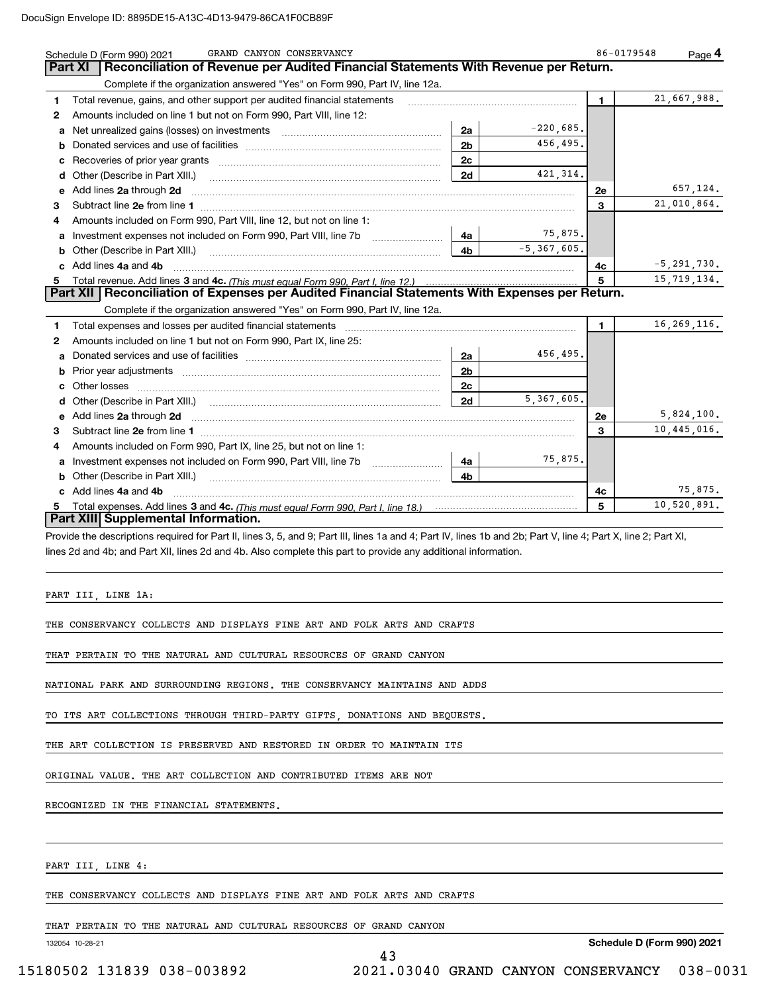|    | GRAND CANYON CONSERVANCY<br>Schedule D (Form 990) 2021                                                                  |                |                 | 86-0179548 | Page $4$        |
|----|-------------------------------------------------------------------------------------------------------------------------|----------------|-----------------|------------|-----------------|
|    | Reconciliation of Revenue per Audited Financial Statements With Revenue per Return.<br>Part XI                          |                |                 |            |                 |
|    | Complete if the organization answered "Yes" on Form 990, Part IV, line 12a.                                             |                |                 |            |                 |
| 1  | Total revenue, gains, and other support per audited financial statements                                                |                |                 | 1.         | 21,667,988.     |
| 2  | Amounts included on line 1 but not on Form 990, Part VIII, line 12:                                                     |                |                 |            |                 |
| a  |                                                                                                                         | 2a             | $-220,685$ .    |            |                 |
| b  |                                                                                                                         | 2 <sub>b</sub> | 456,495.        |            |                 |
| с  |                                                                                                                         | 2c             |                 |            |                 |
| d  |                                                                                                                         | 2d             | 421, 314.       |            |                 |
|    | Add lines 2a through 2d                                                                                                 |                |                 | 2e         | 657,124.        |
| 3  | Subtract line 2e from line 1 <b>Manual Community of the Community</b> Subtract line 2e from line 1                      |                |                 | 3          | 21,010,864.     |
| 4  | Amounts included on Form 990, Part VIII, line 12, but not on line 1:                                                    |                |                 |            |                 |
| a  |                                                                                                                         | 4a l           | 75,875.         |            |                 |
|    | Other (Describe in Part XIII.)                                                                                          | 4 <sub>b</sub> | $-5, 367, 605.$ |            |                 |
| c  | Add lines 4a and 4b                                                                                                     |                |                 | 4с         | $-5, 291, 730.$ |
| 5. |                                                                                                                         |                |                 | 5          | 15,719,134.     |
|    | Part XII   Reconciliation of Expenses per Audited Financial Statements With Expenses per Return.                        |                |                 |            |                 |
|    | Complete if the organization answered "Yes" on Form 990, Part IV, line 12a.                                             |                |                 |            |                 |
| 1  | Total expenses and losses per audited financial statements                                                              |                |                 | 1.         | 16, 269, 116.   |
| 2  | Amounts included on line 1 but not on Form 990, Part IX, line 25:                                                       |                |                 |            |                 |
| a  |                                                                                                                         | 2a             | 456,495.        |            |                 |
| b  | Prior year adjustments <i>www.www.www.www.www.www.www.www.www.</i> ww.                                                  | 2 <sub>b</sub> |                 |            |                 |
|    | Other losses                                                                                                            | 2c             |                 |            |                 |
|    |                                                                                                                         | 2d             | 5,367,605.      |            |                 |
| е  | Add lines 2a through 2d <b>contract and a contract and a contract a</b> contract a contract and a contract a contract a |                |                 | <b>2e</b>  | 5,824,100.      |
| 3  |                                                                                                                         |                |                 | 3          | 10,445,016.     |
| 4  | Amounts included on Form 990, Part IX, line 25, but not on line 1:                                                      |                |                 |            |                 |
| a  |                                                                                                                         | 4a             | 75,875.         |            |                 |
| b  |                                                                                                                         | 4b.            |                 |            |                 |
|    | Add lines 4a and 4b                                                                                                     |                |                 | 4c         | 75,875.         |
|    |                                                                                                                         |                |                 | 5          | 10,520,891.     |
|    | Part XIII Supplemental Information.                                                                                     |                |                 |            |                 |

Provide the descriptions required for Part II, lines 3, 5, and 9; Part III, lines 1a and 4; Part IV, lines 1b and 2b; Part V, line 4; Part X, line 2; Part XI, lines 2d and 4b; and Part XII, lines 2d and 4b. Also complete this part to provide any additional information.

43

PART III, LINE 1A:

THE CONSERVANCY COLLECTS AND DISPLAYS FINE ART AND FOLK ARTS AND CRAFTS

THAT PERTAIN TO THE NATURAL AND CULTURAL RESOURCES OF GRAND CANYON

NATIONAL PARK AND SURROUNDING REGIONS. THE CONSERVANCY MAINTAINS AND ADDS

TO ITS ART COLLECTIONS THROUGH THIRD-PARTY GIFTS, DONATIONS AND BEQUESTS.

THE ART COLLECTION IS PRESERVED AND RESTORED IN ORDER TO MAINTAIN ITS

ORIGINAL VALUE. THE ART COLLECTION AND CONTRIBUTED ITEMS ARE NOT

RECOGNIZED IN THE FINANCIAL STATEMENTS.

PART III, LINE 4:

THE CONSERVANCY COLLECTS AND DISPLAYS FINE ART AND FOLK ARTS AND CRAFTS

THAT PERTAIN TO THE NATURAL AND CULTURAL RESOURCES OF GRAND CANYON

132054 10-28-21

**Schedule D (Form 990) 2021**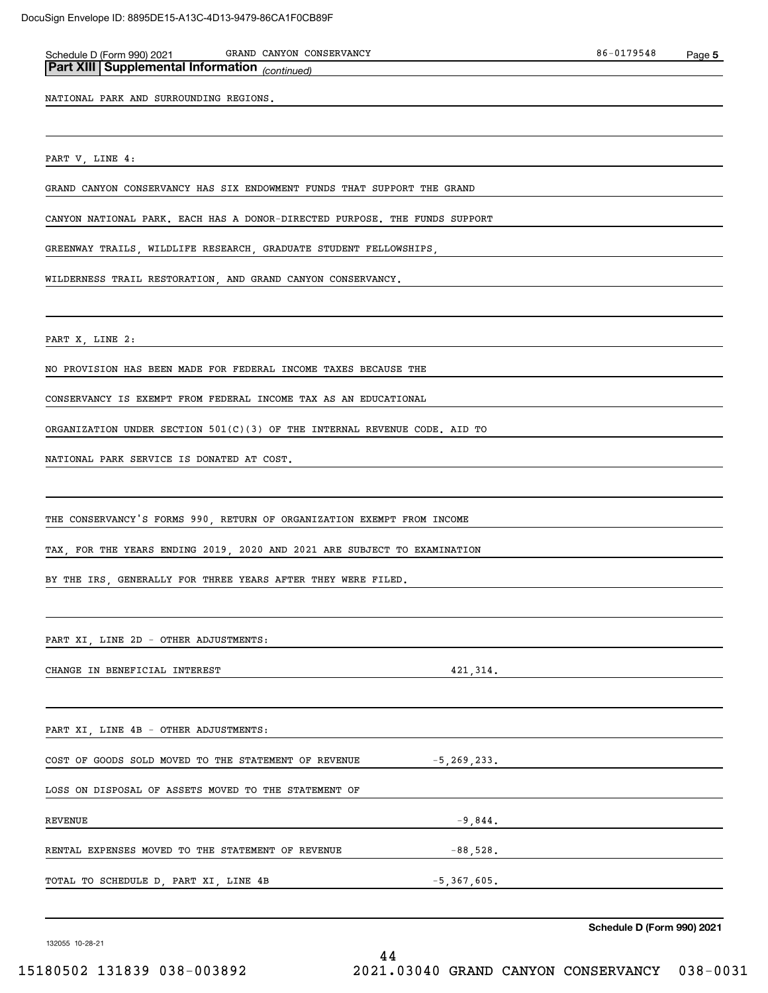| GRAND CANYON CONSERVANCY<br>Schedule D (Form 990) 2021<br>Part XIII Supplemental Information (continued) |                | 86-0179548 | Page 5 |
|----------------------------------------------------------------------------------------------------------|----------------|------------|--------|
| NATIONAL PARK AND SURROUNDING REGIONS.                                                                   |                |            |        |
|                                                                                                          |                |            |        |
| PART V, LINE 4:                                                                                          |                |            |        |
| GRAND CANYON CONSERVANCY HAS SIX ENDOWMENT FUNDS THAT SUPPORT THE GRAND                                  |                |            |        |
| CANYON NATIONAL PARK. EACH HAS A DONOR-DIRECTED PURPOSE. THE FUNDS SUPPORT                               |                |            |        |
| GREENWAY TRAILS, WILDLIFE RESEARCH, GRADUATE STUDENT FELLOWSHIPS,                                        |                |            |        |
| WILDERNESS TRAIL RESTORATION, AND GRAND CANYON CONSERVANCY.                                              |                |            |        |
| PART X, LINE 2:                                                                                          |                |            |        |
| NO PROVISION HAS BEEN MADE FOR FEDERAL INCOME TAXES BECAUSE THE                                          |                |            |        |
| CONSERVANCY IS EXEMPT FROM FEDERAL INCOME TAX AS AN EDUCATIONAL                                          |                |            |        |
| ORGANIZATION UNDER SECTION $501(C)(3)$ OF THE INTERNAL REVENUE CODE. AID TO                              |                |            |        |
| NATIONAL PARK SERVICE IS DONATED AT COST.                                                                |                |            |        |
|                                                                                                          |                |            |        |
| THE CONSERVANCY'S FORMS 990, RETURN OF ORGANIZATION EXEMPT FROM INCOME                                   |                |            |        |
| TAX, FOR THE YEARS ENDING 2019, 2020 AND 2021 ARE SUBJECT TO EXAMINATION                                 |                |            |        |
| BY THE IRS, GENERALLY FOR THREE YEARS AFTER THEY WERE FILED.                                             |                |            |        |
|                                                                                                          |                |            |        |
| PART XI, LINE 2D - OTHER ADJUSTMENTS:                                                                    |                |            |        |
| CHANGE IN BENEFICIAL INTEREST                                                                            | 421, 314.      |            |        |
|                                                                                                          |                |            |        |
| PART XI, LINE 4B - OTHER ADJUSTMENTS:                                                                    |                |            |        |
| COST OF GOODS SOLD MOVED TO THE STATEMENT OF REVENUE                                                     | $-5,269,233.$  |            |        |
| LOSS ON DISPOSAL OF ASSETS MOVED TO THE STATEMENT OF                                                     |                |            |        |
| <b>REVENUE</b>                                                                                           |                | $-9,844.$  |        |
| RENTAL EXPENSES MOVED TO THE STATEMENT OF REVENUE                                                        | $-88,528$ .    |            |        |
| TOTAL TO SCHEDULE D, PART XI, LINE 4B                                                                    | $-5,367,605$ . |            |        |
|                                                                                                          |                |            |        |

44

132055 10-28-21

**Schedule D (Form 990) 2021**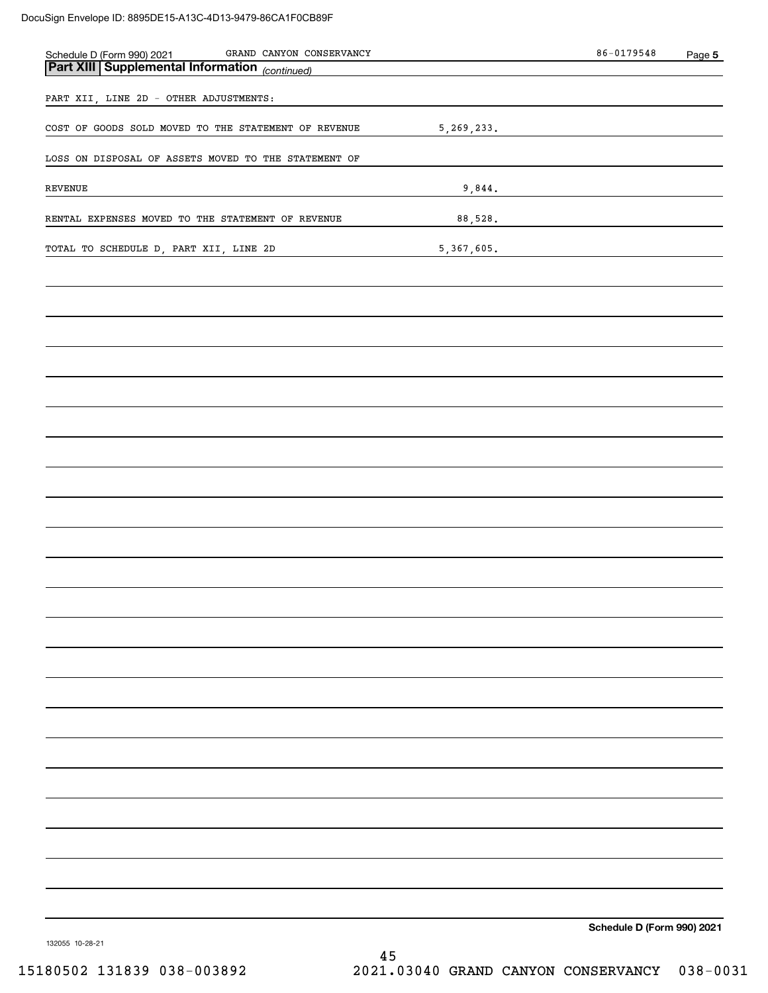| GRAND CANYON CONSERVANCY<br>Schedule D (Form 990) 2021 GRAND CANYON CONTRACT UP ON SALE Part XIII Supplemental Information (continued) |              | $86 - 0179548$                              | Page 5 |
|----------------------------------------------------------------------------------------------------------------------------------------|--------------|---------------------------------------------|--------|
|                                                                                                                                        |              |                                             |        |
| PART XII, LINE 2D - OTHER ADJUSTMENTS:                                                                                                 |              |                                             |        |
| COST OF GOODS SOLD MOVED TO THE STATEMENT OF REVENUE                                                                                   | 5, 269, 233. |                                             |        |
| LOSS ON DISPOSAL OF ASSETS MOVED TO THE STATEMENT OF                                                                                   |              |                                             |        |
| REVENUE                                                                                                                                | 9,844.       | <u> 1989 - Jan Amerikaans III (m. 1989)</u> |        |
| RENTAL EXPENSES MOVED TO THE STATEMENT OF REVENUE                                                                                      |              | 88, 528.                                    |        |
| TOTAL TO SCHEDULE D, PART XII, LINE 2D                                                                                                 | 5,367,605.   |                                             |        |
|                                                                                                                                        |              |                                             |        |
|                                                                                                                                        |              |                                             |        |
|                                                                                                                                        |              |                                             |        |
|                                                                                                                                        |              |                                             |        |
|                                                                                                                                        |              |                                             |        |
|                                                                                                                                        |              |                                             |        |
|                                                                                                                                        |              |                                             |        |
|                                                                                                                                        |              |                                             |        |
|                                                                                                                                        |              |                                             |        |
|                                                                                                                                        |              |                                             |        |
|                                                                                                                                        |              |                                             |        |
|                                                                                                                                        |              |                                             |        |
|                                                                                                                                        |              |                                             |        |
|                                                                                                                                        |              |                                             |        |
|                                                                                                                                        |              |                                             |        |
|                                                                                                                                        |              |                                             |        |
|                                                                                                                                        |              |                                             |        |
|                                                                                                                                        |              |                                             |        |
|                                                                                                                                        |              |                                             |        |
|                                                                                                                                        |              |                                             |        |
|                                                                                                                                        |              |                                             |        |
|                                                                                                                                        |              |                                             |        |
| 132055 10-28-21                                                                                                                        |              | Schedule D (Form 990) 2021                  |        |

132055 10-28-21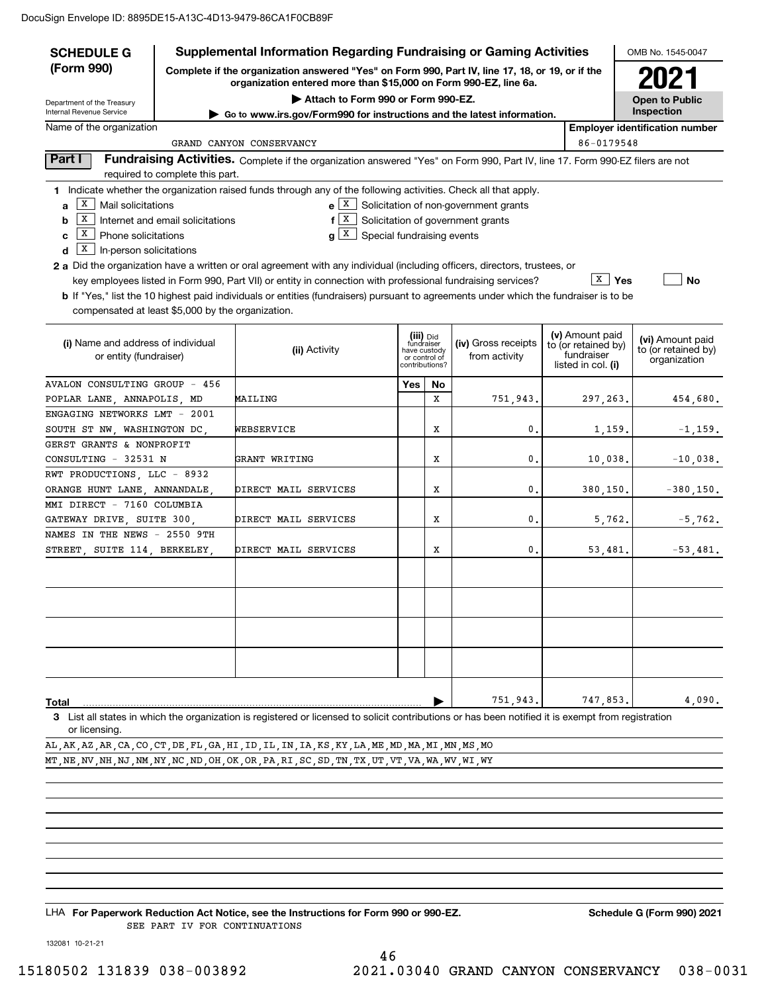| <b>SCHEDULE G</b>                                                                                                                                                                 |                                  | <b>Supplemental Information Regarding Fundraising or Gaming Activities</b>                                                                         |     |                               |                                              |  |                                        | OMB No. 1545-0047                     |
|-----------------------------------------------------------------------------------------------------------------------------------------------------------------------------------|----------------------------------|----------------------------------------------------------------------------------------------------------------------------------------------------|-----|-------------------------------|----------------------------------------------|--|----------------------------------------|---------------------------------------|
| (Form 990)<br>Complete if the organization answered "Yes" on Form 990, Part IV, line 17, 18, or 19, or if the<br>organization entered more than \$15,000 on Form 990-EZ, line 6a. |                                  |                                                                                                                                                    |     |                               |                                              |  |                                        | 2021                                  |
| Department of the Treasury                                                                                                                                                        |                                  | Attach to Form 990 or Form 990-EZ.                                                                                                                 |     |                               |                                              |  |                                        | <b>Open to Public</b>                 |
| Internal Revenue Service                                                                                                                                                          |                                  | ► Go to www.irs.gov/Form990 for instructions and the latest information.                                                                           |     |                               |                                              |  |                                        | Inspection                            |
| Name of the organization                                                                                                                                                          |                                  |                                                                                                                                                    |     |                               |                                              |  |                                        | <b>Employer identification number</b> |
|                                                                                                                                                                                   |                                  | GRAND CANYON CONSERVANCY                                                                                                                           |     |                               |                                              |  | 86-0179548                             |                                       |
| Part I                                                                                                                                                                            | required to complete this part.  | Fundraising Activities. Complete if the organization answered "Yes" on Form 990, Part IV, line 17. Form 990-EZ filers are not                      |     |                               |                                              |  |                                        |                                       |
|                                                                                                                                                                                   |                                  | 1 Indicate whether the organization raised funds through any of the following activities. Check all that apply.                                    |     |                               |                                              |  |                                        |                                       |
| $\boxed{\text{X}}$ Mail solicitations<br>a                                                                                                                                        |                                  |                                                                                                                                                    |     |                               | $e[X]$ Solicitation of non-government grants |  |                                        |                                       |
| X <br>b                                                                                                                                                                           | Internet and email solicitations | $f[X]$ Solicitation of government grants                                                                                                           |     |                               |                                              |  |                                        |                                       |
| $\boxed{\text{X}}$ Phone solicitations<br>C                                                                                                                                       |                                  | $g X$ Special fundraising events                                                                                                                   |     |                               |                                              |  |                                        |                                       |
| $\boxed{\textbf{x}}$ In-person solicitations<br>d                                                                                                                                 |                                  |                                                                                                                                                    |     |                               |                                              |  |                                        |                                       |
|                                                                                                                                                                                   |                                  | <b>2 a</b> Did the organization have a written or oral agreement with any individual (including officers, directors, trustees, or                  |     |                               |                                              |  |                                        |                                       |
|                                                                                                                                                                                   |                                  | key employees listed in Form 990, Part VII) or entity in connection with professional fundraising services?                                        |     |                               |                                              |  | X  <br>Yes                             | No                                    |
|                                                                                                                                                                                   |                                  | <b>b</b> If "Yes," list the 10 highest paid individuals or entities (fundraisers) pursuant to agreements under which the fundraiser is to be       |     |                               |                                              |  |                                        |                                       |
| compensated at least \$5,000 by the organization.                                                                                                                                 |                                  |                                                                                                                                                    |     |                               |                                              |  |                                        |                                       |
|                                                                                                                                                                                   |                                  |                                                                                                                                                    |     |                               |                                              |  |                                        |                                       |
| (i) Name and address of individual                                                                                                                                                |                                  |                                                                                                                                                    |     | (iii) Did<br>fundraiser       | (iv) Gross receipts                          |  | (v) Amount paid<br>to (or retained by) | (vi) Amount paid                      |
| or entity (fundraiser)                                                                                                                                                            |                                  | (ii) Activity                                                                                                                                      |     | have custody<br>or control of | from activity                                |  | fundraiser                             | to (or retained by)<br>organization   |
|                                                                                                                                                                                   |                                  |                                                                                                                                                    |     | contributions?                |                                              |  | listed in col. (i)                     |                                       |
| <b>AVALON CONSULTING GROUP - 456</b>                                                                                                                                              |                                  |                                                                                                                                                    | Yes | No                            |                                              |  |                                        |                                       |
| POPLAR LANE, ANNAPOLIS, MD                                                                                                                                                        |                                  | MAILING                                                                                                                                            |     | x                             | 751,943.                                     |  | 297, 263.                              | 454,680.                              |
| ENGAGING NETWORKS LMT - 2001                                                                                                                                                      |                                  |                                                                                                                                                    |     |                               |                                              |  |                                        |                                       |
| SOUTH ST NW, WASHINGTON DC,                                                                                                                                                       |                                  | WEBSERVICE                                                                                                                                         |     | Х                             | 0.                                           |  | 1,159.                                 | $-1, 159.$                            |
| GERST GRANTS & NONPROFIT                                                                                                                                                          |                                  |                                                                                                                                                    |     |                               |                                              |  |                                        |                                       |
| CONSULTING - 32531 N                                                                                                                                                              |                                  | GRANT WRITING                                                                                                                                      |     | Х                             | 0.                                           |  | 10,038.                                | $-10,038.$                            |
| RWT PRODUCTIONS, LLC - 8932                                                                                                                                                       |                                  |                                                                                                                                                    |     |                               |                                              |  |                                        |                                       |
| ORANGE HUNT LANE, ANNANDALE,                                                                                                                                                      |                                  | DIRECT MAIL SERVICES                                                                                                                               |     | Х                             | 0.                                           |  | 380,150.                               | $-380, 150.$                          |
| MMI DIRECT - 7160 COLUMBIA                                                                                                                                                        |                                  |                                                                                                                                                    |     |                               |                                              |  |                                        |                                       |
| GATEWAY DRIVE, SUITE 300,                                                                                                                                                         |                                  | DIRECT MAIL SERVICES                                                                                                                               |     | х                             | 0.                                           |  | 5,762.                                 | $-5,762.$                             |
| NAMES IN THE NEWS - 2550 9TH                                                                                                                                                      |                                  |                                                                                                                                                    |     |                               |                                              |  |                                        |                                       |
| STREET, SUITE 114, BERKELEY,                                                                                                                                                      |                                  | DIRECT MAIL SERVICES                                                                                                                               |     | Х                             | 0.                                           |  | 53,481.                                | $-53,481.$                            |
|                                                                                                                                                                                   |                                  |                                                                                                                                                    |     |                               |                                              |  |                                        |                                       |
|                                                                                                                                                                                   |                                  |                                                                                                                                                    |     |                               |                                              |  |                                        |                                       |
|                                                                                                                                                                                   |                                  |                                                                                                                                                    |     |                               |                                              |  |                                        |                                       |
|                                                                                                                                                                                   |                                  |                                                                                                                                                    |     |                               |                                              |  |                                        |                                       |
|                                                                                                                                                                                   |                                  |                                                                                                                                                    |     |                               |                                              |  |                                        |                                       |
|                                                                                                                                                                                   |                                  |                                                                                                                                                    |     |                               |                                              |  |                                        |                                       |
|                                                                                                                                                                                   |                                  |                                                                                                                                                    |     |                               |                                              |  |                                        |                                       |
|                                                                                                                                                                                   |                                  |                                                                                                                                                    |     |                               |                                              |  |                                        |                                       |
| Total                                                                                                                                                                             |                                  |                                                                                                                                                    |     |                               | 751,943.                                     |  | 747,853.                               | 4,090.                                |
|                                                                                                                                                                                   |                                  | 3 List all states in which the organization is registered or licensed to solicit contributions or has been notified it is exempt from registration |     |                               |                                              |  |                                        |                                       |

or licensing.

AL,AK,AZ,AR,CA,CO,CT,DE,FL,GA,HI,ID,IL,IN,IA,KS,KY,LA,ME,MD,MA,MI,MN,MS,MO MT,NE,NV,NH,NJ,NM,NY,NC,ND,OH,OK,OR,PA,RI,SC,SD,TN,TX,UT,VT,VA,WA,WV,WI,WY

LHA For Paperwork Reduction Act Notice, see the Instructions for Form 990 or 990-EZ. Schedule G (Form 990) 2021 SEE PART IV FOR CONTINUATIONS

132081 10-21-21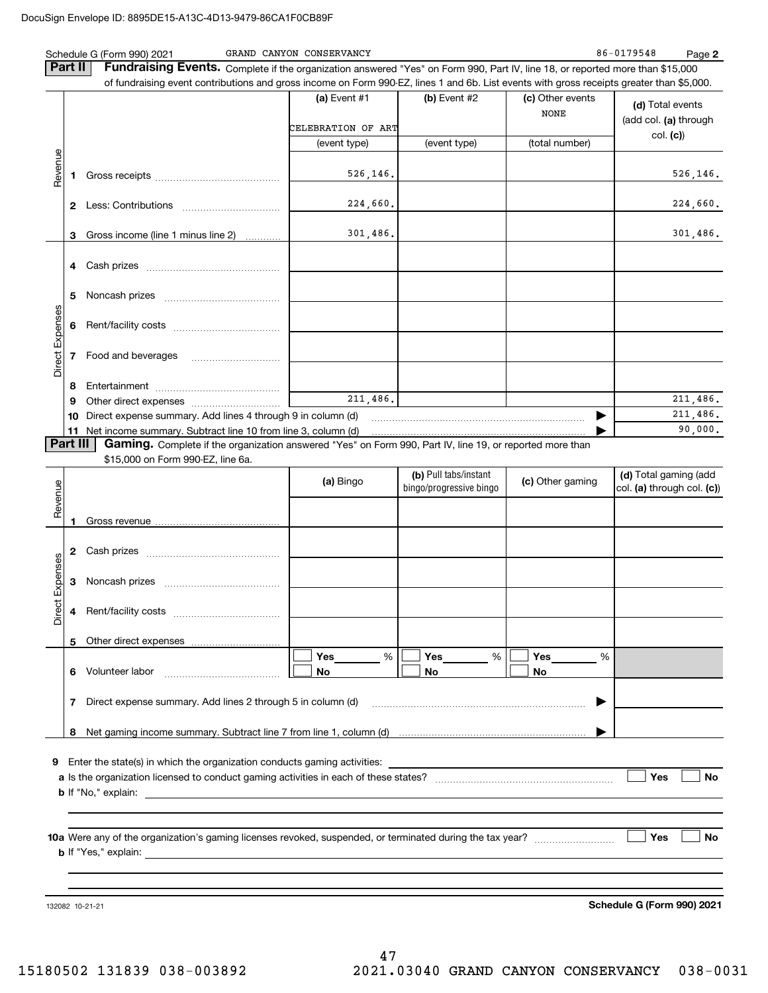|                 | Part II  | Schedule G (Form 990) 2021<br>Fundraising Events. Complete if the organization answered "Yes" on Form 990, Part IV, line 18, or reported more than \$15,000                                                                                                                                                           | GRAND CANYON CONSERVANCY |                         |                                 | 86-0179548<br>Page 2              |
|-----------------|----------|-----------------------------------------------------------------------------------------------------------------------------------------------------------------------------------------------------------------------------------------------------------------------------------------------------------------------|--------------------------|-------------------------|---------------------------------|-----------------------------------|
|                 |          | of fundraising event contributions and gross income on Form 990-EZ, lines 1 and 6b. List events with gross receipts greater than \$5,000.                                                                                                                                                                             | (a) Event $#1$           | (b) Event #2            | (c) Other events<br><b>NONE</b> | (d) Total events                  |
|                 |          |                                                                                                                                                                                                                                                                                                                       | CELEBRATION OF ART       |                         |                                 | (add col. (a) through<br>col. (c) |
|                 |          |                                                                                                                                                                                                                                                                                                                       | (event type)             | (event type)            | (total number)                  |                                   |
| Revenue         | 1        |                                                                                                                                                                                                                                                                                                                       | 526, 146.                |                         |                                 | 526, 146.                         |
|                 |          |                                                                                                                                                                                                                                                                                                                       | 224,660.                 |                         |                                 | 224,660.                          |
|                 |          | 3 Gross income (line 1 minus line 2)                                                                                                                                                                                                                                                                                  | 301,486.                 |                         |                                 | 301,486.                          |
|                 | 4        |                                                                                                                                                                                                                                                                                                                       |                          |                         |                                 |                                   |
|                 | 5        |                                                                                                                                                                                                                                                                                                                       |                          |                         |                                 |                                   |
|                 | 6        |                                                                                                                                                                                                                                                                                                                       |                          |                         |                                 |                                   |
| Direct Expenses | 7        | Food and beverages                                                                                                                                                                                                                                                                                                    |                          |                         |                                 |                                   |
|                 | 8        |                                                                                                                                                                                                                                                                                                                       |                          |                         |                                 |                                   |
|                 | 9        |                                                                                                                                                                                                                                                                                                                       | 211,486.                 |                         |                                 | 211,486.                          |
|                 | 10       | Direct expense summary. Add lines 4 through 9 in column (d)                                                                                                                                                                                                                                                           |                          |                         | ▶                               | 211,486.                          |
|                 | 11       |                                                                                                                                                                                                                                                                                                                       |                          |                         |                                 | 90,000.                           |
|                 | Part III | Gaming. Complete if the organization answered "Yes" on Form 990, Part IV, line 19, or reported more than<br>\$15,000 on Form 990-EZ, line 6a.                                                                                                                                                                         |                          |                         |                                 |                                   |
|                 |          |                                                                                                                                                                                                                                                                                                                       |                          | (b) Pull tabs/instant   |                                 | (d) Total gaming (add             |
| Revenue         |          |                                                                                                                                                                                                                                                                                                                       | (a) Bingo                | bingo/progressive bingo | (c) Other gaming                | col. (a) through col. (c))        |
|                 |          |                                                                                                                                                                                                                                                                                                                       |                          |                         |                                 |                                   |
|                 |          |                                                                                                                                                                                                                                                                                                                       |                          |                         |                                 |                                   |
|                 | 2        |                                                                                                                                                                                                                                                                                                                       |                          |                         |                                 |                                   |
| Expenses        | 3        |                                                                                                                                                                                                                                                                                                                       |                          |                         |                                 |                                   |
| $\pm$<br>Direc  | 4        |                                                                                                                                                                                                                                                                                                                       |                          |                         |                                 |                                   |
|                 | 5        |                                                                                                                                                                                                                                                                                                                       |                          |                         |                                 |                                   |
|                 |          |                                                                                                                                                                                                                                                                                                                       | %<br>Yes                 | Yes<br>$-$ %            | Yes<br>%                        |                                   |
|                 | 6        | Volunteer labor                                                                                                                                                                                                                                                                                                       | No                       | No                      | No                              |                                   |
|                 | 7        | Direct expense summary. Add lines 2 through 5 in column (d)                                                                                                                                                                                                                                                           |                          |                         | ▶                               |                                   |
|                 | 8        |                                                                                                                                                                                                                                                                                                                       |                          |                         |                                 |                                   |
| 9               |          | Enter the state(s) in which the organization conducts gaming activities:<br><b>b</b> If "No," explain: <u>example and the set of the set of the set of the set of the set of the set of the set of the set of the set of the set of the set of the set of the set of the set of the set of the set of the set of </u> |                          |                         |                                 | Yes<br>No                         |
|                 |          | $\mathbf b$ If "Yes," explain: $\qquad \qquad$                                                                                                                                                                                                                                                                        |                          |                         |                                 | Yes<br>No                         |
|                 |          |                                                                                                                                                                                                                                                                                                                       |                          |                         |                                 |                                   |
|                 |          | 132082 10-21-21                                                                                                                                                                                                                                                                                                       |                          |                         |                                 | Schedule G (Form 990) 2021        |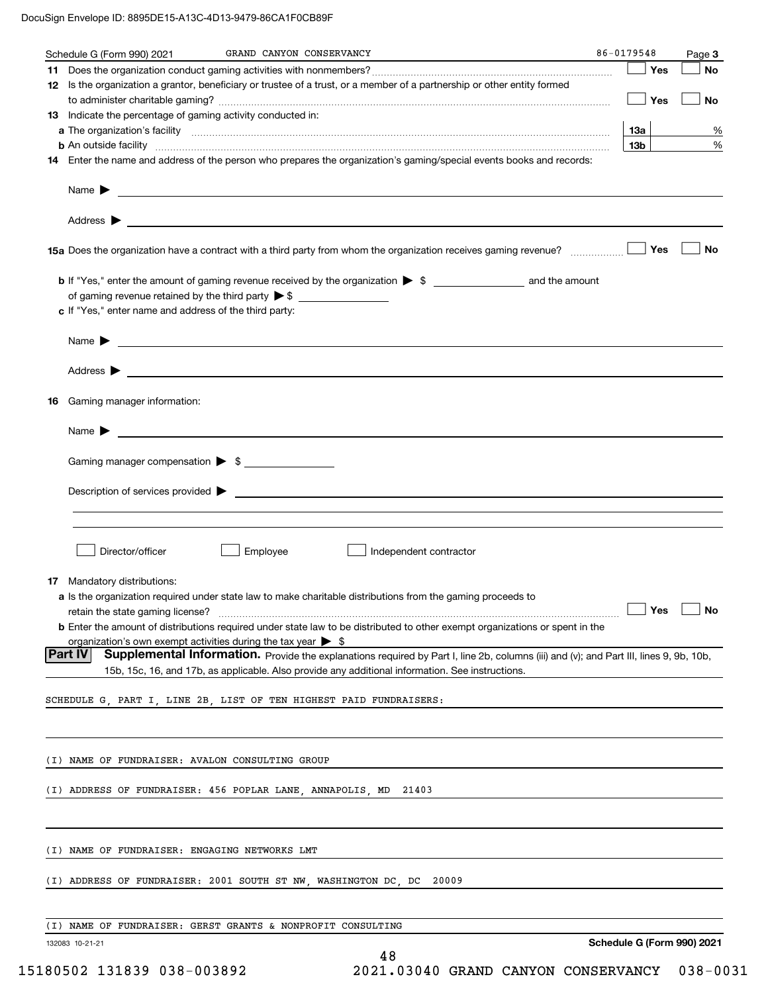|    | Schedule G (Form 990) 2021                                                   | GRAND CANYON CONSERVANCY                                                                                                                                                                                                                  | 86-0179548 |                 | Page 3                     |
|----|------------------------------------------------------------------------------|-------------------------------------------------------------------------------------------------------------------------------------------------------------------------------------------------------------------------------------------|------------|-----------------|----------------------------|
|    |                                                                              |                                                                                                                                                                                                                                           |            | Yes             | <b>No</b>                  |
|    |                                                                              | 12 Is the organization a grantor, beneficiary or trustee of a trust, or a member of a partnership or other entity formed                                                                                                                  |            |                 |                            |
|    |                                                                              |                                                                                                                                                                                                                                           |            | $\Box$ Yes      | No                         |
|    | 13 Indicate the percentage of gaming activity conducted in:                  |                                                                                                                                                                                                                                           |            |                 |                            |
|    |                                                                              |                                                                                                                                                                                                                                           |            | 13а             | %                          |
|    |                                                                              | <b>b</b> An outside facility <b>contained a contract and a contract of the contract of the contract of the contract of the contract of the contract of the contract of the contract of the contract of the contract of the contract o</b> |            | 13 <sub>b</sub> | %                          |
|    |                                                                              | 14 Enter the name and address of the person who prepares the organization's gaming/special events books and records:                                                                                                                      |            |                 |                            |
|    |                                                                              |                                                                                                                                                                                                                                           |            |                 |                            |
|    |                                                                              |                                                                                                                                                                                                                                           |            |                 |                            |
|    |                                                                              |                                                                                                                                                                                                                                           |            |                 | No                         |
|    |                                                                              | <b>b</b> If "Yes," enter the amount of gaming revenue received by the organization $\triangleright$ \$                                                                                                                                    |            |                 |                            |
|    |                                                                              |                                                                                                                                                                                                                                           |            |                 |                            |
|    | c If "Yes," enter name and address of the third party:                       |                                                                                                                                                                                                                                           |            |                 |                            |
|    |                                                                              |                                                                                                                                                                                                                                           |            |                 |                            |
|    |                                                                              | Name $\blacktriangleright$ $\qquad \qquad$                                                                                                                                                                                                |            |                 |                            |
|    |                                                                              |                                                                                                                                                                                                                                           |            |                 |                            |
|    |                                                                              |                                                                                                                                                                                                                                           |            |                 |                            |
| 16 | Gaming manager information:                                                  |                                                                                                                                                                                                                                           |            |                 |                            |
|    |                                                                              | Name $\blacktriangleright$ $\lrcorner$                                                                                                                                                                                                    |            |                 |                            |
|    | Gaming manager compensation > \$                                             |                                                                                                                                                                                                                                           |            |                 |                            |
|    |                                                                              |                                                                                                                                                                                                                                           |            |                 |                            |
|    |                                                                              | $Description of services provided$ $\triangleright$                                                                                                                                                                                       |            |                 |                            |
|    |                                                                              |                                                                                                                                                                                                                                           |            |                 |                            |
|    |                                                                              |                                                                                                                                                                                                                                           |            |                 |                            |
|    | Director/officer                                                             | Employee<br>Independent contractor                                                                                                                                                                                                        |            |                 |                            |
|    |                                                                              |                                                                                                                                                                                                                                           |            |                 |                            |
| 17 | Mandatory distributions:                                                     |                                                                                                                                                                                                                                           |            |                 |                            |
|    | retain the state gaming license?                                             | a Is the organization required under state law to make charitable distributions from the gaming proceeds to                                                                                                                               |            |                 | $\Box$ Yes $\Box$ No       |
|    |                                                                              | <b>b</b> Enter the amount of distributions required under state law to be distributed to other exempt organizations or spent in the                                                                                                       |            |                 |                            |
|    | organization's own exempt activities during the tax year $\triangleright$ \$ |                                                                                                                                                                                                                                           |            |                 |                            |
|    | <b>Part IV</b>                                                               | Supplemental Information. Provide the explanations required by Part I, line 2b, columns (iii) and (v); and Part III, lines 9, 9b, 10b,                                                                                                    |            |                 |                            |
|    |                                                                              | 15b, 15c, 16, and 17b, as applicable. Also provide any additional information. See instructions.                                                                                                                                          |            |                 |                            |
|    |                                                                              |                                                                                                                                                                                                                                           |            |                 |                            |
|    |                                                                              | SCHEDULE G, PART I, LINE 2B, LIST OF TEN HIGHEST PAID FUNDRAISERS:                                                                                                                                                                        |            |                 |                            |
|    |                                                                              |                                                                                                                                                                                                                                           |            |                 |                            |
|    |                                                                              |                                                                                                                                                                                                                                           |            |                 |                            |
|    | (I) NAME OF FUNDRAISER: AVALON CONSULTING GROUP                              |                                                                                                                                                                                                                                           |            |                 |                            |
|    |                                                                              | (I) ADDRESS OF FUNDRAISER: 456 POPLAR LANE, ANNAPOLIS, MD<br>21403                                                                                                                                                                        |            |                 |                            |
|    |                                                                              |                                                                                                                                                                                                                                           |            |                 |                            |
|    | (I) NAME OF FUNDRAISER: ENGAGING NETWORKS LMT                                |                                                                                                                                                                                                                                           |            |                 |                            |
|    |                                                                              |                                                                                                                                                                                                                                           |            |                 |                            |
|    |                                                                              | (I) ADDRESS OF FUNDRAISER: 2001 SOUTH ST NW, WASHINGTON DC, DC 20009                                                                                                                                                                      |            |                 |                            |
|    |                                                                              | (I) NAME OF FUNDRAISER: GERST GRANTS & NONPROFIT CONSULTING                                                                                                                                                                               |            |                 |                            |
|    | 132083 10-21-21                                                              |                                                                                                                                                                                                                                           |            |                 | Schedule G (Form 990) 2021 |
|    |                                                                              | 48                                                                                                                                                                                                                                        |            |                 |                            |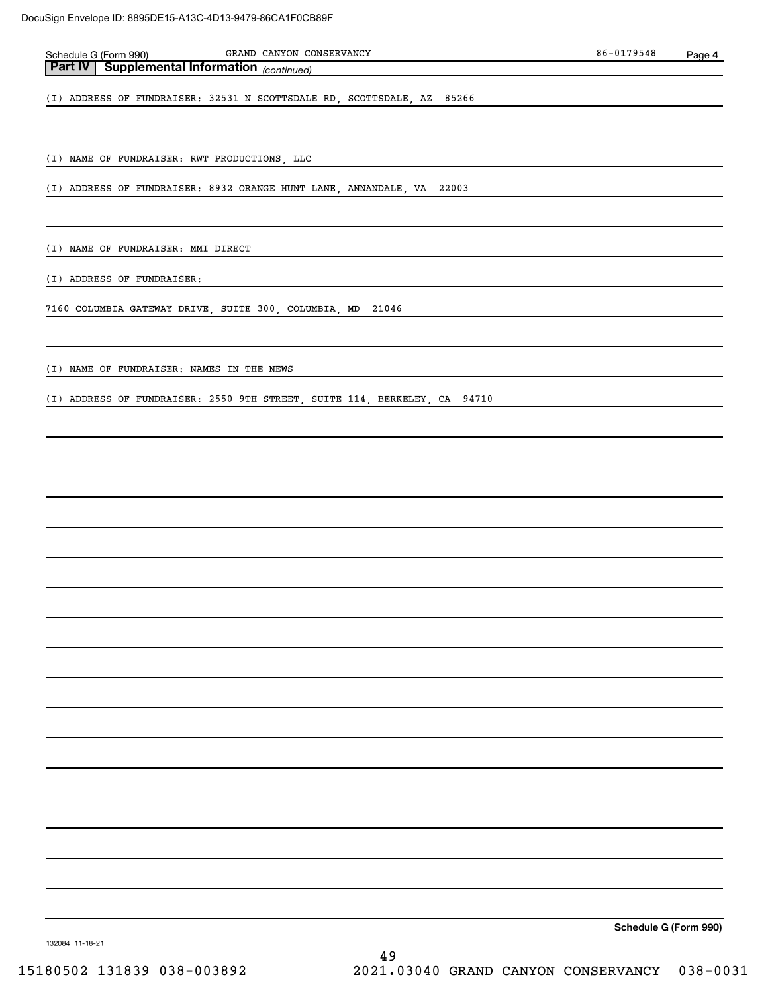| GRAND CANYON CONSERVANCY<br>Schedule G (Form 990)<br>Part IV Supplemental Information (continued) | 86-0179548            | Page 4 |
|---------------------------------------------------------------------------------------------------|-----------------------|--------|
|                                                                                                   |                       |        |
| (I) ADDRESS OF FUNDRAISER: 32531 N SCOTTSDALE RD, SCOTTSDALE, AZ 85266                            |                       |        |
| (I) NAME OF FUNDRAISER: RWT PRODUCTIONS, LLC                                                      |                       |        |
| (I) ADDRESS OF FUNDRAISER: 8932 ORANGE HUNT LANE, ANNANDALE, VA 22003                             |                       |        |
|                                                                                                   |                       |        |
| (I) NAME OF FUNDRAISER: MMI DIRECT                                                                |                       |        |
| (I) ADDRESS OF FUNDRAISER:                                                                        |                       |        |
| 7160 COLUMBIA GATEWAY DRIVE, SUITE 300, COLUMBIA, MD 21046                                        |                       |        |
| (I) NAME OF FUNDRAISER: NAMES IN THE NEWS                                                         |                       |        |
| (I) ADDRESS OF FUNDRAISER: 2550 9TH STREET, SUITE 114, BERKELEY, CA 94710                         |                       |        |
|                                                                                                   |                       |        |
|                                                                                                   |                       |        |
|                                                                                                   |                       |        |
|                                                                                                   |                       |        |
|                                                                                                   |                       |        |
|                                                                                                   |                       |        |
|                                                                                                   |                       |        |
|                                                                                                   |                       |        |
|                                                                                                   |                       |        |
|                                                                                                   |                       |        |
|                                                                                                   |                       |        |
|                                                                                                   |                       |        |
|                                                                                                   |                       |        |
|                                                                                                   |                       |        |
| 132084 11-18-21                                                                                   | Schedule G (Form 990) |        |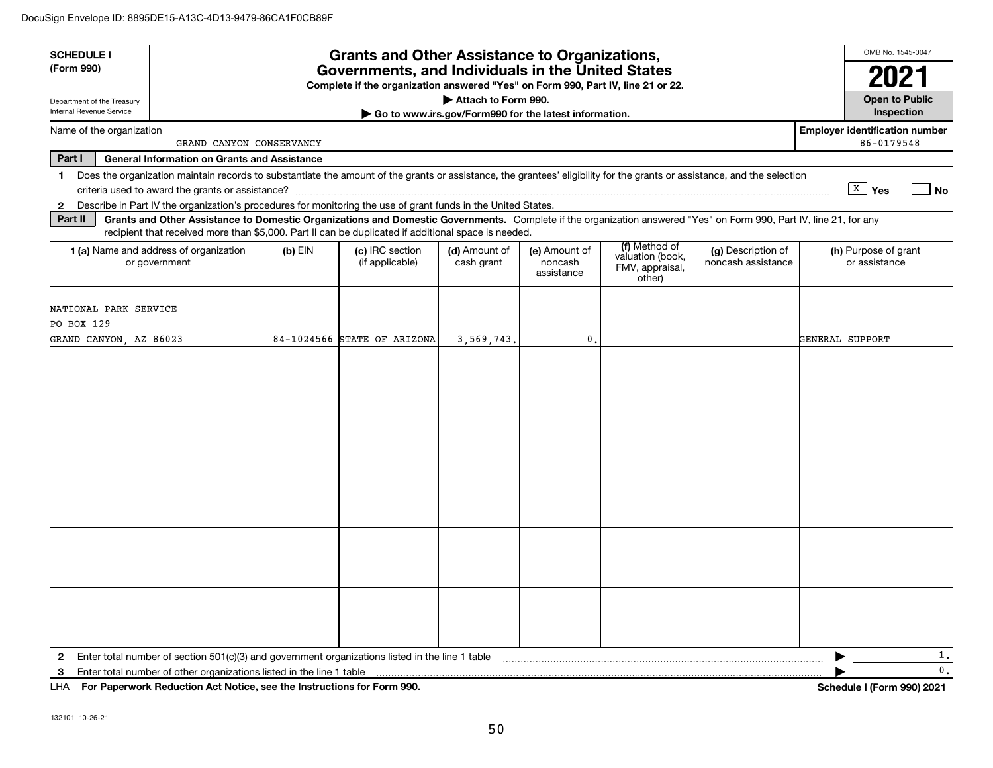| <b>SCHEDULE I</b>                                             |                                                                                                                                                                                                                                                                                           |         | <b>Grants and Other Assistance to Organizations,</b> |                             |                                                       |                                                                |                                          | OMB No. 1545-0047                                   |  |
|---------------------------------------------------------------|-------------------------------------------------------------------------------------------------------------------------------------------------------------------------------------------------------------------------------------------------------------------------------------------|---------|------------------------------------------------------|-----------------------------|-------------------------------------------------------|----------------------------------------------------------------|------------------------------------------|-----------------------------------------------------|--|
| (Form 990)                                                    | Governments, and Individuals in the United States<br>Complete if the organization answered "Yes" on Form 990, Part IV, line 21 or 22.                                                                                                                                                     |         |                                                      |                             |                                                       |                                                                |                                          |                                                     |  |
| Department of the Treasury<br>Internal Revenue Service        |                                                                                                                                                                                                                                                                                           |         |                                                      | Attach to Form 990.         | Go to www.irs.gov/Form990 for the latest information. |                                                                |                                          | <b>Open to Public</b><br>Inspection                 |  |
| Name of the organization                                      | GRAND CANYON CONSERVANCY                                                                                                                                                                                                                                                                  |         |                                                      |                             |                                                       |                                                                |                                          | <b>Employer identification number</b><br>86-0179548 |  |
| Part I                                                        | <b>General Information on Grants and Assistance</b>                                                                                                                                                                                                                                       |         |                                                      |                             |                                                       |                                                                |                                          |                                                     |  |
| 1.<br>2                                                       | Does the organization maintain records to substantiate the amount of the grants or assistance, the grantees' eligibility for the grants or assistance, and the selection<br>Describe in Part IV the organization's procedures for monitoring the use of grant funds in the United States. |         |                                                      |                             |                                                       |                                                                |                                          | $\sqrt{\frac{X}{2}}$ Yes<br>  No                    |  |
| Part II                                                       | Grants and Other Assistance to Domestic Organizations and Domestic Governments. Complete if the organization answered "Yes" on Form 990, Part IV, line 21, for any<br>recipient that received more than \$5,000. Part II can be duplicated if additional space is needed.                 |         |                                                      |                             |                                                       |                                                                |                                          |                                                     |  |
|                                                               | 1 (a) Name and address of organization<br>or government                                                                                                                                                                                                                                   | (b) EIN | (c) IRC section<br>(if applicable)                   | (d) Amount of<br>cash grant | (e) Amount of<br>noncash<br>assistance                | (f) Method of<br>valuation (book,<br>FMV, appraisal,<br>other) | (g) Description of<br>noncash assistance | (h) Purpose of grant<br>or assistance               |  |
| NATIONAL PARK SERVICE<br>PO BOX 129<br>GRAND CANYON, AZ 86023 |                                                                                                                                                                                                                                                                                           |         | 84-1024566 STATE OF ARIZONA                          | 3,569,743.                  | 0.                                                    |                                                                |                                          | GENERAL SUPPORT                                     |  |
|                                                               |                                                                                                                                                                                                                                                                                           |         |                                                      |                             |                                                       |                                                                |                                          |                                                     |  |
|                                                               |                                                                                                                                                                                                                                                                                           |         |                                                      |                             |                                                       |                                                                |                                          |                                                     |  |
|                                                               |                                                                                                                                                                                                                                                                                           |         |                                                      |                             |                                                       |                                                                |                                          |                                                     |  |
|                                                               |                                                                                                                                                                                                                                                                                           |         |                                                      |                             |                                                       |                                                                |                                          |                                                     |  |
|                                                               |                                                                                                                                                                                                                                                                                           |         |                                                      |                             |                                                       |                                                                |                                          |                                                     |  |
| $\mathbf{2}$<br>3                                             | Enter total number of section 501(c)(3) and government organizations listed in the line 1 table<br>Enter total number of other organizations listed in the line 1 table                                                                                                                   |         |                                                      |                             |                                                       |                                                                |                                          | 1.<br>▶<br>0.                                       |  |

**For Paperwork Reduction Act Notice, see the Instructions for Form 990. Schedule I (Form 990) 2021** LHA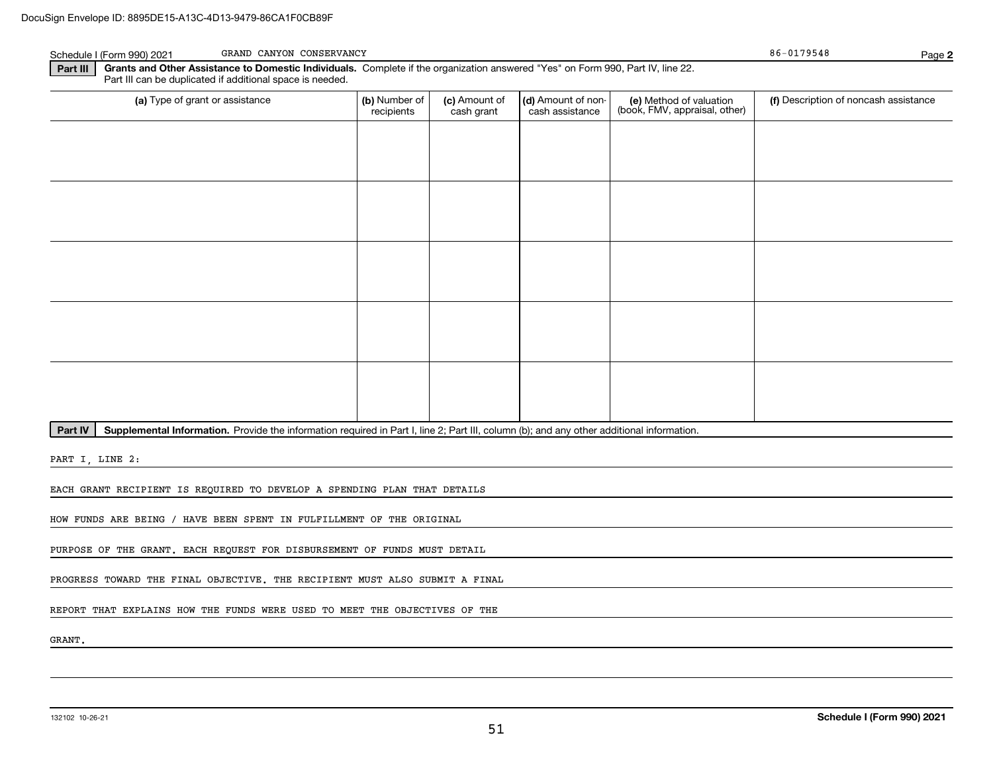| Schedule I (Form 990) 2021 | GRAND CANYON CONSERVANCY                                                                                                                                                                     | 86-0179548 | Page 2 |
|----------------------------|----------------------------------------------------------------------------------------------------------------------------------------------------------------------------------------------|------------|--------|
| Part III                   | Grants and Other Assistance to Domestic Individuals. Complete if the organization answered "Yes" on Form 990, Part IV, line 22.<br>Part III can be duplicated if additional space is needed. |            |        |

| (a) Type of grant or assistance | (b) Number of<br>recipients | (c) Amount of<br>cash grant | (d) Amount of non-<br>cash assistance | (e) Method of valuation<br>(book, FMV, appraisal, other) | (f) Description of noncash assistance |
|---------------------------------|-----------------------------|-----------------------------|---------------------------------------|----------------------------------------------------------|---------------------------------------|
|                                 |                             |                             |                                       |                                                          |                                       |
|                                 |                             |                             |                                       |                                                          |                                       |
|                                 |                             |                             |                                       |                                                          |                                       |
|                                 |                             |                             |                                       |                                                          |                                       |
|                                 |                             |                             |                                       |                                                          |                                       |
|                                 |                             |                             |                                       |                                                          |                                       |
|                                 |                             |                             |                                       |                                                          |                                       |
|                                 |                             |                             |                                       |                                                          |                                       |
|                                 |                             |                             |                                       |                                                          |                                       |
|                                 |                             |                             |                                       |                                                          |                                       |

Part IV | Supplemental Information. Provide the information required in Part I, line 2; Part III, column (b); and any other additional information.

PART I, LINE 2:

EACH GRANT RECIPIENT IS REQUIRED TO DEVELOP A SPENDING PLAN THAT DETAILS

HOW FUNDS ARE BEING / HAVE BEEN SPENT IN FULFILLMENT OF THE ORIGINAL

PURPOSE OF THE GRANT. EACH REQUEST FOR DISBURSEMENT OF FUNDS MUST DETAIL

PROGRESS TOWARD THE FINAL OBJECTIVE. THE RECIPIENT MUST ALSO SUBMIT A FINAL

REPORT THAT EXPLAINS HOW THE FUNDS WERE USED TO MEET THE OBJECTIVES OF THE

GRANT.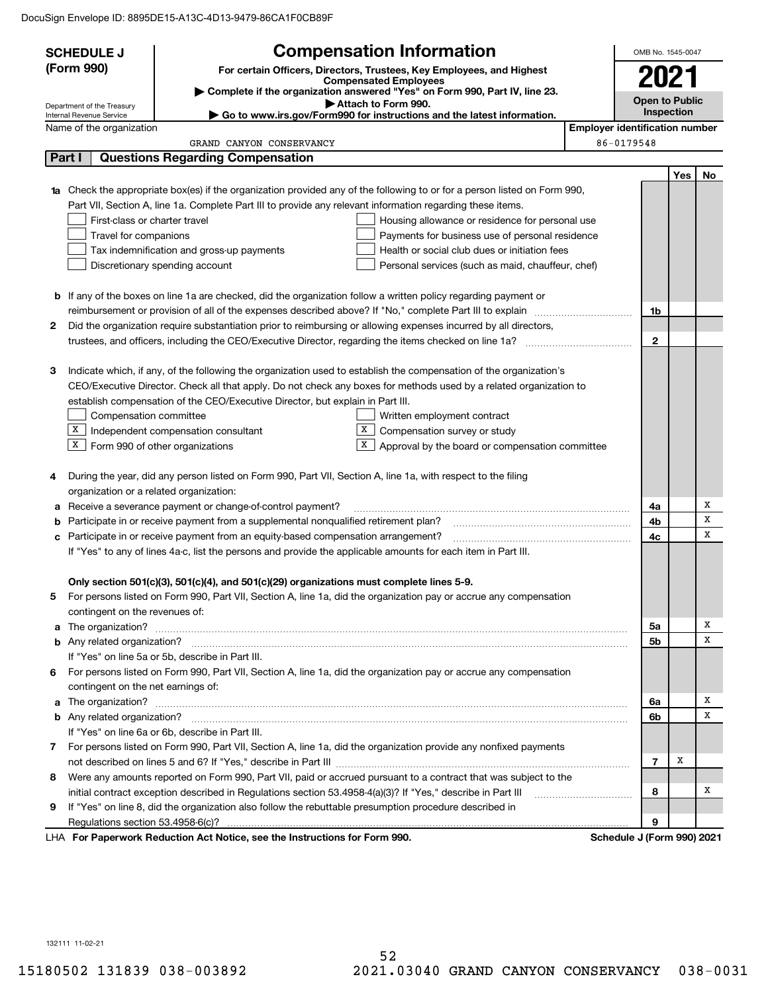|        | <b>SCHEDULE J</b>                                                                                                           |                                                                                                               | <b>Compensation Information</b>                                                                                                  |                                       | OMB No. 1545-0047 |                       |        |  |  |
|--------|-----------------------------------------------------------------------------------------------------------------------------|---------------------------------------------------------------------------------------------------------------|----------------------------------------------------------------------------------------------------------------------------------|---------------------------------------|-------------------|-----------------------|--------|--|--|
|        | (Form 990)<br>For certain Officers, Directors, Trustees, Key Employees, and Highest<br><b>Compensated Employees</b>         |                                                                                                               |                                                                                                                                  |                                       |                   |                       | 2021   |  |  |
|        | Complete if the organization answered "Yes" on Form 990, Part IV, line 23.                                                  |                                                                                                               |                                                                                                                                  |                                       |                   | <b>Open to Public</b> |        |  |  |
|        | Attach to Form 990.<br>Department of the Treasury<br>Go to www.irs.gov/Form990 for instructions and the latest information. |                                                                                                               |                                                                                                                                  |                                       |                   | Inspection            |        |  |  |
|        | Internal Revenue Service<br>Name of the organization                                                                        |                                                                                                               |                                                                                                                                  | <b>Employer identification number</b> |                   |                       |        |  |  |
|        |                                                                                                                             | GRAND CANYON CONSERVANCY                                                                                      |                                                                                                                                  | 86-0179548                            |                   |                       |        |  |  |
| Part I |                                                                                                                             | <b>Questions Regarding Compensation</b>                                                                       |                                                                                                                                  |                                       |                   |                       |        |  |  |
|        |                                                                                                                             |                                                                                                               |                                                                                                                                  |                                       |                   | Yes                   | No     |  |  |
|        |                                                                                                                             |                                                                                                               | <b>1a</b> Check the appropriate box(es) if the organization provided any of the following to or for a person listed on Form 990, |                                       |                   |                       |        |  |  |
|        |                                                                                                                             | Part VII, Section A, line 1a. Complete Part III to provide any relevant information regarding these items.    |                                                                                                                                  |                                       |                   |                       |        |  |  |
|        | First-class or charter travel                                                                                               |                                                                                                               | Housing allowance or residence for personal use                                                                                  |                                       |                   |                       |        |  |  |
|        | Travel for companions                                                                                                       |                                                                                                               | Payments for business use of personal residence                                                                                  |                                       |                   |                       |        |  |  |
|        |                                                                                                                             | Tax indemnification and gross-up payments                                                                     | Health or social club dues or initiation fees                                                                                    |                                       |                   |                       |        |  |  |
|        |                                                                                                                             | Discretionary spending account                                                                                | Personal services (such as maid, chauffeur, chef)                                                                                |                                       |                   |                       |        |  |  |
|        |                                                                                                                             |                                                                                                               |                                                                                                                                  |                                       |                   |                       |        |  |  |
|        |                                                                                                                             |                                                                                                               | <b>b</b> If any of the boxes on line 1a are checked, did the organization follow a written policy regarding payment or           |                                       |                   |                       |        |  |  |
|        |                                                                                                                             |                                                                                                               |                                                                                                                                  |                                       | 1b                |                       |        |  |  |
| 2      |                                                                                                                             |                                                                                                               | Did the organization require substantiation prior to reimbursing or allowing expenses incurred by all directors,                 |                                       |                   |                       |        |  |  |
|        |                                                                                                                             |                                                                                                               |                                                                                                                                  |                                       | $\mathbf{2}$      |                       |        |  |  |
|        |                                                                                                                             |                                                                                                               |                                                                                                                                  |                                       |                   |                       |        |  |  |
| З      |                                                                                                                             |                                                                                                               | Indicate which, if any, of the following the organization used to establish the compensation of the organization's               |                                       |                   |                       |        |  |  |
|        |                                                                                                                             |                                                                                                               | CEO/Executive Director. Check all that apply. Do not check any boxes for methods used by a related organization to               |                                       |                   |                       |        |  |  |
|        |                                                                                                                             | establish compensation of the CEO/Executive Director, but explain in Part III.                                |                                                                                                                                  |                                       |                   |                       |        |  |  |
|        | Compensation committee                                                                                                      |                                                                                                               | Written employment contract                                                                                                      |                                       |                   |                       |        |  |  |
|        |                                                                                                                             | $X$ Independent compensation consultant                                                                       | X<br>Compensation survey or study                                                                                                |                                       |                   |                       |        |  |  |
|        | $X$ Form 990 of other organizations                                                                                         |                                                                                                               | X<br>Approval by the board or compensation committee                                                                             |                                       |                   |                       |        |  |  |
|        |                                                                                                                             |                                                                                                               |                                                                                                                                  |                                       |                   |                       |        |  |  |
| 4      |                                                                                                                             | During the year, did any person listed on Form 990, Part VII, Section A, line 1a, with respect to the filing  |                                                                                                                                  |                                       |                   |                       |        |  |  |
|        | organization or a related organization:                                                                                     |                                                                                                               |                                                                                                                                  |                                       |                   |                       |        |  |  |
| a      |                                                                                                                             | Receive a severance payment or change-of-control payment?                                                     |                                                                                                                                  |                                       | 4a                |                       | Х      |  |  |
| b      |                                                                                                                             | Participate in or receive payment from a supplemental nonqualified retirement plan?                           |                                                                                                                                  |                                       | 4b                |                       | x<br>x |  |  |
|        |                                                                                                                             | c Participate in or receive payment from an equity-based compensation arrangement?                            |                                                                                                                                  |                                       | 4с                |                       |        |  |  |
|        |                                                                                                                             | If "Yes" to any of lines 4a-c, list the persons and provide the applicable amounts for each item in Part III. |                                                                                                                                  |                                       |                   |                       |        |  |  |
|        |                                                                                                                             |                                                                                                               |                                                                                                                                  |                                       |                   |                       |        |  |  |
|        |                                                                                                                             | Only section 501(c)(3), 501(c)(4), and 501(c)(29) organizations must complete lines 5-9.                      |                                                                                                                                  |                                       |                   |                       |        |  |  |
|        |                                                                                                                             |                                                                                                               | For persons listed on Form 990, Part VII, Section A, line 1a, did the organization pay or accrue any compensation                |                                       |                   |                       |        |  |  |
|        | contingent on the revenues of:                                                                                              |                                                                                                               |                                                                                                                                  |                                       | 5a                |                       | х      |  |  |
|        |                                                                                                                             |                                                                                                               | a The organization? <b>Entitation</b> 2008 Communication of the organization of the organization?                                |                                       | 5b                |                       | х      |  |  |
|        |                                                                                                                             | If "Yes" on line 5a or 5b, describe in Part III.                                                              |                                                                                                                                  |                                       |                   |                       |        |  |  |
| 6      |                                                                                                                             |                                                                                                               | For persons listed on Form 990, Part VII, Section A, line 1a, did the organization pay or accrue any compensation                |                                       |                   |                       |        |  |  |
|        | contingent on the net earnings of:                                                                                          |                                                                                                               |                                                                                                                                  |                                       |                   |                       |        |  |  |
|        |                                                                                                                             |                                                                                                               | a The organization? <b>Entitation</b> 2008 Communication of the organization of the organization?                                |                                       | 6a                |                       | х      |  |  |
|        |                                                                                                                             |                                                                                                               |                                                                                                                                  |                                       | 6b                |                       | x      |  |  |
|        |                                                                                                                             | If "Yes" on line 6a or 6b, describe in Part III.                                                              |                                                                                                                                  |                                       |                   |                       |        |  |  |
| 7.     |                                                                                                                             |                                                                                                               | For persons listed on Form 990, Part VII, Section A, line 1a, did the organization provide any nonfixed payments                 |                                       |                   |                       |        |  |  |
|        |                                                                                                                             |                                                                                                               |                                                                                                                                  |                                       | 7                 | X                     |        |  |  |
| 8      |                                                                                                                             |                                                                                                               | Were any amounts reported on Form 990, Part VII, paid or accrued pursuant to a contract that was subject to the                  |                                       |                   |                       |        |  |  |
|        |                                                                                                                             | initial contract exception described in Regulations section 53.4958-4(a)(3)? If "Yes," describe in Part III   |                                                                                                                                  |                                       | 8                 |                       | х      |  |  |
| 9      |                                                                                                                             | If "Yes" on line 8, did the organization also follow the rebuttable presumption procedure described in        |                                                                                                                                  |                                       |                   |                       |        |  |  |
|        |                                                                                                                             |                                                                                                               |                                                                                                                                  |                                       | 9                 |                       |        |  |  |
|        |                                                                                                                             | LHA For Paperwork Reduction Act Notice, see the Instructions for Form 990.                                    |                                                                                                                                  | Schedule J (Form 990) 2021            |                   |                       |        |  |  |
|        |                                                                                                                             |                                                                                                               |                                                                                                                                  |                                       |                   |                       |        |  |  |

132111 11-02-21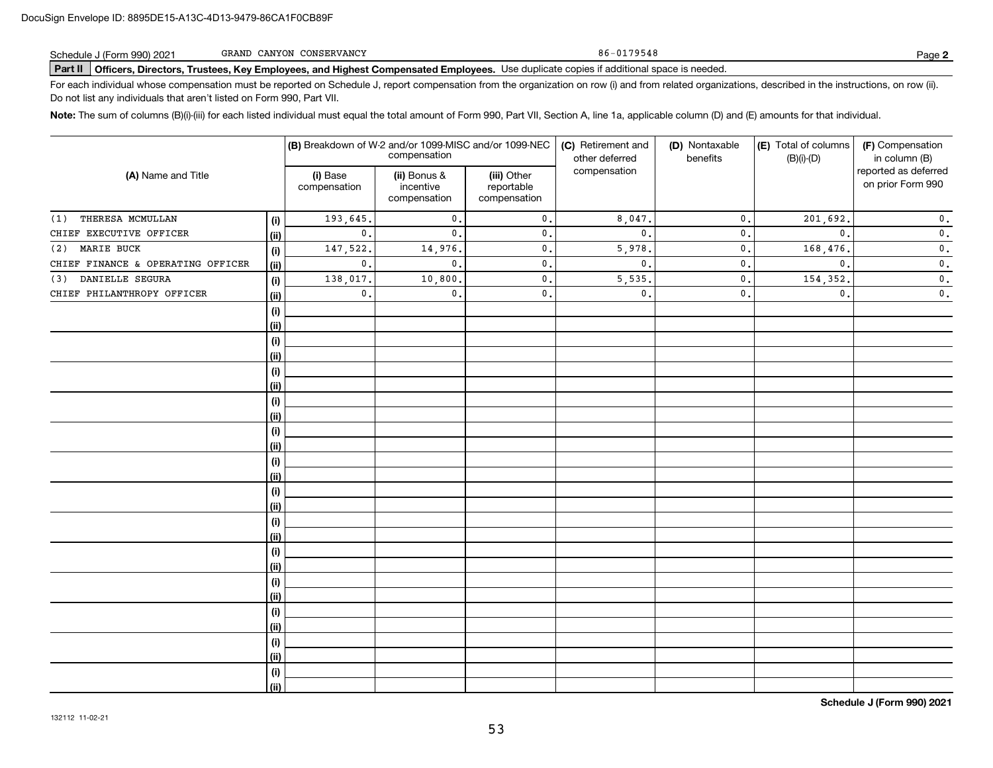| Schedule J (Form 990) 2021 | GRAND CANYON CONSERVANCY | 86-0179548                                                                                                                                     | Page 2 |
|----------------------------|--------------------------|------------------------------------------------------------------------------------------------------------------------------------------------|--------|
|                            |                          | Part II   Officers, Directors, Trustees, Key Employees, and Highest Compensated Employees. Use duplicate copies if additional space is needed. |        |

For each individual whose compensation must be reported on Schedule J, report compensation from the organization on row (i) and from related organizations, described in the instructions, on row (ii). Do not list any individuals that aren't listed on Form 990, Part VII.

**Note:**  The sum of columns (B)(i)-(iii) for each listed individual must equal the total amount of Form 990, Part VII, Section A, line 1a, applicable column (D) and (E) amounts for that individual.

| (A) Name and Title                |            | (B) Breakdown of W-2 and/or 1099-MISC and/or 1099-NEC<br>compensation |                                           |                                           | (C) Retirement and<br>other deferred<br>benefits | (D) Nontaxable   | (E) Total of columns<br>$(B)(i)-(D)$ | (F) Compensation<br>in column (B)         |
|-----------------------------------|------------|-----------------------------------------------------------------------|-------------------------------------------|-------------------------------------------|--------------------------------------------------|------------------|--------------------------------------|-------------------------------------------|
|                                   |            | (i) Base<br>compensation                                              | (ii) Bonus &<br>incentive<br>compensation | (iii) Other<br>reportable<br>compensation | compensation                                     |                  |                                      | reported as deferred<br>on prior Form 990 |
| THERESA MCMULLAN<br>(1)           | (i)        | 193,645.                                                              | $\mathbf{0}$ .                            | $\mathsf{0}\,.$                           | 8,047.                                           | $\mathfrak{o}$ . | 201,692.                             | $\mathbf 0$ .                             |
| CHIEF EXECUTIVE OFFICER           | (ii)       | $\mathbf{0}$ .                                                        | $\mathbf{0}$                              | $\mathbf{0}$ .                            | $\mathbf{0}$ .                                   | $\mathfrak o$ .  | $\mathbf{0}$ .                       | $\mathbf 0$ .                             |
| MARIE BUCK<br>(2)                 | (i)        | 147,522.                                                              | 14,976.                                   | $\mathbf{0}$ .                            | 5,978.                                           | $\mathfrak o$ .  | 168,476.                             | $\mathbf 0$ .                             |
| CHIEF FINANCE & OPERATING OFFICER | (ii)       | $\mathbf{0}$ .                                                        | $\mathbf{0}$ .                            | 0.                                        | $\mathbf{0}$ .                                   | $\mathfrak{o}$ . | $\mathbf{0}$ .                       | $\mathbf 0$ .                             |
| DANIELLE SEGURA<br>(3)            | (i)        | 138,017.                                                              | 10,800.                                   | $\mathsf{0}\,.$                           | 5,535.                                           | $\mathfrak o$ .  | 154,352.                             | $\mathbf 0$ .                             |
| CHIEF PHILANTHROPY OFFICER        | (ii)       | $\mathbf{0}$ .                                                        | $\mathbf{0}$ .                            | 0.                                        | $\mathfrak o$ .                                  | $\mathbf{0}$ .   | $\mathbf{0}$ .                       | $\mathfrak o$ .                           |
|                                   | (i)        |                                                                       |                                           |                                           |                                                  |                  |                                      |                                           |
|                                   | (ii)       |                                                                       |                                           |                                           |                                                  |                  |                                      |                                           |
|                                   | (i)        |                                                                       |                                           |                                           |                                                  |                  |                                      |                                           |
|                                   | (ii)       |                                                                       |                                           |                                           |                                                  |                  |                                      |                                           |
|                                   | (i)        |                                                                       |                                           |                                           |                                                  |                  |                                      |                                           |
|                                   | (ii)       |                                                                       |                                           |                                           |                                                  |                  |                                      |                                           |
|                                   | (i)        |                                                                       |                                           |                                           |                                                  |                  |                                      |                                           |
|                                   | (ii)       |                                                                       |                                           |                                           |                                                  |                  |                                      |                                           |
|                                   | (i)        |                                                                       |                                           |                                           |                                                  |                  |                                      |                                           |
|                                   | (ii)       |                                                                       |                                           |                                           |                                                  |                  |                                      |                                           |
|                                   | $(\sf{i})$ |                                                                       |                                           |                                           |                                                  |                  |                                      |                                           |
|                                   | (ii)       |                                                                       |                                           |                                           |                                                  |                  |                                      |                                           |
|                                   | (i)        |                                                                       |                                           |                                           |                                                  |                  |                                      |                                           |
|                                   | (ii)       |                                                                       |                                           |                                           |                                                  |                  |                                      |                                           |
|                                   | (i)        |                                                                       |                                           |                                           |                                                  |                  |                                      |                                           |
|                                   | (ii)       |                                                                       |                                           |                                           |                                                  |                  |                                      |                                           |
|                                   | $(\sf{i})$ |                                                                       |                                           |                                           |                                                  |                  |                                      |                                           |
|                                   | (ii)       |                                                                       |                                           |                                           |                                                  |                  |                                      |                                           |
|                                   | (i)        |                                                                       |                                           |                                           |                                                  |                  |                                      |                                           |
|                                   | (ii)       |                                                                       |                                           |                                           |                                                  |                  |                                      |                                           |
|                                   | (i)        |                                                                       |                                           |                                           |                                                  |                  |                                      |                                           |
|                                   | (ii)       |                                                                       |                                           |                                           |                                                  |                  |                                      |                                           |
|                                   | (i)        |                                                                       |                                           |                                           |                                                  |                  |                                      |                                           |
|                                   | (ii)       |                                                                       |                                           |                                           |                                                  |                  |                                      |                                           |
|                                   | (i)        |                                                                       |                                           |                                           |                                                  |                  |                                      |                                           |
|                                   | (ii)       |                                                                       |                                           |                                           |                                                  |                  |                                      |                                           |

**Schedule J (Form 990) 2021**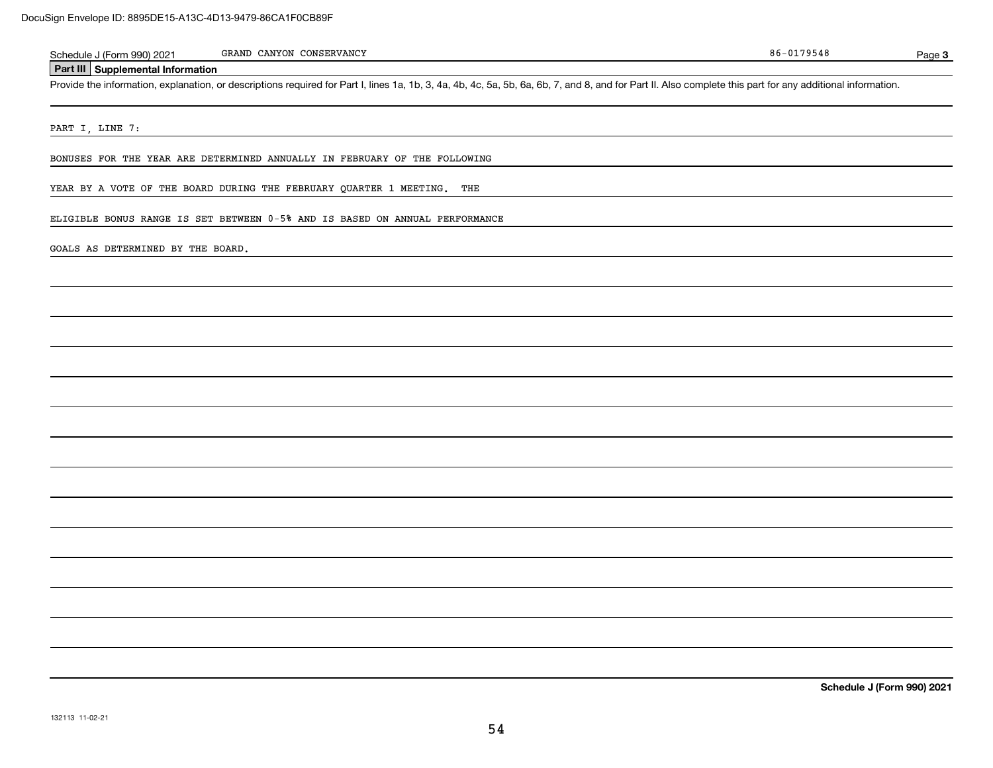| .1990) 2021<br>sched<br>ule<br>$1 - \alpha$ rr                                            | CONSERVANCY<br><b>BATTZONT</b><br>GRANI<br>a na v<br>UМ | $-01$<br>86<br>70-<br>, 7 3 4 6 | Page |
|-------------------------------------------------------------------------------------------|---------------------------------------------------------|---------------------------------|------|
| .a. 111<br>nformation<br>upplemental <sup>1-</sup><br>$-$ and $\mathbf{III}$ $\mathbf{I}$ |                                                         |                                 |      |

Provide the information, explanation, or descriptions required for Part I, lines 1a, 1b, 3, 4a, 4b, 4c, 5a, 5b, 6a, 6b, 7, and 8, and for Part II. Also complete this part for any additional information.

PART I, LINE 7:

BONUSES FOR THE YEAR ARE DETERMINED ANNUALLY IN FEBRUARY OF THE FOLLOWING

YEAR BY A VOTE OF THE BOARD DURING THE FEBRUARY QUARTER 1 MEETING. THE

ELIGIBLE BONUS RANGE IS SET BETWEEN 0-5% AND IS BASED ON ANNUAL PERFORMANCE

GOALS AS DETERMINED BY THE BOARD.

**Schedule J (Form 990) 2021**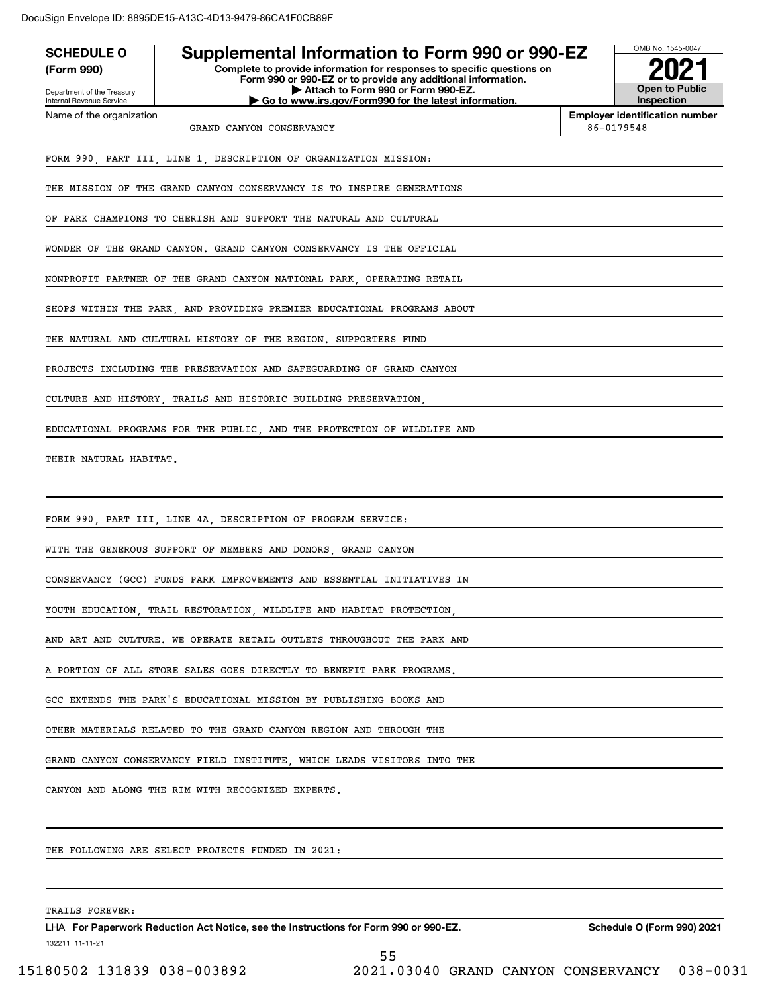| <b>SCHEDULE O</b><br>(Form 990)<br>Department of the Treasury<br>Internal Revenue Service | Supplemental Information to Form 990 or 990-EZ<br>Complete to provide information for responses to specific questions on<br>Form 990 or 990-EZ or to provide any additional information.<br>Attach to Form 990 or Form 990-EZ.<br>Go to www.irs.gov/Form990 for the latest information. | OMB No. 1545-0047<br><b>Open to Public</b><br>Inspection |  |
|-------------------------------------------------------------------------------------------|-----------------------------------------------------------------------------------------------------------------------------------------------------------------------------------------------------------------------------------------------------------------------------------------|----------------------------------------------------------|--|
| Name of the organization                                                                  | GRAND CANYON CONSERVANCY                                                                                                                                                                                                                                                                | <b>Employer identification number</b><br>86-0179548      |  |
|                                                                                           | FORM 990, PART III, LINE 1, DESCRIPTION OF ORGANIZATION MISSION:<br>THE MISSION OF THE GRAND CANYON CONSERVANCY IS TO INSPIRE GENERATIONS                                                                                                                                               |                                                          |  |
|                                                                                           |                                                                                                                                                                                                                                                                                         |                                                          |  |
|                                                                                           | OF PARK CHAMPIONS TO CHERISH AND SUPPORT THE NATURAL AND CULTURAL                                                                                                                                                                                                                       |                                                          |  |
|                                                                                           | WONDER OF THE GRAND CANYON. GRAND CANYON CONSERVANCY IS THE OFFICIAL                                                                                                                                                                                                                    |                                                          |  |
|                                                                                           | NONPROFIT PARTNER OF THE GRAND CANYON NATIONAL PARK, OPERATING RETAIL                                                                                                                                                                                                                   |                                                          |  |
|                                                                                           | SHOPS WITHIN THE PARK, AND PROVIDING PREMIER EDUCATIONAL PROGRAMS ABOUT                                                                                                                                                                                                                 |                                                          |  |
|                                                                                           | THE NATURAL AND CULTURAL HISTORY OF THE REGION. SUPPORTERS FUND                                                                                                                                                                                                                         |                                                          |  |
|                                                                                           | PROJECTS INCLUDING THE PRESERVATION AND SAFEGUARDING OF GRAND CANYON                                                                                                                                                                                                                    |                                                          |  |
|                                                                                           | CULTURE AND HISTORY, TRAILS AND HISTORIC BUILDING PRESERVATION,                                                                                                                                                                                                                         |                                                          |  |
|                                                                                           | EDUCATIONAL PROGRAMS FOR THE PUBLIC, AND THE PROTECTION OF WILDLIFE AND                                                                                                                                                                                                                 |                                                          |  |
| THEIR NATURAL HABITAT.                                                                    |                                                                                                                                                                                                                                                                                         |                                                          |  |
|                                                                                           |                                                                                                                                                                                                                                                                                         |                                                          |  |
|                                                                                           | FORM 990, PART III, LINE 4A, DESCRIPTION OF PROGRAM SERVICE:                                                                                                                                                                                                                            |                                                          |  |
|                                                                                           | WITH THE GENEROUS SUPPORT OF MEMBERS AND DONORS, GRAND CANYON                                                                                                                                                                                                                           |                                                          |  |
|                                                                                           | CONSERVANCY (GCC) FUNDS PARK IMPROVEMENTS AND ESSENTIAL INITIATIVES IN                                                                                                                                                                                                                  |                                                          |  |
|                                                                                           | YOUTH EDUCATION, TRAIL RESTORATION, WILDLIFE AND HABITAT PROTECTION,                                                                                                                                                                                                                    |                                                          |  |
|                                                                                           | AND ART AND CULTURE. WE OPERATE RETAIL OUTLETS THROUGHOUT THE PARK AND                                                                                                                                                                                                                  |                                                          |  |
|                                                                                           | A PORTION OF ALL STORE SALES GOES DIRECTLY TO BENEFIT PARK PROGRAMS.                                                                                                                                                                                                                    |                                                          |  |
|                                                                                           | GCC EXTENDS THE PARK'S EDUCATIONAL MISSION BY PUBLISHING BOOKS AND                                                                                                                                                                                                                      |                                                          |  |
|                                                                                           | OTHER MATERIALS RELATED TO THE GRAND CANYON REGION AND THROUGH THE                                                                                                                                                                                                                      |                                                          |  |
| GRAND CANYON CONSERVANCY FIELD INSTITUTE, WHICH LEADS VISITORS INTO THE                   |                                                                                                                                                                                                                                                                                         |                                                          |  |
| CANYON AND ALONG THE RIM WITH RECOGNIZED EXPERTS.                                         |                                                                                                                                                                                                                                                                                         |                                                          |  |
|                                                                                           |                                                                                                                                                                                                                                                                                         |                                                          |  |
|                                                                                           | THE FOLLOWING ARE SELECT PROJECTS FUNDED IN 2021:                                                                                                                                                                                                                                       |                                                          |  |
|                                                                                           |                                                                                                                                                                                                                                                                                         |                                                          |  |

TRAILS FOREVER:

132211 11-11-21 LHA For Paperwork Reduction Act Notice, see the Instructions for Form 990 or 990-EZ. Schedule O (Form 990) 2021 55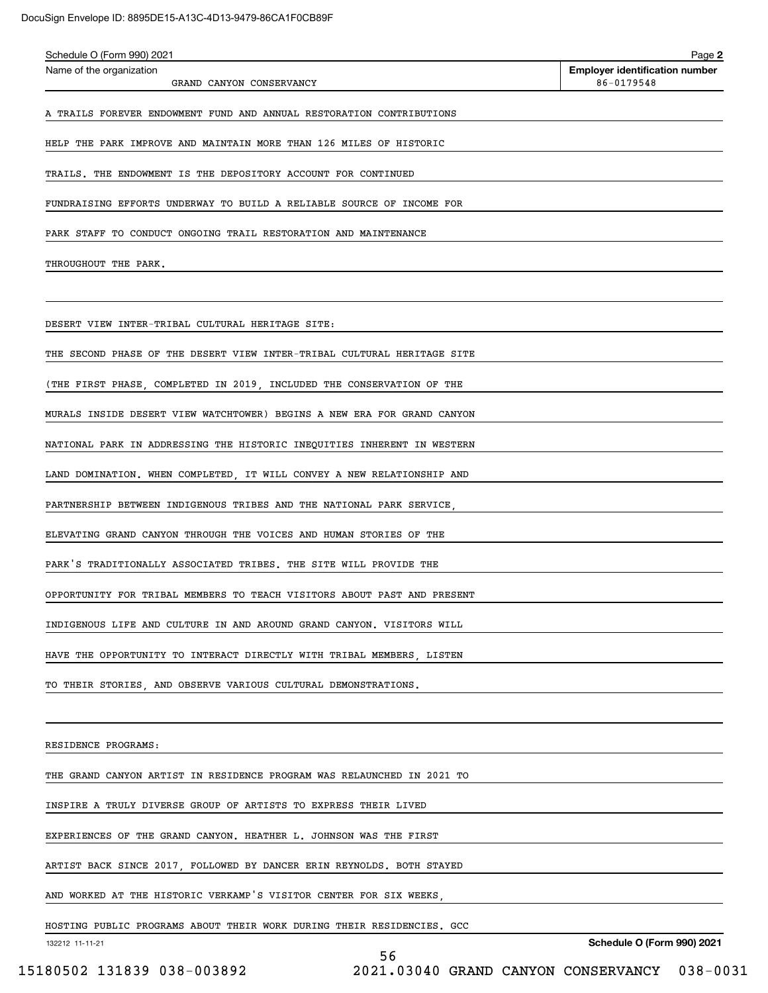| Schedule O (Form 990) 2021<br>Name of the organization                  | Page 2<br><b>Employer identification number</b> |
|-------------------------------------------------------------------------|-------------------------------------------------|
| GRAND CANYON CONSERVANCY                                                | 86-0179548                                      |
| A TRAILS FOREVER ENDOWMENT FUND AND ANNUAL RESTORATION CONTRIBUTIONS    |                                                 |
| HELP THE PARK IMPROVE AND MAINTAIN MORE THAN 126 MILES OF HISTORIC      |                                                 |
| TRAILS. THE ENDOWMENT IS THE DEPOSITORY ACCOUNT FOR CONTINUED           |                                                 |
| FUNDRAISING EFFORTS UNDERWAY TO BUILD A RELIABLE SOURCE OF INCOME FOR   |                                                 |
| PARK STAFF TO CONDUCT ONGOING TRAIL RESTORATION AND MAINTENANCE         |                                                 |
| THROUGHOUT THE PARK.                                                    |                                                 |
|                                                                         |                                                 |
| DESERT VIEW INTER-TRIBAL CULTURAL HERITAGE SITE:                        |                                                 |
| THE SECOND PHASE OF THE DESERT VIEW INTER-TRIBAL CULTURAL HERITAGE SITE |                                                 |
| (THE FIRST PHASE, COMPLETED IN 2019, INCLUDED THE CONSERVATION OF THE   |                                                 |
| MURALS INSIDE DESERT VIEW WATCHTOWER) BEGINS A NEW ERA FOR GRAND CANYON |                                                 |
| NATIONAL PARK IN ADDRESSING THE HISTORIC INEQUITIES INHERENT IN WESTERN |                                                 |
| LAND DOMINATION. WHEN COMPLETED, IT WILL CONVEY A NEW RELATIONSHIP AND  |                                                 |
| PARTNERSHIP BETWEEN INDIGENOUS TRIBES AND THE NATIONAL PARK SERVICE,    |                                                 |
| ELEVATING GRAND CANYON THROUGH THE VOICES AND HUMAN STORIES OF THE      |                                                 |
| PARK'S TRADITIONALLY ASSOCIATED TRIBES. THE SITE WILL PROVIDE THE       |                                                 |
| OPPORTUNITY FOR TRIBAL MEMBERS TO TEACH VISITORS ABOUT PAST AND PRESENT |                                                 |
| INDIGENOUS LIFE AND CULTURE IN AND AROUND GRAND CANYON. VISITORS WILL   |                                                 |
| HAVE THE OPPORTUNITY TO INTERACT DIRECTLY WITH TRIBAL MEMBERS, LISTEN   |                                                 |
| TO THEIR STORIES, AND OBSERVE VARIOUS CULTURAL DEMONSTRATIONS.          |                                                 |
|                                                                         |                                                 |
| RESIDENCE PROGRAMS:                                                     |                                                 |
| THE GRAND CANYON ARTIST IN RESIDENCE PROGRAM WAS RELAUNCHED IN 2021 TO  |                                                 |
| INSPIRE A TRULY DIVERSE GROUP OF ARTISTS TO EXPRESS THEIR LIVED         |                                                 |
| EXPERIENCES OF THE GRAND CANYON. HEATHER L. JOHNSON WAS THE FIRST       |                                                 |
| ARTIST BACK SINCE 2017, FOLLOWED BY DANCER ERIN REYNOLDS. BOTH STAYED   |                                                 |
| AND WORKED AT THE HISTORIC VERKAMP'S VISITOR CENTER FOR SIX WEEKS.      |                                                 |
| HOSTING PUBLIC PROGRAMS ABOUT THEIR WORK DURING THEIR RESIDENCIES. GCC  |                                                 |
| 132212 11-11-21                                                         | <b>Schedule O (Form 990) 2021</b>               |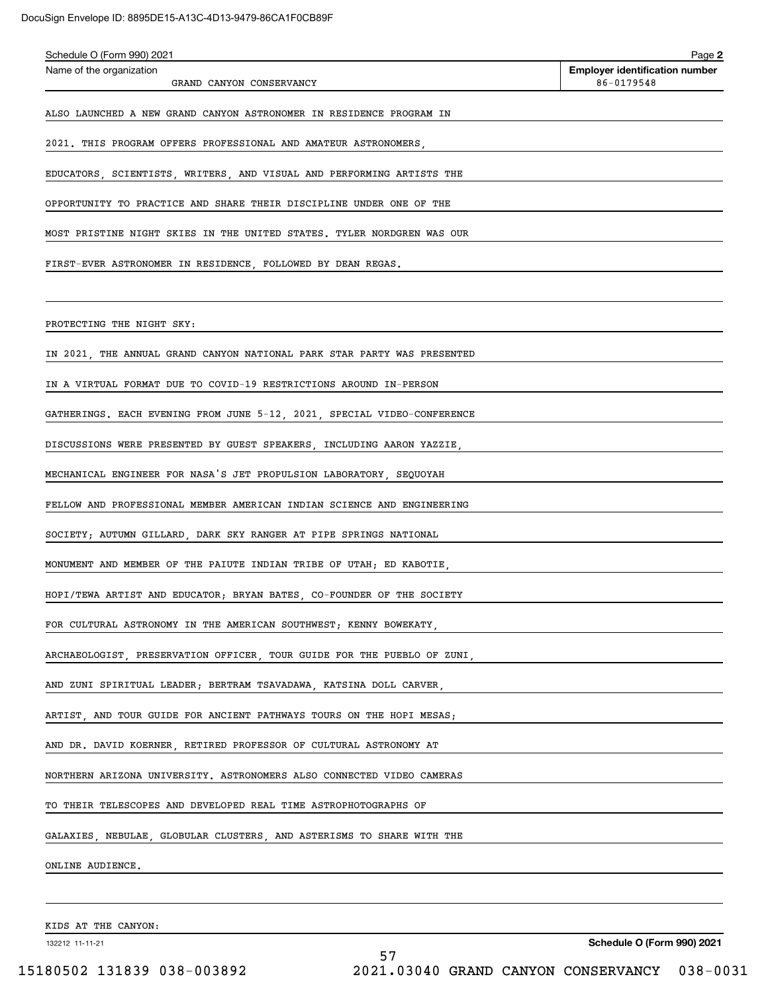| Schedule O (Form 990) 2021                                              | Page 2                                              |
|-------------------------------------------------------------------------|-----------------------------------------------------|
| Name of the organization<br>GRAND CANYON CONSERVANCY                    | <b>Employer identification number</b><br>86-0179548 |
| ALSO LAUNCHED A NEW GRAND CANYON ASTRONOMER IN RESIDENCE PROGRAM IN     |                                                     |
| 2021. THIS PROGRAM OFFERS PROFESSIONAL AND AMATEUR ASTRONOMERS,         |                                                     |
| EDUCATORS, SCIENTISTS, WRITERS, AND VISUAL AND PERFORMING ARTISTS THE   |                                                     |
| OPPORTUNITY TO PRACTICE AND SHARE THEIR DISCIPLINE UNDER ONE OF THE     |                                                     |
| MOST PRISTINE NIGHT SKIES IN THE UNITED STATES. TYLER NORDGREN WAS OUR  |                                                     |
| FIRST-EVER ASTRONOMER IN RESIDENCE, FOLLOWED BY DEAN REGAS.             |                                                     |
|                                                                         |                                                     |
| PROTECTING THE NIGHT SKY:                                               |                                                     |
| IN 2021, THE ANNUAL GRAND CANYON NATIONAL PARK STAR PARTY WAS PRESENTED |                                                     |
| IN A VIRTUAL FORMAT DUE TO COVID-19 RESTRICTIONS AROUND IN-PERSON       |                                                     |
| GATHERINGS. EACH EVENING FROM JUNE 5-12, 2021, SPECIAL VIDEO-CONFERENCE |                                                     |
| DISCUSSIONS WERE PRESENTED BY GUEST SPEAKERS, INCLUDING AARON YAZZIE,   |                                                     |
| MECHANICAL ENGINEER FOR NASA'S JET PROPULSION LABORATORY, SEQUOYAH      |                                                     |
| FELLOW AND PROFESSIONAL MEMBER AMERICAN INDIAN SCIENCE AND ENGINEERING  |                                                     |
| SOCIETY; AUTUMN GILLARD, DARK SKY RANGER AT PIPE SPRINGS NATIONAL       |                                                     |
| MONUMENT AND MEMBER OF THE PAIUTE INDIAN TRIBE OF UTAH; ED KABOTIE,     |                                                     |
| HOPI/TEWA ARTIST AND EDUCATOR; BRYAN BATES, CO-FOUNDER OF THE SOCIETY   |                                                     |
| FOR CULTURAL ASTRONOMY IN THE AMERICAN SOUTHWEST; KENNY BOWEKATY,       |                                                     |
| ARCHAEOLOGIST, PRESERVATION OFFICER, TOUR GUIDE FOR THE PUEBLO OF ZUNI, |                                                     |
| AND ZUNI SPIRITUAL LEADER; BERTRAM TSAVADAWA, KATSINA DOLL CARVER,      |                                                     |
| ARTIST, AND TOUR GUIDE FOR ANCIENT PATHWAYS TOURS ON THE HOPI MESAS;    |                                                     |
| AND DR. DAVID KOERNER, RETIRED PROFESSOR OF CULTURAL ASTRONOMY AT       |                                                     |
| NORTHERN ARIZONA UNIVERSITY. ASTRONOMERS ALSO CONNECTED VIDEO CAMERAS   |                                                     |
| TO THEIR TELESCOPES AND DEVELOPED REAL TIME ASTROPHOTOGRAPHS OF         |                                                     |
| GALAXIES, NEBULAE, GLOBULAR CLUSTERS, AND ASTERISMS TO SHARE WITH THE   |                                                     |
| ONLINE AUDIENCE.                                                        |                                                     |
|                                                                         |                                                     |
| KIDS AT THE CANYON:                                                     |                                                     |
| 132212 11-11-21                                                         | <b>Schedule O (Form 990) 2021</b>                   |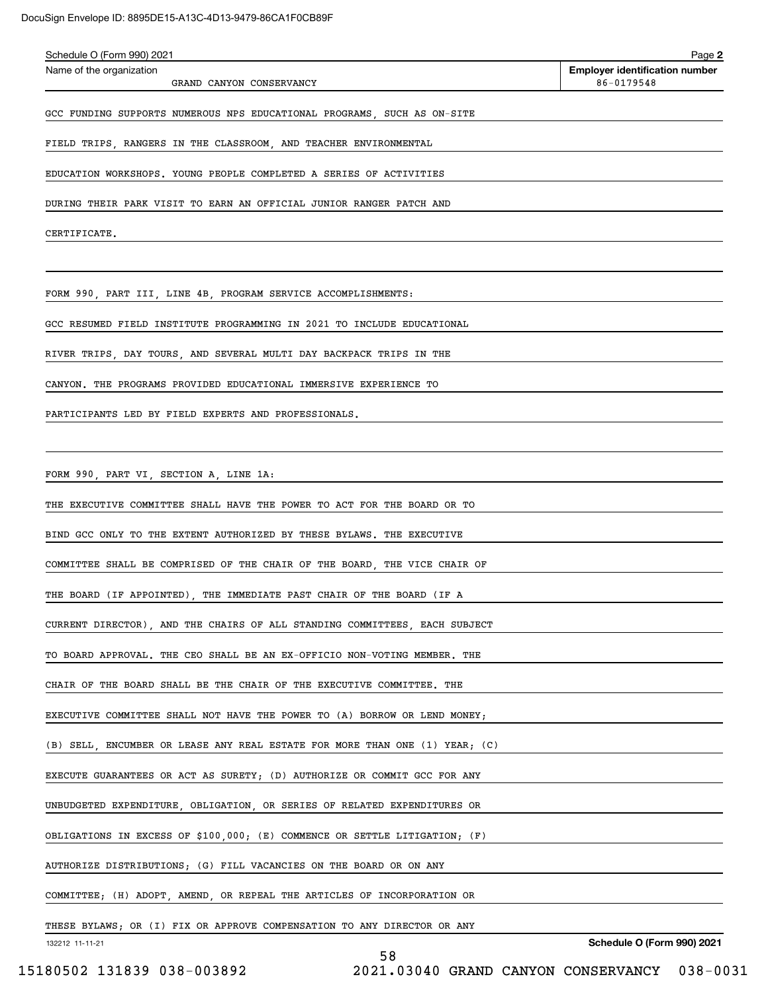| Schedule O (Form 990) 2021                                                  | Page 2                                              |
|-----------------------------------------------------------------------------|-----------------------------------------------------|
| Name of the organization<br>GRAND CANYON CONSERVANCY                        | <b>Employer identification number</b><br>86-0179548 |
| GCC FUNDING SUPPORTS NUMEROUS NPS EDUCATIONAL PROGRAMS, SUCH AS ON-SITE     |                                                     |
| FIELD TRIPS, RANGERS IN THE CLASSROOM, AND TEACHER ENVIRONMENTAL            |                                                     |
| EDUCATION WORKSHOPS. YOUNG PEOPLE COMPLETED A SERIES OF ACTIVITIES          |                                                     |
| DURING THEIR PARK VISIT TO EARN AN OFFICIAL JUNIOR RANGER PATCH AND         |                                                     |
| CERTIFICATE.                                                                |                                                     |
|                                                                             |                                                     |
| FORM 990, PART III, LINE 4B, PROGRAM SERVICE ACCOMPLISHMENTS:               |                                                     |
| GCC RESUMED FIELD INSTITUTE PROGRAMMING IN 2021 TO INCLUDE EDUCATIONAL      |                                                     |
| RIVER TRIPS, DAY TOURS, AND SEVERAL MULTI DAY BACKPACK TRIPS IN THE         |                                                     |
| CANYON. THE PROGRAMS PROVIDED EDUCATIONAL IMMERSIVE EXPERIENCE TO           |                                                     |
| PARTICIPANTS LED BY FIELD EXPERTS AND PROFESSIONALS.                        |                                                     |
|                                                                             |                                                     |
| FORM 990, PART VI, SECTION A, LINE 1A:                                      |                                                     |
| THE EXECUTIVE COMMITTEE SHALL HAVE THE POWER TO ACT FOR THE BOARD OR TO     |                                                     |
| BIND GCC ONLY TO THE EXTENT AUTHORIZED BY THESE BYLAWS. THE EXECUTIVE       |                                                     |
| COMMITTEE SHALL BE COMPRISED OF THE CHAIR OF THE BOARD, THE VICE CHAIR OF   |                                                     |
| THE BOARD (IF APPOINTED), THE IMMEDIATE PAST CHAIR OF THE BOARD (IF A       |                                                     |
| CURRENT DIRECTOR), AND THE CHAIRS OF ALL STANDING COMMITTEES, EACH SUBJECT  |                                                     |
| TO BOARD APPROVAL. THE CEO SHALL BE AN EX-OFFICIO NON-VOTING MEMBER. THE    |                                                     |
| CHAIR OF THE BOARD SHALL BE THE CHAIR OF THE EXECUTIVE COMMITTEE. THE       |                                                     |
| EXECUTIVE COMMITTEE SHALL NOT HAVE THE POWER TO (A) BORROW OR LEND MONEY;   |                                                     |
| (B) SELL, ENCUMBER OR LEASE ANY REAL ESTATE FOR MORE THAN ONE (1) YEAR; (C) |                                                     |
| EXECUTE GUARANTEES OR ACT AS SURETY; (D) AUTHORIZE OR COMMIT GCC FOR ANY    |                                                     |
| UNBUDGETED EXPENDITURE, OBLIGATION, OR SERIES OF RELATED EXPENDITURES OR    |                                                     |
| OBLIGATIONS IN EXCESS OF \$100,000; (E) COMMENCE OR SETTLE LITIGATION; (F)  |                                                     |
| AUTHORIZE DISTRIBUTIONS; (G) FILL VACANCIES ON THE BOARD OR ON ANY          |                                                     |
| COMMITTEE; (H) ADOPT, AMEND, OR REPEAL THE ARTICLES OF INCORPORATION OR     |                                                     |
| THESE BYLAWS; OR (I) FIX OR APPROVE COMPENSATION TO ANY DIRECTOR OR ANY     |                                                     |
| 132212 11-11-21                                                             | <b>Schedule O (Form 990) 2021</b>                   |

58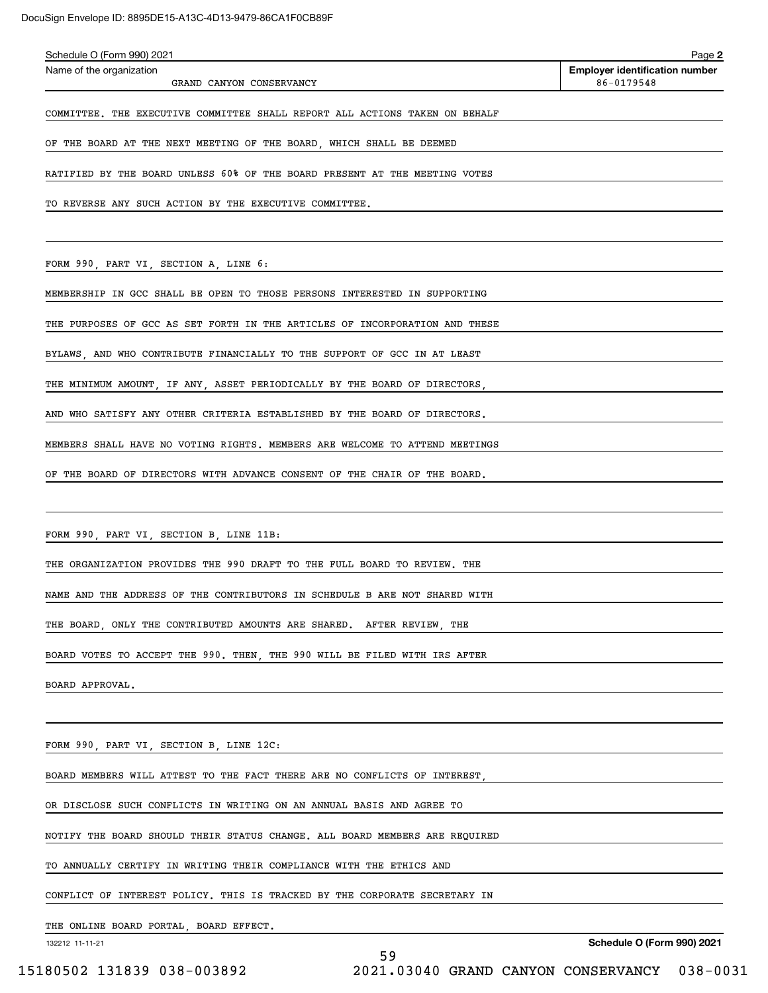| Schedule O (Form 990) 2021                                                  | Page 2                                |
|-----------------------------------------------------------------------------|---------------------------------------|
| Name of the organization                                                    | <b>Employer identification number</b> |
| GRAND CANYON CONSERVANCY                                                    | 86-0179548                            |
| COMMITTEE. THE EXECUTIVE COMMITTEE SHALL REPORT ALL ACTIONS TAKEN ON BEHALF |                                       |
| OF THE BOARD AT THE NEXT MEETING OF THE BOARD, WHICH SHALL BE DEEMED        |                                       |
| RATIFIED BY THE BOARD UNLESS 60% OF THE BOARD PRESENT AT THE MEETING VOTES  |                                       |
| TO REVERSE ANY SUCH ACTION BY THE EXECUTIVE COMMITTEE.                      |                                       |
|                                                                             |                                       |
| FORM 990, PART VI, SECTION A, LINE 6:                                       |                                       |
| MEMBERSHIP IN GCC SHALL BE OPEN TO THOSE PERSONS INTERESTED IN SUPPORTING   |                                       |
| THE PURPOSES OF GCC AS SET FORTH IN THE ARTICLES OF INCORPORATION AND THESE |                                       |
| BYLAWS, AND WHO CONTRIBUTE FINANCIALLY TO THE SUPPORT OF GCC IN AT LEAST    |                                       |
| THE MINIMUM AMOUNT, IF ANY, ASSET PERIODICALLY BY THE BOARD OF DIRECTORS,   |                                       |
| AND WHO SATISFY ANY OTHER CRITERIA ESTABLISHED BY THE BOARD OF DIRECTORS.   |                                       |
| MEMBERS SHALL HAVE NO VOTING RIGHTS. MEMBERS ARE WELCOME TO ATTEND MEETINGS |                                       |
|                                                                             |                                       |

FORM 990, PART VI, SECTION B, LINE 11B:

THE ORGANIZATION PROVIDES THE 990 DRAFT TO THE FULL BOARD TO REVIEW. THE

NAME AND THE ADDRESS OF THE CONTRIBUTORS IN SCHEDULE B ARE NOT SHARED WITH

THE BOARD, ONLY THE CONTRIBUTED AMOUNTS ARE SHARED. AFTER REVIEW, THE

BOARD VOTES TO ACCEPT THE 990. THEN, THE 990 WILL BE FILED WITH IRS AFTER

BOARD APPROVAL.

FORM 990, PART VI, SECTION B, LINE 12C:

BOARD MEMBERS WILL ATTEST TO THE FACT THERE ARE NO CONFLICTS OF INTEREST,

OR DISCLOSE SUCH CONFLICTS IN WRITING ON AN ANNUAL BASIS AND AGREE TO

NOTIFY THE BOARD SHOULD THEIR STATUS CHANGE. ALL BOARD MEMBERS ARE REQUIRED

TO ANNUALLY CERTIFY IN WRITING THEIR COMPLIANCE WITH THE ETHICS AND

CONFLICT OF INTEREST POLICY. THIS IS TRACKED BY THE CORPORATE SECRETARY IN

THE ONLINE BOARD PORTAL, BOARD EFFECT.

132212 11-11-21